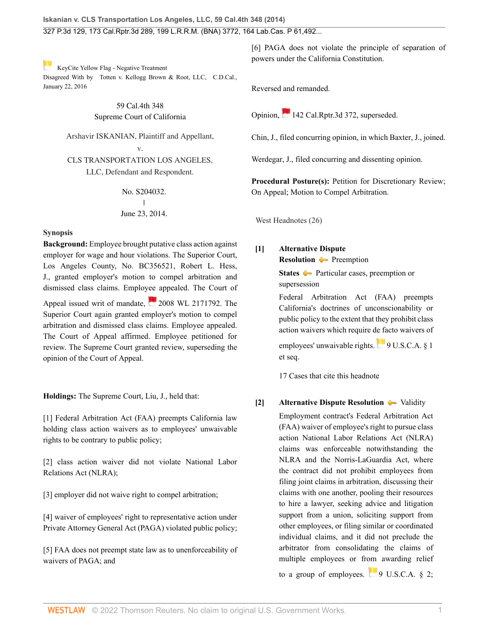[K](https://1.next.westlaw.com/Link/RelatedInformation/Flag?documentGuid=Ica53eec0c4ae11e5963e943a6ea61b35&transitionType=Document&originationContext=docHeaderFlag&Rank=0&ppcid=2af46aeee0b04785be997ff44a01e3a1&contextData=(sc.Search) )eyCite Yellow Flag - Negative Treatment Disagreed With by [Totten v. Kellogg Brown & Root, LLC, C](https://www.westlaw.com/Document/Ica53eec0c4ae11e5963e943a6ea61b35/View/FullText.html?navigationPath=RelatedInfo%2Fv4%2Fkeycite%2Fnav%2F%3Fguid%3DIca53eec0c4ae11e5963e943a6ea61b35%26ss%3D2033644208%26ds%3D2038168011%26origDocGuid%3DI2ff28000fadb11e39488c8f438320c70&listSource=RelatedInfo&list=NegativeCitingReferences&rank=0&ppcid=2af46aeee0b04785be997ff44a01e3a1&originationContext=docHeader&transitionType=NegativeTreatment&contextData=%28sc.Search%29&VR=3.0&RS=cblt1.0 ).D.Cal., January 22, 2016

## 59 Cal.4th 348 Supreme Court of California

Arshavir ISKANIAN, Plaintiff and Appellant, v.

CLS TRANSPORTATION LOS ANGELES, LLC, Defendant and Respondent.

> No. S204032.  $\mathbf{I}$ | June 23, 2014.

#### **Synopsis**

**Background:** Employee brought putative class action against employer for wage and hour violations. The Superior Court, Los Angeles County, No. BC356521, [Robert L. Hess](http://www.westlaw.com/Link/Document/FullText?findType=h&pubNum=176284&cite=0136922601&originatingDoc=I2ff28000fadb11e39488c8f438320c70&refType=RQ&originationContext=document&vr=3.0&rs=cblt1.0&transitionType=DocumentItem&contextData=(sc.Search)), J., granted employer's motion to compel arbitration and dismissed class claims. Employee appealed. The Court of

Appeal issued writ of mandate, [2008 WL 2171792.](http://www.westlaw.com/Link/Document/FullText?findType=Y&serNum=2016178246&pubNum=0000999&originatingDoc=I2ff28000fadb11e39488c8f438320c70&refType=RP&originationContext=document&vr=3.0&rs=cblt1.0&transitionType=DocumentItem&contextData=(sc.Search)) The Superior Court again granted employer's motion to compel arbitration and dismissed class claims. Employee appealed. The Court of Appeal affirmed. Employee petitioned for review. The Supreme Court granted review, superseding the opinion of the Court of Appeal.

**Holdings:** The Supreme Court, [Liu,](http://www.westlaw.com/Link/Document/FullText?findType=h&pubNum=176284&cite=0322143101&originatingDoc=I2ff28000fadb11e39488c8f438320c70&refType=RQ&originationContext=document&vr=3.0&rs=cblt1.0&transitionType=DocumentItem&contextData=(sc.Search)) J., held that:

[\[1\]](#page-0-0) Federal Arbitration Act (FAA) preempts California law holding class action waivers as to employees' unwaivable rights to be contrary to public policy;

[\[2\]](#page-0-1) class action waiver did not violate National Labor Relations Act (NLRA);

[\[3\]](#page-1-0) employer did not waive right to compel arbitration;

[\[4\]](#page-2-0) waiver of employees' right to representative action under Private Attorney General Act (PAGA) violated public policy;

[\[5\]](#page-3-0) FAA does not preempt state law as to unenforceability of waivers of PAGA; and

[\[6\]](#page-3-1) PAGA does not violate the principle of separation of powers under the California Constitution.

Reversed and remanded.

Opinion, [142 Cal.Rptr.3d 372,](http://www.westlaw.com/Link/Document/FullText?findType=Y&serNum=2027828846&pubNum=0007047&originatingDoc=I2ff28000fadb11e39488c8f438320c70&refType=RP&originationContext=document&vr=3.0&rs=cblt1.0&transitionType=DocumentItem&contextData=(sc.Search)) superseded.

[Chin](http://www.westlaw.com/Link/Document/FullText?findType=h&pubNum=176284&cite=0218429701&originatingDoc=I2ff28000fadb11e39488c8f438320c70&refType=RQ&originationContext=document&vr=3.0&rs=cblt1.0&transitionType=DocumentItem&contextData=(sc.Search)), J., filed concurring opinion, in which [Baxter,](http://www.westlaw.com/Link/Document/FullText?findType=h&pubNum=176284&cite=0127904001&originatingDoc=I2ff28000fadb11e39488c8f438320c70&refType=RQ&originationContext=document&vr=3.0&rs=cblt1.0&transitionType=DocumentItem&contextData=(sc.Search)) J., joined.

[Werdegar,](http://www.westlaw.com/Link/Document/FullText?findType=h&pubNum=176284&cite=0252859201&originatingDoc=I2ff28000fadb11e39488c8f438320c70&refType=RQ&originationContext=document&vr=3.0&rs=cblt1.0&transitionType=DocumentItem&contextData=(sc.Search)) J., filed concurring and dissenting opinion.

**Procedural Posture(s):** Petition for Discretionary Review; On Appeal; Motion to Compel Arbitration.

West Headnotes (26)

### <span id="page-0-0"></span>**[\[1\]](#page-7-0) [Alternative Dispute](http://www.westlaw.com/Browse/Home/KeyNumber/25T/View.html?docGuid=I2ff28000fadb11e39488c8f438320c70&originationContext=document&vr=3.0&rs=cblt1.0&transitionType=DocumentItem&contextData=(sc.Search))**

**[Resolution](http://www.westlaw.com/Browse/Home/KeyNumber/25T/View.html?docGuid=I2ff28000fadb11e39488c8f438320c70&originationContext=document&vr=3.0&rs=cblt1.0&transitionType=DocumentItem&contextData=(sc.Search))** [Preemption](http://www.westlaw.com/Browse/Home/KeyNumber/25Tk117/View.html?docGuid=I2ff28000fadb11e39488c8f438320c70&originationContext=document&vr=3.0&rs=cblt1.0&transitionType=DocumentItem&contextData=(sc.Search))

**[States](http://www.westlaw.com/Browse/Home/KeyNumber/360/View.html?docGuid=I2ff28000fadb11e39488c8f438320c70&originationContext=document&vr=3.0&rs=cblt1.0&transitionType=DocumentItem&contextData=(sc.Search)) [Particular cases, preemption or](http://www.westlaw.com/Browse/Home/KeyNumber/360k18.15/View.html?docGuid=I2ff28000fadb11e39488c8f438320c70&originationContext=document&vr=3.0&rs=cblt1.0&transitionType=DocumentItem&contextData=(sc.Search))** [supersession](http://www.westlaw.com/Browse/Home/KeyNumber/360k18.15/View.html?docGuid=I2ff28000fadb11e39488c8f438320c70&originationContext=document&vr=3.0&rs=cblt1.0&transitionType=DocumentItem&contextData=(sc.Search))

Federal Arbitration Act (FAA) preempts California's doctrines of unconscionability or public policy to the extent that they prohibit class action waivers which require de facto waivers of

employees'unwaivable rights.  $\Box$  [9 U.S.C.A. § 1](http://www.westlaw.com/Link/Document/FullText?findType=L&pubNum=1000546&cite=9USCAS1&originatingDoc=I2ff28000fadb11e39488c8f438320c70&refType=LQ&originationContext=document&vr=3.0&rs=cblt1.0&transitionType=DocumentItem&contextData=(sc.Search)) [et seq.](http://www.westlaw.com/Link/Document/FullText?findType=L&pubNum=1000546&cite=9USCAS1&originatingDoc=I2ff28000fadb11e39488c8f438320c70&refType=LQ&originationContext=document&vr=3.0&rs=cblt1.0&transitionType=DocumentItem&contextData=(sc.Search))

[17 Cases that cite this headnote](http://www.westlaw.com/Link/RelatedInformation/DocHeadnoteLink?docGuid=I2ff28000fadb11e39488c8f438320c70&headnoteId=203364420800120190125122056&originationContext=document&vr=3.0&rs=cblt1.0&transitionType=CitingReferences&contextData=(sc.Search))

#### <span id="page-0-1"></span>**[\[2\]](#page-12-0) [Alternative Dispute Resolution](http://www.westlaw.com/Browse/Home/KeyNumber/25T/View.html?docGuid=I2ff28000fadb11e39488c8f438320c70&originationContext=document&vr=3.0&rs=cblt1.0&transitionType=DocumentItem&contextData=(sc.Search))**  $\rightarrow$  [Validity](http://www.westlaw.com/Browse/Home/KeyNumber/25Tk134/View.html?docGuid=I2ff28000fadb11e39488c8f438320c70&originationContext=document&vr=3.0&rs=cblt1.0&transitionType=DocumentItem&contextData=(sc.Search))

Employment contract's Federal Arbitration Act (FAA) waiver of employee's right to pursue class action National Labor Relations Act (NLRA) claims was enforceable notwithstanding the NLRA and the Norris-LaGuardia Act, where the contract did not prohibit employees from filing joint claims in arbitration, discussing their claims with one another, pooling their resources to hire a lawyer, seeking advice and litigation support from a union, soliciting support from other employees, or filing similar or coordinated individual claims, and it did not preclude the arbitrator from consolidating the claims of multiple employees or from awarding relief to a group of employees.  $\Box$  [9 U.S.C.A. § 2;](http://www.westlaw.com/Link/Document/FullText?findType=L&pubNum=1000546&cite=9USCAS2&originatingDoc=I2ff28000fadb11e39488c8f438320c70&refType=LQ&originationContext=document&vr=3.0&rs=cblt1.0&transitionType=DocumentItem&contextData=(sc.Search))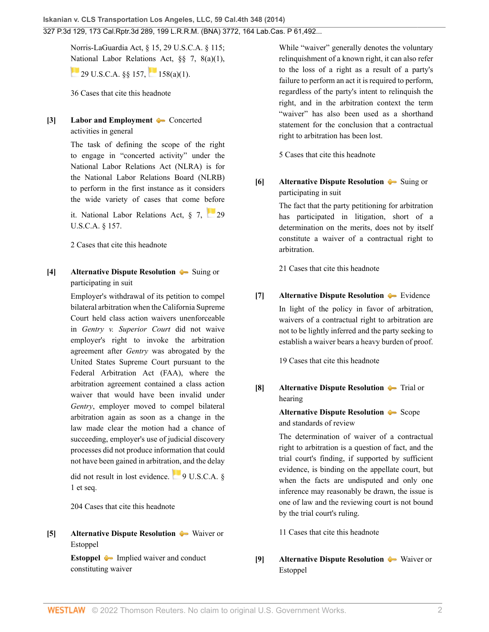Norris-LaGuardia Act, § 15, [29 U.S.C.A. § 115;](http://www.westlaw.com/Link/Document/FullText?findType=L&pubNum=1000546&cite=29USCAS115&originatingDoc=I2ff28000fadb11e39488c8f438320c70&refType=LQ&originationContext=document&vr=3.0&rs=cblt1.0&transitionType=DocumentItem&contextData=(sc.Search)) [Nat](https://1.next.westlaw.com/Link/RelatedInformation/Flag?documentGuid=NB8DACE80AFF711D8803AE0632FEDDFBF&transitionType=InlineKeyCiteFlags&originationContext=docHeaderFlag&Rank=0&ppcid=2af46aeee0b04785be997ff44a01e3a1&contextData=(sc.Search) )ional Labor Relations Act, §§ 7, 8(a)(1),  $29 \text{ U.S. C.A. }$  \$ \$157. [158\(a\)\(1\).](http://www.westlaw.com/Link/Document/FullText?findType=L&pubNum=1000546&cite=29USCAS158&originatingDoc=I2ff28000fadb11e39488c8f438320c70&refType=RB&originationContext=document&vr=3.0&rs=cblt1.0&transitionType=DocumentItem&contextData=(sc.Search)#co_pp_7b9b000044381)

[36 Cases that cite this headnote](http://www.westlaw.com/Link/RelatedInformation/DocHeadnoteLink?docGuid=I2ff28000fadb11e39488c8f438320c70&headnoteId=203364420800220190125122056&originationContext=document&vr=3.0&rs=cblt1.0&transitionType=CitingReferences&contextData=(sc.Search))

## <span id="page-1-1"></span>**[\[3\]](#page-12-1) [Labor and Employment](http://www.westlaw.com/Browse/Home/KeyNumber/231H/View.html?docGuid=I2ff28000fadb11e39488c8f438320c70&originationContext=document&vr=3.0&rs=cblt1.0&transitionType=DocumentItem&contextData=(sc.Search))** [Concerted](http://www.westlaw.com/Browse/Home/KeyNumber/231Hk1677(4)/View.html?docGuid=I2ff28000fadb11e39488c8f438320c70&originationContext=document&vr=3.0&rs=cblt1.0&transitionType=DocumentItem&contextData=(sc.Search)) [activities in general](http://www.westlaw.com/Browse/Home/KeyNumber/231Hk1677(4)/View.html?docGuid=I2ff28000fadb11e39488c8f438320c70&originationContext=document&vr=3.0&rs=cblt1.0&transitionType=DocumentItem&contextData=(sc.Search))

The task of defining the scope of the right to engage in "concerted activity" under the National Labor Relations Act (NLRA) is for the National Labor Relations Board (NLRB) to perform in the first instance as it considers the wide variety of cases that come before it. National Labor Relations Act,  $\S$  7, [29](http://www.westlaw.com/Link/Document/FullText?findType=L&pubNum=1000546&cite=29USCAS157&originatingDoc=I2ff28000fadb11e39488c8f438320c70&refType=LQ&originationContext=document&vr=3.0&rs=cblt1.0&transitionType=DocumentItem&contextData=(sc.Search)) [U.S.C.A. § 157](http://www.westlaw.com/Link/Document/FullText?findType=L&pubNum=1000546&cite=29USCAS157&originatingDoc=I2ff28000fadb11e39488c8f438320c70&refType=LQ&originationContext=document&vr=3.0&rs=cblt1.0&transitionType=DocumentItem&contextData=(sc.Search)).

[2 Cases that cite this headnote](http://www.westlaw.com/Link/RelatedInformation/DocHeadnoteLink?docGuid=I2ff28000fadb11e39488c8f438320c70&headnoteId=203364420800320190125122056&originationContext=document&vr=3.0&rs=cblt1.0&transitionType=CitingReferences&contextData=(sc.Search))

<span id="page-1-0"></span>**[\[4\]](#page-13-0) [Alternative Dispute Resolution](http://www.westlaw.com/Browse/Home/KeyNumber/25T/View.html?docGuid=I2ff28000fadb11e39488c8f438320c70&originationContext=document&vr=3.0&rs=cblt1.0&transitionType=DocumentItem&contextData=(sc.Search))** [Suing or](http://www.westlaw.com/Browse/Home/KeyNumber/25Tk182(2)/View.html?docGuid=I2ff28000fadb11e39488c8f438320c70&originationContext=document&vr=3.0&rs=cblt1.0&transitionType=DocumentItem&contextData=(sc.Search)) [participating in suit](http://www.westlaw.com/Browse/Home/KeyNumber/25Tk182(2)/View.html?docGuid=I2ff28000fadb11e39488c8f438320c70&originationContext=document&vr=3.0&rs=cblt1.0&transitionType=DocumentItem&contextData=(sc.Search))

> Employer's withdrawal of its petition to compel bilateral arbitration when the California Supreme Court held class action waivers unenforceable in *Gentry v. Superior Court* did not waive employer's right to invoke the arbitration agreement after *Gentry* was abrogated by the United States Supreme Court pursuant to the Federal Arbitration Act (FAA), where the arbitration agreement contained a class action waiver that would have been invalid under *Gentry*, employer moved to compel bilateral arbitration again as soon as a change in the law made clear the motion had a chance of succeeding, employer's use of judicial discovery processes did not produce information that could not have been gained in arbitration, and the delay

did not result in lost evidence.  $\frac{1}{2}$  [9 U.S.C.A. §](http://www.westlaw.com/Link/Document/FullText?findType=L&pubNum=1000546&cite=9USCAS1&originatingDoc=I2ff28000fadb11e39488c8f438320c70&refType=LQ&originationContext=document&vr=3.0&rs=cblt1.0&transitionType=DocumentItem&contextData=(sc.Search)) [1 et seq.](http://www.westlaw.com/Link/Document/FullText?findType=L&pubNum=1000546&cite=9USCAS1&originatingDoc=I2ff28000fadb11e39488c8f438320c70&refType=LQ&originationContext=document&vr=3.0&rs=cblt1.0&transitionType=DocumentItem&contextData=(sc.Search))

[204 Cases that cite this headnote](http://www.westlaw.com/Link/RelatedInformation/DocHeadnoteLink?docGuid=I2ff28000fadb11e39488c8f438320c70&headnoteId=203364420800420190125122056&originationContext=document&vr=3.0&rs=cblt1.0&transitionType=CitingReferences&contextData=(sc.Search))

<span id="page-1-2"></span>**[\[5\]](#page-14-0) [Alternative Dispute Resolution](http://www.westlaw.com/Browse/Home/KeyNumber/25T/View.html?docGuid=I2ff28000fadb11e39488c8f438320c70&originationContext=document&vr=3.0&rs=cblt1.0&transitionType=DocumentItem&contextData=(sc.Search))**  $\blacklozenge$  [Waiver or](http://www.westlaw.com/Browse/Home/KeyNumber/25Tk182/View.html?docGuid=I2ff28000fadb11e39488c8f438320c70&originationContext=document&vr=3.0&rs=cblt1.0&transitionType=DocumentItem&contextData=(sc.Search)) [Estoppel](http://www.westlaw.com/Browse/Home/KeyNumber/25Tk182/View.html?docGuid=I2ff28000fadb11e39488c8f438320c70&originationContext=document&vr=3.0&rs=cblt1.0&transitionType=DocumentItem&contextData=(sc.Search))

> **[Estoppel](http://www.westlaw.com/Browse/Home/KeyNumber/156/View.html?docGuid=I2ff28000fadb11e39488c8f438320c70&originationContext=document&vr=3.0&rs=cblt1.0&transitionType=DocumentItem&contextData=(sc.Search))**  $\bullet$  [Implied waiver and conduct](http://www.westlaw.com/Browse/Home/KeyNumber/156k52.10(3)/View.html?docGuid=I2ff28000fadb11e39488c8f438320c70&originationContext=document&vr=3.0&rs=cblt1.0&transitionType=DocumentItem&contextData=(sc.Search)) [constituting waiver](http://www.westlaw.com/Browse/Home/KeyNumber/156k52.10(3)/View.html?docGuid=I2ff28000fadb11e39488c8f438320c70&originationContext=document&vr=3.0&rs=cblt1.0&transitionType=DocumentItem&contextData=(sc.Search))

While "waiver" generally denotes the voluntary relinquishment of a known right, it can also refer to the loss of a right as a result of a party's failure to perform an act it is required to perform, regardless of the party's intent to relinquish the right, and in the arbitration context the term "waiver" has also been used as a shorthand statement for the conclusion that a contractual right to arbitration has been lost.

[5 Cases that cite this headnote](http://www.westlaw.com/Link/RelatedInformation/DocHeadnoteLink?docGuid=I2ff28000fadb11e39488c8f438320c70&headnoteId=203364420800520190125122056&originationContext=document&vr=3.0&rs=cblt1.0&transitionType=CitingReferences&contextData=(sc.Search))

<span id="page-1-3"></span>**[\[6\]](#page-14-1) [Alternative Dispute Resolution](http://www.westlaw.com/Browse/Home/KeyNumber/25T/View.html?docGuid=I2ff28000fadb11e39488c8f438320c70&originationContext=document&vr=3.0&rs=cblt1.0&transitionType=DocumentItem&contextData=(sc.Search))**  $\blacklozenge$  [Suing or](http://www.westlaw.com/Browse/Home/KeyNumber/25Tk182(2)/View.html?docGuid=I2ff28000fadb11e39488c8f438320c70&originationContext=document&vr=3.0&rs=cblt1.0&transitionType=DocumentItem&contextData=(sc.Search)) [participating in suit](http://www.westlaw.com/Browse/Home/KeyNumber/25Tk182(2)/View.html?docGuid=I2ff28000fadb11e39488c8f438320c70&originationContext=document&vr=3.0&rs=cblt1.0&transitionType=DocumentItem&contextData=(sc.Search))

> The fact that the party petitioning for arbitration has participated in litigation, short of a determination on the merits, does not by itself constitute a waiver of a contractual right to arbitration.

[21 Cases that cite this headnote](http://www.westlaw.com/Link/RelatedInformation/DocHeadnoteLink?docGuid=I2ff28000fadb11e39488c8f438320c70&headnoteId=203364420800620190125122056&originationContext=document&vr=3.0&rs=cblt1.0&transitionType=CitingReferences&contextData=(sc.Search))

<span id="page-1-4"></span>**[\[7\]](#page-14-2) [Alternative Dispute Resolution](http://www.westlaw.com/Browse/Home/KeyNumber/25T/View.html?docGuid=I2ff28000fadb11e39488c8f438320c70&originationContext=document&vr=3.0&rs=cblt1.0&transitionType=DocumentItem&contextData=(sc.Search)) E**vidence In light of the policy in favor of arbitration, waivers of a contractual right to arbitration are not to be lightly inferred and the party seeking to establish a waiver bears a heavy burden of proof.

[19 Cases that cite this headnote](http://www.westlaw.com/Link/RelatedInformation/DocHeadnoteLink?docGuid=I2ff28000fadb11e39488c8f438320c70&headnoteId=203364420800720190125122056&originationContext=document&vr=3.0&rs=cblt1.0&transitionType=CitingReferences&contextData=(sc.Search))

<span id="page-1-5"></span>**[\[8\]](#page-14-3) [Alternative Dispute Resolution](http://www.westlaw.com/Browse/Home/KeyNumber/25T/View.html?docGuid=I2ff28000fadb11e39488c8f438320c70&originationContext=document&vr=3.0&rs=cblt1.0&transitionType=DocumentItem&contextData=(sc.Search))**  $\rightarrow$  [Trial or](http://www.westlaw.com/Browse/Home/KeyNumber/25Tk211/View.html?docGuid=I2ff28000fadb11e39488c8f438320c70&originationContext=document&vr=3.0&rs=cblt1.0&transitionType=DocumentItem&contextData=(sc.Search)) [hearing](http://www.westlaw.com/Browse/Home/KeyNumber/25Tk211/View.html?docGuid=I2ff28000fadb11e39488c8f438320c70&originationContext=document&vr=3.0&rs=cblt1.0&transitionType=DocumentItem&contextData=(sc.Search))

> **[Alternative Dispute Resolution](http://www.westlaw.com/Browse/Home/KeyNumber/25T/View.html?docGuid=I2ff28000fadb11e39488c8f438320c70&originationContext=document&vr=3.0&rs=cblt1.0&transitionType=DocumentItem&contextData=(sc.Search)) • [Scope](http://www.westlaw.com/Browse/Home/KeyNumber/25Tk213(5)/View.html?docGuid=I2ff28000fadb11e39488c8f438320c70&originationContext=document&vr=3.0&rs=cblt1.0&transitionType=DocumentItem&contextData=(sc.Search))** [and standards of review](http://www.westlaw.com/Browse/Home/KeyNumber/25Tk213(5)/View.html?docGuid=I2ff28000fadb11e39488c8f438320c70&originationContext=document&vr=3.0&rs=cblt1.0&transitionType=DocumentItem&contextData=(sc.Search))

The determination of waiver of a contractual right to arbitration is a question of fact, and the trial court's finding, if supported by sufficient evidence, is binding on the appellate court, but when the facts are undisputed and only one inference may reasonably be drawn, the issue is one of law and the reviewing court is not bound by the trial court's ruling.

[11 Cases that cite this headnote](http://www.westlaw.com/Link/RelatedInformation/DocHeadnoteLink?docGuid=I2ff28000fadb11e39488c8f438320c70&headnoteId=203364420800820190125122056&originationContext=document&vr=3.0&rs=cblt1.0&transitionType=CitingReferences&contextData=(sc.Search))

<span id="page-1-6"></span>**[\[9\]](#page-14-4) [Alternative Dispute Resolution](http://www.westlaw.com/Browse/Home/KeyNumber/25T/View.html?docGuid=I2ff28000fadb11e39488c8f438320c70&originationContext=document&vr=3.0&rs=cblt1.0&transitionType=DocumentItem&contextData=(sc.Search))**  $\blacklozenge$  [Waiver or](http://www.westlaw.com/Browse/Home/KeyNumber/25Tk182/View.html?docGuid=I2ff28000fadb11e39488c8f438320c70&originationContext=document&vr=3.0&rs=cblt1.0&transitionType=DocumentItem&contextData=(sc.Search)) [Estoppel](http://www.westlaw.com/Browse/Home/KeyNumber/25Tk182/View.html?docGuid=I2ff28000fadb11e39488c8f438320c70&originationContext=document&vr=3.0&rs=cblt1.0&transitionType=DocumentItem&contextData=(sc.Search))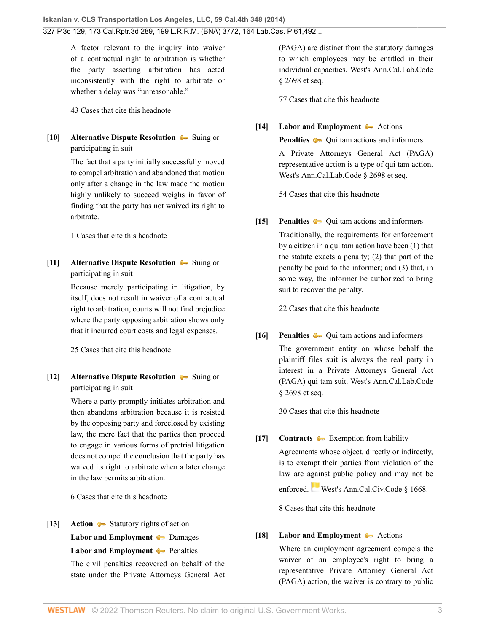A factor relevant to the inquiry into waiver of a contractual right to arbitration is whether the party asserting arbitration has acted inconsistently with the right to arbitrate or whether a delay was "unreasonable."

[43 Cases that cite this headnote](http://www.westlaw.com/Link/RelatedInformation/DocHeadnoteLink?docGuid=I2ff28000fadb11e39488c8f438320c70&headnoteId=203364420800920190125122056&originationContext=document&vr=3.0&rs=cblt1.0&transitionType=CitingReferences&contextData=(sc.Search))

<span id="page-2-1"></span>**[\[10\]](#page-14-5) [Alternative Dispute Resolution](http://www.westlaw.com/Browse/Home/KeyNumber/25T/View.html?docGuid=I2ff28000fadb11e39488c8f438320c70&originationContext=document&vr=3.0&rs=cblt1.0&transitionType=DocumentItem&contextData=(sc.Search))** [Suing or](http://www.westlaw.com/Browse/Home/KeyNumber/25Tk182(2)/View.html?docGuid=I2ff28000fadb11e39488c8f438320c70&originationContext=document&vr=3.0&rs=cblt1.0&transitionType=DocumentItem&contextData=(sc.Search)) [participating in suit](http://www.westlaw.com/Browse/Home/KeyNumber/25Tk182(2)/View.html?docGuid=I2ff28000fadb11e39488c8f438320c70&originationContext=document&vr=3.0&rs=cblt1.0&transitionType=DocumentItem&contextData=(sc.Search))

> The fact that a party initially successfully moved to compel arbitration and abandoned that motion only after a change in the law made the motion highly unlikely to succeed weighs in favor of finding that the party has not waived its right to arbitrate.

[1 Cases that cite this headnote](http://www.westlaw.com/Link/RelatedInformation/DocHeadnoteLink?docGuid=I2ff28000fadb11e39488c8f438320c70&headnoteId=203364420801020190125122056&originationContext=document&vr=3.0&rs=cblt1.0&transitionType=CitingReferences&contextData=(sc.Search))

<span id="page-2-2"></span>**[\[11\]](#page-15-0) [Alternative Dispute Resolution](http://www.westlaw.com/Browse/Home/KeyNumber/25T/View.html?docGuid=I2ff28000fadb11e39488c8f438320c70&originationContext=document&vr=3.0&rs=cblt1.0&transitionType=DocumentItem&contextData=(sc.Search))** [Suing or](http://www.westlaw.com/Browse/Home/KeyNumber/25Tk182(2)/View.html?docGuid=I2ff28000fadb11e39488c8f438320c70&originationContext=document&vr=3.0&rs=cblt1.0&transitionType=DocumentItem&contextData=(sc.Search)) [participating in suit](http://www.westlaw.com/Browse/Home/KeyNumber/25Tk182(2)/View.html?docGuid=I2ff28000fadb11e39488c8f438320c70&originationContext=document&vr=3.0&rs=cblt1.0&transitionType=DocumentItem&contextData=(sc.Search))

> Because merely participating in litigation, by itself, does not result in waiver of a contractual right to arbitration, courts will not find prejudice where the party opposing arbitration shows only that it incurred court costs and legal expenses.

[25 Cases that cite this headnote](http://www.westlaw.com/Link/RelatedInformation/DocHeadnoteLink?docGuid=I2ff28000fadb11e39488c8f438320c70&headnoteId=203364420801120190125122056&originationContext=document&vr=3.0&rs=cblt1.0&transitionType=CitingReferences&contextData=(sc.Search))

<span id="page-2-3"></span>**[\[12\]](#page-15-1) [Alternative Dispute Resolution](http://www.westlaw.com/Browse/Home/KeyNumber/25T/View.html?docGuid=I2ff28000fadb11e39488c8f438320c70&originationContext=document&vr=3.0&rs=cblt1.0&transitionType=DocumentItem&contextData=(sc.Search))**  $\blacklozenge$  [Suing or](http://www.westlaw.com/Browse/Home/KeyNumber/25Tk182(2)/View.html?docGuid=I2ff28000fadb11e39488c8f438320c70&originationContext=document&vr=3.0&rs=cblt1.0&transitionType=DocumentItem&contextData=(sc.Search)) [participating in suit](http://www.westlaw.com/Browse/Home/KeyNumber/25Tk182(2)/View.html?docGuid=I2ff28000fadb11e39488c8f438320c70&originationContext=document&vr=3.0&rs=cblt1.0&transitionType=DocumentItem&contextData=(sc.Search))

> Where a party promptly initiates arbitration and then abandons arbitration because it is resisted by the opposing party and foreclosed by existing law, the mere fact that the parties then proceed to engage in various forms of pretrial litigation does not compel the conclusion that the party has waived its right to arbitrate when a later change in the law permits arbitration.

[6 Cases that cite this headnote](http://www.westlaw.com/Link/RelatedInformation/DocHeadnoteLink?docGuid=I2ff28000fadb11e39488c8f438320c70&headnoteId=203364420801220190125122056&originationContext=document&vr=3.0&rs=cblt1.0&transitionType=CitingReferences&contextData=(sc.Search))

<span id="page-2-4"></span>**[\[13\]](#page-18-0) [Action](http://www.westlaw.com/Browse/Home/KeyNumber/13/View.html?docGuid=I2ff28000fadb11e39488c8f438320c70&originationContext=document&vr=3.0&rs=cblt1.0&transitionType=DocumentItem&contextData=(sc.Search))**  $\blacktriangleright$  **[Statutory rights of action](http://www.westlaw.com/Browse/Home/KeyNumber/13k3/View.html?docGuid=I2ff28000fadb11e39488c8f438320c70&originationContext=document&vr=3.0&rs=cblt1.0&transitionType=DocumentItem&contextData=(sc.Search))** 

**[Labor and Employment](http://www.westlaw.com/Browse/Home/KeyNumber/231H/View.html?docGuid=I2ff28000fadb11e39488c8f438320c70&originationContext=document&vr=3.0&rs=cblt1.0&transitionType=DocumentItem&contextData=(sc.Search))**  $\rightarrow$  [Damages](http://www.westlaw.com/Browse/Home/KeyNumber/231Hk2202/View.html?docGuid=I2ff28000fadb11e39488c8f438320c70&originationContext=document&vr=3.0&rs=cblt1.0&transitionType=DocumentItem&contextData=(sc.Search))

**[Labor and Employment](http://www.westlaw.com/Browse/Home/KeyNumber/231H/View.html?docGuid=I2ff28000fadb11e39488c8f438320c70&originationContext=document&vr=3.0&rs=cblt1.0&transitionType=DocumentItem&contextData=(sc.Search)) [Penalties](http://www.westlaw.com/Browse/Home/KeyNumber/231Hk2203/View.html?docGuid=I2ff28000fadb11e39488c8f438320c70&originationContext=document&vr=3.0&rs=cblt1.0&transitionType=DocumentItem&contextData=(sc.Search))** 

The civil penalties recovered on behalf of the state under the Private Attorneys General Act (PAGA) are distinct from the statutory damages to which employees may be entitled in their individual capacities. [West's Ann.Cal.Lab.Code](http://www.westlaw.com/Link/Document/FullText?findType=L&pubNum=1000215&cite=CALBS2698&originatingDoc=I2ff28000fadb11e39488c8f438320c70&refType=LQ&originationContext=document&vr=3.0&rs=cblt1.0&transitionType=DocumentItem&contextData=(sc.Search)) [§ 2698 et seq.](http://www.westlaw.com/Link/Document/FullText?findType=L&pubNum=1000215&cite=CALBS2698&originatingDoc=I2ff28000fadb11e39488c8f438320c70&refType=LQ&originationContext=document&vr=3.0&rs=cblt1.0&transitionType=DocumentItem&contextData=(sc.Search))

[77 Cases that cite this headnote](http://www.westlaw.com/Link/RelatedInformation/DocHeadnoteLink?docGuid=I2ff28000fadb11e39488c8f438320c70&headnoteId=203364420801320190125122056&originationContext=document&vr=3.0&rs=cblt1.0&transitionType=CitingReferences&contextData=(sc.Search))

<span id="page-2-5"></span>**[\[14\]](#page-18-1) [Labor and Employment](http://www.westlaw.com/Browse/Home/KeyNumber/231H/View.html?docGuid=I2ff28000fadb11e39488c8f438320c70&originationContext=document&vr=3.0&rs=cblt1.0&transitionType=DocumentItem&contextData=(sc.Search))**  $\blacktriangleright$  [Actions](http://www.westlaw.com/Browse/Home/KeyNumber/231Hk2192/View.html?docGuid=I2ff28000fadb11e39488c8f438320c70&originationContext=document&vr=3.0&rs=cblt1.0&transitionType=DocumentItem&contextData=(sc.Search))

**[Penalties](http://www.westlaw.com/Browse/Home/KeyNumber/295/View.html?docGuid=I2ff28000fadb11e39488c8f438320c70&originationContext=document&vr=3.0&rs=cblt1.0&transitionType=DocumentItem&contextData=(sc.Search))**  $\bullet$  Oui tam actions and informers

A Private Attorneys General Act (PAGA) representative action is a type of qui tam action. [West's Ann.Cal.Lab.Code § 2698 et seq.](http://www.westlaw.com/Link/Document/FullText?findType=L&pubNum=1000215&cite=CALBS2698&originatingDoc=I2ff28000fadb11e39488c8f438320c70&refType=LQ&originationContext=document&vr=3.0&rs=cblt1.0&transitionType=DocumentItem&contextData=(sc.Search))

[54 Cases that cite this headnote](http://www.westlaw.com/Link/RelatedInformation/DocHeadnoteLink?docGuid=I2ff28000fadb11e39488c8f438320c70&headnoteId=203364420801420190125122056&originationContext=document&vr=3.0&rs=cblt1.0&transitionType=CitingReferences&contextData=(sc.Search))

<span id="page-2-6"></span>**[\[15\]](#page-18-2) [Penalties](http://www.westlaw.com/Browse/Home/KeyNumber/295/View.html?docGuid=I2ff28000fadb11e39488c8f438320c70&originationContext=document&vr=3.0&rs=cblt1.0&transitionType=DocumentItem&contextData=(sc.Search))**  $\blacklozenge$  [Qui tam actions and informers](http://www.westlaw.com/Browse/Home/KeyNumber/295k24/View.html?docGuid=I2ff28000fadb11e39488c8f438320c70&originationContext=document&vr=3.0&rs=cblt1.0&transitionType=DocumentItem&contextData=(sc.Search)) Traditionally, the requirements for enforcement by a citizen in a qui tam action have been (1) that the statute exacts a penalty; (2) that part of the penalty be paid to the informer; and (3) that, in some way, the informer be authorized to bring suit to recover the penalty.

[22 Cases that cite this headnote](http://www.westlaw.com/Link/RelatedInformation/DocHeadnoteLink?docGuid=I2ff28000fadb11e39488c8f438320c70&headnoteId=203364420801520190125122056&originationContext=document&vr=3.0&rs=cblt1.0&transitionType=CitingReferences&contextData=(sc.Search))

<span id="page-2-7"></span>**[\[16\]](#page-18-3) [Penalties](http://www.westlaw.com/Browse/Home/KeyNumber/295/View.html?docGuid=I2ff28000fadb11e39488c8f438320c70&originationContext=document&vr=3.0&rs=cblt1.0&transitionType=DocumentItem&contextData=(sc.Search))**  $\blacklozenge$  [Qui tam actions and informers](http://www.westlaw.com/Browse/Home/KeyNumber/295k24/View.html?docGuid=I2ff28000fadb11e39488c8f438320c70&originationContext=document&vr=3.0&rs=cblt1.0&transitionType=DocumentItem&contextData=(sc.Search)) The government entity on whose behalf the plaintiff files suit is always the real party in interest in a Private Attorneys General Act (PAGA) qui tam suit. [West's Ann.Cal.Lab.Code](http://www.westlaw.com/Link/Document/FullText?findType=L&pubNum=1000215&cite=CALBS2698&originatingDoc=I2ff28000fadb11e39488c8f438320c70&refType=LQ&originationContext=document&vr=3.0&rs=cblt1.0&transitionType=DocumentItem&contextData=(sc.Search)) [§ 2698 et seq.](http://www.westlaw.com/Link/Document/FullText?findType=L&pubNum=1000215&cite=CALBS2698&originatingDoc=I2ff28000fadb11e39488c8f438320c70&refType=LQ&originationContext=document&vr=3.0&rs=cblt1.0&transitionType=DocumentItem&contextData=(sc.Search))

[30 Cases that cite this headnote](http://www.westlaw.com/Link/RelatedInformation/DocHeadnoteLink?docGuid=I2ff28000fadb11e39488c8f438320c70&headnoteId=203364420801620190125122056&originationContext=document&vr=3.0&rs=cblt1.0&transitionType=CitingReferences&contextData=(sc.Search))

<span id="page-2-8"></span>**[\[17\]](#page-18-4) [Contracts](http://www.westlaw.com/Browse/Home/KeyNumber/95/View.html?docGuid=I2ff28000fadb11e39488c8f438320c70&originationContext=document&vr=3.0&rs=cblt1.0&transitionType=DocumentItem&contextData=(sc.Search))** [Exemption from liability](http://www.westlaw.com/Browse/Home/KeyNumber/95k114/View.html?docGuid=I2ff28000fadb11e39488c8f438320c70&originationContext=document&vr=3.0&rs=cblt1.0&transitionType=DocumentItem&contextData=(sc.Search))

Agreements whose object, directly or indirectly, is to exempt their parties from violation of the law are against public policy and may not be

enforced.[West's Ann.Cal.Civ.Code § 1668.](http://www.westlaw.com/Link/Document/FullText?findType=L&pubNum=1000200&cite=CACIS1668&originatingDoc=I2ff28000fadb11e39488c8f438320c70&refType=LQ&originationContext=document&vr=3.0&rs=cblt1.0&transitionType=DocumentItem&contextData=(sc.Search))

[8 Cases that cite this headnote](http://www.westlaw.com/Link/RelatedInformation/DocHeadnoteLink?docGuid=I2ff28000fadb11e39488c8f438320c70&headnoteId=203364420801720190125122056&originationContext=document&vr=3.0&rs=cblt1.0&transitionType=CitingReferences&contextData=(sc.Search))

# <span id="page-2-0"></span>**[\[18\]](#page-19-0) [Labor and Employment](http://www.westlaw.com/Browse/Home/KeyNumber/231H/View.html?docGuid=I2ff28000fadb11e39488c8f438320c70&originationContext=document&vr=3.0&rs=cblt1.0&transitionType=DocumentItem&contextData=(sc.Search))** [Actions](http://www.westlaw.com/Browse/Home/KeyNumber/231Hk2192/View.html?docGuid=I2ff28000fadb11e39488c8f438320c70&originationContext=document&vr=3.0&rs=cblt1.0&transitionType=DocumentItem&contextData=(sc.Search))

Where an employment agreement compels the waiver of an employee's right to bring a representative Private Attorney General Act (PAGA) action, the waiver is contrary to public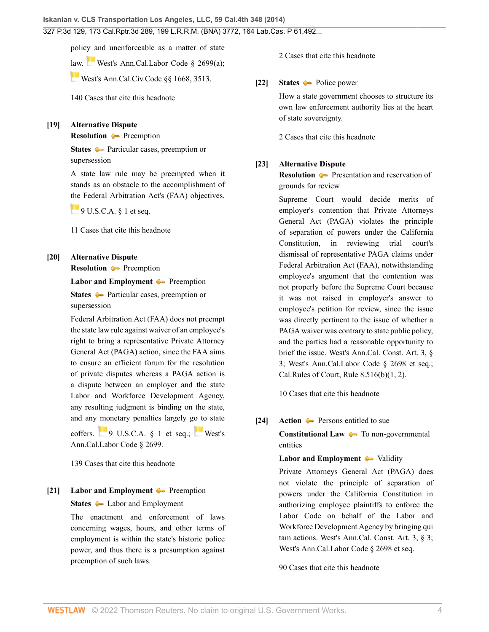policy and unenforceable as a matter of state

[law](https://1.next.westlaw.com/Link/RelatedInformation/Flag?documentGuid=NFD7079B08E5911D8A8ACD145B11214D7&transitionType=InlineKeyCiteFlags&originationContext=docHeaderFlag&Rank=0&ppcid=2af46aeee0b04785be997ff44a01e3a1&contextData=(sc.Search) ). [West's Ann.Cal.Labor Code § 2699\(a\);](http://www.westlaw.com/Link/Document/FullText?findType=L&pubNum=1000215&cite=CALBS2699&originatingDoc=I2ff28000fadb11e39488c8f438320c70&refType=SP&originationContext=document&vr=3.0&rs=cblt1.0&transitionType=DocumentItem&contextData=(sc.Search)#co_pp_8b3b0000958a4)

[West's Ann.Cal.Civ.Code §§ 1668,](http://www.westlaw.com/Link/Document/FullText?findType=L&pubNum=1000200&cite=CACIS1668&originatingDoc=I2ff28000fadb11e39488c8f438320c70&refType=LQ&originationContext=document&vr=3.0&rs=cblt1.0&transitionType=DocumentItem&contextData=(sc.Search)) [3513.](http://www.westlaw.com/Link/Document/FullText?findType=L&pubNum=1000200&cite=CACIS3513&originatingDoc=I2ff28000fadb11e39488c8f438320c70&refType=LQ&originationContext=document&vr=3.0&rs=cblt1.0&transitionType=DocumentItem&contextData=(sc.Search))

[140 Cases that cite this headnote](http://www.westlaw.com/Link/RelatedInformation/DocHeadnoteLink?docGuid=I2ff28000fadb11e39488c8f438320c70&headnoteId=203364420801820190125122056&originationContext=document&vr=3.0&rs=cblt1.0&transitionType=CitingReferences&contextData=(sc.Search))

#### <span id="page-3-2"></span>**[\[19\]](#page-19-1) [Alternative Dispute](http://www.westlaw.com/Browse/Home/KeyNumber/25T/View.html?docGuid=I2ff28000fadb11e39488c8f438320c70&originationContext=document&vr=3.0&rs=cblt1.0&transitionType=DocumentItem&contextData=(sc.Search))**

**[Resolution](http://www.westlaw.com/Browse/Home/KeyNumber/25T/View.html?docGuid=I2ff28000fadb11e39488c8f438320c70&originationContext=document&vr=3.0&rs=cblt1.0&transitionType=DocumentItem&contextData=(sc.Search))** [Preemption](http://www.westlaw.com/Browse/Home/KeyNumber/25Tk117/View.html?docGuid=I2ff28000fadb11e39488c8f438320c70&originationContext=document&vr=3.0&rs=cblt1.0&transitionType=DocumentItem&contextData=(sc.Search))

**[States](http://www.westlaw.com/Browse/Home/KeyNumber/360/View.html?docGuid=I2ff28000fadb11e39488c8f438320c70&originationContext=document&vr=3.0&rs=cblt1.0&transitionType=DocumentItem&contextData=(sc.Search))** [Particular cases, preemption or](http://www.westlaw.com/Browse/Home/KeyNumber/360k18.15/View.html?docGuid=I2ff28000fadb11e39488c8f438320c70&originationContext=document&vr=3.0&rs=cblt1.0&transitionType=DocumentItem&contextData=(sc.Search)) [supersession](http://www.westlaw.com/Browse/Home/KeyNumber/360k18.15/View.html?docGuid=I2ff28000fadb11e39488c8f438320c70&originationContext=document&vr=3.0&rs=cblt1.0&transitionType=DocumentItem&contextData=(sc.Search))

A state law rule may be preempted when it stands as an obstacle to the accomplishment of [the](https://1.next.westlaw.com/Link/RelatedInformation/Flag?documentGuid=N5116E290955611D880E4BAC23B7C08D1&transitionType=InlineKeyCiteFlags&originationContext=docHeaderFlag&Rank=0&ppcid=2af46aeee0b04785be997ff44a01e3a1&contextData=(sc.Search) ) Federal Arbitration Act's (FAA) objectives.

 $9 U.S.C.A.$  § 1 et seq.

[11 Cases that cite this headnote](http://www.westlaw.com/Link/RelatedInformation/DocHeadnoteLink?docGuid=I2ff28000fadb11e39488c8f438320c70&headnoteId=203364420801920190125122056&originationContext=document&vr=3.0&rs=cblt1.0&transitionType=CitingReferences&contextData=(sc.Search))

# <span id="page-3-0"></span>**[\[20\]](#page-19-2) [Alternative Dispute](http://www.westlaw.com/Browse/Home/KeyNumber/25T/View.html?docGuid=I2ff28000fadb11e39488c8f438320c70&originationContext=document&vr=3.0&rs=cblt1.0&transitionType=DocumentItem&contextData=(sc.Search)) [Resolution](http://www.westlaw.com/Browse/Home/KeyNumber/25T/View.html?docGuid=I2ff28000fadb11e39488c8f438320c70&originationContext=document&vr=3.0&rs=cblt1.0&transitionType=DocumentItem&contextData=(sc.Search))** [Preemption](http://www.westlaw.com/Browse/Home/KeyNumber/25Tk117/View.html?docGuid=I2ff28000fadb11e39488c8f438320c70&originationContext=document&vr=3.0&rs=cblt1.0&transitionType=DocumentItem&contextData=(sc.Search))

**[Labor and Employment](http://www.westlaw.com/Browse/Home/KeyNumber/231H/View.html?docGuid=I2ff28000fadb11e39488c8f438320c70&originationContext=document&vr=3.0&rs=cblt1.0&transitionType=DocumentItem&contextData=(sc.Search))**  $\bullet$  [Preemption](http://www.westlaw.com/Browse/Home/KeyNumber/231Hk1513/View.html?docGuid=I2ff28000fadb11e39488c8f438320c70&originationContext=document&vr=3.0&rs=cblt1.0&transitionType=DocumentItem&contextData=(sc.Search))

**[States](http://www.westlaw.com/Browse/Home/KeyNumber/360/View.html?docGuid=I2ff28000fadb11e39488c8f438320c70&originationContext=document&vr=3.0&rs=cblt1.0&transitionType=DocumentItem&contextData=(sc.Search))** [Particular cases, preemption or](http://www.westlaw.com/Browse/Home/KeyNumber/360k18.15/View.html?docGuid=I2ff28000fadb11e39488c8f438320c70&originationContext=document&vr=3.0&rs=cblt1.0&transitionType=DocumentItem&contextData=(sc.Search)) [supersession](http://www.westlaw.com/Browse/Home/KeyNumber/360k18.15/View.html?docGuid=I2ff28000fadb11e39488c8f438320c70&originationContext=document&vr=3.0&rs=cblt1.0&transitionType=DocumentItem&contextData=(sc.Search))

Federal Arbitration Act (FAA) does not preempt the state law rule against waiver of an employee's right to bring a representative Private Attorney General Act (PAGA) action, since the FAA aims to ensure an efficient forum for the resolution of private disputes whereas a PAGA action is a dispute between an employer and the state Labor and Workforce Development Agency, any resulting judgment is binding on the state, and any monetary penalties largely go to state coffers. [9 U.S.C.A. § 1 et seq.;](http://www.westlaw.com/Link/Document/FullText?findType=L&pubNum=1000546&cite=9USCAS1&originatingDoc=I2ff28000fadb11e39488c8f438320c70&refType=LQ&originationContext=document&vr=3.0&rs=cblt1.0&transitionType=DocumentItem&contextData=(sc.Search)) [West's](http://www.westlaw.com/Link/Document/FullText?findType=L&pubNum=1000215&cite=CALBS2699&originatingDoc=I2ff28000fadb11e39488c8f438320c70&refType=LQ&originationContext=document&vr=3.0&rs=cblt1.0&transitionType=DocumentItem&contextData=(sc.Search))

[Ann.Cal.Labor Code § 2699](http://www.westlaw.com/Link/Document/FullText?findType=L&pubNum=1000215&cite=CALBS2699&originatingDoc=I2ff28000fadb11e39488c8f438320c70&refType=LQ&originationContext=document&vr=3.0&rs=cblt1.0&transitionType=DocumentItem&contextData=(sc.Search)).

[139 Cases that cite this headnote](http://www.westlaw.com/Link/RelatedInformation/DocHeadnoteLink?docGuid=I2ff28000fadb11e39488c8f438320c70&headnoteId=203364420802020190125122056&originationContext=document&vr=3.0&rs=cblt1.0&transitionType=CitingReferences&contextData=(sc.Search))

# <span id="page-3-3"></span>**[\[21\]](#page-22-0) [Labor and Employment](http://www.westlaw.com/Browse/Home/KeyNumber/231H/View.html?docGuid=I2ff28000fadb11e39488c8f438320c70&originationContext=document&vr=3.0&rs=cblt1.0&transitionType=DocumentItem&contextData=(sc.Search))**  $\blacktriangleright$  [Preemption](http://www.westlaw.com/Browse/Home/KeyNumber/231Hk2222/View.html?docGuid=I2ff28000fadb11e39488c8f438320c70&originationContext=document&vr=3.0&rs=cblt1.0&transitionType=DocumentItem&contextData=(sc.Search)) **[States](http://www.westlaw.com/Browse/Home/KeyNumber/360/View.html?docGuid=I2ff28000fadb11e39488c8f438320c70&originationContext=document&vr=3.0&rs=cblt1.0&transitionType=DocumentItem&contextData=(sc.Search))** [Labor and Employment](http://www.westlaw.com/Browse/Home/KeyNumber/360k18.45/View.html?docGuid=I2ff28000fadb11e39488c8f438320c70&originationContext=document&vr=3.0&rs=cblt1.0&transitionType=DocumentItem&contextData=(sc.Search))

The enactment and enforcement of laws concerning wages, hours, and other terms of employment is within the state's historic police power, and thus there is a presumption against preemption of such laws.

[2 Cases that cite this headnote](http://www.westlaw.com/Link/RelatedInformation/DocHeadnoteLink?docGuid=I2ff28000fadb11e39488c8f438320c70&headnoteId=203364420802120190125122056&originationContext=document&vr=3.0&rs=cblt1.0&transitionType=CitingReferences&contextData=(sc.Search))

### <span id="page-3-4"></span>**[\[22\]](#page-22-1) [States](http://www.westlaw.com/Browse/Home/KeyNumber/360/View.html?docGuid=I2ff28000fadb11e39488c8f438320c70&originationContext=document&vr=3.0&rs=cblt1.0&transitionType=DocumentItem&contextData=(sc.Search))** [Police power](http://www.westlaw.com/Browse/Home/KeyNumber/360k4.4(2)/View.html?docGuid=I2ff28000fadb11e39488c8f438320c70&originationContext=document&vr=3.0&rs=cblt1.0&transitionType=DocumentItem&contextData=(sc.Search))

How a state government chooses to structure its own law enforcement authority lies at the heart of state sovereignty.

[2 Cases that cite this headnote](http://www.westlaw.com/Link/RelatedInformation/DocHeadnoteLink?docGuid=I2ff28000fadb11e39488c8f438320c70&headnoteId=203364420802220190125122056&originationContext=document&vr=3.0&rs=cblt1.0&transitionType=CitingReferences&contextData=(sc.Search))

### <span id="page-3-5"></span>**[\[23\]](#page-22-2) [Alternative Dispute](http://www.westlaw.com/Browse/Home/KeyNumber/25T/View.html?docGuid=I2ff28000fadb11e39488c8f438320c70&originationContext=document&vr=3.0&rs=cblt1.0&transitionType=DocumentItem&contextData=(sc.Search))**

**[Resolution](http://www.westlaw.com/Browse/Home/KeyNumber/25T/View.html?docGuid=I2ff28000fadb11e39488c8f438320c70&originationContext=document&vr=3.0&rs=cblt1.0&transitionType=DocumentItem&contextData=(sc.Search))**  $\bullet$  [Presentation and reservation of](http://www.westlaw.com/Browse/Home/KeyNumber/25Tk213(4)/View.html?docGuid=I2ff28000fadb11e39488c8f438320c70&originationContext=document&vr=3.0&rs=cblt1.0&transitionType=DocumentItem&contextData=(sc.Search)) [grounds for review](http://www.westlaw.com/Browse/Home/KeyNumber/25Tk213(4)/View.html?docGuid=I2ff28000fadb11e39488c8f438320c70&originationContext=document&vr=3.0&rs=cblt1.0&transitionType=DocumentItem&contextData=(sc.Search))

Supreme Court would decide merits of employer's contention that Private Attorneys General Act (PAGA) violates the principle of separation of powers under the California Constitution, in reviewing trial court's dismissal of representative PAGA claims under Federal Arbitration Act (FAA), notwithstanding employee's argument that the contention was not properly before the Supreme Court because it was not raised in employer's answer to employee's petition for review, since the issue was directly pertinent to the issue of whether a PAGA waiver was contrary to state public policy, and the parties had a reasonable opportunity to brief the issue. [West's Ann.Cal. Const. Art. 3, §](http://www.westlaw.com/Link/Document/FullText?findType=L&pubNum=1000203&cite=CACNART3S3&originatingDoc=I2ff28000fadb11e39488c8f438320c70&refType=LQ&originationContext=document&vr=3.0&rs=cblt1.0&transitionType=DocumentItem&contextData=(sc.Search)) [3](http://www.westlaw.com/Link/Document/FullText?findType=L&pubNum=1000203&cite=CACNART3S3&originatingDoc=I2ff28000fadb11e39488c8f438320c70&refType=LQ&originationContext=document&vr=3.0&rs=cblt1.0&transitionType=DocumentItem&contextData=(sc.Search)); [West's Ann.Cal.Labor Code § 2698 et seq.;](http://www.westlaw.com/Link/Document/FullText?findType=L&pubNum=1000215&cite=CALBS2698&originatingDoc=I2ff28000fadb11e39488c8f438320c70&refType=LQ&originationContext=document&vr=3.0&rs=cblt1.0&transitionType=DocumentItem&contextData=(sc.Search)) [Cal.Rules of Court, Rule 8.516\(b\)\(1, 2\).](http://www.westlaw.com/Link/Document/FullText?findType=L&pubNum=1085232&cite=CASTAPPLLR8.516&originatingDoc=I2ff28000fadb11e39488c8f438320c70&refType=LQ&originationContext=document&vr=3.0&rs=cblt1.0&transitionType=DocumentItem&contextData=(sc.Search))

[10 Cases that cite this headnote](http://www.westlaw.com/Link/RelatedInformation/DocHeadnoteLink?docGuid=I2ff28000fadb11e39488c8f438320c70&headnoteId=203364420802320190125122056&originationContext=document&vr=3.0&rs=cblt1.0&transitionType=CitingReferences&contextData=(sc.Search))

### <span id="page-3-1"></span>**[\[24\]](#page-23-0) [Action](http://www.westlaw.com/Browse/Home/KeyNumber/13/View.html?docGuid=I2ff28000fadb11e39488c8f438320c70&originationContext=document&vr=3.0&rs=cblt1.0&transitionType=DocumentItem&contextData=(sc.Search)) [Persons entitled to sue](http://www.westlaw.com/Browse/Home/KeyNumber/13k13/View.html?docGuid=I2ff28000fadb11e39488c8f438320c70&originationContext=document&vr=3.0&rs=cblt1.0&transitionType=DocumentItem&contextData=(sc.Search))**

**[Constitutional Law](http://www.westlaw.com/Browse/Home/KeyNumber/92/View.html?docGuid=I2ff28000fadb11e39488c8f438320c70&originationContext=document&vr=3.0&rs=cblt1.0&transitionType=DocumentItem&contextData=(sc.Search))**  $\leftarrow$  [To non-governmental](http://www.westlaw.com/Browse/Home/KeyNumber/92k2442/View.html?docGuid=I2ff28000fadb11e39488c8f438320c70&originationContext=document&vr=3.0&rs=cblt1.0&transitionType=DocumentItem&contextData=(sc.Search)) [entities](http://www.westlaw.com/Browse/Home/KeyNumber/92k2442/View.html?docGuid=I2ff28000fadb11e39488c8f438320c70&originationContext=document&vr=3.0&rs=cblt1.0&transitionType=DocumentItem&contextData=(sc.Search))

### **[Labor and Employment](http://www.westlaw.com/Browse/Home/KeyNumber/231H/View.html?docGuid=I2ff28000fadb11e39488c8f438320c70&originationContext=document&vr=3.0&rs=cblt1.0&transitionType=DocumentItem&contextData=(sc.Search))**  $\rightarrow$  [Validity](http://www.westlaw.com/Browse/Home/KeyNumber/231Hk2174/View.html?docGuid=I2ff28000fadb11e39488c8f438320c70&originationContext=document&vr=3.0&rs=cblt1.0&transitionType=DocumentItem&contextData=(sc.Search))

Private Attorneys General Act (PAGA) does not violate the principle of separation of powers under the California Constitution in authorizing employee plaintiffs to enforce the Labor Code on behalf of the Labor and Workforce Development Agency by bringing qui tam actions. [West's Ann.Cal. Const. Art. 3, § 3;](http://www.westlaw.com/Link/Document/FullText?findType=L&pubNum=1000203&cite=CACNART3S3&originatingDoc=I2ff28000fadb11e39488c8f438320c70&refType=LQ&originationContext=document&vr=3.0&rs=cblt1.0&transitionType=DocumentItem&contextData=(sc.Search)) [West's Ann.Cal.Labor Code § 2698 et seq.](http://www.westlaw.com/Link/Document/FullText?findType=L&pubNum=1000215&cite=CALBS2698&originatingDoc=I2ff28000fadb11e39488c8f438320c70&refType=LQ&originationContext=document&vr=3.0&rs=cblt1.0&transitionType=DocumentItem&contextData=(sc.Search))

[90 Cases that cite this headnote](http://www.westlaw.com/Link/RelatedInformation/DocHeadnoteLink?docGuid=I2ff28000fadb11e39488c8f438320c70&headnoteId=203364420802420190125122056&originationContext=document&vr=3.0&rs=cblt1.0&transitionType=CitingReferences&contextData=(sc.Search))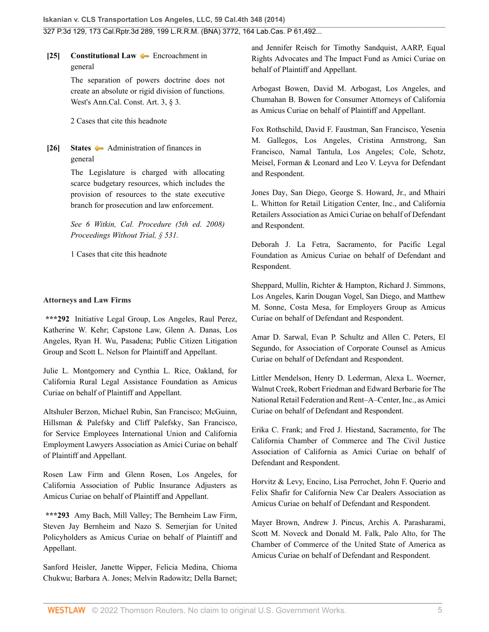<span id="page-4-0"></span>**[\[25\]](#page-23-1) [Constitutional Law](http://www.westlaw.com/Browse/Home/KeyNumber/92/View.html?docGuid=I2ff28000fadb11e39488c8f438320c70&originationContext=document&vr=3.0&rs=cblt1.0&transitionType=DocumentItem&contextData=(sc.Search)) [Encroachment in](http://www.westlaw.com/Browse/Home/KeyNumber/92k2332/View.html?docGuid=I2ff28000fadb11e39488c8f438320c70&originationContext=document&vr=3.0&rs=cblt1.0&transitionType=DocumentItem&contextData=(sc.Search))** [general](http://www.westlaw.com/Browse/Home/KeyNumber/92k2332/View.html?docGuid=I2ff28000fadb11e39488c8f438320c70&originationContext=document&vr=3.0&rs=cblt1.0&transitionType=DocumentItem&contextData=(sc.Search))

> The separation of powers doctrine does not create an absolute or rigid division of functions. [West's Ann.Cal. Const. Art. 3, § 3](http://www.westlaw.com/Link/Document/FullText?findType=L&pubNum=1000203&cite=CACNART3S3&originatingDoc=I2ff28000fadb11e39488c8f438320c70&refType=LQ&originationContext=document&vr=3.0&rs=cblt1.0&transitionType=DocumentItem&contextData=(sc.Search)).

[2 Cases that cite this headnote](http://www.westlaw.com/Link/RelatedInformation/DocHeadnoteLink?docGuid=I2ff28000fadb11e39488c8f438320c70&headnoteId=203364420802520190125122056&originationContext=document&vr=3.0&rs=cblt1.0&transitionType=CitingReferences&contextData=(sc.Search))

<span id="page-4-1"></span>**[\[26\]](#page-23-2) [States](http://www.westlaw.com/Browse/Home/KeyNumber/360/View.html?docGuid=I2ff28000fadb11e39488c8f438320c70&originationContext=document&vr=3.0&rs=cblt1.0&transitionType=DocumentItem&contextData=(sc.Search))** [Administration of finances in](http://www.westlaw.com/Browse/Home/KeyNumber/360k121/View.html?docGuid=I2ff28000fadb11e39488c8f438320c70&originationContext=document&vr=3.0&rs=cblt1.0&transitionType=DocumentItem&contextData=(sc.Search)) [general](http://www.westlaw.com/Browse/Home/KeyNumber/360k121/View.html?docGuid=I2ff28000fadb11e39488c8f438320c70&originationContext=document&vr=3.0&rs=cblt1.0&transitionType=DocumentItem&contextData=(sc.Search))

> The Legislature is charged with allocating scarce budgetary resources, which includes the provision of resources to the state executive branch for prosecution and law enforcement.

> *See [6 Witkin, Cal. Procedure \(5th ed. 2008\)](http://www.westlaw.com/Link/Document/FullText?findType=Y&serNum=0289841315&pubNum=0155571&originatingDoc=I2ff28000fadb11e39488c8f438320c70&refType=TS&originationContext=document&vr=3.0&rs=cblt1.0&transitionType=DocumentItem&contextData=(sc.Search)) [Proceedings Without Trial, § 531](http://www.westlaw.com/Link/Document/FullText?findType=Y&serNum=0289841315&pubNum=0155571&originatingDoc=I2ff28000fadb11e39488c8f438320c70&refType=TS&originationContext=document&vr=3.0&rs=cblt1.0&transitionType=DocumentItem&contextData=(sc.Search)).*

[1 Cases that cite this headnote](http://www.westlaw.com/Link/RelatedInformation/DocHeadnoteLink?docGuid=I2ff28000fadb11e39488c8f438320c70&headnoteId=203364420802620190125122056&originationContext=document&vr=3.0&rs=cblt1.0&transitionType=CitingReferences&contextData=(sc.Search))

### **Attorneys and Law Firms**

**\*\*\*292** Initiative Legal Group, Los Angeles, [Raul Perez](http://www.westlaw.com/Link/Document/FullText?findType=h&pubNum=176284&cite=0323273901&originatingDoc=I2ff28000fadb11e39488c8f438320c70&refType=RQ&originationContext=document&vr=3.0&rs=cblt1.0&transitionType=DocumentItem&contextData=(sc.Search)), [Katherine W. Kehr](http://www.westlaw.com/Link/Document/FullText?findType=h&pubNum=176284&cite=0307247201&originatingDoc=I2ff28000fadb11e39488c8f438320c70&refType=RQ&originationContext=document&vr=3.0&rs=cblt1.0&transitionType=DocumentItem&contextData=(sc.Search)); Capstone Law, [Glenn A. Danas,](http://www.westlaw.com/Link/Document/FullText?findType=h&pubNum=176284&cite=0445352901&originatingDoc=I2ff28000fadb11e39488c8f438320c70&refType=RQ&originationContext=document&vr=3.0&rs=cblt1.0&transitionType=DocumentItem&contextData=(sc.Search)) Los Angeles, [Ryan H. Wu](http://www.westlaw.com/Link/Document/FullText?findType=h&pubNum=176284&cite=0343265101&originatingDoc=I2ff28000fadb11e39488c8f438320c70&refType=RQ&originationContext=document&vr=3.0&rs=cblt1.0&transitionType=DocumentItem&contextData=(sc.Search)), Pasadena; Public Citizen Litigation Group and [Scott L. Nelson](http://www.westlaw.com/Link/Document/FullText?findType=h&pubNum=176284&cite=0115880301&originatingDoc=I2ff28000fadb11e39488c8f438320c70&refType=RQ&originationContext=document&vr=3.0&rs=cblt1.0&transitionType=DocumentItem&contextData=(sc.Search)) for Plaintiff and Appellant.

Julie L. Montgomery and [Cynthia L. Rice,](http://www.westlaw.com/Link/Document/FullText?findType=h&pubNum=176284&cite=0129637501&originatingDoc=I2ff28000fadb11e39488c8f438320c70&refType=RQ&originationContext=document&vr=3.0&rs=cblt1.0&transitionType=DocumentItem&contextData=(sc.Search)) Oakland, for California Rural Legal Assistance Foundation as Amicus Curiae on behalf of Plaintiff and Appellant.

Altshuler Berzon, [Michael Rubin](http://www.westlaw.com/Link/Document/FullText?findType=h&pubNum=176284&cite=0221414701&originatingDoc=I2ff28000fadb11e39488c8f438320c70&refType=RQ&originationContext=document&vr=3.0&rs=cblt1.0&transitionType=DocumentItem&contextData=(sc.Search)), San Francisco; McGuinn, Hillsman & Palefsky and [Cliff Palefsky](http://www.westlaw.com/Link/Document/FullText?findType=h&pubNum=176284&cite=0120261101&originatingDoc=I2ff28000fadb11e39488c8f438320c70&refType=RQ&originationContext=document&vr=3.0&rs=cblt1.0&transitionType=DocumentItem&contextData=(sc.Search)), San Francisco, for Service Employees International Union and California Employment Lawyers Association as Amici Curiae on behalf of Plaintiff and Appellant.

Rosen Law Firm and [Glenn Rosen,](http://www.westlaw.com/Link/Document/FullText?findType=h&pubNum=176284&cite=0260038401&originatingDoc=I2ff28000fadb11e39488c8f438320c70&refType=RQ&originationContext=document&vr=3.0&rs=cblt1.0&transitionType=DocumentItem&contextData=(sc.Search)) Los Angeles, for California Association of Public Insurance Adjusters as Amicus Curiae on behalf of Plaintiff and Appellant.

**\*\*\*293** [Amy Bach](http://www.westlaw.com/Link/Document/FullText?findType=h&pubNum=176284&cite=0291410501&originatingDoc=I2ff28000fadb11e39488c8f438320c70&refType=RQ&originationContext=document&vr=3.0&rs=cblt1.0&transitionType=DocumentItem&contextData=(sc.Search)), Mill Valley; The Bernheim Law Firm, [Steven Jay Bernheim](http://www.westlaw.com/Link/Document/FullText?findType=h&pubNum=176284&cite=0290567001&originatingDoc=I2ff28000fadb11e39488c8f438320c70&refType=RQ&originationContext=document&vr=3.0&rs=cblt1.0&transitionType=DocumentItem&contextData=(sc.Search)) and Nazo S. Semerjian for United Policyholders as Amicus Curiae on behalf of Plaintiff and Appellant.

Sanford Heisler, [Janette Wipper](http://www.westlaw.com/Link/Document/FullText?findType=h&pubNum=176284&cite=0361257801&originatingDoc=I2ff28000fadb11e39488c8f438320c70&refType=RQ&originationContext=document&vr=3.0&rs=cblt1.0&transitionType=DocumentItem&contextData=(sc.Search)), [Felicia Medina](http://www.westlaw.com/Link/Document/FullText?findType=h&pubNum=176284&cite=0384948301&originatingDoc=I2ff28000fadb11e39488c8f438320c70&refType=RQ&originationContext=document&vr=3.0&rs=cblt1.0&transitionType=DocumentItem&contextData=(sc.Search)), Chioma Chukwu; [Barbara A. Jones](http://www.westlaw.com/Link/Document/FullText?findType=h&pubNum=176284&cite=0129833601&originatingDoc=I2ff28000fadb11e39488c8f438320c70&refType=RQ&originationContext=document&vr=3.0&rs=cblt1.0&transitionType=DocumentItem&contextData=(sc.Search)); [Melvin Radowitz;](http://www.westlaw.com/Link/Document/FullText?findType=h&pubNum=176284&cite=0163319601&originatingDoc=I2ff28000fadb11e39488c8f438320c70&refType=RQ&originationContext=document&vr=3.0&rs=cblt1.0&transitionType=DocumentItem&contextData=(sc.Search)) Della Barnet;

and [Jennifer Reisch](http://www.westlaw.com/Link/Document/FullText?findType=h&pubNum=176284&cite=0307125901&originatingDoc=I2ff28000fadb11e39488c8f438320c70&refType=RQ&originationContext=document&vr=3.0&rs=cblt1.0&transitionType=DocumentItem&contextData=(sc.Search)) for Timothy Sandquist, AARP, Equal Rights Advocates and The Impact Fund as Amici Curiae on behalf of Plaintiff and Appellant.

Arbogast Bowen, [David M. Arbogast](http://www.westlaw.com/Link/Document/FullText?findType=h&pubNum=176284&cite=0362811201&originatingDoc=I2ff28000fadb11e39488c8f438320c70&refType=RQ&originationContext=document&vr=3.0&rs=cblt1.0&transitionType=DocumentItem&contextData=(sc.Search)), Los Angeles, and Chumahan B. Bowen for Consumer Attorneys of California as Amicus Curiae on behalf of Plaintiff and Appellant.

Fox Rothschild, [David F. Faustman,](http://www.westlaw.com/Link/Document/FullText?findType=h&pubNum=176284&cite=0335427101&originatingDoc=I2ff28000fadb11e39488c8f438320c70&refType=RQ&originationContext=document&vr=3.0&rs=cblt1.0&transitionType=DocumentItem&contextData=(sc.Search)) San Francisco, [Yesenia](http://www.westlaw.com/Link/Document/FullText?findType=h&pubNum=176284&cite=0394309201&originatingDoc=I2ff28000fadb11e39488c8f438320c70&refType=RQ&originationContext=document&vr=3.0&rs=cblt1.0&transitionType=DocumentItem&contextData=(sc.Search)) [M. Gallegos](http://www.westlaw.com/Link/Document/FullText?findType=h&pubNum=176284&cite=0394309201&originatingDoc=I2ff28000fadb11e39488c8f438320c70&refType=RQ&originationContext=document&vr=3.0&rs=cblt1.0&transitionType=DocumentItem&contextData=(sc.Search)), Los Angeles, [Cristina Armstrong](http://www.westlaw.com/Link/Document/FullText?findType=h&pubNum=176284&cite=0374736301&originatingDoc=I2ff28000fadb11e39488c8f438320c70&refType=RQ&originationContext=document&vr=3.0&rs=cblt1.0&transitionType=DocumentItem&contextData=(sc.Search)), San Francisco, Namal Tantula, Los Angeles; Cole, Schotz, Meisel, Forman & Leonard and [Leo V. Leyva](http://www.westlaw.com/Link/Document/FullText?findType=h&pubNum=176284&cite=0163340601&originatingDoc=I2ff28000fadb11e39488c8f438320c70&refType=RQ&originationContext=document&vr=3.0&rs=cblt1.0&transitionType=DocumentItem&contextData=(sc.Search)) for Defendant and Respondent.

[Jones Day,](http://www.westlaw.com/Link/Document/FullText?findType=h&pubNum=176284&cite=0140722801&originatingDoc=I2ff28000fadb11e39488c8f438320c70&refType=RQ&originationContext=document&vr=3.0&rs=cblt1.0&transitionType=DocumentItem&contextData=(sc.Search)) San Diego, [George S. Howard, Jr.](http://www.westlaw.com/Link/Document/FullText?findType=h&pubNum=176284&cite=0120593801&originatingDoc=I2ff28000fadb11e39488c8f438320c70&refType=RQ&originationContext=document&vr=3.0&rs=cblt1.0&transitionType=DocumentItem&contextData=(sc.Search)), and [Mhairi](http://www.westlaw.com/Link/Document/FullText?findType=h&pubNum=176284&cite=0424458701&originatingDoc=I2ff28000fadb11e39488c8f438320c70&refType=RQ&originationContext=document&vr=3.0&rs=cblt1.0&transitionType=DocumentItem&contextData=(sc.Search)) [L. Whitton](http://www.westlaw.com/Link/Document/FullText?findType=h&pubNum=176284&cite=0424458701&originatingDoc=I2ff28000fadb11e39488c8f438320c70&refType=RQ&originationContext=document&vr=3.0&rs=cblt1.0&transitionType=DocumentItem&contextData=(sc.Search)) for Retail Litigation Center, Inc., and California Retailers Association as Amici Curiae on behalf of Defendant and Respondent.

[Deborah J. La Fetra](http://www.westlaw.com/Link/Document/FullText?findType=h&pubNum=176284&cite=0328466601&originatingDoc=I2ff28000fadb11e39488c8f438320c70&refType=RQ&originationContext=document&vr=3.0&rs=cblt1.0&transitionType=DocumentItem&contextData=(sc.Search)), Sacramento, for Pacific Legal Foundation as Amicus Curiae on behalf of Defendant and Respondent.

Sheppard, Mullin, Richter & Hampton, [Richard J. Simmons](http://www.westlaw.com/Link/Document/FullText?findType=h&pubNum=176284&cite=0136559901&originatingDoc=I2ff28000fadb11e39488c8f438320c70&refType=RQ&originationContext=document&vr=3.0&rs=cblt1.0&transitionType=DocumentItem&contextData=(sc.Search)), Los Angeles, [Karin Dougan Vogel](http://www.westlaw.com/Link/Document/FullText?findType=h&pubNum=176284&cite=0140473001&originatingDoc=I2ff28000fadb11e39488c8f438320c70&refType=RQ&originationContext=document&vr=3.0&rs=cblt1.0&transitionType=DocumentItem&contextData=(sc.Search)), San Diego, and [Matthew](http://www.westlaw.com/Link/Document/FullText?findType=h&pubNum=176284&cite=0358954101&originatingDoc=I2ff28000fadb11e39488c8f438320c70&refType=RQ&originationContext=document&vr=3.0&rs=cblt1.0&transitionType=DocumentItem&contextData=(sc.Search)) [M. Sonne](http://www.westlaw.com/Link/Document/FullText?findType=h&pubNum=176284&cite=0358954101&originatingDoc=I2ff28000fadb11e39488c8f438320c70&refType=RQ&originationContext=document&vr=3.0&rs=cblt1.0&transitionType=DocumentItem&contextData=(sc.Search)), Costa Mesa, for Employers Group as Amicus Curiae on behalf of Defendant and Respondent.

[Amar D. Sarwal](http://www.westlaw.com/Link/Document/FullText?findType=h&pubNum=176284&cite=0329379901&originatingDoc=I2ff28000fadb11e39488c8f438320c70&refType=RQ&originationContext=document&vr=3.0&rs=cblt1.0&transitionType=DocumentItem&contextData=(sc.Search)), [Evan P. Schultz](http://www.westlaw.com/Link/Document/FullText?findType=h&pubNum=176284&cite=0360196801&originatingDoc=I2ff28000fadb11e39488c8f438320c70&refType=RQ&originationContext=document&vr=3.0&rs=cblt1.0&transitionType=DocumentItem&contextData=(sc.Search)) and [Allen C. Peters,](http://www.westlaw.com/Link/Document/FullText?findType=h&pubNum=176284&cite=0213361301&originatingDoc=I2ff28000fadb11e39488c8f438320c70&refType=RQ&originationContext=document&vr=3.0&rs=cblt1.0&transitionType=DocumentItem&contextData=(sc.Search)) El Segundo, for Association of Corporate Counsel as Amicus Curiae on behalf of Defendant and Respondent.

Littler Mendelson, [Henry D. Lederman,](http://www.westlaw.com/Link/Document/FullText?findType=h&pubNum=176284&cite=0218679201&originatingDoc=I2ff28000fadb11e39488c8f438320c70&refType=RQ&originationContext=document&vr=3.0&rs=cblt1.0&transitionType=DocumentItem&contextData=(sc.Search)) [Alexa L. Woerner,](http://www.westlaw.com/Link/Document/FullText?findType=h&pubNum=176284&cite=0445722801&originatingDoc=I2ff28000fadb11e39488c8f438320c70&refType=RQ&originationContext=document&vr=3.0&rs=cblt1.0&transitionType=DocumentItem&contextData=(sc.Search)) Walnut Creek, [Robert Friedman](http://www.westlaw.com/Link/Document/FullText?findType=h&pubNum=176284&cite=0213400301&originatingDoc=I2ff28000fadb11e39488c8f438320c70&refType=RQ&originationContext=document&vr=3.0&rs=cblt1.0&transitionType=DocumentItem&contextData=(sc.Search)) and [Edward Berbarie](http://www.westlaw.com/Link/Document/FullText?findType=h&pubNum=176284&cite=0389057001&originatingDoc=I2ff28000fadb11e39488c8f438320c70&refType=RQ&originationContext=document&vr=3.0&rs=cblt1.0&transitionType=DocumentItem&contextData=(sc.Search)) for The National Retail Federation and Rent–A–Center, Inc., as Amici Curiae on behalf of Defendant and Respondent.

Erika C. Frank; and [Fred J. Hiestand,](http://www.westlaw.com/Link/Document/FullText?findType=h&pubNum=176284&cite=0203823201&originatingDoc=I2ff28000fadb11e39488c8f438320c70&refType=RQ&originationContext=document&vr=3.0&rs=cblt1.0&transitionType=DocumentItem&contextData=(sc.Search)) Sacramento, for The California Chamber of Commerce and The Civil Justice Association of California as Amici Curiae on behalf of Defendant and Respondent.

Horvitz & Levy, Encino, [Lisa Perrochet,](http://www.westlaw.com/Link/Document/FullText?findType=h&pubNum=176284&cite=0144864801&originatingDoc=I2ff28000fadb11e39488c8f438320c70&refType=RQ&originationContext=document&vr=3.0&rs=cblt1.0&transitionType=DocumentItem&contextData=(sc.Search)) [John F. Querio](http://www.westlaw.com/Link/Document/FullText?findType=h&pubNum=176284&cite=0358428401&originatingDoc=I2ff28000fadb11e39488c8f438320c70&refType=RQ&originationContext=document&vr=3.0&rs=cblt1.0&transitionType=DocumentItem&contextData=(sc.Search)) and [Felix Shafir](http://www.westlaw.com/Link/Document/FullText?findType=h&pubNum=176284&cite=0360197101&originatingDoc=I2ff28000fadb11e39488c8f438320c70&refType=RQ&originationContext=document&vr=3.0&rs=cblt1.0&transitionType=DocumentItem&contextData=(sc.Search)) for California New Car Dealers Association as Amicus Curiae on behalf of Defendant and Respondent.

Mayer Brown, Andrew J. Pincus, [Archis A. Parasharami](http://www.westlaw.com/Link/Document/FullText?findType=h&pubNum=176284&cite=0335109801&originatingDoc=I2ff28000fadb11e39488c8f438320c70&refType=RQ&originationContext=document&vr=3.0&rs=cblt1.0&transitionType=DocumentItem&contextData=(sc.Search)), [Scott M. Noveck](http://www.westlaw.com/Link/Document/FullText?findType=h&pubNum=176284&cite=0453474301&originatingDoc=I2ff28000fadb11e39488c8f438320c70&refType=RQ&originationContext=document&vr=3.0&rs=cblt1.0&transitionType=DocumentItem&contextData=(sc.Search)) and [Donald M. Falk,](http://www.westlaw.com/Link/Document/FullText?findType=h&pubNum=176284&cite=0187308001&originatingDoc=I2ff28000fadb11e39488c8f438320c70&refType=RQ&originationContext=document&vr=3.0&rs=cblt1.0&transitionType=DocumentItem&contextData=(sc.Search)) Palo Alto, for The Chamber of Commerce of the United State of America as Amicus Curiae on behalf of Defendant and Respondent.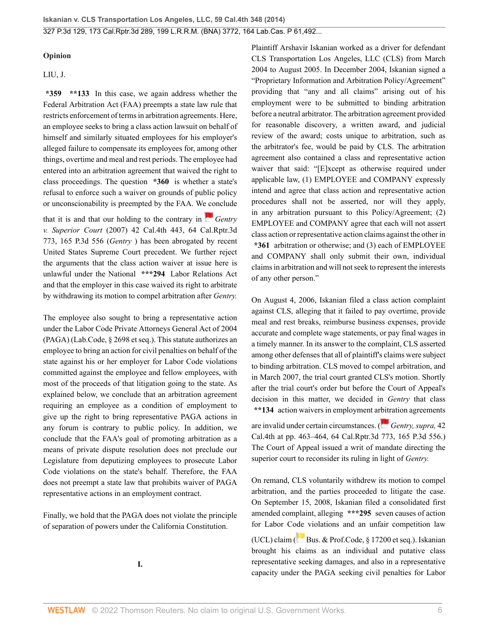### **Opinion**

### [LIU,](http://www.westlaw.com/Link/Document/FullText?findType=h&pubNum=176284&cite=0322143101&originatingDoc=I2ff28000fadb11e39488c8f438320c70&refType=RQ&originationContext=document&vr=3.0&rs=cblt1.0&transitionType=DocumentItem&contextData=(sc.Search)) J.

**\*359 \*\*133** In this case, we again address whether the Federal Arbitration Act (FAA) preempts a state law rule that restricts enforcement of terms in arbitration agreements. Here, an employee seeks to bring a class action lawsuit on behalf of himself and similarly situated employees for his employer's alleged failure to compensate its employees for, among other things, overtime and meal and rest periods. The employee had entered into an arbitration agreement that waived the right to class proceedings. The question **\*360** is whether a state's refusal to enforce such a waiver on grounds of public policy or unconscionability is preempted by the FAA. W[e co](https://1.next.westlaw.com/Link/RelatedInformation/Flag?documentGuid=Ida5f168b570511dc8200d0063168b01f&transitionType=InlineKeyCiteFlags&originationContext=docHeaderFlag&Rank=0&ppcid=2af46aeee0b04785be997ff44a01e3a1&contextData=(sc.Search) )nclude

that it is and that our holding to the contrary in  $\Box$  *[Gentry](http://www.westlaw.com/Link/Document/FullText?findType=Y&serNum=2013082678&pubNum=0004645&originatingDoc=I2ff28000fadb11e39488c8f438320c70&refType=RP&originationContext=document&vr=3.0&rs=cblt1.0&transitionType=DocumentItem&contextData=(sc.Search)) v. Superior Court* [\(2007\) 42 Cal.4th 443, 64 Cal.Rptr.3d](http://www.westlaw.com/Link/Document/FullText?findType=Y&serNum=2013082678&pubNum=0004645&originatingDoc=I2ff28000fadb11e39488c8f438320c70&refType=RP&originationContext=document&vr=3.0&rs=cblt1.0&transitionType=DocumentItem&contextData=(sc.Search)) [773, 165 P.3d 556](http://www.westlaw.com/Link/Document/FullText?findType=Y&serNum=2013082678&pubNum=0004645&originatingDoc=I2ff28000fadb11e39488c8f438320c70&refType=RP&originationContext=document&vr=3.0&rs=cblt1.0&transitionType=DocumentItem&contextData=(sc.Search)) (*Gentry* ) has been abrogated by recent United States Supreme Court precedent. We further reject the arguments that the class action waiver at issue here is unlawful under the National **\*\*\*294** Labor Relations Act and that the employer in this case waived its right to arbitrate by withdrawing its motion to compel arbitration after *Gentry.*

The employee also sought to bring a representative action under the Labor Code Private Attorneys General Act of 2004 (PAGA) [\(Lab.Code, § 2698 et seq.](http://www.westlaw.com/Link/Document/FullText?findType=L&pubNum=1000215&cite=CALBS2698&originatingDoc=I2ff28000fadb11e39488c8f438320c70&refType=LQ&originationContext=document&vr=3.0&rs=cblt1.0&transitionType=DocumentItem&contextData=(sc.Search))). This statute authorizes an employee to bring an action for civil penalties on behalf of the state against his or her employer for Labor Code violations committed against the employee and fellow employees, with most of the proceeds of that litigation going to the state. As explained below, we conclude that an arbitration agreement requiring an employee as a condition of employment to give up the right to bring representative PAGA actions in any forum is contrary to public policy. In addition, we conclude that the FAA's goal of promoting arbitration as a means of private dispute resolution does not preclude our Legislature from deputizing employees to prosecute Labor Code violations on the state's behalf. Therefore, the FAA does not preempt a state law that prohibits waiver of PAGA representative actions in an employment contract.

Finally, we hold that the PAGA does not violate the principle of separation of powers under the California Constitution.

**I.**

Plaintiff Arshavir Iskanian worked as a driver for defendant CLS Transportation Los Angeles, LLC (CLS) from March 2004 to August 2005. In December 2004, Iskanian signed a "Proprietary Information and Arbitration Policy/Agreement" providing that "any and all claims" arising out of his employment were to be submitted to binding arbitration before a neutral arbitrator. The arbitration agreement provided for reasonable discovery, a written award, and judicial review of the award; costs unique to arbitration, such as the arbitrator's fee, would be paid by CLS. The arbitration agreement also contained a class and representative action waiver that said: "[E]xcept as otherwise required under applicable law, (1) EMPLOYEE and COMPANY expressly intend and agree that class action and representative action procedures shall not be asserted, nor will they apply, in any arbitration pursuant to this Policy/Agreement; (2) EMPLOYEE and COMPANY agree that each will not assert class action or representative action claims against the other in **\*361** arbitration or otherwise; and (3) each of EMPLOYEE and COMPANY shall only submit their own, individual claims in arbitration and will not seek to represent the interests of any other person."

On August 4, 2006, Iskanian filed a class action complaint against CLS, alleging that it failed to pay overtime, provide meal and rest breaks, reimburse business expenses, provide accurate and complete wage statements, or pay final wages in a timely manner. In its answer to the complaint, CLS asserted among other defenses that all of plaintiff's claims were subject to binding arbitration. CLS moved to compel arbitration, and in March 2007, the trial court granted CLS's motion. Shortly after the trial court's order but before the Court of Appeal's decision in this matter, we decided in *Gentry* that class **\*\*134** action waivers in employment ar[bitr](https://1.next.westlaw.com/Link/RelatedInformation/Flag?documentGuid=Ida5f168b570511dc8200d0063168b01f&transitionType=InlineKeyCiteFlags&originationContext=docHeaderFlag&Rank=0&ppcid=2af46aeee0b04785be997ff44a01e3a1&contextData=(sc.Search) )ation agreements

are invalid under certain circumstances. ( *[Gentry, supra,](http://www.westlaw.com/Link/Document/FullText?findType=Y&serNum=2013082678&pubNum=0004645&originatingDoc=I2ff28000fadb11e39488c8f438320c70&refType=RP&originationContext=document&vr=3.0&rs=cblt1.0&transitionType=DocumentItem&contextData=(sc.Search))* 42 [Cal.4th at pp. 463–464, 64 Cal.Rptr.3d 773, 165 P.3d 556](http://www.westlaw.com/Link/Document/FullText?findType=Y&serNum=2013082678&pubNum=0004645&originatingDoc=I2ff28000fadb11e39488c8f438320c70&refType=RP&originationContext=document&vr=3.0&rs=cblt1.0&transitionType=DocumentItem&contextData=(sc.Search)).) The Court of Appeal issued a writ of mandate directing the superior court to reconsider its ruling in light of *Gentry.*

On remand, CLS voluntarily withdrew its motion to compel arbitration, and the parties proceeded to litigate the case. On September 15, 2008, Iskanian filed a consolidated first amended complaint, alleging **\*\*\*295** seven causes of action for Labor C[ode](https://1.next.westlaw.com/Link/RelatedInformation/Flag?documentGuid=N8AE079B082B811D8BE40B2081C49D94B&transitionType=InlineKeyCiteFlags&originationContext=docHeaderFlag&Rank=0&ppcid=2af46aeee0b04785be997ff44a01e3a1&contextData=(sc.Search) ) violations and an unfair competition law

(UCL) claim ([Bus. & Prof.Code, § 17200 et seq.\)](http://www.westlaw.com/Link/Document/FullText?findType=L&pubNum=1000199&cite=CABPS17200&originatingDoc=I2ff28000fadb11e39488c8f438320c70&refType=LQ&originationContext=document&vr=3.0&rs=cblt1.0&transitionType=DocumentItem&contextData=(sc.Search)). Iskanian brought his claims as an individual and putative class representative seeking damages, and also in a representative capacity under the PAGA seeking civil penalties for Labor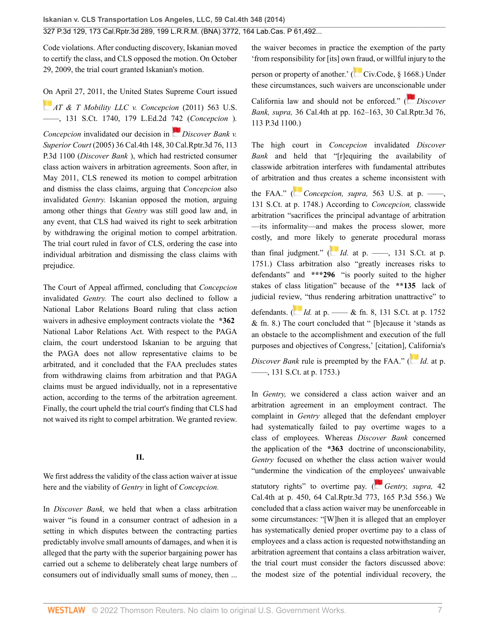Code violations. After conducting discovery, Iskanian moved to certify the class, and CLS opposed the motion. On October 29, 2009, the trial court granted Iskanian's motion.

[On](https://1.next.westlaw.com/Link/RelatedInformation/Flag?documentGuid=I2cd0aa5870bc11e0a34df17ea74c323f&transitionType=InlineKeyCiteFlags&originationContext=docHeaderFlag&Rank=0&ppcid=2af46aeee0b04785be997ff44a01e3a1&contextData=(sc.Search) ) April 27, 2011, the United States Supreme Court issued *[AT & T Mobility LLC v. Concepcion](http://www.westlaw.com/Link/Document/FullText?findType=Y&serNum=2025172541&pubNum=0000708&originatingDoc=I2ff28000fadb11e39488c8f438320c70&refType=RP&originationContext=document&vr=3.0&rs=cblt1.0&transitionType=DocumentItem&contextData=(sc.Search))* (2011) 563 U.S. [––––, 131 S.Ct. 1740, 179 L.Ed.2d 742](http://www.westlaw.com/Link/Document/FullText?findType=Y&serNum=2025172541&pubNum=0000708&originatingDoc=I2ff28000fadb11e39488c8f438320c70&refType=RP&originationContext=document&vr=3.0&rs=cblt1.0&transitionType=DocumentItem&contextData=(sc.Search)) (*Concepcion* )*.*

*Concepcion* invalidated our decision in *[Discover Bank v.](http://www.westlaw.com/Link/Document/FullText?findType=Y&serNum=2006859502&pubNum=0004645&originatingDoc=I2ff28000fadb11e39488c8f438320c70&refType=RP&originationContext=document&vr=3.0&rs=cblt1.0&transitionType=DocumentItem&contextData=(sc.Search)) Superior Court* [\(2005\) 36 Cal.4th 148, 30 Cal.Rptr.3d 76, 113](http://www.westlaw.com/Link/Document/FullText?findType=Y&serNum=2006859502&pubNum=0004645&originatingDoc=I2ff28000fadb11e39488c8f438320c70&refType=RP&originationContext=document&vr=3.0&rs=cblt1.0&transitionType=DocumentItem&contextData=(sc.Search)) [P.3d 1100](http://www.westlaw.com/Link/Document/FullText?findType=Y&serNum=2006859502&pubNum=0004645&originatingDoc=I2ff28000fadb11e39488c8f438320c70&refType=RP&originationContext=document&vr=3.0&rs=cblt1.0&transitionType=DocumentItem&contextData=(sc.Search)) (*Discover Bank* ), which had restricted consumer class action waivers in arbitration agreements. Soon after, in May 2011, CLS renewed its motion to compel arbitration and dismiss the class claims, arguing that *Concepcion* also invalidated *Gentry.* Iskanian opposed the motion, arguing among other things that *Gentry* was still good law and, in any event, that CLS had waived its right to seek arbitration by withdrawing the original motion to compel arbitration. The trial court ruled in favor of CLS, ordering the case into individual arbitration and dismissing the class claims with prejudice.

The Court of Appeal affirmed, concluding that *Concepcion* invalidated *Gentry.* The court also declined to follow a National Labor Relations Board ruling that class action waivers in adhesive employment contracts violate the **\*362** National Labor Relations Act. With respect to the PAGA claim, the court understood Iskanian to be arguing that the PAGA does not allow representative claims to be arbitrated, and it concluded that the FAA precludes states from withdrawing claims from arbitration and that PAGA claims must be argued individually, not in a representative action, according to the terms of the arbitration agreement. Finally, the court upheld the trial court's finding that CLS had not waived its right to compel arbitration. We granted review.

### **II.**

We first address the validity of the class action waiver at issue here and the viability of *Gentry* in light of *Concepcion.*

In *Discover Bank,* we held that when a class arbitration waiver "is found in a consumer contract of adhesion in a setting in which disputes between the contracting parties predictably involve small amounts of damages, and when it is alleged that the party with the superior bargaining power has carried out a scheme to deliberately cheat large numbers of consumers out of individually small sums of money, then ...

the waiver becomes in practice the exemption of the party 'from responsibility for [its] ow[n fra](https://1.next.westlaw.com/Link/RelatedInformation/Flag?documentGuid=NFD7079B08E5911D8A8ACD145B11214D7&transitionType=InlineKeyCiteFlags&originationContext=docHeaderFlag&Rank=0&ppcid=2af46aeee0b04785be997ff44a01e3a1&contextData=(sc.Search) )ud, or willful injury to the

person or property of another.' ([Civ.Code, § 1668.](http://www.westlaw.com/Link/Document/FullText?findType=L&pubNum=1000200&cite=CACIS1668&originatingDoc=I2ff28000fadb11e39488c8f438320c70&refType=LQ&originationContext=document&vr=3.0&rs=cblt1.0&transitionType=DocumentItem&contextData=(sc.Search))) Under these circumstances, such waivers are unconsci[onab](https://1.next.westlaw.com/Link/RelatedInformation/Flag?documentGuid=Ife7b3c7cfaee11d99439b076ef9ec4de&transitionType=InlineKeyCiteFlags&originationContext=docHeaderFlag&Rank=0&ppcid=2af46aeee0b04785be997ff44a01e3a1&contextData=(sc.Search) )le under

California law and should not be enforced." ( *[Discover](http://www.westlaw.com/Link/Document/FullText?findType=Y&serNum=2006859502&pubNum=0004645&originatingDoc=I2ff28000fadb11e39488c8f438320c70&refType=RP&originationContext=document&vr=3.0&rs=cblt1.0&transitionType=DocumentItem&contextData=(sc.Search)) Bank, supra,* [36 Cal.4th at pp. 162–163, 30 Cal.Rptr.3d 76,](http://www.westlaw.com/Link/Document/FullText?findType=Y&serNum=2006859502&pubNum=0004645&originatingDoc=I2ff28000fadb11e39488c8f438320c70&refType=RP&originationContext=document&vr=3.0&rs=cblt1.0&transitionType=DocumentItem&contextData=(sc.Search)) [113 P.3d 1100](http://www.westlaw.com/Link/Document/FullText?findType=Y&serNum=2006859502&pubNum=0004645&originatingDoc=I2ff28000fadb11e39488c8f438320c70&refType=RP&originationContext=document&vr=3.0&rs=cblt1.0&transitionType=DocumentItem&contextData=(sc.Search)).)

The high court in *Concepcion* invalidated *Discover Bank* and held that "[r]equiring the availability of classwide arbitration interferes with fundamental attributes of arbitratio[n an](https://1.next.westlaw.com/Link/RelatedInformation/Flag?documentGuid=I2cd0aa5870bc11e0a34df17ea74c323f&transitionType=InlineKeyCiteFlags&originationContext=docHeaderFlag&Rank=0&ppcid=2af46aeee0b04785be997ff44a01e3a1&contextData=(sc.Search) )d thus creates a scheme inconsistent with

the FAA." (*Concepcion, supra,* 563 U.S. at p. —–, [131 S.Ct. at p. 1748.](http://www.westlaw.com/Link/Document/FullText?findType=Y&serNum=2025172541&pubNum=0000708&originatingDoc=I2ff28000fadb11e39488c8f438320c70&refType=RP&fi=co_pp_sp_708_1748&originationContext=document&vr=3.0&rs=cblt1.0&transitionType=DocumentItem&contextData=(sc.Search)#co_pp_sp_708_1748)) According to *Concepcion,* classwide arbitration "sacrifices the principal advantage of arbitration —its informality—and makes the process slower, more costly, and more like[ly t](https://1.next.westlaw.com/Link/RelatedInformation/Flag?documentGuid=I2cd0aa5870bc11e0a34df17ea74c323f&transitionType=InlineKeyCiteFlags&originationContext=docHeaderFlag&Rank=0&ppcid=2af46aeee0b04785be997ff44a01e3a1&contextData=(sc.Search) )o generate procedural morass than final judgment."  $\left(\begin{array}{ccc} Id. & \text{at } p. \end{array}\right)$  131 S.Ct. at p. [1751](http://www.westlaw.com/Link/Document/FullText?findType=Y&serNum=2025172541&pubNum=0000708&originatingDoc=I2ff28000fadb11e39488c8f438320c70&refType=RP&fi=co_pp_sp_708_1751&originationContext=document&vr=3.0&rs=cblt1.0&transitionType=DocumentItem&contextData=(sc.Search)#co_pp_sp_708_1751).) Class arbitration also "greatly increases risks to defendants" and **\*\*\*296** "is poorly suited to the higher stakes of class litigation" because of the **\*\*135** lack of judicial revi[ew,](https://1.next.westlaw.com/Link/RelatedInformation/Flag?documentGuid=I2cd0aa5870bc11e0a34df17ea74c323f&transitionType=InlineKeyCiteFlags&originationContext=docHeaderFlag&Rank=0&ppcid=2af46aeee0b04785be997ff44a01e3a1&contextData=(sc.Search) ) "thus rendering arbitration unattractive" to defendants. (*Id.* at p. —— & fn. 8, 131 S.Ct. at p. 1752 [& fn. 8](http://www.westlaw.com/Link/Document/FullText?findType=Y&serNum=2025172541&pubNum=0000708&originatingDoc=I2ff28000fadb11e39488c8f438320c70&refType=RP&fi=co_pp_sp_708_1752&originationContext=document&vr=3.0&rs=cblt1.0&transitionType=DocumentItem&contextData=(sc.Search)#co_pp_sp_708_1752).) The court concluded that " [b]ecause it 'stands as an obstacle to the accomplishment and execution of the full purposes and objectives of Congress,' [citation], [Cali](https://1.next.westlaw.com/Link/RelatedInformation/Flag?documentGuid=I2cd0aa5870bc11e0a34df17ea74c323f&transitionType=InlineKeyCiteFlags&originationContext=docHeaderFlag&Rank=0&ppcid=2af46aeee0b04785be997ff44a01e3a1&contextData=(sc.Search) )fornia's

*Discover Bank* rule is preempted by the FAA." (*Id.* [at p.](http://www.westlaw.com/Link/Document/FullText?findType=Y&serNum=2025172541&pubNum=0000708&originatingDoc=I2ff28000fadb11e39488c8f438320c70&refType=RP&fi=co_pp_sp_708_1753&originationContext=document&vr=3.0&rs=cblt1.0&transitionType=DocumentItem&contextData=(sc.Search)#co_pp_sp_708_1753) [––––, 131 S.Ct. at p. 1753.](http://www.westlaw.com/Link/Document/FullText?findType=Y&serNum=2025172541&pubNum=0000708&originatingDoc=I2ff28000fadb11e39488c8f438320c70&refType=RP&fi=co_pp_sp_708_1753&originationContext=document&vr=3.0&rs=cblt1.0&transitionType=DocumentItem&contextData=(sc.Search)#co_pp_sp_708_1753))

In *Gentry,* we considered a class action waiver and an arbitration agreement in an employment contract. The complaint in *Gentry* alleged that the defendant employer had systematically failed to pay overtime wages to a class of employees. Whereas *Discover Bank* concerned the application of the **\*363** doctrine of unconscionability, *Gentry* focused on whether the class action waiver would "undermine the vindication of the e[mpl](https://1.next.westlaw.com/Link/RelatedInformation/Flag?documentGuid=Ida5f168b570511dc8200d0063168b01f&transitionType=InlineKeyCiteFlags&originationContext=docHeaderFlag&Rank=0&ppcid=2af46aeee0b04785be997ff44a01e3a1&contextData=(sc.Search) )oyees' unwaivable

statutory rights" to overtime pay. (*[Gentry, supra,](http://www.westlaw.com/Link/Document/FullText?findType=Y&serNum=2013082678&pubNum=0004645&originatingDoc=I2ff28000fadb11e39488c8f438320c70&refType=RP&originationContext=document&vr=3.0&rs=cblt1.0&transitionType=DocumentItem&contextData=(sc.Search))* 42 [Cal.4th at p. 450, 64 Cal.Rptr.3d 773, 165 P.3d 556.](http://www.westlaw.com/Link/Document/FullText?findType=Y&serNum=2013082678&pubNum=0004645&originatingDoc=I2ff28000fadb11e39488c8f438320c70&refType=RP&originationContext=document&vr=3.0&rs=cblt1.0&transitionType=DocumentItem&contextData=(sc.Search))) We concluded that a class action waiver may be unenforceable in some circumstances: "[W]hen it is alleged that an employer has systematically denied proper overtime pay to a class of employees and a class action is requested notwithstanding an arbitration agreement that contains a class arbitration waiver, the trial court must consider the factors discussed above: the modest size of the potential individual recovery, the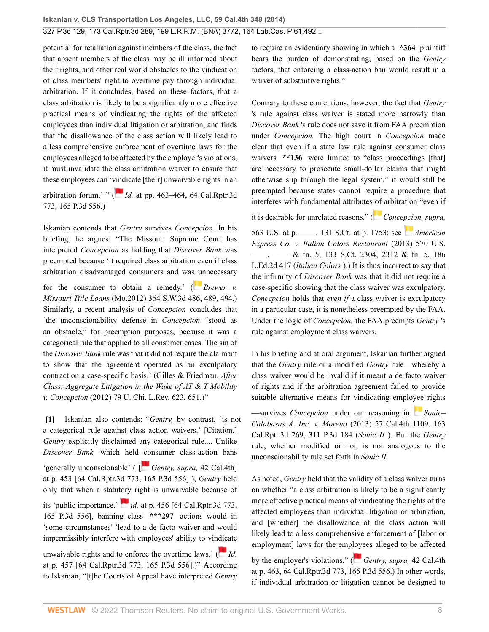potential for retaliation against members of the class, the fact that absent members of the class may be ill informed about their rights, and other real world obstacles to the vindication of class members' right to overtime pay through individual arbitration. If it concludes, based on these factors, that a class arbitration is likely to be a significantly more effective practical means of vindicating the rights of the affected employees than individual litigation or arbitration, and finds that the disallowance of the class action will likely lead to a less comprehensive enforcement of overtime laws for the employees alleged to be affected by the employer's violations, it must invalidate the class arbitration waiver to ensure that these employees can '[vind](https://1.next.westlaw.com/Link/RelatedInformation/Flag?documentGuid=Ida5f168b570511dc8200d0063168b01f&transitionType=InlineKeyCiteFlags&originationContext=docHeaderFlag&Rank=0&ppcid=2af46aeee0b04785be997ff44a01e3a1&contextData=(sc.Search) )icate [their] unwaivable rights in an arbitration forum.' " ( $\overline{I}$  *Id.* [at pp. 463–464, 64 Cal.Rptr.3d](http://www.westlaw.com/Link/Document/FullText?findType=Y&serNum=2013082678&pubNum=0004645&originatingDoc=I2ff28000fadb11e39488c8f438320c70&refType=RP&originationContext=document&vr=3.0&rs=cblt1.0&transitionType=DocumentItem&contextData=(sc.Search)) [773, 165 P.3d 556.](http://www.westlaw.com/Link/Document/FullText?findType=Y&serNum=2013082678&pubNum=0004645&originatingDoc=I2ff28000fadb11e39488c8f438320c70&refType=RP&originationContext=document&vr=3.0&rs=cblt1.0&transitionType=DocumentItem&contextData=(sc.Search)))

Iskanian contends that *Gentry* survives *Concepcion.* In his briefing, he argues: "The Missouri Supreme Court has interpreted *Concepcion* as holding that *Discover Bank* was preempted because 'it required class arbitration even if class arbitration disadvantaged consumers and wa[s un](https://1.next.westlaw.com/Link/RelatedInformation/Flag?documentGuid=I031bc867686a11e18b1ac573b20fcfb7&transitionType=InlineKeyCiteFlags&originationContext=docHeaderFlag&Rank=0&ppcid=2af46aeee0b04785be997ff44a01e3a1&contextData=(sc.Search) )necessary

for the consumer to obtain a remedy.' ( *[Brewer v.](http://www.westlaw.com/Link/Document/FullText?findType=Y&serNum=2027267530&pubNum=0004644&originatingDoc=I2ff28000fadb11e39488c8f438320c70&refType=RP&fi=co_pp_sp_4644_489&originationContext=document&vr=3.0&rs=cblt1.0&transitionType=DocumentItem&contextData=(sc.Search)#co_pp_sp_4644_489) Missouri Title Loans* [\(Mo.2012\) 364 S.W.3d 486, 489, 494](http://www.westlaw.com/Link/Document/FullText?findType=Y&serNum=2027267530&pubNum=0004644&originatingDoc=I2ff28000fadb11e39488c8f438320c70&refType=RP&fi=co_pp_sp_4644_489&originationContext=document&vr=3.0&rs=cblt1.0&transitionType=DocumentItem&contextData=(sc.Search)#co_pp_sp_4644_489).) Similarly, a recent analysis of *Concepcion* concludes that 'the unconscionability defense in *Concepcion* "stood as an obstacle," for preemption purposes, because it was a categorical rule that applied to all consumer cases. The sin of the *Discover Bank* rule was that it did not require the claimant to show that the agreement operated as an exculpatory contract on a case-specific basis.' (Gilles & Friedman, *[After](http://www.westlaw.com/Link/Document/FullText?findType=Y&serNum=0374016808&pubNum=0003039&originatingDoc=I2ff28000fadb11e39488c8f438320c70&refType=LR&fi=co_pp_sp_3039_651&originationContext=document&vr=3.0&rs=cblt1.0&transitionType=DocumentItem&contextData=(sc.Search)#co_pp_sp_3039_651) [Class: Aggregate Litigation in the Wake of AT & T Mobility](http://www.westlaw.com/Link/Document/FullText?findType=Y&serNum=0374016808&pubNum=0003039&originatingDoc=I2ff28000fadb11e39488c8f438320c70&refType=LR&fi=co_pp_sp_3039_651&originationContext=document&vr=3.0&rs=cblt1.0&transitionType=DocumentItem&contextData=(sc.Search)#co_pp_sp_3039_651) v. Concepcion* [\(2012\) 79 U. Chi. L.Rev. 623, 651](http://www.westlaw.com/Link/Document/FullText?findType=Y&serNum=0374016808&pubNum=0003039&originatingDoc=I2ff28000fadb11e39488c8f438320c70&refType=LR&fi=co_pp_sp_3039_651&originationContext=document&vr=3.0&rs=cblt1.0&transitionType=DocumentItem&contextData=(sc.Search)#co_pp_sp_3039_651).)"

<span id="page-7-0"></span>**[\[1\]](#page-0-0)** Iskanian also contends: "*Gentry,* by contrast, 'is not a categorical rule against class action waivers.' [Citation.] *Gentry* explicitly disclaimed any categorical rule.... Unlike *Discover Bank,* which held [co](https://1.next.westlaw.com/Link/RelatedInformation/Flag?documentGuid=Ida5f168b570511dc8200d0063168b01f&transitionType=InlineKeyCiteFlags&originationContext=docHeaderFlag&Rank=0&ppcid=2af46aeee0b04785be997ff44a01e3a1&contextData=(sc.Search) )nsumer class-action bans 'generally unconscionable' ( [ *[Gentry, supra,](http://www.westlaw.com/Link/Document/FullText?findType=Y&serNum=2013082678&pubNum=0004645&originatingDoc=I2ff28000fadb11e39488c8f438320c70&refType=RP&originationContext=document&vr=3.0&rs=cblt1.0&transitionType=DocumentItem&contextData=(sc.Search))* 42 Cal.4th] [at p. 453 \[64 Cal.Rptr.3d 773, 165 P.3d 556](http://www.westlaw.com/Link/Document/FullText?findType=Y&serNum=2013082678&pubNum=0004645&originatingDoc=I2ff28000fadb11e39488c8f438320c70&refType=RP&originationContext=document&vr=3.0&rs=cblt1.0&transitionType=DocumentItem&contextData=(sc.Search))] ), *Gentry* held only that when a statu[tory](https://1.next.westlaw.com/Link/RelatedInformation/Flag?documentGuid=Ida5f168b570511dc8200d0063168b01f&transitionType=InlineKeyCiteFlags&originationContext=docHeaderFlag&Rank=0&ppcid=2af46aeee0b04785be997ff44a01e3a1&contextData=(sc.Search) ) right is unwaivable because of its 'public importance,'  $id.$  [at p. 456 \[64 Cal.Rptr.3d 773,](http://www.westlaw.com/Link/Document/FullText?findType=Y&serNum=2013082678&pubNum=0004645&originatingDoc=I2ff28000fadb11e39488c8f438320c70&refType=RP&originationContext=document&vr=3.0&rs=cblt1.0&transitionType=DocumentItem&contextData=(sc.Search)) [165 P.3d 556](http://www.westlaw.com/Link/Document/FullText?findType=Y&serNum=2013082678&pubNum=0004645&originatingDoc=I2ff28000fadb11e39488c8f438320c70&refType=RP&originationContext=document&vr=3.0&rs=cblt1.0&transitionType=DocumentItem&contextData=(sc.Search))], banning class **\*\*\*297** actions would in 'some circumstances' 'lead to a de facto waiver and would impermissibly interfere with employees' ability to vi[ndica](https://1.next.westlaw.com/Link/RelatedInformation/Flag?documentGuid=Ida5f168b570511dc8200d0063168b01f&transitionType=InlineKeyCiteFlags&originationContext=docHeaderFlag&Rank=0&ppcid=2af46aeee0b04785be997ff44a01e3a1&contextData=(sc.Search) )te

unwaivable rights and to enforce the overtime laws.'  $\left( \frac{d}{dx} \right)$ [at p. 457 \[64 Cal.Rptr.3d 773, 165 P.3d 556](http://www.westlaw.com/Link/Document/FullText?findType=Y&serNum=2013082678&pubNum=0004645&originatingDoc=I2ff28000fadb11e39488c8f438320c70&refType=RP&originationContext=document&vr=3.0&rs=cblt1.0&transitionType=DocumentItem&contextData=(sc.Search))].)" According to Iskanian, "[t]he Courts of Appeal have interpreted *Gentry* to require an evidentiary showing in which a **\*364** plaintiff bears the burden of demonstrating, based on the *Gentry* factors, that enforcing a class-action ban would result in a waiver of substantive rights."

Contrary to these contentions, however, the fact that *Gentry* 's rule against class waiver is stated more narrowly than *Discover Bank* 's rule does not save it from FAA preemption under *Concepcion.* The high court in *Concepcion* made clear that even if a state law rule against consumer class waivers \*\*136 were limited to "class proceedings [that] are necessary to prosecute small-dollar claims that might otherwise slip through the legal system," it would still be preempted because states cannot require a procedure that interferes with fundamental attributes [of](https://1.next.westlaw.com/Link/RelatedInformation/Flag?documentGuid=I2cd0aa5870bc11e0a34df17ea74c323f&transitionType=InlineKeyCiteFlags&originationContext=docHeaderFlag&Rank=0&ppcid=2af46aeee0b04785be997ff44a01e3a1&contextData=(sc.Search) ) arbitration "even if

it is desirable for unrelated reasons." ( *[Concepcion, supra,](http://www.westlaw.com/Link/Document/FullText?findType=Y&serNum=2025172541&pubNum=0000708&originatingDoc=I2ff28000fadb11e39488c8f438320c70&refType=RP&fi=co_pp_sp_708_1753&originationContext=document&vr=3.0&rs=cblt1.0&transitionType=DocumentItem&contextData=(sc.Search)#co_pp_sp_708_1753)*

[563 U.S. at p. ––––, 131 S.Ct. at p. 1753](http://www.westlaw.com/Link/Document/FullText?findType=Y&serNum=2025172541&pubNum=0000708&originatingDoc=I2ff28000fadb11e39488c8f438320c70&refType=RP&fi=co_pp_sp_708_1753&originationContext=document&vr=3.0&rs=cblt1.0&transitionType=DocumentItem&contextData=(sc.Search)#co_pp_sp_708_1753); see *[American](http://www.westlaw.com/Link/Document/FullText?findType=Y&serNum=2030816550&pubNum=0000708&originatingDoc=I2ff28000fadb11e39488c8f438320c70&refType=RP&fi=co_pp_sp_708_2312&originationContext=document&vr=3.0&rs=cblt1.0&transitionType=DocumentItem&contextData=(sc.Search)#co_pp_sp_708_2312) [Express Co. v. Italian Colors Restaurant](http://www.westlaw.com/Link/Document/FullText?findType=Y&serNum=2030816550&pubNum=0000708&originatingDoc=I2ff28000fadb11e39488c8f438320c70&refType=RP&fi=co_pp_sp_708_2312&originationContext=document&vr=3.0&rs=cblt1.0&transitionType=DocumentItem&contextData=(sc.Search)#co_pp_sp_708_2312)* (2013) 570 U.S. [––––, –––– & fn. 5, 133 S.Ct. 2304, 2312 & fn. 5, 186](http://www.westlaw.com/Link/Document/FullText?findType=Y&serNum=2030816550&pubNum=0000708&originatingDoc=I2ff28000fadb11e39488c8f438320c70&refType=RP&fi=co_pp_sp_708_2312&originationContext=document&vr=3.0&rs=cblt1.0&transitionType=DocumentItem&contextData=(sc.Search)#co_pp_sp_708_2312) [L.Ed.2d 417](http://www.westlaw.com/Link/Document/FullText?findType=Y&serNum=2030816550&pubNum=0000708&originatingDoc=I2ff28000fadb11e39488c8f438320c70&refType=RP&fi=co_pp_sp_708_2312&originationContext=document&vr=3.0&rs=cblt1.0&transitionType=DocumentItem&contextData=(sc.Search)#co_pp_sp_708_2312) (*Italian Colors* ).) It is thus incorrect to say that the infirmity of *Discover Bank* was that it did not require a case-specific showing that the class waiver was exculpatory. *Concepcion* holds that *even if* a class waiver is exculpatory in a particular case, it is nonetheless preempted by the FAA. Under the logic of *Concepcion,* the FAA preempts *Gentry* 's rule against employment class waivers.

In his briefing and at oral argument, Iskanian further argued that the *Gentry* rule or a modified *Gentry* rule—whereby a class waiver would be invalid if it meant a de facto waiver of rights and if the arbitration agreement failed to provide suitable alternative means for vindicating emplo[yee](https://1.next.westlaw.com/Link/RelatedInformation/Flag?documentGuid=I4ce23846374211e380938e6f51729d80&transitionType=InlineKeyCiteFlags&originationContext=docHeaderFlag&Rank=0&ppcid=2af46aeee0b04785be997ff44a01e3a1&contextData=(sc.Search) ) rights

—survives *Concepcion* under our reasoning in *[Sonic–](http://www.westlaw.com/Link/Document/FullText?findType=Y&serNum=2031787028&pubNum=0004645&originatingDoc=I2ff28000fadb11e39488c8f438320c70&refType=RP&originationContext=document&vr=3.0&rs=cblt1.0&transitionType=DocumentItem&contextData=(sc.Search)) Calabasas A, Inc. v. Moreno* [\(2013\) 57 Cal.4th 1109, 163](http://www.westlaw.com/Link/Document/FullText?findType=Y&serNum=2031787028&pubNum=0004645&originatingDoc=I2ff28000fadb11e39488c8f438320c70&refType=RP&originationContext=document&vr=3.0&rs=cblt1.0&transitionType=DocumentItem&contextData=(sc.Search)) [Cal.Rptr.3d 269, 311 P.3d 184](http://www.westlaw.com/Link/Document/FullText?findType=Y&serNum=2031787028&pubNum=0004645&originatingDoc=I2ff28000fadb11e39488c8f438320c70&refType=RP&originationContext=document&vr=3.0&rs=cblt1.0&transitionType=DocumentItem&contextData=(sc.Search)) (*Sonic II* ). But the *Gentry* rule, whether modified or not, is not analogous to the unconscionability rule set forth in *Sonic II.*

As noted, *Gentry* held that the validity of a class waiver turns on whether "a class arbitration is likely to be a significantly more effective practical means of vindicating the rights of the affected employees than individual litigation or arbitration, and [whether] the disallowance of the class action will likely lead to a less comprehensive enforcement of [labor or employment] laws for the emp[loye](https://1.next.westlaw.com/Link/RelatedInformation/Flag?documentGuid=Ida5f168b570511dc8200d0063168b01f&transitionType=InlineKeyCiteFlags&originationContext=docHeaderFlag&Rank=0&ppcid=2af46aeee0b04785be997ff44a01e3a1&contextData=(sc.Search) )es alleged to be affected

by the employer's violations." (**[Gentry, supra,](http://www.westlaw.com/Link/Document/FullText?findType=Y&serNum=2013082678&pubNum=0004645&originatingDoc=I2ff28000fadb11e39488c8f438320c70&refType=RP&originationContext=document&vr=3.0&rs=cblt1.0&transitionType=DocumentItem&contextData=(sc.Search)) 42 Cal.4th** [at p. 463, 64 Cal.Rptr.3d 773, 165 P.3d 556.](http://www.westlaw.com/Link/Document/FullText?findType=Y&serNum=2013082678&pubNum=0004645&originatingDoc=I2ff28000fadb11e39488c8f438320c70&refType=RP&originationContext=document&vr=3.0&rs=cblt1.0&transitionType=DocumentItem&contextData=(sc.Search))) In other words, if individual arbitration or litigation cannot be designed to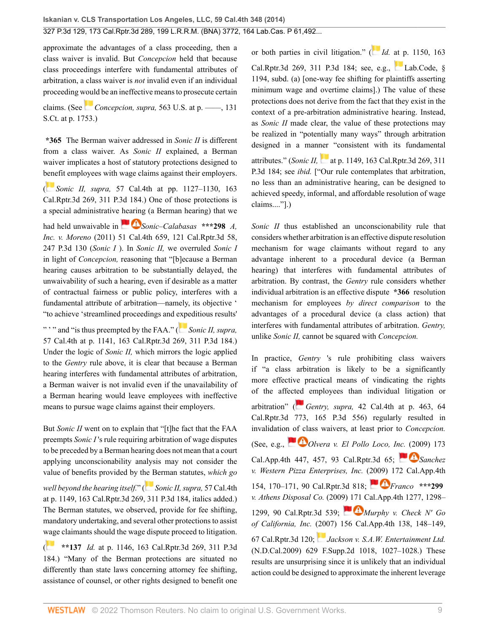approximate the advantages of a class proceeding, then a class waiver is invalid. But *Concepcion* held that because class proceedings interfere with fundamental attributes of arbitration, a class waiver is *not* invalid even if an individual proceeding [woul](https://1.next.westlaw.com/Link/RelatedInformation/Flag?documentGuid=I2cd0aa5870bc11e0a34df17ea74c323f&transitionType=InlineKeyCiteFlags&originationContext=docHeaderFlag&Rank=0&ppcid=2af46aeee0b04785be997ff44a01e3a1&contextData=(sc.Search) )d be an ineffective means to prosecute certain

claims. (See *Concepcion, supra,* [563 U.S. at p. ––––, 131](http://www.westlaw.com/Link/Document/FullText?findType=Y&serNum=2025172541&pubNum=0000708&originatingDoc=I2ff28000fadb11e39488c8f438320c70&refType=RP&fi=co_pp_sp_708_1753&originationContext=document&vr=3.0&rs=cblt1.0&transitionType=DocumentItem&contextData=(sc.Search)#co_pp_sp_708_1753) [S.Ct. at p. 1753](http://www.westlaw.com/Link/Document/FullText?findType=Y&serNum=2025172541&pubNum=0000708&originatingDoc=I2ff28000fadb11e39488c8f438320c70&refType=RP&fi=co_pp_sp_708_1753&originationContext=document&vr=3.0&rs=cblt1.0&transitionType=DocumentItem&contextData=(sc.Search)#co_pp_sp_708_1753).)

**\*365** The Berman waiver addressed in *Sonic II* is different from a class waiver. As *Sonic II* explained, a Berman waiver implicates a host of statutory protections designed to [bene](https://1.next.westlaw.com/Link/RelatedInformation/Flag?documentGuid=I4ce23846374211e380938e6f51729d80&transitionType=InlineKeyCiteFlags&originationContext=docHeaderFlag&Rank=0&ppcid=2af46aeee0b04785be997ff44a01e3a1&contextData=(sc.Search) )fit employees with wage claims against their employers.

( *Sonic II, supra,* [57 Cal.4th at pp. 1127–1130, 163](http://www.westlaw.com/Link/Document/FullText?findType=Y&serNum=2031787028&pubNum=0004645&originatingDoc=I2ff28000fadb11e39488c8f438320c70&refType=RP&originationContext=document&vr=3.0&rs=cblt1.0&transitionType=DocumentItem&contextData=(sc.Search)) [Cal.Rptr.3d 269, 311 P.3d 184](http://www.westlaw.com/Link/Document/FullText?findType=Y&serNum=2031787028&pubNum=0004645&originatingDoc=I2ff28000fadb11e39488c8f438320c70&refType=RP&originationContext=document&vr=3.0&rs=cblt1.0&transitionType=DocumentItem&contextData=(sc.Search)).) One of those protections is a special administrative [hearin](https://1.next.westlaw.com/Link/RelatedInformation/Flag?documentGuid=Ib6a50ec0404011e0aa23bccc834e9520&transitionType=InlineKeyCiteFlags&originationContext=docHeaderFlag&Rank=0&ppcid=2af46aeee0b04785be997ff44a01e3a1&contextData=(sc.Search) )g (a Berman hearing) that we

had held unwaivable in *[Sonic–Calabasas](http://www.westlaw.com/Link/Document/FullText?findType=Y&serNum=2024656437&pubNum=0004645&originatingDoc=I2ff28000fadb11e39488c8f438320c70&refType=RP&originationContext=document&vr=3.0&rs=cblt1.0&transitionType=DocumentItem&contextData=(sc.Search))* **\*\*\*298** *A, Inc. v. Moreno* [\(2011\) 51 Cal.4th 659, 121 Cal.Rptr.3d 58,](http://www.westlaw.com/Link/Document/FullText?findType=Y&serNum=2024656437&pubNum=0004645&originatingDoc=I2ff28000fadb11e39488c8f438320c70&refType=RP&originationContext=document&vr=3.0&rs=cblt1.0&transitionType=DocumentItem&contextData=(sc.Search)) [247 P.3d 130](http://www.westlaw.com/Link/Document/FullText?findType=Y&serNum=2024656437&pubNum=0004645&originatingDoc=I2ff28000fadb11e39488c8f438320c70&refType=RP&originationContext=document&vr=3.0&rs=cblt1.0&transitionType=DocumentItem&contextData=(sc.Search)) (*Sonic I* ). In *Sonic II,* we overruled *Sonic I* in light of *Concepcion,* reasoning that "[b]ecause a Berman hearing causes arbitration to be substantially delayed, the unwaivability of such a hearing, even if desirable as a matter of contractual fairness or public policy, interferes with a fundamental attribute of arbitration—namely, its objective ' "to achieve 'streamlined proceedings and [expe](https://1.next.westlaw.com/Link/RelatedInformation/Flag?documentGuid=I4ce23846374211e380938e6f51729d80&transitionType=InlineKeyCiteFlags&originationContext=docHeaderFlag&Rank=0&ppcid=2af46aeee0b04785be997ff44a01e3a1&contextData=(sc.Search) )ditious results'

" ' " and "is thus preempted by the FAA." ( *[Sonic II, supra,](http://www.westlaw.com/Link/Document/FullText?findType=Y&serNum=2031787028&pubNum=0004645&originatingDoc=I2ff28000fadb11e39488c8f438320c70&refType=RP&originationContext=document&vr=3.0&rs=cblt1.0&transitionType=DocumentItem&contextData=(sc.Search))* [57 Cal.4th at p. 1141, 163 Cal.Rptr.3d 269, 311 P.3d 184](http://www.westlaw.com/Link/Document/FullText?findType=Y&serNum=2031787028&pubNum=0004645&originatingDoc=I2ff28000fadb11e39488c8f438320c70&refType=RP&originationContext=document&vr=3.0&rs=cblt1.0&transitionType=DocumentItem&contextData=(sc.Search)).) Under the logic of *Sonic II,* which mirrors the logic applied to the *Gentry* rule above, it is clear that because a Berman hearing interferes with fundamental attributes of arbitration, a Berman waiver is not invalid even if the unavailability of a Berman hearing would leave employees with ineffective means to pursue wage claims against their employers.

But *Sonic II* went on to explain that "[t]he fact that the FAA preempts *Sonic I* 's rule requiring arbitration of wage disputes to be preceded by a Berman hearing does not mean that a court applying unconscionability analysis may not consider the value of benefits provided by t[he B](https://1.next.westlaw.com/Link/RelatedInformation/Flag?documentGuid=I4ce23846374211e380938e6f51729d80&transitionType=InlineKeyCiteFlags&originationContext=docHeaderFlag&Rank=0&ppcid=2af46aeee0b04785be997ff44a01e3a1&contextData=(sc.Search) )erman statutes, *which go*

*well beyond the hearing itself.*" ( *[Sonic II, supra,](http://www.westlaw.com/Link/Document/FullText?findType=Y&serNum=2031787028&pubNum=0004645&originatingDoc=I2ff28000fadb11e39488c8f438320c70&refType=RP&originationContext=document&vr=3.0&rs=cblt1.0&transitionType=DocumentItem&contextData=(sc.Search))* 57 Cal.4th [at p. 1149, 163 Cal.Rptr.3d 269, 311 P.3d 184,](http://www.westlaw.com/Link/Document/FullText?findType=Y&serNum=2031787028&pubNum=0004645&originatingDoc=I2ff28000fadb11e39488c8f438320c70&refType=RP&originationContext=document&vr=3.0&rs=cblt1.0&transitionType=DocumentItem&contextData=(sc.Search)) italics added.) The Berman statutes, we observed, provide for fee shifting, mandatory undertaking, and several other protections to assist [wag](https://1.next.westlaw.com/Link/RelatedInformation/Flag?documentGuid=I4ce23846374211e380938e6f51729d80&transitionType=InlineKeyCiteFlags&originationContext=docHeaderFlag&Rank=0&ppcid=2af46aeee0b04785be997ff44a01e3a1&contextData=(sc.Search) )e claimants should the wage dispute proceed to litigation.

( **\*\*137** *Id.* [at p. 1146, 163 Cal.Rptr.3d 269, 311 P.3d](http://www.westlaw.com/Link/Document/FullText?findType=Y&serNum=2031787028&pubNum=0004645&originatingDoc=I2ff28000fadb11e39488c8f438320c70&refType=RP&originationContext=document&vr=3.0&rs=cblt1.0&transitionType=DocumentItem&contextData=(sc.Search)) [184](http://www.westlaw.com/Link/Document/FullText?findType=Y&serNum=2031787028&pubNum=0004645&originatingDoc=I2ff28000fadb11e39488c8f438320c70&refType=RP&originationContext=document&vr=3.0&rs=cblt1.0&transitionType=DocumentItem&contextData=(sc.Search)).) "Many of the Berman protections are situated no differently than state laws concerning attorney fee shifting, assistance of counsel, or other rights designed to benefit one or both parties in civil litigation." [\(](https://1.next.westlaw.com/Link/RelatedInformation/Flag?documentGuid=I4ce23846374211e380938e6f51729d80&transitionType=InlineKeyCiteFlags&originationContext=docHeaderFlag&Rank=0&ppcid=2af46aeee0b04785be997ff44a01e3a1&contextData=(sc.Search) ) *Id.* [at p. 1150, 163](http://www.westlaw.com/Link/Document/FullText?findType=Y&serNum=2031787028&pubNum=0004645&originatingDoc=I2ff28000fadb11e39488c8f438320c70&refType=RP&originationContext=document&vr=3.0&rs=cblt1.0&transitionType=DocumentItem&contextData=(sc.Search)) [Cal.Rptr.3d 269, 311 P.3d 184](http://www.westlaw.com/Link/Document/FullText?findType=Y&serNum=2031787028&pubNum=0004645&originatingDoc=I2ff28000fadb11e39488c8f438320c70&refType=RP&originationContext=document&vr=3.0&rs=cblt1.0&transitionType=DocumentItem&contextData=(sc.Search)); see, e.g., [Lab.Code, §](http://www.westlaw.com/Link/Document/FullText?findType=L&pubNum=1000215&cite=CALBS1194&originatingDoc=I2ff28000fadb11e39488c8f438320c70&refType=SP&originationContext=document&vr=3.0&rs=cblt1.0&transitionType=DocumentItem&contextData=(sc.Search)#co_pp_8b3b0000958a4) [1194, subd. \(a\)](http://www.westlaw.com/Link/Document/FullText?findType=L&pubNum=1000215&cite=CALBS1194&originatingDoc=I2ff28000fadb11e39488c8f438320c70&refType=SP&originationContext=document&vr=3.0&rs=cblt1.0&transitionType=DocumentItem&contextData=(sc.Search)#co_pp_8b3b0000958a4) [one-way fee shifting for plaintiffs asserting minimum wage and overtime claims].) The value of these protections does not derive from the fact that they exist in the context of a pre-arbitration administrative hearing. Instead, as *Sonic II* made clear, the value of these protections may be realized in "potentially many ways" through arbitration designed in a man[ner](https://1.next.westlaw.com/Link/RelatedInformation/Flag?documentGuid=I4ce23846374211e380938e6f51729d80&transitionType=InlineKeyCiteFlags&originationContext=docHeaderFlag&Rank=0&ppcid=2af46aeee0b04785be997ff44a01e3a1&contextData=(sc.Search) ) "consistent with its fundamental attributes." (*Sonic II,* [at p. 1149, 163 Cal.Rptr.3d 269, 311](http://www.westlaw.com/Link/Document/FullText?findType=Y&serNum=2031787028&pubNum=0004645&originatingDoc=I2ff28000fadb11e39488c8f438320c70&refType=RP&originationContext=document&vr=3.0&rs=cblt1.0&transitionType=DocumentItem&contextData=(sc.Search)) [P.3d 184](http://www.westlaw.com/Link/Document/FullText?findType=Y&serNum=2031787028&pubNum=0004645&originatingDoc=I2ff28000fadb11e39488c8f438320c70&refType=RP&originationContext=document&vr=3.0&rs=cblt1.0&transitionType=DocumentItem&contextData=(sc.Search)); see *ibid.* ["Our rule contemplates that arbitration, no less than an administrative hearing, can be designed to achieved speedy, informal, and affordable resolution of wage claims...."].)

*Sonic II* thus established an unconscionability rule that considers whether arbitration is an effective dispute resolution mechanism for wage claimants without regard to any advantage inherent to a procedural device (a Berman hearing) that interferes with fundamental attributes of arbitration. By contrast, the *Gentry* rule considers whether individual arbitration is an effective dispute **\*366** resolution mechanism for employees *by direct comparison* to the advantages of a procedural device (a class action) that interferes with fundamental attributes of arbitration. *Gentry,* unlike *Sonic II,* cannot be squared with *Concepcion.*

In practice, *Gentry* 's rule prohibiting class waivers if "a class arbitration is likely to be a significantly more effective practical means of vindicating the rights of the affec[ted](https://1.next.westlaw.com/Link/RelatedInformation/Flag?documentGuid=Ida5f168b570511dc8200d0063168b01f&transitionType=InlineKeyCiteFlags&originationContext=docHeaderFlag&Rank=0&ppcid=2af46aeee0b04785be997ff44a01e3a1&contextData=(sc.Search) ) employees than individual litigation or arbitration" ( *Gentry, supra,* [42 Cal.4th at p. 463, 64](http://www.westlaw.com/Link/Document/FullText?findType=Y&serNum=2013082678&pubNum=0004645&originatingDoc=I2ff28000fadb11e39488c8f438320c70&refType=RP&originationContext=document&vr=3.0&rs=cblt1.0&transitionType=DocumentItem&contextData=(sc.Search)) [Cal.Rptr.3d 773, 165 P.3d 556](http://www.westlaw.com/Link/Document/FullText?findType=Y&serNum=2013082678&pubNum=0004645&originatingDoc=I2ff28000fadb11e39488c8f438320c70&refType=RP&originationContext=document&vr=3.0&rs=cblt1.0&transitionType=DocumentItem&contextData=(sc.Search))) regularly resulted in invalidatio[n of cl](https://1.next.westlaw.com/Link/RelatedInformation/Flag?documentGuid=Idfccbfbc336311deabded03f2b83b8a4&transitionType=InlineKeyCiteFlags&originationContext=docHeaderFlag&Rank=0&ppcid=2af46aeee0b04785be997ff44a01e3a1&contextData=(sc.Search) )ass waivers, at least prior to *Concepcion.* (See, e.g., *[Olvera v. El Pollo Loco, Inc.](http://www.westlaw.com/Link/Document/FullText?findType=Y&serNum=2018681293&pubNum=0007047&originatingDoc=I2ff28000fadb11e39488c8f438320c70&refType=RP&originationContext=document&vr=3.0&rs=cblt1.0&transitionType=DocumentItem&contextData=(sc.Search))* [\(20](https://1.next.westlaw.com/Link/RelatedInformation/Flag?documentGuid=I12ddb8fa132211deb7e683ba170699a5&transitionType=InlineKeyCiteFlags&originationContext=docHeaderFlag&Rank=0&ppcid=2af46aeee0b04785be997ff44a01e3a1&contextData=(sc.Search) )09) 173 [Cal.App.4th 447, 457, 93 Cal.Rptr.3d 65;](http://www.westlaw.com/Link/Document/FullText?findType=Y&serNum=2018681293&pubNum=0007047&originatingDoc=I2ff28000fadb11e39488c8f438320c70&refType=RP&originationContext=document&vr=3.0&rs=cblt1.0&transitionType=DocumentItem&contextData=(sc.Search)) *[Sanchez](http://www.westlaw.com/Link/Document/FullText?findType=Y&serNum=2018377284&pubNum=0007047&originatingDoc=I2ff28000fadb11e39488c8f438320c70&refType=RP&originationContext=document&vr=3.0&rs=cblt1.0&transitionType=DocumentItem&contextData=(sc.Search)) [v. Western Pizza Enterprises, Inc.](http://www.westlaw.com/Link/Document/FullText?findType=Y&serNum=2018377284&pubNum=0007047&originatingDoc=I2ff28000fadb11e39488c8f438320c70&refType=RP&originationContext=document&vr=3.0&rs=cblt1.0&transitionType=DocumentItem&contextData=(sc.Search))* ([2009\)](https://1.next.westlaw.com/Link/RelatedInformation/Flag?documentGuid=I5351fbc80d9a11deb7e683ba170699a5&transitionType=InlineKeyCiteFlags&originationContext=docHeaderFlag&Rank=0&ppcid=2af46aeee0b04785be997ff44a01e3a1&contextData=(sc.Search) ) 172 Cal.App.4th [154, 170–171, 90 Cal.Rptr.3d 818;](http://www.westlaw.com/Link/Document/FullText?findType=Y&serNum=2018377284&pubNum=0007047&originatingDoc=I2ff28000fadb11e39488c8f438320c70&refType=RP&originationContext=document&vr=3.0&rs=cblt1.0&transitionType=DocumentItem&contextData=(sc.Search)) *[Franco](http://www.westlaw.com/Link/Document/FullText?findType=Y&serNum=2018306478&pubNum=0007047&originatingDoc=I2ff28000fadb11e39488c8f438320c70&refType=RP&originationContext=document&vr=3.0&rs=cblt1.0&transitionType=DocumentItem&contextData=(sc.Search))* **\*\*\*299** *v. Athens Disposal Co.* [\(2009\) 171 Cal.App.4th 1277, 1298–](http://www.westlaw.com/Link/Document/FullText?findType=Y&serNum=2018306478&pubNum=0007047&originatingDoc=I2ff28000fadb11e39488c8f438320c70&refType=RP&originationContext=document&vr=3.0&rs=cblt1.0&transitionType=DocumentItem&contextData=(sc.Search)) [1299, 90 Cal.Rptr.3d 539;](http://www.westlaw.com/Link/Document/FullText?findType=Y&serNum=2018306478&pubNum=0007047&originatingDoc=I2ff28000fadb11e39488c8f438320c70&refType=RP&originationContext=document&vr=3.0&rs=cblt1.0&transitionType=DocumentItem&contextData=(sc.Search)) *[Murphy v. Check N' Go](http://www.westlaw.com/Link/Document/FullText?findType=Y&serNum=2013708476&pubNum=0007047&originatingDoc=I2ff28000fadb11e39488c8f438320c70&refType=RP&originationContext=document&vr=3.0&rs=cblt1.0&transitionType=DocumentItem&contextData=(sc.Search)) of California, Inc.* [\(2007\) 156 Cal.App.4th 138, 148–149,](http://www.westlaw.com/Link/Document/FullText?findType=Y&serNum=2013708476&pubNum=0007047&originatingDoc=I2ff28000fadb11e39488c8f438320c70&refType=RP&originationContext=document&vr=3.0&rs=cblt1.0&transitionType=DocumentItem&contextData=(sc.Search)) [67 Cal.Rptr.3d 120;](http://www.westlaw.com/Link/Document/FullText?findType=Y&serNum=2013708476&pubNum=0007047&originatingDoc=I2ff28000fadb11e39488c8f438320c70&refType=RP&originationContext=document&vr=3.0&rs=cblt1.0&transitionType=DocumentItem&contextData=(sc.Search)) *[Jackson v. S.A.W. Entertainment Ltd.](http://www.westlaw.com/Link/Document/FullText?findType=Y&serNum=2018907521&pubNum=0004637&originatingDoc=I2ff28000fadb11e39488c8f438320c70&refType=RP&fi=co_pp_sp_4637_1027&originationContext=document&vr=3.0&rs=cblt1.0&transitionType=DocumentItem&contextData=(sc.Search)#co_pp_sp_4637_1027)* [\(N.D.Cal.2009\) 629 F.Supp.2d 1018, 1027–1028.](http://www.westlaw.com/Link/Document/FullText?findType=Y&serNum=2018907521&pubNum=0004637&originatingDoc=I2ff28000fadb11e39488c8f438320c70&refType=RP&fi=co_pp_sp_4637_1027&originationContext=document&vr=3.0&rs=cblt1.0&transitionType=DocumentItem&contextData=(sc.Search)#co_pp_sp_4637_1027)) These results are unsurprising since it is unlikely that an individual action could be designed to approximate the inherent leverage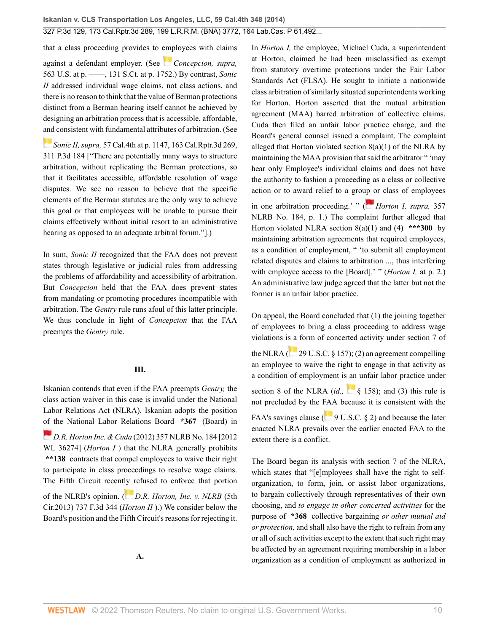that a class proceeding provides to [emp](https://1.next.westlaw.com/Link/RelatedInformation/Flag?documentGuid=I2cd0aa5870bc11e0a34df17ea74c323f&transitionType=InlineKeyCiteFlags&originationContext=docHeaderFlag&Rank=0&ppcid=2af46aeee0b04785be997ff44a01e3a1&contextData=(sc.Search) )loyees with claims against a defendant employer. (See *[Concepcion, supra,](http://www.westlaw.com/Link/Document/FullText?findType=Y&serNum=2025172541&pubNum=0000708&originatingDoc=I2ff28000fadb11e39488c8f438320c70&refType=RP&fi=co_pp_sp_708_1752&originationContext=document&vr=3.0&rs=cblt1.0&transitionType=DocumentItem&contextData=(sc.Search)#co_pp_sp_708_1752)* [563 U.S. at p. ––––, 131 S.Ct. at p. 1752.](http://www.westlaw.com/Link/Document/FullText?findType=Y&serNum=2025172541&pubNum=0000708&originatingDoc=I2ff28000fadb11e39488c8f438320c70&refType=RP&fi=co_pp_sp_708_1752&originationContext=document&vr=3.0&rs=cblt1.0&transitionType=DocumentItem&contextData=(sc.Search)#co_pp_sp_708_1752)) By contrast, *Sonic II* addressed individual wage claims, not class actions, and there is no reason to think that the value of Berman protections distinct from a Berman hearing itself cannot be achieved by designing an arbitration process that is accessible, affordable, [and](https://1.next.westlaw.com/Link/RelatedInformation/Flag?documentGuid=I4ce23846374211e380938e6f51729d80&transitionType=InlineKeyCiteFlags&originationContext=docHeaderFlag&Rank=0&ppcid=2af46aeee0b04785be997ff44a01e3a1&contextData=(sc.Search) ) consistent with fundamental attributes of arbitration. (See

*Sonic II, supra,* [57 Cal.4th at p. 1147, 163 Cal.Rptr.3d 269,](http://www.westlaw.com/Link/Document/FullText?findType=Y&serNum=2031787028&pubNum=0004645&originatingDoc=I2ff28000fadb11e39488c8f438320c70&refType=RP&originationContext=document&vr=3.0&rs=cblt1.0&transitionType=DocumentItem&contextData=(sc.Search)) [311 P.3d 184](http://www.westlaw.com/Link/Document/FullText?findType=Y&serNum=2031787028&pubNum=0004645&originatingDoc=I2ff28000fadb11e39488c8f438320c70&refType=RP&originationContext=document&vr=3.0&rs=cblt1.0&transitionType=DocumentItem&contextData=(sc.Search)) ["There are potentially many ways to structure arbitration, without replicating the Berman protections, so that it facilitates accessible, affordable resolution of wage disputes. We see no reason to believe that the specific elements of the Berman statutes are the only way to achieve this goal or that employees will be unable to pursue their claims effectively without initial resort to an administrative hearing as opposed to an adequate arbitral forum."].)

In sum, *Sonic II* recognized that the FAA does not prevent states through legislative or judicial rules from addressing the problems of affordability and accessibility of arbitration. But *Concepcion* held that the FAA does prevent states from mandating or promoting procedures incompatible with arbitration. The *Gentry* rule runs afoul of this latter principle. We thus conclude in light of *Concepcion* that the FAA preempts the *Gentry* rule.

#### **III.**

Iskanian contends that even if the FAA preempts *Gentry,* the class action waiver in this case is invalid under the National Labor Relations Act (NLRA). Iskanian adopts the position [of t](https://1.next.westlaw.com/Link/RelatedInformation/Flag?documentGuid=Ifa87d36e3b3011e1bd928e1973ff4e60&transitionType=InlineKeyCiteFlags&originationContext=docHeaderFlag&Rank=0&ppcid=2af46aeee0b04785be997ff44a01e3a1&contextData=(sc.Search) )he National Labor Relations Board **\*367** (Board) in

*D.R. Horton Inc. & Cuda* [\(2012\) 357 NLRB No. 184 \[2012](http://www.westlaw.com/Link/Document/FullText?findType=Y&serNum=2026828569&pubNum=0000999&originatingDoc=I2ff28000fadb11e39488c8f438320c70&refType=RP&originationContext=document&vr=3.0&rs=cblt1.0&transitionType=DocumentItem&contextData=(sc.Search)) [WL 36274\]](http://www.westlaw.com/Link/Document/FullText?findType=Y&serNum=2026828569&pubNum=0000999&originatingDoc=I2ff28000fadb11e39488c8f438320c70&refType=RP&originationContext=document&vr=3.0&rs=cblt1.0&transitionType=DocumentItem&contextData=(sc.Search)) (*Horton I*) that the NLRA generally prohibits **\*\*138** contracts that compel employees to waive their right to participate in class proceedings to resolve wage claims. The Fifth Circuit recent[ly r](https://1.next.westlaw.com/Link/RelatedInformation/Flag?documentGuid=I6ba9a13d5c4311e38912df21cb42a557&transitionType=InlineKeyCiteFlags&originationContext=docHeaderFlag&Rank=0&ppcid=2af46aeee0b04785be997ff44a01e3a1&contextData=(sc.Search) )efused to enforce that portion

of the NLRB's opinion. ( *[D.R. Horton, Inc. v. NLRB](http://www.westlaw.com/Link/Document/FullText?findType=Y&serNum=2032188619&pubNum=0000506&originatingDoc=I2ff28000fadb11e39488c8f438320c70&refType=RP&originationContext=document&vr=3.0&rs=cblt1.0&transitionType=DocumentItem&contextData=(sc.Search))* (5th [Cir.2013\) 737 F.3d 344](http://www.westlaw.com/Link/Document/FullText?findType=Y&serNum=2032188619&pubNum=0000506&originatingDoc=I2ff28000fadb11e39488c8f438320c70&refType=RP&originationContext=document&vr=3.0&rs=cblt1.0&transitionType=DocumentItem&contextData=(sc.Search)) (*Horton II* ).) We consider below the Board's position and the Fifth Circuit's reasons for rejecting it. In *Horton I,* the employee, Michael Cuda, a superintendent at Horton, claimed he had been misclassified as exempt from statutory overtime protections under the Fair Labor Standards Act (FLSA). He sought to initiate a nationwide class arbitration of similarly situated superintendents working for Horton. Horton asserted that the mutual arbitration agreement (MAA) barred arbitration of collective claims. Cuda then filed an unfair labor practice charge, and the Board's general counsel issued a complaint. The complaint alleged that Horton violated section 8(a)(1) of the NLRA by maintaining the MAA provision that said the arbitrator " 'may hear only Employee's individual claims and does not have the authority to fashion a proceeding as a class or collective action or to award relief to a gro[up o](https://1.next.westlaw.com/Link/RelatedInformation/Flag?documentGuid=Ifa87d36e3b3011e1bd928e1973ff4e60&transitionType=InlineKeyCiteFlags&originationContext=docHeaderFlag&Rank=0&ppcid=2af46aeee0b04785be997ff44a01e3a1&contextData=(sc.Search) )r class of employees in one arbitration proceeding.' " ( *[Horton I, supra,](http://www.westlaw.com/Link/Document/FullText?findType=Y&serNum=2026828569&pubNum=0001033&originatingDoc=I2ff28000fadb11e39488c8f438320c70&refType=CA&originationContext=document&vr=3.0&rs=cblt1.0&transitionType=DocumentItem&contextData=(sc.Search))* 357

[NLRB No. 184, p. 1.](http://www.westlaw.com/Link/Document/FullText?findType=Y&serNum=2026828569&pubNum=0001033&originatingDoc=I2ff28000fadb11e39488c8f438320c70&refType=CA&originationContext=document&vr=3.0&rs=cblt1.0&transitionType=DocumentItem&contextData=(sc.Search))) The complaint further alleged that Horton violated NLRA section 8(a)(1) and (4) **\*\*\*300** by maintaining arbitration agreements that required employees, as a condition of employment, " 'to submit all employment related disputes and claims to arbitration ..., thus interfering with employee access to the [Board].' " (*Horton I,* at p. 2.) An administrative law judge agreed that the latter but not the former is an unfair labor practice.

On appeal, the Board concluded that (1) the joining together of employees to bring a class proceeding to address wage violations i[s a](https://1.next.westlaw.com/Link/RelatedInformation/Flag?documentGuid=NB8DACE80AFF711D8803AE0632FEDDFBF&transitionType=InlineKeyCiteFlags&originationContext=docHeaderFlag&Rank=0&ppcid=2af46aeee0b04785be997ff44a01e3a1&contextData=(sc.Search) ) form of concerted activity under section 7 of the NLRA ( $\sim$  [29 U.S.C. § 157\)](http://www.westlaw.com/Link/Document/FullText?findType=L&pubNum=1000546&cite=29USCAS157&originatingDoc=I2ff28000fadb11e39488c8f438320c70&refType=LQ&originationContext=document&vr=3.0&rs=cblt1.0&transitionType=DocumentItem&contextData=(sc.Search)); (2) an agreement compelling an employee to waive the right to engage in that activity as a condition of employment i[s an](http://www.westlaw.com/Link/Document/FullText?findType=L&pubNum=1000546&cite=29USCAS158&originatingDoc=I2ff28000fadb11e39488c8f438320c70&refType=LQ&originationContext=document&vr=3.0&rs=cblt1.0&transitionType=DocumentItem&contextData=(sc.Search)) unfair labor practice under section 8 of the NLRA  $(id, \S 158)$ ; and (3) this rule is not precluded by the [FAA](https://1.next.westlaw.com/Link/RelatedInformation/Flag?documentGuid=NC02233609E4D11EC8C95F2ECE9E71133&transitionType=InlineKeyCiteFlags&originationContext=docHeaderFlag&Rank=0&ppcid=2af46aeee0b04785be997ff44a01e3a1&contextData=(sc.Search) ) because it is consistent with the FAA's savings clause ( $\frac{9 \text{ U.S.C. } }{9 \text{ U.S.C. } }$  2) and because the later enacted NLRA prevails over the earlier enacted FAA to the extent there is a conflict.

The Board began its analysis with section 7 of the NLRA, which states that "[e]mployees shall have the right to selforganization, to form, join, or assist labor organizations, to bargain collectively through representatives of their own choosing, and *to engage in other concerted activities* for the purpose of **\*368** collective bargaining *or other mutual aid or protection,* and shall also have the right to refrain from any or all of such activities except to the extent that such right may be affected by an agreement requiring membership in a labor organization as a condition of employment as authorized in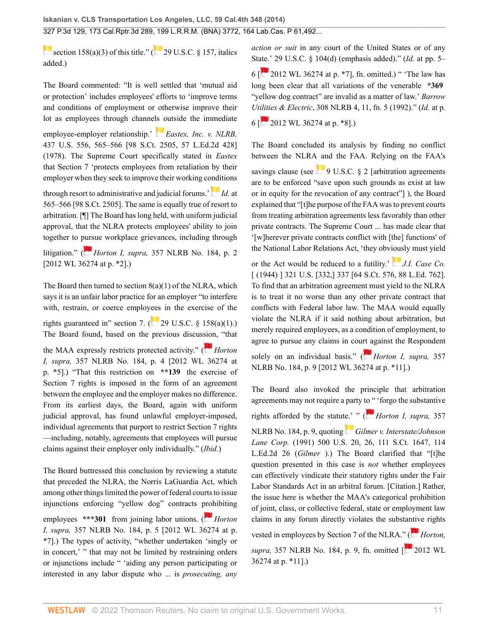[section 158\(a\)\(3\)](http://www.westlaw.com/Link/Document/FullText?findType=L&pubNum=1000546&cite=29USCAS158&originatingDoc=I2ff28000fadb11e39488c8f438320c70&refType=RB&originationContext=document&vr=3.0&rs=cblt1.0&transitionType=DocumentItem&contextData=(sc.Search)#co_pp_28cc0000ccca6) of this title." [\(](https://1.next.westlaw.com/Link/RelatedInformation/Flag?documentGuid=NB8DACE80AFF711D8803AE0632FEDDFBF&transitionType=InlineKeyCiteFlags&originationContext=docHeaderFlag&Rank=0&ppcid=2af46aeee0b04785be997ff44a01e3a1&contextData=(sc.Search) ) $\overline{29}$  U.S.C. § 157, italics added.)

The Board commented: "It is well settled that 'mutual aid or protection' includes employees' efforts to 'improve terms and conditions of employment or otherwise improve their lot as employees through channe[ls o](https://1.next.westlaw.com/Link/RelatedInformation/Flag?documentGuid=I615bb6a99c1f11d9bc61beebb95be672&transitionType=InlineKeyCiteFlags&originationContext=docHeaderFlag&Rank=0&ppcid=2af46aeee0b04785be997ff44a01e3a1&contextData=(sc.Search) )utside the immediate

employee-employer relationship.' *[Eastex, Inc. v. NLRB,](http://www.westlaw.com/Link/Document/FullText?findType=Y&serNum=1978139494&pubNum=0000708&originatingDoc=I2ff28000fadb11e39488c8f438320c70&refType=RP&originationContext=document&vr=3.0&rs=cblt1.0&transitionType=DocumentItem&contextData=(sc.Search))* [437 U.S. 556, 565–566 \[98 S.Ct. 2505, 57 L.Ed.2d 428\]](http://www.westlaw.com/Link/Document/FullText?findType=Y&serNum=1978139494&pubNum=0000708&originatingDoc=I2ff28000fadb11e39488c8f438320c70&refType=RP&originationContext=document&vr=3.0&rs=cblt1.0&transitionType=DocumentItem&contextData=(sc.Search)) [\(1978\).](http://www.westlaw.com/Link/Document/FullText?findType=Y&serNum=1978139494&pubNum=0000708&originatingDoc=I2ff28000fadb11e39488c8f438320c70&refType=RP&originationContext=document&vr=3.0&rs=cblt1.0&transitionType=DocumentItem&contextData=(sc.Search)) The Supreme Court specifically stated in *Eastex* that Section 7 'protects employees from retaliation by their employer when they seek to improve their working conditions

throughresort to administrative and judicial forums.<sup> $\cdot$ </sup> *[Id.](http://www.westlaw.com/Link/Document/FullText?findType=Y&serNum=1978139494&pubNum=0000708&originatingDoc=I2ff28000fadb11e39488c8f438320c70&refType=RP&originationContext=document&vr=3.0&rs=cblt1.0&transitionType=DocumentItem&contextData=(sc.Search))* at [565–566 \[98 S.Ct. 2505](http://www.westlaw.com/Link/Document/FullText?findType=Y&serNum=1978139494&pubNum=0000708&originatingDoc=I2ff28000fadb11e39488c8f438320c70&refType=RP&originationContext=document&vr=3.0&rs=cblt1.0&transitionType=DocumentItem&contextData=(sc.Search))]. The same is equally true of resort to arbitration. [¶] The Board has long held, with uniform judicial approval, that the NLRA protects employees' ability to join together to [purs](https://1.next.westlaw.com/Link/RelatedInformation/Flag?documentGuid=Ifa87d36e3b3011e1bd928e1973ff4e60&transitionType=InlineKeyCiteFlags&originationContext=docHeaderFlag&Rank=0&ppcid=2af46aeee0b04785be997ff44a01e3a1&contextData=(sc.Search) )ue workplace grievances, including through

litigation." ( *Horton I, supra,* [357 NLRB No. 184, p. 2](http://www.westlaw.com/Link/Document/FullText?findType=Y&serNum=2026828569&pubNum=0000999&originatingDoc=I2ff28000fadb11e39488c8f438320c70&refType=RP&originationContext=document&vr=3.0&rs=cblt1.0&transitionType=DocumentItem&contextData=(sc.Search)) [\[2012 WL 36274 at p. \\*2\]](http://www.westlaw.com/Link/Document/FullText?findType=Y&serNum=2026828569&pubNum=0000999&originatingDoc=I2ff28000fadb11e39488c8f438320c70&refType=RP&originationContext=document&vr=3.0&rs=cblt1.0&transitionType=DocumentItem&contextData=(sc.Search)).)

The Board then turned to section  $8(a)(1)$  of the NLRA, which says it is an unfair labor practice for an employer "to interfere with, restrain, or coerce employ[ees](http://www.westlaw.com/Link/Document/FullText?findType=L&pubNum=1000546&cite=29USCAS158&originatingDoc=I2ff28000fadb11e39488c8f438320c70&refType=RB&originationContext=document&vr=3.0&rs=cblt1.0&transitionType=DocumentItem&contextData=(sc.Search)#co_pp_7b9b000044381) in the exercise of the rights guaranteed in" section 7. ( $29 \text{ U.S.C. }$  § 158(a)(1).) The Board found, based on the previous discus[sion](https://1.next.westlaw.com/Link/RelatedInformation/Flag?documentGuid=Ifa87d36e3b3011e1bd928e1973ff4e60&transitionType=InlineKeyCiteFlags&originationContext=docHeaderFlag&Rank=0&ppcid=2af46aeee0b04785be997ff44a01e3a1&contextData=(sc.Search) ), "that

the MAA expressly restricts protected activity." ( *[Horton](http://www.westlaw.com/Link/Document/FullText?findType=Y&serNum=2026828569&pubNum=0000999&originatingDoc=I2ff28000fadb11e39488c8f438320c70&refType=RP&originationContext=document&vr=3.0&rs=cblt1.0&transitionType=DocumentItem&contextData=(sc.Search)) I, supra,* [357 NLRB No. 184, p. 4 \[2012 WL 36274 at](http://www.westlaw.com/Link/Document/FullText?findType=Y&serNum=2026828569&pubNum=0000999&originatingDoc=I2ff28000fadb11e39488c8f438320c70&refType=RP&originationContext=document&vr=3.0&rs=cblt1.0&transitionType=DocumentItem&contextData=(sc.Search)) [p. \\*5\].](http://www.westlaw.com/Link/Document/FullText?findType=Y&serNum=2026828569&pubNum=0000999&originatingDoc=I2ff28000fadb11e39488c8f438320c70&refType=RP&originationContext=document&vr=3.0&rs=cblt1.0&transitionType=DocumentItem&contextData=(sc.Search))) "That this restriction on **\*\*139** the exercise of Section 7 rights is imposed in the form of an agreement between the employee and the employer makes no difference. From its earliest days, the Board, again with uniform judicial approval, has found unlawful employer-imposed, individual agreements that purport to restrict Section 7 rights —including, notably, agreements that employees will pursue claims against their employer only individually." (*Ibid.*)

The Board buttressed this conclusion by reviewing a statute that preceded the NLRA, the Norris LaGuardia Act, which among other things limited the power of federal courts to issue injunctions enforcing "yellow dog" contracts [proh](https://1.next.westlaw.com/Link/RelatedInformation/Flag?documentGuid=Ifa87d36e3b3011e1bd928e1973ff4e60&transitionType=InlineKeyCiteFlags&originationContext=docHeaderFlag&Rank=0&ppcid=2af46aeee0b04785be997ff44a01e3a1&contextData=(sc.Search) )ibiting employees \*\*\*301 from joining labor unions. (*[Horton](http://www.westlaw.com/Link/Document/FullText?findType=Y&serNum=2026828569&pubNum=0000999&originatingDoc=I2ff28000fadb11e39488c8f438320c70&refType=RP&originationContext=document&vr=3.0&rs=cblt1.0&transitionType=DocumentItem&contextData=(sc.Search)) I, supra,* [357 NLRB No. 184, p. 5 \[2012 WL 36274 at p.](http://www.westlaw.com/Link/Document/FullText?findType=Y&serNum=2026828569&pubNum=0000999&originatingDoc=I2ff28000fadb11e39488c8f438320c70&refType=RP&originationContext=document&vr=3.0&rs=cblt1.0&transitionType=DocumentItem&contextData=(sc.Search)) [\\*7\]](http://www.westlaw.com/Link/Document/FullText?findType=Y&serNum=2026828569&pubNum=0000999&originatingDoc=I2ff28000fadb11e39488c8f438320c70&refType=RP&originationContext=document&vr=3.0&rs=cblt1.0&transitionType=DocumentItem&contextData=(sc.Search)).) The types of activity, "whether undertaken 'singly or in concert,' " that may not be limited by restraining orders or injunctions include " 'aiding any person participating or interested in any labor dispute who ... is *prosecuting, any* *action or suit* in any court of the United States or of any St[ate.'](https://1.next.westlaw.com/Link/RelatedInformation/Flag?documentGuid=Ifa87d36e3b3011e1bd928e1973ff4e60&transitionType=InlineKeyCiteFlags&originationContext=docHeaderFlag&Rank=0&ppcid=2af46aeee0b04785be997ff44a01e3a1&contextData=(sc.Search) ) [29 U.S.C. § 104\(d\)](http://www.westlaw.com/Link/Document/FullText?findType=L&pubNum=1000546&cite=29USCAS104&originatingDoc=I2ff28000fadb11e39488c8f438320c70&refType=RB&originationContext=document&vr=3.0&rs=cblt1.0&transitionType=DocumentItem&contextData=(sc.Search)#co_pp_5ba1000067d06) (emphasis added)." (*Id.* at pp. 5–

6  $\lceil$  2012 WL 36274 at p. \*7, fn. omitted.) " The law has long been clear that all variations of the venerable **\*369** "yellow dog contract" are invalid as a matter of law.' *[Barrow](http://www.westlaw.com/Link/Document/FullText?findType=Y&serNum=1992227849&pubNum=0001417&originatingDoc=I2ff28000fadb11e39488c8f438320c70&refType=CA&fi=co_pp_sp_1417_11&originationContext=document&vr=3.0&rs=cblt1.0&transitionType=DocumentItem&contextData=(sc.Search)#co_pp_sp_1417_11) Ut[ilitie](https://1.next.westlaw.com/Link/RelatedInformation/Flag?documentGuid=Ifa87d36e3b3011e1bd928e1973ff4e60&transitionType=InlineKeyCiteFlags&originationContext=docHeaderFlag&Rank=0&ppcid=2af46aeee0b04785be997ff44a01e3a1&contextData=(sc.Search) )s & Electric*[, 308 NLRB 4, 11, fn. 5 \(1992\).](http://www.westlaw.com/Link/Document/FullText?findType=Y&serNum=1992227849&pubNum=0001417&originatingDoc=I2ff28000fadb11e39488c8f438320c70&refType=CA&fi=co_pp_sp_1417_11&originationContext=document&vr=3.0&rs=cblt1.0&transitionType=DocumentItem&contextData=(sc.Search)#co_pp_sp_1417_11)" (*Id.* [at p.](http://www.westlaw.com/Link/Document/FullText?findType=Y&serNum=1992227849&pubNum=0001417&originatingDoc=I2ff28000fadb11e39488c8f438320c70&refType=CA&fi=co_pp_sp_1417_6&originationContext=document&vr=3.0&rs=cblt1.0&transitionType=DocumentItem&contextData=(sc.Search)#co_pp_sp_1417_6)

[6](http://www.westlaw.com/Link/Document/FullText?findType=Y&serNum=1992227849&pubNum=0001417&originatingDoc=I2ff28000fadb11e39488c8f438320c70&refType=CA&fi=co_pp_sp_1417_6&originationContext=document&vr=3.0&rs=cblt1.0&transitionType=DocumentItem&contextData=(sc.Search)#co_pp_sp_1417_6) [ [2012 WL 36274 at p. \\*8](http://www.westlaw.com/Link/Document/FullText?findType=Y&serNum=2026828569&pubNum=0000999&originatingDoc=I2ff28000fadb11e39488c8f438320c70&refType=RP&originationContext=document&vr=3.0&rs=cblt1.0&transitionType=DocumentItem&contextData=(sc.Search))].)

The Board concluded its analysis by finding no conflict between the NLRA and the FAA. Relying on the FAA's savings clause (see  $\blacksquare$  [9 U.S.C. § 2](http://www.westlaw.com/Link/Document/FullText?findType=L&pubNum=1000546&cite=9USCAS2&originatingDoc=I2ff28000fadb11e39488c8f438320c70&refType=LQ&originationContext=document&vr=3.0&rs=cblt1.0&transitionType=DocumentItem&contextData=(sc.Search)) [arbitration agreements are to be enforced "save upon such grounds as exist at law or in equity for the revocation of any contract"] ), the Board explained that "[t]he purpose of the FAA was to prevent courts from treating arbitration agreements less favorably than other private contracts. The Supreme Court ... has made clear that '[w]herever private contracts conflict with [the] functions' of the National Labor Relations Act, 'they obv[ious](https://1.next.westlaw.com/Link/RelatedInformation/Flag?documentGuid=I2e1bbe429ca411d9bdd1cfdd544ca3a4&transitionType=InlineKeyCiteFlags&originationContext=docHeaderFlag&Rank=0&ppcid=2af46aeee0b04785be997ff44a01e3a1&contextData=(sc.Search) )ly must yield

or the Act would be reduced to a futility.' *[J.I. Case Co.](http://www.westlaw.com/Link/Document/FullText?findType=Y&serNum=1944115754&pubNum=0000708&originatingDoc=I2ff28000fadb11e39488c8f438320c70&refType=RP&originationContext=document&vr=3.0&rs=cblt1.0&transitionType=DocumentItem&contextData=(sc.Search))* [\[ \(1944\) \] 321 U.S. \[332,\] 337 \[64 S.Ct. 576, 88 L.Ed. 762](http://www.westlaw.com/Link/Document/FullText?findType=Y&serNum=1944115754&pubNum=0000708&originatingDoc=I2ff28000fadb11e39488c8f438320c70&refType=RP&originationContext=document&vr=3.0&rs=cblt1.0&transitionType=DocumentItem&contextData=(sc.Search))]. To find that an arbitration agreement must yield to the NLRA is to treat it no worse than any other private contract that conflicts with Federal labor law. The MAA would equally violate the NLRA if it said nothing about arbitration, but merely required employees, as a condition of employment, to agree to pursue any claims in cou[rt ag](https://1.next.westlaw.com/Link/RelatedInformation/Flag?documentGuid=Ifa87d36e3b3011e1bd928e1973ff4e60&transitionType=InlineKeyCiteFlags&originationContext=docHeaderFlag&Rank=0&ppcid=2af46aeee0b04785be997ff44a01e3a1&contextData=(sc.Search) )ainst the Respondent

solely on an individual basis." ( *[Horton I, supra,](http://www.westlaw.com/Link/Document/FullText?findType=Y&serNum=2026828569&pubNum=0000999&originatingDoc=I2ff28000fadb11e39488c8f438320c70&refType=RP&originationContext=document&vr=3.0&rs=cblt1.0&transitionType=DocumentItem&contextData=(sc.Search))* 357 [NLRB No. 184, p. 9 \[2012 WL 36274 at p. \\*11\].](http://www.westlaw.com/Link/Document/FullText?findType=Y&serNum=2026828569&pubNum=0000999&originatingDoc=I2ff28000fadb11e39488c8f438320c70&refType=RP&originationContext=document&vr=3.0&rs=cblt1.0&transitionType=DocumentItem&contextData=(sc.Search)))

The Board also invoked the principle that arbitration agreements may not require a party [to "](https://1.next.westlaw.com/Link/RelatedInformation/Flag?documentGuid=Ifa87d36e3b3011e1bd928e1973ff4e60&transitionType=InlineKeyCiteFlags&originationContext=docHeaderFlag&Rank=0&ppcid=2af46aeee0b04785be997ff44a01e3a1&contextData=(sc.Search) ) 'forgo the substantive rights afforded by the statut[e.'](https://1.next.westlaw.com/Link/RelatedInformation/Flag?documentGuid=I862f49d69c9011d993e6d35cc61aab4a&transitionType=InlineKeyCiteFlags&originationContext=docHeaderFlag&Rank=0&ppcid=2af46aeee0b04785be997ff44a01e3a1&contextData=(sc.Search) ) " ( *[Horton I, supra,](http://www.westlaw.com/Link/Document/FullText?findType=Y&serNum=2026828569&pubNum=0001033&originatingDoc=I2ff28000fadb11e39488c8f438320c70&refType=CA&originationContext=document&vr=3.0&rs=cblt1.0&transitionType=DocumentItem&contextData=(sc.Search))* 357 [NLRB No. 184, p. 9,](http://www.westlaw.com/Link/Document/FullText?findType=Y&serNum=2026828569&pubNum=0001033&originatingDoc=I2ff28000fadb11e39488c8f438320c70&refType=CA&originationContext=document&vr=3.0&rs=cblt1.0&transitionType=DocumentItem&contextData=(sc.Search)) quoting *[Gilmer v. Interstate/Johnson](http://www.westlaw.com/Link/Document/FullText?findType=Y&serNum=1991089841&pubNum=0000708&originatingDoc=I2ff28000fadb11e39488c8f438320c70&refType=RP&originationContext=document&vr=3.0&rs=cblt1.0&transitionType=DocumentItem&contextData=(sc.Search)) Lane Corp.* [\(1991\) 500 U.S. 20, 26, 111 S.Ct. 1647, 114](http://www.westlaw.com/Link/Document/FullText?findType=Y&serNum=1991089841&pubNum=0000708&originatingDoc=I2ff28000fadb11e39488c8f438320c70&refType=RP&originationContext=document&vr=3.0&rs=cblt1.0&transitionType=DocumentItem&contextData=(sc.Search)) [L.Ed.2d 26](http://www.westlaw.com/Link/Document/FullText?findType=Y&serNum=1991089841&pubNum=0000708&originatingDoc=I2ff28000fadb11e39488c8f438320c70&refType=RP&originationContext=document&vr=3.0&rs=cblt1.0&transitionType=DocumentItem&contextData=(sc.Search)) (*Gilmer* ).) The Board clarified that "[t]he question presented in this case is *not* whether employees can effectively vindicate their statutory rights under the Fair Labor Standards Act in an arbitral forum. [Citation.] Rather, the issue here is whether the MAA's categorical prohibition of joint, class, or collective federal, state or employment law claims in any forum directly violates the substa[ntiv](https://1.next.westlaw.com/Link/RelatedInformation/Flag?documentGuid=Ifa87d36e3b3011e1bd928e1973ff4e60&transitionType=InlineKeyCiteFlags&originationContext=docHeaderFlag&Rank=0&ppcid=2af46aeee0b04785be997ff44a01e3a1&contextData=(sc.Search) )e rights vested in employees by Section 7 of the NLRA.[" \(](https://1.next.westlaw.com/Link/RelatedInformation/Flag?documentGuid=Ifa87d36e3b3011e1bd928e1973ff4e60&transitionType=InlineKeyCiteFlags&originationContext=docHeaderFlag&Rank=0&ppcid=2af46aeee0b04785be997ff44a01e3a1&contextData=(sc.Search) )*[Horton,](http://www.westlaw.com/Link/Document/FullText?findType=Y&serNum=2026828569&pubNum=0001033&originatingDoc=I2ff28000fadb11e39488c8f438320c70&refType=CA&originationContext=document&vr=3.0&rs=cblt1.0&transitionType=DocumentItem&contextData=(sc.Search)) supra*, [357 NLRB No. 184, p. 9](http://www.westlaw.com/Link/Document/FullText?findType=Y&serNum=2026828569&pubNum=0001033&originatingDoc=I2ff28000fadb11e39488c8f438320c70&refType=CA&originationContext=document&vr=3.0&rs=cblt1.0&transitionType=DocumentItem&contextData=(sc.Search)), fn. omitted [ [2012 WL](http://www.westlaw.com/Link/Document/FullText?findType=Y&serNum=2026828569&pubNum=0000999&originatingDoc=I2ff28000fadb11e39488c8f438320c70&refType=RP&originationContext=document&vr=3.0&rs=cblt1.0&transitionType=DocumentItem&contextData=(sc.Search)) [36274 at p. \\*11\]](http://www.westlaw.com/Link/Document/FullText?findType=Y&serNum=2026828569&pubNum=0000999&originatingDoc=I2ff28000fadb11e39488c8f438320c70&refType=RP&originationContext=document&vr=3.0&rs=cblt1.0&transitionType=DocumentItem&contextData=(sc.Search)).)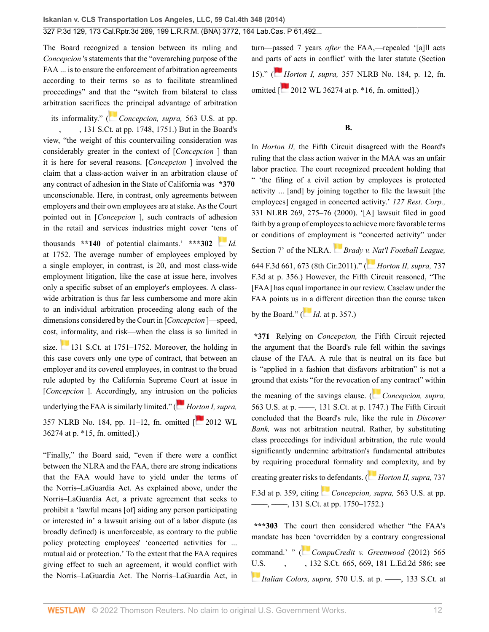The Board recognized a tension between its ruling and *Concepcion* 's statements that the "overarching purpose of the FAA ... is to ensure the enforcement of arbitration agreements according to their terms so as to facilitate streamlined proceedings" and that the "switch from bilateral to class arbitration sacrifice[s th](https://1.next.westlaw.com/Link/RelatedInformation/Flag?documentGuid=I2cd0aa5870bc11e0a34df17ea74c323f&transitionType=InlineKeyCiteFlags&originationContext=docHeaderFlag&Rank=0&ppcid=2af46aeee0b04785be997ff44a01e3a1&contextData=(sc.Search) )e principal advantage of arbitration

—its informality." ( *[Concepcion, supra,](http://www.westlaw.com/Link/Document/FullText?findType=Y&serNum=2025172541&pubNum=0000708&originatingDoc=I2ff28000fadb11e39488c8f438320c70&refType=RP&fi=co_pp_sp_708_1748&originationContext=document&vr=3.0&rs=cblt1.0&transitionType=DocumentItem&contextData=(sc.Search)#co_pp_sp_708_1748)* 563 U.S. at pp. [––––, ––––, 131 S.Ct. at pp. 1748, 1751.](http://www.westlaw.com/Link/Document/FullText?findType=Y&serNum=2025172541&pubNum=0000708&originatingDoc=I2ff28000fadb11e39488c8f438320c70&refType=RP&fi=co_pp_sp_708_1748&originationContext=document&vr=3.0&rs=cblt1.0&transitionType=DocumentItem&contextData=(sc.Search)#co_pp_sp_708_1748)) But in the Board's view, "the weight of this countervailing consideration was considerably greater in the context of [*Concepcion* ] than it is here for several reasons. [*Concepcion* ] involved the claim that a class-action waiver in an arbitration clause of any contract of adhesion in the State of California was **\*370** unconscionable. Here, in contrast, only agreements between employers and their own employees are at stake. As the Court pointed out in [*Concepcion* ], such contracts of adhesion in the retail and services industries might cover 't[ens](https://1.next.westlaw.com/Link/RelatedInformation/Flag?documentGuid=I2cd0aa5870bc11e0a34df17ea74c323f&transitionType=InlineKeyCiteFlags&originationContext=docHeaderFlag&Rank=0&ppcid=2af46aeee0b04785be997ff44a01e3a1&contextData=(sc.Search) ) of

thousands **\*\*140** of potential claimants.' **\*\*\*302** *[Id.](http://www.westlaw.com/Link/Document/FullText?findType=Y&serNum=2025172541&pubNum=0000708&originatingDoc=I2ff28000fadb11e39488c8f438320c70&refType=RP&fi=co_pp_sp_708_1752&originationContext=document&vr=3.0&rs=cblt1.0&transitionType=DocumentItem&contextData=(sc.Search)#co_pp_sp_708_1752)* [at 1752.](http://www.westlaw.com/Link/Document/FullText?findType=Y&serNum=2025172541&pubNum=0000708&originatingDoc=I2ff28000fadb11e39488c8f438320c70&refType=RP&fi=co_pp_sp_708_1752&originationContext=document&vr=3.0&rs=cblt1.0&transitionType=DocumentItem&contextData=(sc.Search)#co_pp_sp_708_1752) The average number of employees employed by a single employer, in contrast, is 20, and most class-wide employment litigation, like the case at issue here, involves only a specific subset of an employer's employees. A classwide arbitration is thus far less cumbersome and more akin to an individual arbitration proceeding along each of the dimensions considered by the Court in [*Concepcion* ]—speed, cost, informality, and risk—when the class is so limited in

size. [131 S.Ct. at 1751–1752](http://www.westlaw.com/Link/Document/FullText?findType=Y&serNum=2025172541&pubNum=0000708&originatingDoc=I2ff28000fadb11e39488c8f438320c70&refType=RP&fi=co_pp_sp_708_1751&originationContext=document&vr=3.0&rs=cblt1.0&transitionType=DocumentItem&contextData=(sc.Search)#co_pp_sp_708_1751). Moreover, the holding in this case covers only one type of contract, that between an employer and its covered employees, in contrast to the broad rule adopted by the California Supreme Court at issue in [*Concepcion* ]. Accordingly, any intrusi[on](https://1.next.westlaw.com/Link/RelatedInformation/Flag?documentGuid=Ifa87d36e3b3011e1bd928e1973ff4e60&transitionType=InlineKeyCiteFlags&originationContext=docHeaderFlag&Rank=0&ppcid=2af46aeee0b04785be997ff44a01e3a1&contextData=(sc.Search) ) on the policies underlying the FAA is similarly limited." ( *[Horton I, supra,](http://www.westlaw.com/Link/Document/FullText?findType=Y&serNum=2026828569&pubNum=0001033&originatingDoc=I2ff28000fadb11e39488c8f438320c70&refType=CA&originationContext=document&vr=3.0&rs=cblt1.0&transitionType=DocumentItem&contextData=(sc.Search))* [357 NLRB No. 184, pp. 11–12](http://www.westlaw.com/Link/Document/FullText?findType=Y&serNum=2026828569&pubNum=0001033&originatingDoc=I2ff28000fadb11e39488c8f438320c70&refType=CA&originationContext=document&vr=3.0&rs=cblt1.0&transitionType=DocumentItem&contextData=(sc.Search)), fn. omitted [ [2012 WL](http://www.westlaw.com/Link/Document/FullText?findType=Y&serNum=2026828569&pubNum=0000999&originatingDoc=I2ff28000fadb11e39488c8f438320c70&refType=RP&originationContext=document&vr=3.0&rs=cblt1.0&transitionType=DocumentItem&contextData=(sc.Search)) [36274 at p. \\*15](http://www.westlaw.com/Link/Document/FullText?findType=Y&serNum=2026828569&pubNum=0000999&originatingDoc=I2ff28000fadb11e39488c8f438320c70&refType=RP&originationContext=document&vr=3.0&rs=cblt1.0&transitionType=DocumentItem&contextData=(sc.Search)), fn. omitted].)

"Finally," the Board said, "even if there were a conflict between the NLRA and the FAA, there are strong indications that the FAA would have to yield under the terms of the Norris–LaGuardia Act. As explained above, under the Norris–LaGuardia Act, a private agreement that seeks to prohibit a 'lawful means [of] aiding any person participating or interested in' a lawsuit arising out of a labor dispute (as broadly defined) is unenforceable, as contrary to the public policy protecting employees' 'concerted activities for ... mutual aid or protection.' To the extent that the FAA requires giving effect to such an agreement, it would conflict with the Norris–LaGuardia Act. The Norris–LaGuardia Act, in turn—passed 7 years *after* the FAA,—repealed '[a]ll acts and pa[rts](https://1.next.westlaw.com/Link/RelatedInformation/Flag?documentGuid=Ifa87d36e3b3011e1bd928e1973ff4e60&transitionType=InlineKeyCiteFlags&originationContext=docHeaderFlag&Rank=0&ppcid=2af46aeee0b04785be997ff44a01e3a1&contextData=(sc.Search) ) of acts in conflict' with the later statute (Section 15)." ( *[Ho](https://1.next.westlaw.com/Link/RelatedInformation/Flag?documentGuid=Ifa87d36e3b3011e1bd928e1973ff4e60&transitionType=InlineKeyCiteFlags&originationContext=docHeaderFlag&Rank=0&ppcid=2af46aeee0b04785be997ff44a01e3a1&contextData=(sc.Search) )rton I, supra,* [357 NLRB No. 184, p. 12](http://www.westlaw.com/Link/Document/FullText?findType=Y&serNum=2026828569&pubNum=0001033&originatingDoc=I2ff28000fadb11e39488c8f438320c70&refType=CA&originationContext=document&vr=3.0&rs=cblt1.0&transitionType=DocumentItem&contextData=(sc.Search)), fn. omitted  $\sqrt{2012 \text{ WL } 36274 \text{ at p. *16, fm. omitted}}$ .

## **B.**

In *Horton II,* the Fifth Circuit disagreed with the Board's ruling that the class action waiver in the MAA was an unfair labor practice. The court recognized precedent holding that " 'the filing of a civil action by employees is protected activity ... [and] by joining together to file the lawsuit [the employees] engaged in concerted activity.' *[127 Rest. Corp.,](http://www.westlaw.com/Link/Document/FullText?findType=Y&serNum=2000374211&pubNum=0001417&originatingDoc=I2ff28000fadb11e39488c8f438320c70&refType=CA&fi=co_pp_sp_1417_275&originationContext=document&vr=3.0&rs=cblt1.0&transitionType=DocumentItem&contextData=(sc.Search)#co_pp_sp_1417_275)* [331 NLRB 269, 275–76 \(2000\)](http://www.westlaw.com/Link/Document/FullText?findType=Y&serNum=2000374211&pubNum=0001417&originatingDoc=I2ff28000fadb11e39488c8f438320c70&refType=CA&fi=co_pp_sp_1417_275&originationContext=document&vr=3.0&rs=cblt1.0&transitionType=DocumentItem&contextData=(sc.Search)#co_pp_sp_1417_275). '[A] lawsuit filed in good faith by a group of employees to achieve more favorable terms or conditions of employ[men](https://1.next.westlaw.com/Link/RelatedInformation/Flag?documentGuid=I9b05f777a96711e0bff3854fb99771ed&transitionType=InlineKeyCiteFlags&originationContext=docHeaderFlag&Rank=0&ppcid=2af46aeee0b04785be997ff44a01e3a1&contextData=(sc.Search) )t is "concerted activity" under Section 7' of the NLRA. *[Brady v. Nat'l Football League,](http://www.westlaw.com/Link/Document/FullText?findType=Y&serNum=2025629939&pubNum=0000506&originatingDoc=I2ff28000fadb11e39488c8f438320c70&refType=RP&fi=co_pp_sp_506_673&originationContext=document&vr=3.0&rs=cblt1.0&transitionType=DocumentItem&contextData=(sc.Search)#co_pp_sp_506_673)* [644 F.3d 661, 673 \(8th Cir.2011\)](http://www.westlaw.com/Link/Document/FullText?findType=Y&serNum=2025629939&pubNum=0000506&originatingDoc=I2ff28000fadb11e39488c8f438320c70&refType=RP&fi=co_pp_sp_506_673&originationContext=document&vr=3.0&rs=cblt1.0&transitionType=DocumentItem&contextData=(sc.Search)#co_pp_sp_506_673)." ( *[Horton II, supra,](http://www.westlaw.com/Link/Document/FullText?findType=Y&serNum=2032188619&pubNum=0000506&originatingDoc=I2ff28000fadb11e39488c8f438320c70&refType=RP&fi=co_pp_sp_506_356&originationContext=document&vr=3.0&rs=cblt1.0&transitionType=DocumentItem&contextData=(sc.Search)#co_pp_sp_506_356)* 737 [F.3d at p. 356](http://www.westlaw.com/Link/Document/FullText?findType=Y&serNum=2032188619&pubNum=0000506&originatingDoc=I2ff28000fadb11e39488c8f438320c70&refType=RP&fi=co_pp_sp_506_356&originationContext=document&vr=3.0&rs=cblt1.0&transitionType=DocumentItem&contextData=(sc.Search)#co_pp_sp_506_356).) However, the Fifth Circuit reasoned, "The [FAA] has equal importance in our review. Caselaw under the FAA points us [in a](https://1.next.westlaw.com/Link/RelatedInformation/Flag?documentGuid=I6ba9a13d5c4311e38912df21cb42a557&transitionType=InlineKeyCiteFlags&originationContext=docHeaderFlag&Rank=0&ppcid=2af46aeee0b04785be997ff44a01e3a1&contextData=(sc.Search) ) different direction than the course taken by the Board." ( $\overline{Id}$ . [at p. 357](http://www.westlaw.com/Link/Document/FullText?findType=Y&serNum=2032188619&pubNum=0000506&originatingDoc=I2ff28000fadb11e39488c8f438320c70&refType=RP&fi=co_pp_sp_506_357&originationContext=document&vr=3.0&rs=cblt1.0&transitionType=DocumentItem&contextData=(sc.Search)#co_pp_sp_506_357).)

**\*371** Relying on *Concepcion,* the Fifth Circuit rejected the argument that the Board's rule fell within the savings clause of the FAA. A rule that is neutral on its face but is "applied in a fashion that disfavors arbitration" is not a ground that exists "for the revocation [of a](https://1.next.westlaw.com/Link/RelatedInformation/Flag?documentGuid=I2cd0aa5870bc11e0a34df17ea74c323f&transitionType=InlineKeyCiteFlags&originationContext=docHeaderFlag&Rank=0&ppcid=2af46aeee0b04785be997ff44a01e3a1&contextData=(sc.Search) )ny contract" within

the meaning of the savings clause. ( *[Concepcion, supra,](http://www.westlaw.com/Link/Document/FullText?findType=Y&serNum=2025172541&pubNum=0000708&originatingDoc=I2ff28000fadb11e39488c8f438320c70&refType=RP&fi=co_pp_sp_708_1747&originationContext=document&vr=3.0&rs=cblt1.0&transitionType=DocumentItem&contextData=(sc.Search)#co_pp_sp_708_1747)* [563 U.S. at p. ––––, 131 S.Ct. at p. 1747.](http://www.westlaw.com/Link/Document/FullText?findType=Y&serNum=2025172541&pubNum=0000708&originatingDoc=I2ff28000fadb11e39488c8f438320c70&refType=RP&fi=co_pp_sp_708_1747&originationContext=document&vr=3.0&rs=cblt1.0&transitionType=DocumentItem&contextData=(sc.Search)#co_pp_sp_708_1747)) The Fifth Circuit concluded that the Board's rule, like the rule in *Discover Bank,* was not arbitration neutral. Rather, by substituting class proceedings for individual arbitration, the rule would significantly undermine arbitration's fundamental attributes by requiring procedural formality [and](https://1.next.westlaw.com/Link/RelatedInformation/Flag?documentGuid=I6ba9a13d5c4311e38912df21cb42a557&transitionType=InlineKeyCiteFlags&originationContext=docHeaderFlag&Rank=0&ppcid=2af46aeee0b04785be997ff44a01e3a1&contextData=(sc.Search) ) complexity, and by creating greater risks [to de](https://1.next.westlaw.com/Link/RelatedInformation/Flag?documentGuid=I2cd0aa5870bc11e0a34df17ea74c323f&transitionType=InlineKeyCiteFlags&originationContext=docHeaderFlag&Rank=0&ppcid=2af46aeee0b04785be997ff44a01e3a1&contextData=(sc.Search) )fendants. ( *[Horton II, supra,](http://www.westlaw.com/Link/Document/FullText?findType=Y&serNum=2032188619&pubNum=0000506&originatingDoc=I2ff28000fadb11e39488c8f438320c70&refType=RP&fi=co_pp_sp_506_359&originationContext=document&vr=3.0&rs=cblt1.0&transitionType=DocumentItem&contextData=(sc.Search)#co_pp_sp_506_359)* 737 [F.3d at p. 359,](http://www.westlaw.com/Link/Document/FullText?findType=Y&serNum=2032188619&pubNum=0000506&originatingDoc=I2ff28000fadb11e39488c8f438320c70&refType=RP&fi=co_pp_sp_506_359&originationContext=document&vr=3.0&rs=cblt1.0&transitionType=DocumentItem&contextData=(sc.Search)#co_pp_sp_506_359) citing *[Concepcion, supra,](http://www.westlaw.com/Link/Document/FullText?findType=Y&serNum=2025172541&pubNum=0000708&originatingDoc=I2ff28000fadb11e39488c8f438320c70&refType=RP&fi=co_pp_sp_708_1750&originationContext=document&vr=3.0&rs=cblt1.0&transitionType=DocumentItem&contextData=(sc.Search)#co_pp_sp_708_1750)* 563 U.S. at pp. ——, ——, 131 S.Ct. at pp. 1750–1752.)

**\*\*\*303** The court then considered whether "the FAA's mandate has b[een](https://1.next.westlaw.com/Link/RelatedInformation/Flag?documentGuid=Iecd52c323b8811e1aa95d4e04082c730&transitionType=InlineKeyCiteFlags&originationContext=docHeaderFlag&Rank=0&ppcid=2af46aeee0b04785be997ff44a01e3a1&contextData=(sc.Search) ) 'overridden by a contrary congressional command.' " ( *[CompuCredit v. Greenwood](http://www.westlaw.com/Link/Document/FullText?findType=Y&serNum=2026831029&pubNum=0000708&originatingDoc=I2ff28000fadb11e39488c8f438320c70&refType=RP&fi=co_pp_sp_708_669&originationContext=document&vr=3.0&rs=cblt1.0&transitionType=DocumentItem&contextData=(sc.Search)#co_pp_sp_708_669)* (2012) 565 U.S. —–, —–, 132 S.Ct. 665, 669, 181 L.Ed.2d 586; see *Italian Colors, supra,* [570 U.S. at p. ––––, 133 S.Ct. at](http://www.westlaw.com/Link/Document/FullText?findType=Y&serNum=2030816550&pubNum=0000708&originatingDoc=I2ff28000fadb11e39488c8f438320c70&refType=RP&fi=co_pp_sp_708_2309&originationContext=document&vr=3.0&rs=cblt1.0&transitionType=DocumentItem&contextData=(sc.Search)#co_pp_sp_708_2309)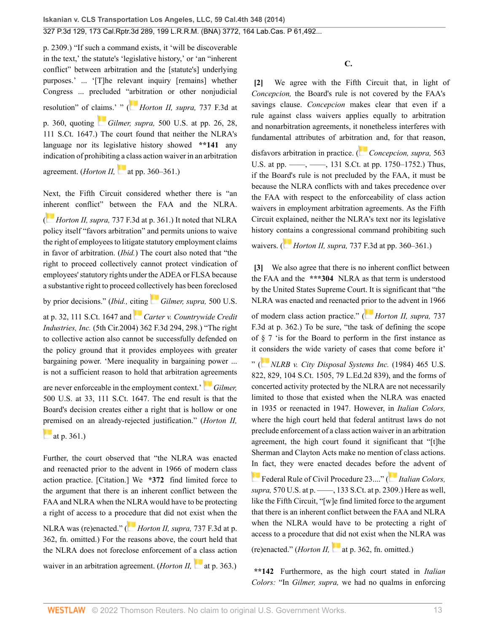[p. 2309](http://www.westlaw.com/Link/Document/FullText?findType=Y&serNum=2030816550&pubNum=0000708&originatingDoc=I2ff28000fadb11e39488c8f438320c70&refType=RP&fi=co_pp_sp_708_2309&originationContext=document&vr=3.0&rs=cblt1.0&transitionType=DocumentItem&contextData=(sc.Search)#co_pp_sp_708_2309).) "If such a command exists, it 'will be discoverable in the text,' the statute's 'legislative history,' or 'an "inherent conflict" between arbitration and the [statute's] underlying purposes.' ... '[T]he relevant inquiry [remains] whether Congress ... precluded ["arbi](https://1.next.westlaw.com/Link/RelatedInformation/Flag?documentGuid=I6ba9a13d5c4311e38912df21cb42a557&transitionType=InlineKeyCiteFlags&originationContext=docHeaderFlag&Rank=0&ppcid=2af46aeee0b04785be997ff44a01e3a1&contextData=(sc.Search) )tration or other nonjudicial resolution" of cl[aim](https://1.next.westlaw.com/Link/RelatedInformation/Flag?documentGuid=I862f49d69c9011d993e6d35cc61aab4a&transitionType=InlineKeyCiteFlags&originationContext=docHeaderFlag&Rank=0&ppcid=2af46aeee0b04785be997ff44a01e3a1&contextData=(sc.Search) )s.' " ( *[Horton II, supra,](http://www.westlaw.com/Link/Document/FullText?findType=Y&serNum=2032188619&pubNum=0000506&originatingDoc=I2ff28000fadb11e39488c8f438320c70&refType=RP&fi=co_pp_sp_506_360&originationContext=document&vr=3.0&rs=cblt1.0&transitionType=DocumentItem&contextData=(sc.Search)#co_pp_sp_506_360)* 737 F.3d at [p. 360,](http://www.westlaw.com/Link/Document/FullText?findType=Y&serNum=2032188619&pubNum=0000506&originatingDoc=I2ff28000fadb11e39488c8f438320c70&refType=RP&fi=co_pp_sp_506_360&originationContext=document&vr=3.0&rs=cblt1.0&transitionType=DocumentItem&contextData=(sc.Search)#co_pp_sp_506_360) quoting *Gilmer, supra,* [500 U.S. at pp. 26, 28,](http://www.westlaw.com/Link/Document/FullText?findType=Y&serNum=1991089841&pubNum=0000708&originatingDoc=I2ff28000fadb11e39488c8f438320c70&refType=RP&originationContext=document&vr=3.0&rs=cblt1.0&transitionType=DocumentItem&contextData=(sc.Search)) [111 S.Ct. 1647](http://www.westlaw.com/Link/Document/FullText?findType=Y&serNum=1991089841&pubNum=0000708&originatingDoc=I2ff28000fadb11e39488c8f438320c70&refType=RP&originationContext=document&vr=3.0&rs=cblt1.0&transitionType=DocumentItem&contextData=(sc.Search)).) The court found that neither the NLRA's language nor its legislative history showed **\*\*141** any indication of prohibitin[g a c](https://1.next.westlaw.com/Link/RelatedInformation/Flag?documentGuid=I6ba9a13d5c4311e38912df21cb42a557&transitionType=InlineKeyCiteFlags&originationContext=docHeaderFlag&Rank=0&ppcid=2af46aeee0b04785be997ff44a01e3a1&contextData=(sc.Search) )lass action waiver in an arbitration agreement. (*Horton II*,  $\blacksquare$  [at pp. 360–361](http://www.westlaw.com/Link/Document/FullText?findType=Y&serNum=2032188619&pubNum=0000506&originatingDoc=I2ff28000fadb11e39488c8f438320c70&refType=RP&fi=co_pp_sp_506_360&originationContext=document&vr=3.0&rs=cblt1.0&transitionType=DocumentItem&contextData=(sc.Search)#co_pp_sp_506_360).)

Next, the Fifth Circuit considered whether there is "an i[nhe](https://1.next.westlaw.com/Link/RelatedInformation/Flag?documentGuid=I6ba9a13d5c4311e38912df21cb42a557&transitionType=InlineKeyCiteFlags&originationContext=docHeaderFlag&Rank=0&ppcid=2af46aeee0b04785be997ff44a01e3a1&contextData=(sc.Search) )rent conflict" between the FAA and the NLRA. ( *Horton II, supra,* [737 F.3d at p. 361](http://www.westlaw.com/Link/Document/FullText?findType=Y&serNum=2032188619&pubNum=0000506&originatingDoc=I2ff28000fadb11e39488c8f438320c70&refType=RP&fi=co_pp_sp_506_361&originationContext=document&vr=3.0&rs=cblt1.0&transitionType=DocumentItem&contextData=(sc.Search)#co_pp_sp_506_361).) It noted that NLRA policy itself "favors arbitration" and permits unions to waive the right of employees to litigate statutory employment claims in favor of arbitration. (*Ibid.*) The court also noted that "the right to proceed collectively cannot protect vindication of employees' statutory rights under the ADEA or FLSA because a substantive right to proceed coll[ectiv](https://1.next.westlaw.com/Link/RelatedInformation/Flag?documentGuid=I862f49d69c9011d993e6d35cc61aab4a&transitionType=InlineKeyCiteFlags&originationContext=docHeaderFlag&Rank=0&ppcid=2af46aeee0b04785be997ff44a01e3a1&contextData=(sc.Search) )ely has been foreclosed

by prior decisions." (*Ibid.,* [citin](https://1.next.westlaw.com/Link/RelatedInformation/Flag?documentGuid=I6ae4c8da89fd11d9ac45f46c5ea084a3&transitionType=InlineKeyCiteFlags&originationContext=docHeaderFlag&Rank=0&ppcid=2af46aeee0b04785be997ff44a01e3a1&contextData=(sc.Search) )g *[Gilmer, supra,](http://www.westlaw.com/Link/Document/FullText?findType=Y&serNum=1991089841&pubNum=0000708&originatingDoc=I2ff28000fadb11e39488c8f438320c70&refType=RP&originationContext=document&vr=3.0&rs=cblt1.0&transitionType=DocumentItem&contextData=(sc.Search))* 500 U.S.

[at p. 32, 111 S.Ct. 1647](http://www.westlaw.com/Link/Document/FullText?findType=Y&serNum=1991089841&pubNum=0000708&originatingDoc=I2ff28000fadb11e39488c8f438320c70&refType=RP&originationContext=document&vr=3.0&rs=cblt1.0&transitionType=DocumentItem&contextData=(sc.Search)) and *[Carter v. Countrywide Credit](http://www.westlaw.com/Link/Document/FullText?findType=Y&serNum=2004190105&pubNum=0000506&originatingDoc=I2ff28000fadb11e39488c8f438320c70&refType=RP&fi=co_pp_sp_506_298&originationContext=document&vr=3.0&rs=cblt1.0&transitionType=DocumentItem&contextData=(sc.Search)#co_pp_sp_506_298) Industries, Inc.* [\(5th Cir.2004\) 362 F.3d 294, 298.](http://www.westlaw.com/Link/Document/FullText?findType=Y&serNum=2004190105&pubNum=0000506&originatingDoc=I2ff28000fadb11e39488c8f438320c70&refType=RP&fi=co_pp_sp_506_298&originationContext=document&vr=3.0&rs=cblt1.0&transitionType=DocumentItem&contextData=(sc.Search)#co_pp_sp_506_298)) "The right to collective action also cannot be successfully defended on the policy ground that it provides employees with greater bargaining power. 'Mere inequality in bargaining power ... is not a sufficient reason to hold that arbitration [agre](https://1.next.westlaw.com/Link/RelatedInformation/Flag?documentGuid=I862f49d69c9011d993e6d35cc61aab4a&transitionType=InlineKeyCiteFlags&originationContext=docHeaderFlag&Rank=0&ppcid=2af46aeee0b04785be997ff44a01e3a1&contextData=(sc.Search) )ements

are never enforceable in the employment context.' *[Gilmer,](http://www.westlaw.com/Link/Document/FullText?findType=Y&serNum=1991089841&pubNum=0000708&originatingDoc=I2ff28000fadb11e39488c8f438320c70&refType=RP&originationContext=document&vr=3.0&rs=cblt1.0&transitionType=DocumentItem&contextData=(sc.Search))* [500 U.S. at 33, 111 S.Ct. 1647.](http://www.westlaw.com/Link/Document/FullText?findType=Y&serNum=1991089841&pubNum=0000708&originatingDoc=I2ff28000fadb11e39488c8f438320c70&refType=RP&originationContext=document&vr=3.0&rs=cblt1.0&transitionType=DocumentItem&contextData=(sc.Search)) The end result is that the Board's decision creates either a right that is hollow or one [prem](https://1.next.westlaw.com/Link/RelatedInformation/Flag?documentGuid=I6ba9a13d5c4311e38912df21cb42a557&transitionType=InlineKeyCiteFlags&originationContext=docHeaderFlag&Rank=0&ppcid=2af46aeee0b04785be997ff44a01e3a1&contextData=(sc.Search) )ised on an already-rejected justification." (*Horton II,*

[at p. 361](http://www.westlaw.com/Link/Document/FullText?findType=Y&serNum=2032188619&pubNum=0000506&originatingDoc=I2ff28000fadb11e39488c8f438320c70&refType=RP&fi=co_pp_sp_506_361&originationContext=document&vr=3.0&rs=cblt1.0&transitionType=DocumentItem&contextData=(sc.Search)#co_pp_sp_506_361).)

Further, the court observed that "the NLRA was enacted and reenacted prior to the advent in 1966 of modern class action practice. [Citation.] We **\*372** find limited force to the argument that there is an inherent conflict between the FAA and NLRA when the NLRA would have to be protecting a right of access to a pro[cedu](https://1.next.westlaw.com/Link/RelatedInformation/Flag?documentGuid=I6ba9a13d5c4311e38912df21cb42a557&transitionType=InlineKeyCiteFlags&originationContext=docHeaderFlag&Rank=0&ppcid=2af46aeee0b04785be997ff44a01e3a1&contextData=(sc.Search) )re that did not exist when the

NLRA was (re)enacted." ( *[Horton II, supra,](http://www.westlaw.com/Link/Document/FullText?findType=Y&serNum=2032188619&pubNum=0000506&originatingDoc=I2ff28000fadb11e39488c8f438320c70&refType=RP&fi=co_pp_sp_506_362&originationContext=document&vr=3.0&rs=cblt1.0&transitionType=DocumentItem&contextData=(sc.Search)#co_pp_sp_506_362)* 737 F.3d at p. [362](http://www.westlaw.com/Link/Document/FullText?findType=Y&serNum=2032188619&pubNum=0000506&originatingDoc=I2ff28000fadb11e39488c8f438320c70&refType=RP&fi=co_pp_sp_506_362&originationContext=document&vr=3.0&rs=cblt1.0&transitionType=DocumentItem&contextData=(sc.Search)#co_pp_sp_506_362), fn. omitted.) For the reasons above, the court held that the NLRA does not foreclose enforcement of [a cl](https://1.next.westlaw.com/Link/RelatedInformation/Flag?documentGuid=I6ba9a13d5c4311e38912df21cb42a557&transitionType=InlineKeyCiteFlags&originationContext=docHeaderFlag&Rank=0&ppcid=2af46aeee0b04785be997ff44a01e3a1&contextData=(sc.Search) )ass action

waiver in an arbitration agreement. *(Horton II,* [at p. 363](http://www.westlaw.com/Link/Document/FullText?findType=Y&serNum=2032188619&pubNum=0000506&originatingDoc=I2ff28000fadb11e39488c8f438320c70&refType=RP&fi=co_pp_sp_506_363&originationContext=document&vr=3.0&rs=cblt1.0&transitionType=DocumentItem&contextData=(sc.Search)#co_pp_sp_506_363).)

**C.**

<span id="page-12-0"></span>**[\[2\]](#page-0-1)** We agree with the Fifth Circuit that, in light of *Concepcion,* the Board's rule is not covered by the FAA's savings clause. *Concepcion* makes clear that even if a rule against class waivers applies equally to arbitration and nonarbitration agreements, it nonetheless interferes with fundamental attributes of arbitr[ation](https://1.next.westlaw.com/Link/RelatedInformation/Flag?documentGuid=I2cd0aa5870bc11e0a34df17ea74c323f&transitionType=InlineKeyCiteFlags&originationContext=docHeaderFlag&Rank=0&ppcid=2af46aeee0b04785be997ff44a01e3a1&contextData=(sc.Search) ) and, for that reason, disfavors arbitration in practice. ( *[Concepcion, supra,](http://www.westlaw.com/Link/Document/FullText?findType=Y&serNum=2025172541&pubNum=0000708&originatingDoc=I2ff28000fadb11e39488c8f438320c70&refType=RP&fi=co_pp_sp_708_1750&originationContext=document&vr=3.0&rs=cblt1.0&transitionType=DocumentItem&contextData=(sc.Search)#co_pp_sp_708_1750)* 563 U.S. at pp. ——, ——, 131 S.Ct. at pp. 1750–1752.) Thus, if the Board's rule is not precluded by the FAA, it must be because the NLRA conflicts with and takes precedence over the FAA with respect to the enforceability of class action waivers in employment arbitration agreements. As the Fifth Circuit explained, neither the NLRA's text nor its legislative history c[onta](https://1.next.westlaw.com/Link/RelatedInformation/Flag?documentGuid=I6ba9a13d5c4311e38912df21cb42a557&transitionType=InlineKeyCiteFlags&originationContext=docHeaderFlag&Rank=0&ppcid=2af46aeee0b04785be997ff44a01e3a1&contextData=(sc.Search) )ins a congressional command prohibiting such

waivers. ( *Horton II, supra,* [737 F.3d at pp. 360–361.](http://www.westlaw.com/Link/Document/FullText?findType=Y&serNum=2032188619&pubNum=0000506&originatingDoc=I2ff28000fadb11e39488c8f438320c70&refType=RP&fi=co_pp_sp_506_360&originationContext=document&vr=3.0&rs=cblt1.0&transitionType=DocumentItem&contextData=(sc.Search)#co_pp_sp_506_360))

<span id="page-12-1"></span>**[\[3\]](#page-1-1)** We also agree that there is no inherent conflict between the FAA and the **\*\*\*304** NLRA as that term is understood by the United States Supreme Court. It is significant that "the NLRA was enacted and reenacted [prior](https://1.next.westlaw.com/Link/RelatedInformation/Flag?documentGuid=I6ba9a13d5c4311e38912df21cb42a557&transitionType=InlineKeyCiteFlags&originationContext=docHeaderFlag&Rank=0&ppcid=2af46aeee0b04785be997ff44a01e3a1&contextData=(sc.Search) ) to the advent in 1966 of modern class action practice." ( *[Horton II, supra,](http://www.westlaw.com/Link/Document/FullText?findType=Y&serNum=2032188619&pubNum=0000506&originatingDoc=I2ff28000fadb11e39488c8f438320c70&refType=RP&fi=co_pp_sp_506_362&originationContext=document&vr=3.0&rs=cblt1.0&transitionType=DocumentItem&contextData=(sc.Search)#co_pp_sp_506_362)* 737 [F.3d at p. 362](http://www.westlaw.com/Link/Document/FullText?findType=Y&serNum=2032188619&pubNum=0000506&originatingDoc=I2ff28000fadb11e39488c8f438320c70&refType=RP&fi=co_pp_sp_506_362&originationContext=document&vr=3.0&rs=cblt1.0&transitionType=DocumentItem&contextData=(sc.Search)#co_pp_sp_506_362).) To be sure, "the task of defining the scope of § 7 'is for the Board to perform in the first instance as it [cons](https://1.next.westlaw.com/Link/RelatedInformation/Flag?documentGuid=I61802e939c1f11d9bc61beebb95be672&transitionType=InlineKeyCiteFlags&originationContext=docHeaderFlag&Rank=0&ppcid=2af46aeee0b04785be997ff44a01e3a1&contextData=(sc.Search) )iders the wide variety of cases that come before it' " ( *[NLRB v. City Disposal Systems Inc.](http://www.westlaw.com/Link/Document/FullText?findType=Y&serNum=1984114235&pubNum=0000708&originatingDoc=I2ff28000fadb11e39488c8f438320c70&refType=RP&originationContext=document&vr=3.0&rs=cblt1.0&transitionType=DocumentItem&contextData=(sc.Search))* (1984) 465 U.S. [822, 829, 104 S.Ct. 1505, 79 L.Ed.2d 839](http://www.westlaw.com/Link/Document/FullText?findType=Y&serNum=1984114235&pubNum=0000708&originatingDoc=I2ff28000fadb11e39488c8f438320c70&refType=RP&originationContext=document&vr=3.0&rs=cblt1.0&transitionType=DocumentItem&contextData=(sc.Search))), and the forms of concerted activity protected by the NLRA are not necessarily limited to those that existed when the NLRA was enacted in 1935 or reenacted in 1947. However, in *Italian Colors,* where the high court held that federal antitrust laws do not preclude enforcement of a class action waiver in an arbitration agreement, the high court found it significant that "[t]he Sherman and Clayton Acts make no mention of class actions. [In](http://www.westlaw.com/Link/Document/FullText?findType=L&pubNum=1000600&cite=USFRCPR23&originatingDoc=I2ff28000fadb11e39488c8f438320c70&refType=LQ&originationContext=document&vr=3.0&rs=cblt1.0&transitionType=DocumentItem&contextData=(sc.Search)) fact, they were enacted decades bef[ore](https://1.next.westlaw.com/Link/RelatedInformation/Flag?documentGuid=I80e6e305d98c11e28502bda794601919&transitionType=InlineKeyCiteFlags&originationContext=docHeaderFlag&Rank=0&ppcid=2af46aeee0b04785be997ff44a01e3a1&contextData=(sc.Search) ) the advent of [Federal Rule of Civil Procedure 23.](http://www.westlaw.com/Link/Document/FullText?findType=L&pubNum=1000600&cite=USFRCPR23&originatingDoc=I2ff28000fadb11e39488c8f438320c70&refType=LQ&originationContext=document&vr=3.0&rs=cblt1.0&transitionType=DocumentItem&contextData=(sc.Search))..." ( *[Italian Colors,](http://www.westlaw.com/Link/Document/FullText?findType=Y&serNum=2030816550&pubNum=0000708&originatingDoc=I2ff28000fadb11e39488c8f438320c70&refType=RP&fi=co_pp_sp_708_2309&originationContext=document&vr=3.0&rs=cblt1.0&transitionType=DocumentItem&contextData=(sc.Search)#co_pp_sp_708_2309) supra,* [570 U.S. at p. ––––, 133 S.Ct. at p. 2309](http://www.westlaw.com/Link/Document/FullText?findType=Y&serNum=2030816550&pubNum=0000708&originatingDoc=I2ff28000fadb11e39488c8f438320c70&refType=RP&fi=co_pp_sp_708_2309&originationContext=document&vr=3.0&rs=cblt1.0&transitionType=DocumentItem&contextData=(sc.Search)#co_pp_sp_708_2309).) Here as well, like the Fifth Circuit, "[w]e find limited force to the argument that there is an inherent conflict between the FAA and NLRA when the NLRA would have to be protecting a right of access to a procedure tha[t di](https://1.next.westlaw.com/Link/RelatedInformation/Flag?documentGuid=I6ba9a13d5c4311e38912df21cb42a557&transitionType=InlineKeyCiteFlags&originationContext=docHeaderFlag&Rank=0&ppcid=2af46aeee0b04785be997ff44a01e3a1&contextData=(sc.Search) )d not exist when the NLRA was

 $(re)$ enacted." *(Horton II,* [at p. 362, fn.](http://www.westlaw.com/Link/Document/FullText?findType=Y&serNum=2032188619&pubNum=0000506&originatingDoc=I2ff28000fadb11e39488c8f438320c70&refType=RP&fi=co_pp_sp_506_362&originationContext=document&vr=3.0&rs=cblt1.0&transitionType=DocumentItem&contextData=(sc.Search)#co_pp_sp_506_362) omitted.)

**\*\*142** Furthermore, as the high court stated in *Italian Colors:* "In *Gilmer, supra,* we had no qualms in enforcing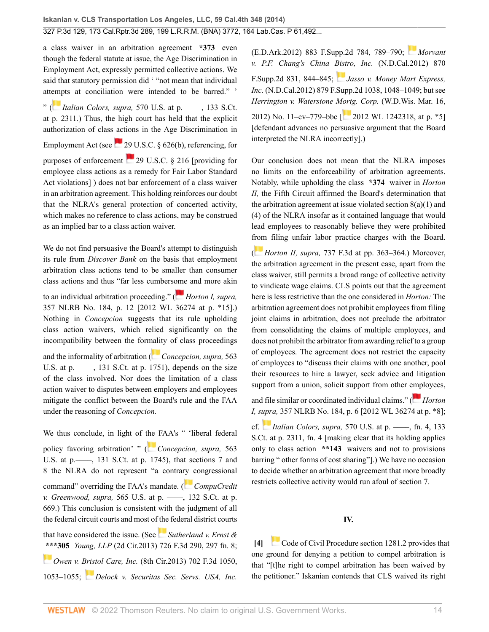a class waiver in an arbitration agreement **\*373** even though the federal statute at issue, the Age Discrimination in Employment Act, expressly permitted collective actions. We said that statutory permission did ' "not mean that individual att[emp](https://1.next.westlaw.com/Link/RelatedInformation/Flag?documentGuid=I80e6e305d98c11e28502bda794601919&transitionType=InlineKeyCiteFlags&originationContext=docHeaderFlag&Rank=0&ppcid=2af46aeee0b04785be997ff44a01e3a1&contextData=(sc.Search) )ts at conciliation were intended to be barred." ' " ( *Italian Colors, supra,* [570 U.S. at p. ––––, 133 S.Ct.](http://www.westlaw.com/Link/Document/FullText?findType=Y&serNum=2030816550&pubNum=0000708&originatingDoc=I2ff28000fadb11e39488c8f438320c70&refType=RP&fi=co_pp_sp_708_2311&originationContext=document&vr=3.0&rs=cblt1.0&transitionType=DocumentItem&contextData=(sc.Search)#co_pp_sp_708_2311)

[at p. 2311](http://www.westlaw.com/Link/Document/FullText?findType=Y&serNum=2030816550&pubNum=0000708&originatingDoc=I2ff28000fadb11e39488c8f438320c70&refType=RP&fi=co_pp_sp_708_2311&originationContext=document&vr=3.0&rs=cblt1.0&transitionType=DocumentItem&contextData=(sc.Search)#co_pp_sp_708_2311).) Thus, the high court has held that the explicit authorization of class actions in the Age Discrimination in Employment Act (see  $\sim$  [29 U.S.C. § 626\(b\),](http://www.westlaw.com/Link/Document/FullText?findType=L&pubNum=1000546&cite=29USCAS626&originatingDoc=I2ff28000fadb11e39488c8f438320c70&refType=RB&originationContext=document&vr=3.0&rs=cblt1.0&transitionType=DocumentItem&contextData=(sc.Search)#co_pp_a83b000018c76) referencing, for purposes of enforcement  $29$  U.S.C. § 216 [providing for employee class actions as a remedy for Fair Labor Standard Act violations] ) does not bar enforcement of a class waiver in an arbitration agreement. This holding reinforces our doubt that the NLRA's general protection of concerted activity, which makes no reference to class actions, may be construed as an implied bar to a class action waiver.

We do not find persuasive the Board's attempt to distinguish its rule from *Discover Bank* on the basis that employment arbitration class actions tend to be smaller than consumer class actions and thus "far less cumbers[ome](https://1.next.westlaw.com/Link/RelatedInformation/Flag?documentGuid=Ifa87d36e3b3011e1bd928e1973ff4e60&transitionType=InlineKeyCiteFlags&originationContext=docHeaderFlag&Rank=0&ppcid=2af46aeee0b04785be997ff44a01e3a1&contextData=(sc.Search) ) and more akin

to an individual arbitration proceeding." ( *[Horton I, supra,](http://www.westlaw.com/Link/Document/FullText?findType=Y&serNum=2026828569&pubNum=0000999&originatingDoc=I2ff28000fadb11e39488c8f438320c70&refType=RP&originationContext=document&vr=3.0&rs=cblt1.0&transitionType=DocumentItem&contextData=(sc.Search))* [357 NLRB No. 184, p. 12 \[2012 WL 36274 at p. \\*15\]](http://www.westlaw.com/Link/Document/FullText?findType=Y&serNum=2026828569&pubNum=0000999&originatingDoc=I2ff28000fadb11e39488c8f438320c70&refType=RP&originationContext=document&vr=3.0&rs=cblt1.0&transitionType=DocumentItem&contextData=(sc.Search)).) Nothing in *Concepcion* suggests that its rule upholding class action waivers, which relied significantly on the incompatibility between the for[malit](https://1.next.westlaw.com/Link/RelatedInformation/Flag?documentGuid=I2cd0aa5870bc11e0a34df17ea74c323f&transitionType=InlineKeyCiteFlags&originationContext=docHeaderFlag&Rank=0&ppcid=2af46aeee0b04785be997ff44a01e3a1&contextData=(sc.Search) )y of class proceedings and the informality of arbitration ( *[Concepcion, supra,](http://www.westlaw.com/Link/Document/FullText?findType=Y&serNum=2025172541&pubNum=0000708&originatingDoc=I2ff28000fadb11e39488c8f438320c70&refType=RP&fi=co_pp_sp_708_1751&originationContext=document&vr=3.0&rs=cblt1.0&transitionType=DocumentItem&contextData=(sc.Search)#co_pp_sp_708_1751)* 563 U.S. at p. —–, 131 S.Ct. at p. 1751), depends on the size of the class involved. Nor does the limitation of a class action waiver to disputes between employers and employees mitigate the conflict between the Board's rule and the FAA under the reasoning of *Concepcion.*

We thus conclude, in light of [the](https://1.next.westlaw.com/Link/RelatedInformation/Flag?documentGuid=I2cd0aa5870bc11e0a34df17ea74c323f&transitionType=InlineKeyCiteFlags&originationContext=docHeaderFlag&Rank=0&ppcid=2af46aeee0b04785be997ff44a01e3a1&contextData=(sc.Search) ) FAA's " 'liberal federal policy favoring arbitration' " ( *[Concepcion, supra,](http://www.westlaw.com/Link/Document/FullText?findType=Y&serNum=2025172541&pubNum=0000708&originatingDoc=I2ff28000fadb11e39488c8f438320c70&refType=RP&fi=co_pp_sp_708_1745&originationContext=document&vr=3.0&rs=cblt1.0&transitionType=DocumentItem&contextData=(sc.Search)#co_pp_sp_708_1745)* 563 [U.S. at p.––––, 131 S.Ct. at p. 1745\)](http://www.westlaw.com/Link/Document/FullText?findType=Y&serNum=2025172541&pubNum=0000708&originatingDoc=I2ff28000fadb11e39488c8f438320c70&refType=RP&fi=co_pp_sp_708_1745&originationContext=document&vr=3.0&rs=cblt1.0&transitionType=DocumentItem&contextData=(sc.Search)#co_pp_sp_708_1745), that sections 7 and 8 the NLRA do not represent "a contra[ry c](https://1.next.westlaw.com/Link/RelatedInformation/Flag?documentGuid=Iecd52c323b8811e1aa95d4e04082c730&transitionType=InlineKeyCiteFlags&originationContext=docHeaderFlag&Rank=0&ppcid=2af46aeee0b04785be997ff44a01e3a1&contextData=(sc.Search) )ongressional command" overriding the FAA's mandate. (*[CompuCredit](http://www.westlaw.com/Link/Document/FullText?findType=Y&serNum=2026831029&pubNum=0000708&originatingDoc=I2ff28000fadb11e39488c8f438320c70&refType=RP&fi=co_pp_sp_708_669&originationContext=document&vr=3.0&rs=cblt1.0&transitionType=DocumentItem&contextData=(sc.Search)#co_pp_sp_708_669) v. Greenwood, supra,* [565 U.S. at p. ––––, 132 S.Ct. at p.](http://www.westlaw.com/Link/Document/FullText?findType=Y&serNum=2026831029&pubNum=0000708&originatingDoc=I2ff28000fadb11e39488c8f438320c70&refType=RP&fi=co_pp_sp_708_669&originationContext=document&vr=3.0&rs=cblt1.0&transitionType=DocumentItem&contextData=(sc.Search)#co_pp_sp_708_669) [669](http://www.westlaw.com/Link/Document/FullText?findType=Y&serNum=2026831029&pubNum=0000708&originatingDoc=I2ff28000fadb11e39488c8f438320c70&refType=RP&fi=co_pp_sp_708_669&originationContext=document&vr=3.0&rs=cblt1.0&transitionType=DocumentItem&contextData=(sc.Search)#co_pp_sp_708_669).) This conclusion is consistent with the judgment of all the federal circuit courts and most of [the](https://1.next.westlaw.com/Link/RelatedInformation/Flag?documentGuid=I08bb0977010011e3a98ec867961a22de&transitionType=InlineKeyCiteFlags&originationContext=docHeaderFlag&Rank=0&ppcid=2af46aeee0b04785be997ff44a01e3a1&contextData=(sc.Search) ) federal district courts that have considered the issue. (See *[Sutherland v. Ernst &](http://www.westlaw.com/Link/Document/FullText?findType=Y&serNum=2031263456&pubNum=0000506&originatingDoc=I2ff28000fadb11e39488c8f438320c70&refType=RP&fi=co_pp_sp_506_297&originationContext=document&vr=3.0&rs=cblt1.0&transitionType=DocumentItem&contextData=(sc.Search)#co_pp_sp_506_297)* **[\\*\\*](https://1.next.westlaw.com/Link/RelatedInformation/Flag?documentGuid=Id53df19b58ce11e28a21ccb9036b2470&transitionType=InlineKeyCiteFlags&originationContext=docHeaderFlag&Rank=0&ppcid=2af46aeee0b04785be997ff44a01e3a1&contextData=(sc.Search) )\*305** *Young, LLP* [\(2d Cir.2013\) 726 F.3d 290, 297 fn. 8](http://www.westlaw.com/Link/Document/FullText?findType=Y&serNum=2031263456&pubNum=0000506&originatingDoc=I2ff28000fadb11e39488c8f438320c70&refType=RP&fi=co_pp_sp_506_297&originationContext=document&vr=3.0&rs=cblt1.0&transitionType=DocumentItem&contextData=(sc.Search)#co_pp_sp_506_297); *Owen v. [Brist](https://1.next.westlaw.com/Link/RelatedInformation/Flag?documentGuid=I4946d089deda11e1b11ea85d0b248d27&transitionType=InlineKeyCiteFlags&originationContext=docHeaderFlag&Rank=0&ppcid=2af46aeee0b04785be997ff44a01e3a1&contextData=(sc.Search) )ol Care, Inc.* [\(8th Cir.2013\) 702 F.3d 1050,](http://www.westlaw.com/Link/Document/FullText?findType=Y&serNum=2029570876&pubNum=0000506&originatingDoc=I2ff28000fadb11e39488c8f438320c70&refType=RP&fi=co_pp_sp_506_1053&originationContext=document&vr=3.0&rs=cblt1.0&transitionType=DocumentItem&contextData=(sc.Search)#co_pp_sp_506_1053) [1053–1055](http://www.westlaw.com/Link/Document/FullText?findType=Y&serNum=2029570876&pubNum=0000506&originatingDoc=I2ff28000fadb11e39488c8f438320c70&refType=RP&fi=co_pp_sp_506_1053&originationContext=document&vr=3.0&rs=cblt1.0&transitionType=DocumentItem&contextData=(sc.Search)#co_pp_sp_506_1053); *[Delock v. Securitas Sec. Servs. USA, Inc.](http://www.westlaw.com/Link/Document/FullText?findType=Y&serNum=2028343517&pubNum=0004637&originatingDoc=I2ff28000fadb11e39488c8f438320c70&refType=RP&fi=co_pp_sp_4637_789&originationContext=document&vr=3.0&rs=cblt1.0&transitionType=DocumentItem&contextData=(sc.Search)#co_pp_sp_4637_789)* [\(E.D.Ark.2012\) 883 F.Supp.2d 784, 789–790;](http://www.westlaw.com/Link/Document/FullText?findType=Y&serNum=2028343517&pubNum=0004637&originatingDoc=I2ff28000fadb11e39488c8f438320c70&refType=RP&fi=co_pp_sp_4637_789&originationContext=document&vr=3.0&rs=cblt1.0&transitionType=DocumentItem&contextData=(sc.Search)#co_pp_sp_4637_789) *[Morvant](http://www.westlaw.com/Link/Document/FullText?findType=Y&serNum=2027657938&pubNum=0004637&originatingDoc=I2ff28000fadb11e39488c8f438320c70&refType=RP&fi=co_pp_sp_4637_844&originationContext=document&vr=3.0&rs=cblt1.0&transitionType=DocumentItem&contextData=(sc.Search)#co_pp_sp_4637_844) [v. P.F. Chang's China Bistro, Inc.](http://www.westlaw.com/Link/Document/FullText?findType=Y&serNum=2027657938&pubNum=0004637&originatingDoc=I2ff28000fadb11e39488c8f438320c70&refType=RP&fi=co_pp_sp_4637_844&originationContext=document&vr=3.0&rs=cblt1.0&transitionType=DocumentItem&contextData=(sc.Search)#co_pp_sp_4637_844)* (N.D.Cal.2012) 870

[F.Supp.2d 831, 844–845](http://www.westlaw.com/Link/Document/FullText?findType=Y&serNum=2027657938&pubNum=0004637&originatingDoc=I2ff28000fadb11e39488c8f438320c70&refType=RP&fi=co_pp_sp_4637_844&originationContext=document&vr=3.0&rs=cblt1.0&transitionType=DocumentItem&contextData=(sc.Search)#co_pp_sp_4637_844); *[Jasso v. Money Mart Express,](http://www.westlaw.com/Link/Document/FullText?findType=Y&serNum=2027513295&pubNum=0004637&originatingDoc=I2ff28000fadb11e39488c8f438320c70&refType=RP&fi=co_pp_sp_4637_1048&originationContext=document&vr=3.0&rs=cblt1.0&transitionType=DocumentItem&contextData=(sc.Search)#co_pp_sp_4637_1048) Inc.* [\(N.D.Cal.2012\) 879 F.Supp.2d 1038, 1048–1049;](http://www.westlaw.com/Link/Document/FullText?findType=Y&serNum=2027513295&pubNum=0004637&originatingDoc=I2ff28000fadb11e39488c8f438320c70&refType=RP&fi=co_pp_sp_4637_1048&originationContext=document&vr=3.0&rs=cblt1.0&transitionType=DocumentItem&contextData=(sc.Search)#co_pp_sp_4637_1048) but see *Herrington v. Waterstone [Mortg](https://1.next.westlaw.com/Link/RelatedInformation/Flag?documentGuid=Ida58343d861e11e18b1ac573b20fcfb7&transitionType=InlineKeyCiteFlags&originationContext=docHeaderFlag&Rank=0&ppcid=2af46aeee0b04785be997ff44a01e3a1&contextData=(sc.Search) ). Corp.* (W.D.Wis. Mar. 16,

2012) No. 11–cv–779–bbc  $\begin{bmatrix} 2012 \text{ WL } 1242318, \text{ at p. *5} \end{bmatrix}$ [defendant advances no persuasive argument that the Board interpreted the NLRA incorrectly].)

Our conclusion does not mean that the NLRA imposes no limits on the enforceability of arbitration agreements. Notably, while upholding the class **\*374** waiver in *Horton II,* the Fifth Circuit affirmed the Board's determination that the arbitration agreement at issue violated section  $8(a)(1)$  and (4) of the NLRA insofar as it contained language that would lead employees to reasonably believe they were prohibited [from](https://1.next.westlaw.com/Link/RelatedInformation/Flag?documentGuid=I6ba9a13d5c4311e38912df21cb42a557&transitionType=InlineKeyCiteFlags&originationContext=docHeaderFlag&Rank=0&ppcid=2af46aeee0b04785be997ff44a01e3a1&contextData=(sc.Search) ) filing unfair labor practice charges with the Board.

( *Horton II, supra,* [737 F.3d at pp. 363–364.](http://www.westlaw.com/Link/Document/FullText?findType=Y&serNum=2032188619&pubNum=0000506&originatingDoc=I2ff28000fadb11e39488c8f438320c70&refType=RP&fi=co_pp_sp_506_363&originationContext=document&vr=3.0&rs=cblt1.0&transitionType=DocumentItem&contextData=(sc.Search)#co_pp_sp_506_363)) Moreover, the arbitration agreement in the present case, apart from the class waiver, still permits a broad range of collective activity to vindicate wage claims. CLS points out that the agreement here is less restrictive than the one considered in *Horton:* The arbitration agreement does not prohibit employees from filing joint claims in arbitration, does not preclude the arbitrator from consolidating the claims of multiple employees, and does not prohibit the arbitrator from awarding relief to a group of employees. The agreement does not restrict the capacity of employees to "discuss their claims with one another, pool their resources to hire a lawyer, seek advice and litigation support from a union, solicit support from other [emp](https://1.next.westlaw.com/Link/RelatedInformation/Flag?documentGuid=Ifa87d36e3b3011e1bd928e1973ff4e60&transitionType=InlineKeyCiteFlags&originationContext=docHeaderFlag&Rank=0&ppcid=2af46aeee0b04785be997ff44a01e3a1&contextData=(sc.Search) )loyees,

and file similar or coordinated individual claims." ( *[Horton](http://www.westlaw.com/Link/Document/FullText?findType=Y&serNum=2026828569&pubNum=0000999&originatingDoc=I2ff28000fadb11e39488c8f438320c70&refType=RP&originationContext=document&vr=3.0&rs=cblt1.0&transitionType=DocumentItem&contextData=(sc.Search)) I, s[upra](https://1.next.westlaw.com/Link/RelatedInformation/Flag?documentGuid=I80e6e305d98c11e28502bda794601919&transitionType=InlineKeyCiteFlags&originationContext=docHeaderFlag&Rank=0&ppcid=2af46aeee0b04785be997ff44a01e3a1&contextData=(sc.Search) ),* [357 NLRB No. 184, p. 6 \[2012 WL 36274 at p. \\*8\]](http://www.westlaw.com/Link/Document/FullText?findType=Y&serNum=2026828569&pubNum=0000999&originatingDoc=I2ff28000fadb11e39488c8f438320c70&refType=RP&originationContext=document&vr=3.0&rs=cblt1.0&transitionType=DocumentItem&contextData=(sc.Search)); cf. *Italian Colors, supra,* [570 U.S. at p. ––––, fn. 4, 133](http://www.westlaw.com/Link/Document/FullText?findType=Y&serNum=2030816550&pubNum=0000708&originatingDoc=I2ff28000fadb11e39488c8f438320c70&refType=RP&fi=co_pp_sp_708_2311&originationContext=document&vr=3.0&rs=cblt1.0&transitionType=DocumentItem&contextData=(sc.Search)#co_pp_sp_708_2311) [S.Ct. at p. 2311, fn. 4](http://www.westlaw.com/Link/Document/FullText?findType=Y&serNum=2030816550&pubNum=0000708&originatingDoc=I2ff28000fadb11e39488c8f438320c70&refType=RP&fi=co_pp_sp_708_2311&originationContext=document&vr=3.0&rs=cblt1.0&transitionType=DocumentItem&contextData=(sc.Search)#co_pp_sp_708_2311) [making clear that its holding applies only to class action **\*\*143** waivers and not to provisions barring " other forms of cost sharing"].) We have no occasion to decide whether an arbitration agreement that more broadly restricts collective activity would run afoul of section 7.

#### **IV.**

<span id="page-13-0"></span>**[\[4\]](#page-1-0)** [Code of Civil Procedure section 1281.2](http://www.westlaw.com/Link/Document/FullText?findType=L&pubNum=1000201&cite=CACPS1281.2&originatingDoc=I2ff28000fadb11e39488c8f438320c70&refType=LQ&originationContext=document&vr=3.0&rs=cblt1.0&transitionType=DocumentItem&contextData=(sc.Search)) provides that one ground for denying a petition to compel arbitration is that "[t]he right to compel arbitration has been waived by the petitioner." Iskanian contends that CLS waived its right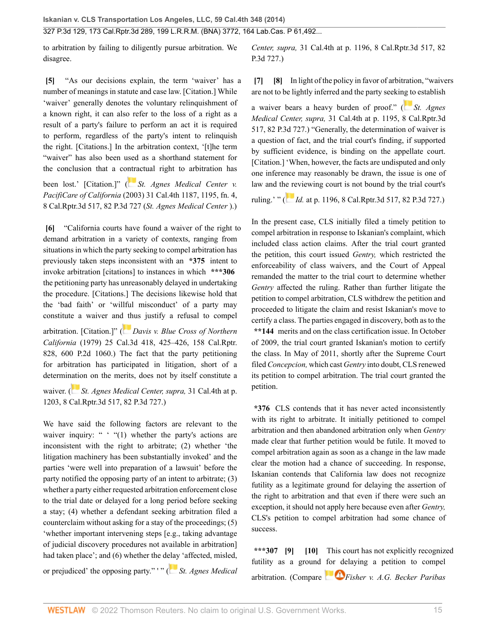to arbitration by failing to diligently pursue arbitration. We disagree.

<span id="page-14-0"></span>**[\[5\]](#page-1-2)** "As our decisions explain, the term 'waiver' has a number of meanings in statute and case law. [Citation.] While 'waiver' generally denotes the voluntary relinquishment of a known right, it can also refer to the loss of a right as a result of a party's failure to perform an act it is required to perform, regardless of the party's intent to relinquish the right. [Citations.] In the arbitration context, '[t]he term "waiver" has also been used as a shorthand statement for the conclusion that a co[ntra](https://1.next.westlaw.com/Link/RelatedInformation/Flag?documentGuid=Ie2f5e56ffa6f11d9bf60c1d57ebc853e&transitionType=InlineKeyCiteFlags&originationContext=docHeaderFlag&Rank=0&ppcid=2af46aeee0b04785be997ff44a01e3a1&contextData=(sc.Search) )ctual right to arbitration has

been lost.' [Citation.]" ( *[St. Agnes Medical Center v.](http://www.westlaw.com/Link/Document/FullText?findType=Y&serNum=2003929522&pubNum=0004645&originatingDoc=I2ff28000fadb11e39488c8f438320c70&refType=RP&originationContext=document&vr=3.0&rs=cblt1.0&transitionType=DocumentItem&contextData=(sc.Search)) PacifiCare of California* [\(2003\) 31 Cal.4th 1187, 1195, fn. 4,](http://www.westlaw.com/Link/Document/FullText?findType=Y&serNum=2003929522&pubNum=0004645&originatingDoc=I2ff28000fadb11e39488c8f438320c70&refType=RP&originationContext=document&vr=3.0&rs=cblt1.0&transitionType=DocumentItem&contextData=(sc.Search)) [8 Cal.Rptr.3d 517, 82 P.3d 727](http://www.westlaw.com/Link/Document/FullText?findType=Y&serNum=2003929522&pubNum=0004645&originatingDoc=I2ff28000fadb11e39488c8f438320c70&refType=RP&originationContext=document&vr=3.0&rs=cblt1.0&transitionType=DocumentItem&contextData=(sc.Search)) (*St. Agnes Medical Center* ).)

<span id="page-14-1"></span>**[\[6\]](#page-1-3)** "California courts have found a waiver of the right to demand arbitration in a variety of contexts, ranging from situations in which the party seeking to compel arbitration has previously taken steps inconsistent with an **\*375** intent to invoke arbitration [citations] to instances in which **\*\*\*306** the petitioning party has unreasonably delayed in undertaking the procedure. [Citations.] The decisions likewise hold that the 'bad faith' or 'willful misconduct' of a party may constitute a waiver an[d th](https://1.next.westlaw.com/Link/RelatedInformation/Flag?documentGuid=I4275d6d9fad411d9b386b232635db992&transitionType=InlineKeyCiteFlags&originationContext=docHeaderFlag&Rank=0&ppcid=2af46aeee0b04785be997ff44a01e3a1&contextData=(sc.Search) )us justify a refusal to compel

arbitration. [Citation.]" ( *[Davis v. Blue Cross of Northern](http://www.westlaw.com/Link/Document/FullText?findType=Y&serNum=1979125944&pubNum=0000661&originatingDoc=I2ff28000fadb11e39488c8f438320c70&refType=RP&originationContext=document&vr=3.0&rs=cblt1.0&transitionType=DocumentItem&contextData=(sc.Search)) California* [\(1979\) 25 Cal.3d 418, 425–426, 158 Cal.Rptr.](http://www.westlaw.com/Link/Document/FullText?findType=Y&serNum=1979125944&pubNum=0000661&originatingDoc=I2ff28000fadb11e39488c8f438320c70&refType=RP&originationContext=document&vr=3.0&rs=cblt1.0&transitionType=DocumentItem&contextData=(sc.Search)) [828, 600 P.2d 1060.](http://www.westlaw.com/Link/Document/FullText?findType=Y&serNum=1979125944&pubNum=0000661&originatingDoc=I2ff28000fadb11e39488c8f438320c70&refType=RP&originationContext=document&vr=3.0&rs=cblt1.0&transitionType=DocumentItem&contextData=(sc.Search))) The fact that the party petitioning for arbitration has participated in litigation, short of a determi[natio](https://1.next.westlaw.com/Link/RelatedInformation/Flag?documentGuid=Ie2f5e56ffa6f11d9bf60c1d57ebc853e&transitionType=InlineKeyCiteFlags&originationContext=docHeaderFlag&Rank=0&ppcid=2af46aeee0b04785be997ff44a01e3a1&contextData=(sc.Search) )n on the merits, does not by itself constitute a

waiver. ( *[St. Agnes Medical Center, supra,](http://www.westlaw.com/Link/Document/FullText?findType=Y&serNum=2003929522&pubNum=0004645&originatingDoc=I2ff28000fadb11e39488c8f438320c70&refType=RP&originationContext=document&vr=3.0&rs=cblt1.0&transitionType=DocumentItem&contextData=(sc.Search))* 31 Cal.4th at p. [1203, 8 Cal.Rptr.3d 517, 82 P.3d 727](http://www.westlaw.com/Link/Document/FullText?findType=Y&serNum=2003929522&pubNum=0004645&originatingDoc=I2ff28000fadb11e39488c8f438320c70&refType=RP&originationContext=document&vr=3.0&rs=cblt1.0&transitionType=DocumentItem&contextData=(sc.Search)).)

We have said the following factors are relevant to the waiver inquiry: "  $^{\circ}$  "(1) whether the party's actions are inconsistent with the right to arbitrate; (2) whether 'the litigation machinery has been substantially invoked' and the parties 'were well into preparation of a lawsuit' before the party notified the opposing party of an intent to arbitrate; (3) whether a party either requested arbitration enforcement close to the trial date or delayed for a long period before seeking a stay; (4) whether a defendant seeking arbitration filed a counterclaim without asking for a stay of the proceedings; (5) 'whether important intervening steps [e.g., taking advantage of judicial discovery procedures not available in arbitration] had taken place'; and (6) whether the d[elay](https://1.next.westlaw.com/Link/RelatedInformation/Flag?documentGuid=Ie2f5e56ffa6f11d9bf60c1d57ebc853e&transitionType=InlineKeyCiteFlags&originationContext=docHeaderFlag&Rank=0&ppcid=2af46aeee0b04785be997ff44a01e3a1&contextData=(sc.Search) ) 'affected, misled, or prejudiced' the opposing party." ' " ( *[St. Agnes Medical](http://www.westlaw.com/Link/Document/FullText?findType=Y&serNum=2003929522&pubNum=0004645&originatingDoc=I2ff28000fadb11e39488c8f438320c70&refType=RP&originationContext=document&vr=3.0&rs=cblt1.0&transitionType=DocumentItem&contextData=(sc.Search))* *Center, supra,* [31 Cal.4th at p. 1196, 8 Cal.Rptr.3d 517, 82](http://www.westlaw.com/Link/Document/FullText?findType=Y&serNum=2003929522&pubNum=0004645&originatingDoc=I2ff28000fadb11e39488c8f438320c70&refType=RP&originationContext=document&vr=3.0&rs=cblt1.0&transitionType=DocumentItem&contextData=(sc.Search)) [P.3d 727](http://www.westlaw.com/Link/Document/FullText?findType=Y&serNum=2003929522&pubNum=0004645&originatingDoc=I2ff28000fadb11e39488c8f438320c70&refType=RP&originationContext=document&vr=3.0&rs=cblt1.0&transitionType=DocumentItem&contextData=(sc.Search)).)

<span id="page-14-3"></span><span id="page-14-2"></span>**[\[7\]](#page-1-4) [\[8\]](#page-1-5)** In light of the policy in favor of arbitration, "waivers are not to be lightly inferred and the party seeki[ng to](https://1.next.westlaw.com/Link/RelatedInformation/Flag?documentGuid=Ie2f5e56ffa6f11d9bf60c1d57ebc853e&transitionType=InlineKeyCiteFlags&originationContext=docHeaderFlag&Rank=0&ppcid=2af46aeee0b04785be997ff44a01e3a1&contextData=(sc.Search) ) establish

a waiver bears a heavy burden of proof." ( *[St. Agnes](http://www.westlaw.com/Link/Document/FullText?findType=Y&serNum=2003929522&pubNum=0004645&originatingDoc=I2ff28000fadb11e39488c8f438320c70&refType=RP&originationContext=document&vr=3.0&rs=cblt1.0&transitionType=DocumentItem&contextData=(sc.Search)) Medical Center, supra,* [31 Cal.4th at p. 1195, 8 Cal.Rptr.3d](http://www.westlaw.com/Link/Document/FullText?findType=Y&serNum=2003929522&pubNum=0004645&originatingDoc=I2ff28000fadb11e39488c8f438320c70&refType=RP&originationContext=document&vr=3.0&rs=cblt1.0&transitionType=DocumentItem&contextData=(sc.Search)) [517, 82 P.3d 727.](http://www.westlaw.com/Link/Document/FullText?findType=Y&serNum=2003929522&pubNum=0004645&originatingDoc=I2ff28000fadb11e39488c8f438320c70&refType=RP&originationContext=document&vr=3.0&rs=cblt1.0&transitionType=DocumentItem&contextData=(sc.Search))) "Generally, the determination of waiver is a question of fact, and the trial court's finding, if supported by sufficient evidence, is binding on the appellate court. [Citation.] 'When, however, the facts are undisputed and only one inference may reasonably be drawn, the issue is one of law and t[he re](https://1.next.westlaw.com/Link/RelatedInformation/Flag?documentGuid=Ie2f5e56ffa6f11d9bf60c1d57ebc853e&transitionType=InlineKeyCiteFlags&originationContext=docHeaderFlag&Rank=0&ppcid=2af46aeee0b04785be997ff44a01e3a1&contextData=(sc.Search) )viewing court is not bound by the trial court's

ruling.' " ( *Id.* [at p. 1196, 8 Cal.Rptr.3d 517, 82 P.3d 727.](http://www.westlaw.com/Link/Document/FullText?findType=Y&serNum=2003929522&pubNum=0004645&originatingDoc=I2ff28000fadb11e39488c8f438320c70&refType=RP&originationContext=document&vr=3.0&rs=cblt1.0&transitionType=DocumentItem&contextData=(sc.Search)))

In the present case, CLS initially filed a timely petition to compel arbitration in response to Iskanian's complaint, which included class action claims. After the trial court granted the petition, this court issued *Gentry,* which restricted the enforceability of class waivers, and the Court of Appeal remanded the matter to the trial court to determine whether *Gentry* affected the ruling. Rather than further litigate the petition to compel arbitration, CLS withdrew the petition and proceeded to litigate the claim and resist Iskanian's move to certify a class. The parties engaged in discovery, both as to the **\*\*144** merits and on the class certification issue. In October of 2009, the trial court granted Iskanian's motion to certify the class. In May of 2011, shortly after the Supreme Court filed *Concepcion,* which cast *Gentry* into doubt, CLS renewed its petition to compel arbitration. The trial court granted the petition.

**\*376** CLS contends that it has never acted inconsistently with its right to arbitrate. It initially petitioned to compel arbitration and then abandoned arbitration only when *Gentry* made clear that further petition would be futile. It moved to compel arbitration again as soon as a change in the law made clear the motion had a chance of succeeding. In response, Iskanian contends that California law does not recognize futility as a legitimate ground for delaying the assertion of the right to arbitration and that even if there were such an exception, it should not apply here because even after *Gentry,* CLS's petition to compel arbitration had some chance of success.

<span id="page-14-5"></span><span id="page-14-4"></span>**\*\*\*307 [\[9\]](#page-1-6) [\[10\]](#page-2-1)** This court has not explicitly recognized futility as a ground [for de](https://1.next.westlaw.com/Link/RelatedInformation/Flag?documentGuid=I3552ac3d94cc11d9bc61beebb95be672&transitionType=InlineKeyCiteFlags&originationContext=docHeaderFlag&Rank=0&ppcid=2af46aeee0b04785be997ff44a01e3a1&contextData=(sc.Search) )laying a petition to compel arbitration. (Compare *[Fisher v. A.G. Becker Paribas](http://www.westlaw.com/Link/Document/FullText?findType=Y&serNum=1986129189&pubNum=0000350&originatingDoc=I2ff28000fadb11e39488c8f438320c70&refType=RP&fi=co_pp_sp_350_697&originationContext=document&vr=3.0&rs=cblt1.0&transitionType=DocumentItem&contextData=(sc.Search)#co_pp_sp_350_697)*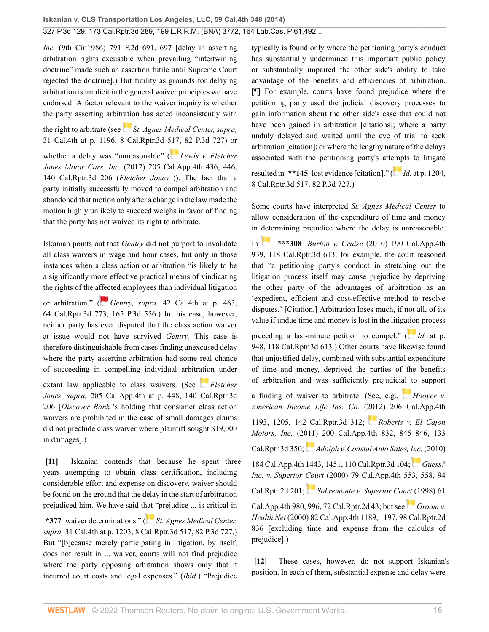*Inc.* [\(9th Cir.1986\) 791 F.2d 691, 697](http://www.westlaw.com/Link/Document/FullText?findType=Y&serNum=1986129189&pubNum=0000350&originatingDoc=I2ff28000fadb11e39488c8f438320c70&refType=RP&fi=co_pp_sp_350_697&originationContext=document&vr=3.0&rs=cblt1.0&transitionType=DocumentItem&contextData=(sc.Search)#co_pp_sp_350_697) [delay in asserting arbitration rights excusable when prevailing "intertwining doctrine" made such an assertion futile until Supreme Court rejected the doctrine].) But futility as grounds for delaying arbitration is implicit in the general waiver principles we have endorsed. A factor relevant to the waiver inquiry is whether the party asserting arbit[ratio](https://1.next.westlaw.com/Link/RelatedInformation/Flag?documentGuid=Ie2f5e56ffa6f11d9bf60c1d57ebc853e&transitionType=InlineKeyCiteFlags&originationContext=docHeaderFlag&Rank=0&ppcid=2af46aeee0b04785be997ff44a01e3a1&contextData=(sc.Search) )n has acted inconsistently with

the right to arbitrate (see *[St. Agnes Medical Center, supra,](http://www.westlaw.com/Link/Document/FullText?findType=Y&serNum=2003929522&pubNum=0004645&originatingDoc=I2ff28000fadb11e39488c8f438320c70&refType=RP&originationContext=document&vr=3.0&rs=cblt1.0&transitionType=DocumentItem&contextData=(sc.Search))* [31 Cal.4th at p. 1196, 8 Cal.Rptr.3d 517, 82 P.3d 727](http://www.westlaw.com/Link/Document/FullText?findType=Y&serNum=2003929522&pubNum=0004645&originatingDoc=I2ff28000fadb11e39488c8f438320c70&refType=RP&originationContext=document&vr=3.0&rs=cblt1.0&transitionType=DocumentItem&contextData=(sc.Search))) or whether a delay was "unreasonable" (*[Lewis v. Fletcher](http://www.westlaw.com/Link/Document/FullText?findType=Y&serNum=2027563045&pubNum=0007047&originatingDoc=I2ff28000fadb11e39488c8f438320c70&refType=RP&originationContext=document&vr=3.0&rs=cblt1.0&transitionType=DocumentItem&contextData=(sc.Search)) Jones Motor Cars, Inc.* [\(2012\) 205 Cal.App.4th 436, 446,](http://www.westlaw.com/Link/Document/FullText?findType=Y&serNum=2027563045&pubNum=0007047&originatingDoc=I2ff28000fadb11e39488c8f438320c70&refType=RP&originationContext=document&vr=3.0&rs=cblt1.0&transitionType=DocumentItem&contextData=(sc.Search)) [140 Cal.Rptr.3d 206](http://www.westlaw.com/Link/Document/FullText?findType=Y&serNum=2027563045&pubNum=0007047&originatingDoc=I2ff28000fadb11e39488c8f438320c70&refType=RP&originationContext=document&vr=3.0&rs=cblt1.0&transitionType=DocumentItem&contextData=(sc.Search)) (*Fletcher Jones* )). The fact that a party initially successfully moved to compel arbitration and abandoned that motion only after a change in the law made the motion highly unlikely to succeed weighs in favor of finding that the party has not waived its right to arbitrate.

Iskanian points out that *Gentry* did not purport to invalidate all class waivers in wage and hour cases, but only in those instances when a class action or arbitration "is likely to be a significantly more effective practical means of vindicating the rights of the a[ffec](https://1.next.westlaw.com/Link/RelatedInformation/Flag?documentGuid=Ida5f168b570511dc8200d0063168b01f&transitionType=InlineKeyCiteFlags&originationContext=docHeaderFlag&Rank=0&ppcid=2af46aeee0b04785be997ff44a01e3a1&contextData=(sc.Search) )ted employees than individual litigation

or arbitration." ( *Gentry, supra,* [42 Cal.4th at p. 463,](http://www.westlaw.com/Link/Document/FullText?findType=Y&serNum=2013082678&pubNum=0004645&originatingDoc=I2ff28000fadb11e39488c8f438320c70&refType=RP&originationContext=document&vr=3.0&rs=cblt1.0&transitionType=DocumentItem&contextData=(sc.Search)) [64 Cal.Rptr.3d 773, 165 P.3d 556](http://www.westlaw.com/Link/Document/FullText?findType=Y&serNum=2013082678&pubNum=0004645&originatingDoc=I2ff28000fadb11e39488c8f438320c70&refType=RP&originationContext=document&vr=3.0&rs=cblt1.0&transitionType=DocumentItem&contextData=(sc.Search)).) In this case, however, neither party has ever disputed that the class action waiver at issue would not have survived *Gentry.* This case is therefore distinguishable from cases finding unexcused delay where the party asserting arbitration had some real chance of succeeding in compelling individual arbitr[atio](https://1.next.westlaw.com/Link/RelatedInformation/Flag?documentGuid=Icb8125fc8ee111e1ac60ad556f635d49&transitionType=InlineKeyCiteFlags&originationContext=docHeaderFlag&Rank=0&ppcid=2af46aeee0b04785be997ff44a01e3a1&contextData=(sc.Search) )n under

extant law applicable to class waivers. (See *[Fletcher](http://www.westlaw.com/Link/Document/FullText?findType=Y&serNum=2027563045&pubNum=0007047&originatingDoc=I2ff28000fadb11e39488c8f438320c70&refType=RP&originationContext=document&vr=3.0&rs=cblt1.0&transitionType=DocumentItem&contextData=(sc.Search)) Jones, supra,* [205 Cal.App.4th at p. 448, 140 Cal.Rptr.3d](http://www.westlaw.com/Link/Document/FullText?findType=Y&serNum=2027563045&pubNum=0007047&originatingDoc=I2ff28000fadb11e39488c8f438320c70&refType=RP&originationContext=document&vr=3.0&rs=cblt1.0&transitionType=DocumentItem&contextData=(sc.Search)) [206](http://www.westlaw.com/Link/Document/FullText?findType=Y&serNum=2027563045&pubNum=0007047&originatingDoc=I2ff28000fadb11e39488c8f438320c70&refType=RP&originationContext=document&vr=3.0&rs=cblt1.0&transitionType=DocumentItem&contextData=(sc.Search)) [*Discover Bank* 's holding that consumer class action waivers are prohibited in the case of small damages claims did not preclude class waiver where plaintiff sought \$19,000 in damages].)

<span id="page-15-0"></span>**[\[11\]](#page-2-2)** Iskanian contends that because he spent three years attempting to obtain class certification, including considerable effort and expense on discovery, waiver should be found on the ground that the delay in the start of arbitration prejudiced him. We have said t[hat "](https://1.next.westlaw.com/Link/RelatedInformation/Flag?documentGuid=Ie2f5e56ffa6f11d9bf60c1d57ebc853e&transitionType=InlineKeyCiteFlags&originationContext=docHeaderFlag&Rank=0&ppcid=2af46aeee0b04785be997ff44a01e3a1&contextData=(sc.Search) )prejudice ... is critical in

**\*377** waiver determinations." ( *[St. Agnes Medical Center,](http://www.westlaw.com/Link/Document/FullText?findType=Y&serNum=2003929522&pubNum=0004645&originatingDoc=I2ff28000fadb11e39488c8f438320c70&refType=RP&originationContext=document&vr=3.0&rs=cblt1.0&transitionType=DocumentItem&contextData=(sc.Search)) supra,* [31 Cal.4th at p. 1203, 8 Cal.Rptr.3d 517, 82 P.3d 727](http://www.westlaw.com/Link/Document/FullText?findType=Y&serNum=2003929522&pubNum=0004645&originatingDoc=I2ff28000fadb11e39488c8f438320c70&refType=RP&originationContext=document&vr=3.0&rs=cblt1.0&transitionType=DocumentItem&contextData=(sc.Search)).) But "[b]ecause merely participating in litigation, by itself, does not result in ... waiver, courts will not find prejudice where the party opposing arbitration shows only that it incurred court costs and legal expenses." (*Ibid.*) "Prejudice typically is found only where the petitioning party's conduct has substantially undermined this important public policy or substantially impaired the other side's ability to take advantage of the benefits and efficiencies of arbitration. [¶] For example, courts have found prejudice where the petitioning party used the judicial discovery processes to gain information about the other side's case that could not have been gained in arbitration [citations]; where a party unduly delayed and waited until the eve of trial to seek arbitration [citation]; or where the lengthy nature of the delays associated with the petitioning party's att[emp](https://1.next.westlaw.com/Link/RelatedInformation/Flag?documentGuid=Ie2f5e56ffa6f11d9bf60c1d57ebc853e&transitionType=InlineKeyCiteFlags&originationContext=docHeaderFlag&Rank=0&ppcid=2af46aeee0b04785be997ff44a01e3a1&contextData=(sc.Search) )ts to litigate

resulted in **\*\*145** lost evidence [citation]." ( *Id.* [at p. 1204,](http://www.westlaw.com/Link/Document/FullText?findType=Y&serNum=2003929522&pubNum=0004645&originatingDoc=I2ff28000fadb11e39488c8f438320c70&refType=RP&originationContext=document&vr=3.0&rs=cblt1.0&transitionType=DocumentItem&contextData=(sc.Search)) [8 Cal.Rptr.3d 517, 82 P.3d 727](http://www.westlaw.com/Link/Document/FullText?findType=Y&serNum=2003929522&pubNum=0004645&originatingDoc=I2ff28000fadb11e39488c8f438320c70&refType=RP&originationContext=document&vr=3.0&rs=cblt1.0&transitionType=DocumentItem&contextData=(sc.Search)).)

Some courts have interpreted *St. Agnes Medical Center* to allow consideration of the expenditure of time and money in [dete](https://1.next.westlaw.com/Link/RelatedInformation/Flag?documentGuid=I9df48d8c030311e0852cd4369a8093f1&transitionType=InlineKeyCiteFlags&originationContext=docHeaderFlag&Rank=0&ppcid=2af46aeee0b04785be997ff44a01e3a1&contextData=(sc.Search) )rmining prejudice where the delay is unreasonable.

In **\*\*\*308** *Burton v. Cruise* [\(2010\) 190 Cal.App.4th](http://www.westlaw.com/Link/Document/FullText?findType=Y&serNum=2023973940&pubNum=0007047&originatingDoc=I2ff28000fadb11e39488c8f438320c70&refType=RP&originationContext=document&vr=3.0&rs=cblt1.0&transitionType=DocumentItem&contextData=(sc.Search)) [939, 118 Cal.Rptr.3d 613,](http://www.westlaw.com/Link/Document/FullText?findType=Y&serNum=2023973940&pubNum=0007047&originatingDoc=I2ff28000fadb11e39488c8f438320c70&refType=RP&originationContext=document&vr=3.0&rs=cblt1.0&transitionType=DocumentItem&contextData=(sc.Search)) for example, the court reasoned that "a petitioning party's conduct in stretching out the litigation process itself may cause prejudice by depriving the other party of the advantages of arbitration as an 'expedient, efficient and cost-effective method to resolve disputes.' [Citation.] Arbitration loses much, if not all, of its value if undue time and money is lost in the litig[ation](https://1.next.westlaw.com/Link/RelatedInformation/Flag?documentGuid=I9df48d8c030311e0852cd4369a8093f1&transitionType=InlineKeyCiteFlags&originationContext=docHeaderFlag&Rank=0&ppcid=2af46aeee0b04785be997ff44a01e3a1&contextData=(sc.Search) ) process

preceding a last-minute petition to compel." ( *Id.* [at p.](http://www.westlaw.com/Link/Document/FullText?findType=Y&serNum=2023973940&pubNum=0007047&originatingDoc=I2ff28000fadb11e39488c8f438320c70&refType=RP&originationContext=document&vr=3.0&rs=cblt1.0&transitionType=DocumentItem&contextData=(sc.Search)) [948, 118 Cal.Rptr.3d 613](http://www.westlaw.com/Link/Document/FullText?findType=Y&serNum=2023973940&pubNum=0007047&originatingDoc=I2ff28000fadb11e39488c8f438320c70&refType=RP&originationContext=document&vr=3.0&rs=cblt1.0&transitionType=DocumentItem&contextData=(sc.Search)).) Other courts have likewise found that unjustified delay, combined with substantial expenditure of time and money, deprived the parties of the benefits of arbitration and was sufficiently prejudici[al t](https://1.next.westlaw.com/Link/RelatedInformation/Flag?documentGuid=I1ea956e4b4ff11e191598982704508d1&transitionType=InlineKeyCiteFlags&originationContext=docHeaderFlag&Rank=0&ppcid=2af46aeee0b04785be997ff44a01e3a1&contextData=(sc.Search) )o support

a finding of waiver to arbitrate. (See, e.g., *[Hoover v.](http://www.westlaw.com/Link/Document/FullText?findType=Y&serNum=2027893061&pubNum=0007047&originatingDoc=I2ff28000fadb11e39488c8f438320c70&refType=RP&originationContext=document&vr=3.0&rs=cblt1.0&transitionType=DocumentItem&contextData=(sc.Search)) [American Income Life Ins. Co.](http://www.westlaw.com/Link/Document/FullText?findType=Y&serNum=2027893061&pubNum=0007047&originatingDoc=I2ff28000fadb11e39488c8f438320c70&refType=RP&originationContext=document&vr=3.0&rs=cblt1.0&transitionType=DocumentItem&contextData=(sc.Search))* ([201](https://1.next.westlaw.com/Link/RelatedInformation/Flag?documentGuid=I72782a7809f911e1bc27967e57e99458&transitionType=InlineKeyCiteFlags&originationContext=docHeaderFlag&Rank=0&ppcid=2af46aeee0b04785be997ff44a01e3a1&contextData=(sc.Search) )2) 206 Cal.App.4th [1193, 1205, 142 Cal.Rptr.3d 312;](http://www.westlaw.com/Link/Document/FullText?findType=Y&serNum=2027893061&pubNum=0007047&originatingDoc=I2ff28000fadb11e39488c8f438320c70&refType=RP&originationContext=document&vr=3.0&rs=cblt1.0&transitionType=DocumentItem&contextData=(sc.Search)) *[Roberts v. El Cajon](http://www.westlaw.com/Link/Document/FullText?findType=Y&serNum=2026467813&pubNum=0007047&originatingDoc=I2ff28000fadb11e39488c8f438320c70&refType=RP&originationContext=document&vr=3.0&rs=cblt1.0&transitionType=DocumentItem&contextData=(sc.Search)) Motors, Inc.* [\(2011\) 200 Cal.App.4th 832, 845–846, 133](http://www.westlaw.com/Link/Document/FullText?findType=Y&serNum=2026467813&pubNum=0007047&originatingDoc=I2ff28000fadb11e39488c8f438320c70&refType=RP&originationContext=document&vr=3.0&rs=cblt1.0&transitionType=DocumentItem&contextData=(sc.Search)) [Cal.Rptr.3d 350](http://www.westlaw.com/Link/Document/FullText?findType=Y&serNum=2026467813&pubNum=0007047&originatingDoc=I2ff28000fadb11e39488c8f438320c70&refType=RP&originationContext=document&vr=3.0&rs=cblt1.0&transitionType=DocumentItem&contextData=(sc.Search)); *[Adolph v. Coastal Auto Sales, Inc.](http://www.westlaw.com/Link/Document/FullText?findType=Y&serNum=2022149620&pubNum=0007047&originatingDoc=I2ff28000fadb11e39488c8f438320c70&refType=RP&originationContext=document&vr=3.0&rs=cblt1.0&transitionType=DocumentItem&contextData=(sc.Search))* (2010) [184 Cal.App.4th 1443, 1451, 110 Cal.Rptr.3d 104](http://www.westlaw.com/Link/Document/FullText?findType=Y&serNum=2022149620&pubNum=0007047&originatingDoc=I2ff28000fadb11e39488c8f438320c70&refType=RP&originationContext=document&vr=3.0&rs=cblt1.0&transitionType=DocumentItem&contextData=(sc.Search)); *[Guess?](http://www.westlaw.com/Link/Document/FullText?findType=Y&serNum=2000086728&pubNum=0003484&originatingDoc=I2ff28000fadb11e39488c8f438320c70&refType=RP&originationContext=document&vr=3.0&rs=cblt1.0&transitionType=DocumentItem&contextData=(sc.Search)) Inc. v. Superior [Cou](https://1.next.westlaw.com/Link/RelatedInformation/Flag?documentGuid=Ied559b77fab711d9bf60c1d57ebc853e&transitionType=InlineKeyCiteFlags&originationContext=docHeaderFlag&Rank=0&ppcid=2af46aeee0b04785be997ff44a01e3a1&contextData=(sc.Search) )rt* [\(2000\) 79 Cal.App.4th 553, 558, 94](http://www.westlaw.com/Link/Document/FullText?findType=Y&serNum=2000086728&pubNum=0003484&originatingDoc=I2ff28000fadb11e39488c8f438320c70&refType=RP&originationContext=document&vr=3.0&rs=cblt1.0&transitionType=DocumentItem&contextData=(sc.Search)) [Cal.Rptr.2d 201;](http://www.westlaw.com/Link/Document/FullText?findType=Y&serNum=2000086728&pubNum=0003484&originatingDoc=I2ff28000fadb11e39488c8f438320c70&refType=RP&originationContext=document&vr=3.0&rs=cblt1.0&transitionType=DocumentItem&contextData=(sc.Search)) *[Sobremonte v. Superior Court](http://www.westlaw.com/Link/Document/FullText?findType=Y&serNum=1998060053&pubNum=0003484&originatingDoc=I2ff28000fadb11e39488c8f438320c70&refType=RP&originationContext=document&vr=3.0&rs=cblt1.0&transitionType=DocumentItem&contextData=(sc.Search))* (1998) 61 [Cal.App.4th 980, 996, 72 Cal.Rptr.2d 43;](http://www.westlaw.com/Link/Document/FullText?findType=Y&serNum=1998060053&pubNum=0003484&originatingDoc=I2ff28000fadb11e39488c8f438320c70&refType=RP&originationContext=document&vr=3.0&rs=cblt1.0&transitionType=DocumentItem&contextData=(sc.Search)) but see *[Groom v.](http://www.westlaw.com/Link/Document/FullText?findType=Y&serNum=2000469906&pubNum=0003484&originatingDoc=I2ff28000fadb11e39488c8f438320c70&refType=RP&originationContext=document&vr=3.0&rs=cblt1.0&transitionType=DocumentItem&contextData=(sc.Search)) Health Net* [\(2000\) 82 Cal.App.4th 1189, 1197, 98 Cal.Rptr.2d](http://www.westlaw.com/Link/Document/FullText?findType=Y&serNum=2000469906&pubNum=0003484&originatingDoc=I2ff28000fadb11e39488c8f438320c70&refType=RP&originationContext=document&vr=3.0&rs=cblt1.0&transitionType=DocumentItem&contextData=(sc.Search)) [836](http://www.westlaw.com/Link/Document/FullText?findType=Y&serNum=2000469906&pubNum=0003484&originatingDoc=I2ff28000fadb11e39488c8f438320c70&refType=RP&originationContext=document&vr=3.0&rs=cblt1.0&transitionType=DocumentItem&contextData=(sc.Search)) [excluding time and expense from the calculus of prejudice].)

<span id="page-15-1"></span>**[\[12\]](#page-2-3)** These cases, however, do not support Iskanian's position. In each of them, substantial expense and delay were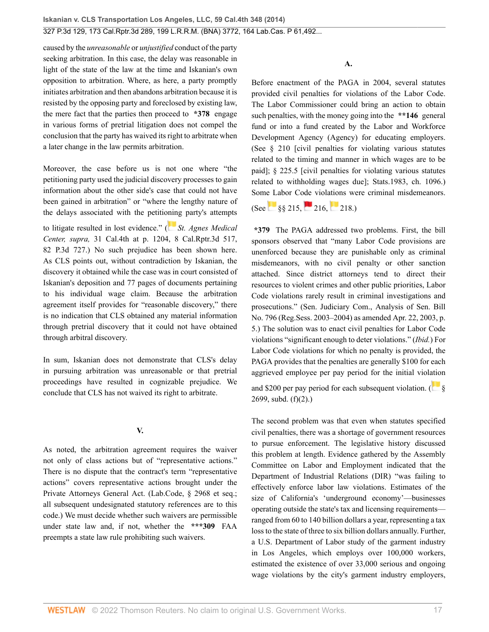caused by the *unreasonable* or *unjustified* conduct of the party seeking arbitration. In this case, the delay was reasonable in light of the state of the law at the time and Iskanian's own opposition to arbitration. Where, as here, a party promptly initiates arbitration and then abandons arbitration because it is resisted by the opposing party and foreclosed by existing law, the mere fact that the parties then proceed to **\*378** engage in various forms of pretrial litigation does not compel the conclusion that the party has waived its right to arbitrate when a later change in the law permits arbitration.

Moreover, the case before us is not one where "the petitioning party used the judicial discovery processes to gain information about the other side's case that could not have been gained in arbitration" or "where the lengthy nature of the delays associated with the petiti[onin](https://1.next.westlaw.com/Link/RelatedInformation/Flag?documentGuid=Ie2f5e56ffa6f11d9bf60c1d57ebc853e&transitionType=InlineKeyCiteFlags&originationContext=docHeaderFlag&Rank=0&ppcid=2af46aeee0b04785be997ff44a01e3a1&contextData=(sc.Search) )g party's attempts

to litigate resulted in lost evidence." ( *[St. Agnes Medical](http://www.westlaw.com/Link/Document/FullText?findType=Y&serNum=2003929522&pubNum=0004645&originatingDoc=I2ff28000fadb11e39488c8f438320c70&refType=RP&originationContext=document&vr=3.0&rs=cblt1.0&transitionType=DocumentItem&contextData=(sc.Search)) Center, supra,* [31 Cal.4th at p. 1204, 8 Cal.Rptr.3d 517,](http://www.westlaw.com/Link/Document/FullText?findType=Y&serNum=2003929522&pubNum=0004645&originatingDoc=I2ff28000fadb11e39488c8f438320c70&refType=RP&originationContext=document&vr=3.0&rs=cblt1.0&transitionType=DocumentItem&contextData=(sc.Search)) [82 P.3d 727.](http://www.westlaw.com/Link/Document/FullText?findType=Y&serNum=2003929522&pubNum=0004645&originatingDoc=I2ff28000fadb11e39488c8f438320c70&refType=RP&originationContext=document&vr=3.0&rs=cblt1.0&transitionType=DocumentItem&contextData=(sc.Search))) No such prejudice has been shown here. As CLS points out, without contradiction by Iskanian, the discovery it obtained while the case was in court consisted of Iskanian's deposition and 77 pages of documents pertaining to his individual wage claim. Because the arbitration agreement itself provides for "reasonable discovery," there is no indication that CLS obtained any material information through pretrial discovery that it could not have obtained through arbitral discovery.

In sum, Iskanian does not demonstrate that CLS's delay in pursuing arbitration was unreasonable or that pretrial proceedings have resulted in cognizable prejudice. We conclude that CLS has not waived its right to arbitrate.

#### **V.**

As noted, the arbitration agreement requires the waiver not only of class actions but of "representative actions." There is no dispute that the contract's term "representative actions" covers representative actions brought under the Private Attorneys General Act. (Lab.Code, § 2968 et seq.; all subsequent undesignated statutory references are to this code.) We must decide whether such waivers are permissible under state law and, if not, whether the **\*\*\*309** FAA preempts a state law rule prohibiting such waivers.

**A.**

Before enactment of the PAGA in 2004, several statutes provided civil penalties for violations of the Labor Code. The Labor Commissioner could bring an action to obtain such penalties, with the money going into the **\*\*146** general fund or into a fund created by the Labor and Workforce Development Agency (Agency) for educating employers. (See § 210 [civil penalties for violating various statutes related to the timing and manner in which wages are to be paid]; § 225.5 [civil penalties for violating various statutes related to withholding wages due]; Stats.1983, ch. 1096.) Some Labor Code violations were criminal misdemeanors.

 $(See \ 88215 \ 216 \ 218)$  $(See \ 88215 \ 216 \ 218)$  $(See \ 88215 \ 216 \ 218)$  $(See \ 88215 \ 216 \ 218)$  $(See \ 88215 \ 216 \ 218)$  $(See \ 88215 \ 216 \ 218)$  $(See \ 88215 \ 216 \ 218)$ 

**\*379** The PAGA addressed two problems. First, the bill sponsors observed that "many Labor Code provisions are unenforced because they are punishable only as criminal misdemeanors, with no civil penalty or other sanction attached. Since district attorneys tend to direct their resources to violent crimes and other public priorities, Labor Code violations rarely result in criminal investigations and prosecutions." (Sen. Judiciary Com., Analysis of Sen. Bill No. 796 (Reg.Sess. 2003–2004) as amended Apr. 22, 2003, p. 5.) The solution was to enact civil penalties for Labor Code violations "significant enough to deter violations." (*Ibid.*) For Labor Code violations for which no penalty is provided, the PAGA provides that the penalties are generally \$100 for each aggrieved employee per pay period for the initial viol[ation](https://1.next.westlaw.com/Link/RelatedInformation/Flag?documentGuid=N368330A0435411E69D65EC9FC0DD0DC9&transitionType=InlineKeyCiteFlags&originationContext=docHeaderFlag&Rank=0&ppcid=2af46aeee0b04785be997ff44a01e3a1&contextData=(sc.Search) )

and \$200 per pay period for each subsequent violation.  $\begin{pmatrix} 1 & 1 \\ 0 & 0 \end{pmatrix}$ [2699, subd. \(f\)\(2\).](http://www.westlaw.com/Link/Document/FullText?findType=L&pubNum=1000215&cite=CALBS2699&originatingDoc=I2ff28000fadb11e39488c8f438320c70&refType=SP&originationContext=document&vr=3.0&rs=cblt1.0&transitionType=DocumentItem&contextData=(sc.Search)#co_pp_ac4e0000281c0))

The second problem was that even when statutes specified civil penalties, there was a shortage of government resources to pursue enforcement. The legislative history discussed this problem at length. Evidence gathered by the Assembly Committee on Labor and Employment indicated that the Department of Industrial Relations (DIR) "was failing to effectively enforce labor law violations. Estimates of the size of California's 'underground economy'—businesses operating outside the state's tax and licensing requirements ranged from 60 to 140 billion dollars a year, representing a tax loss to the state of three to six billion dollars annually. Further, a U.S. Department of Labor study of the garment industry in Los Angeles, which employs over 100,000 workers, estimated the existence of over 33,000 serious and ongoing wage violations by the city's garment industry employers,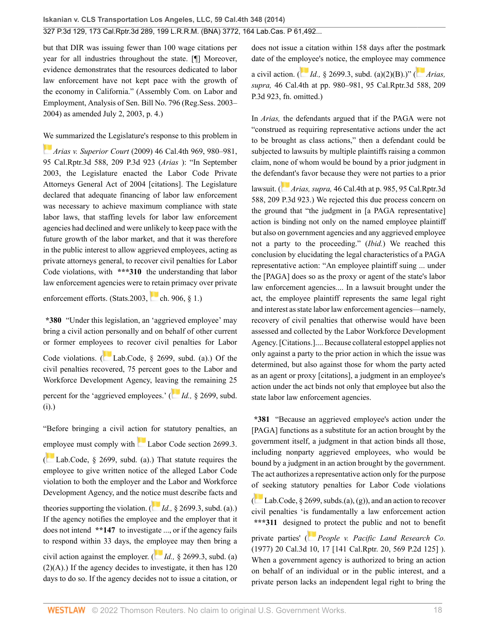but that DIR was issuing fewer than 100 wage citations per year for all industries throughout the state. [¶] Moreover, evidence demonstrates that the resources dedicated to labor law enforcement have not kept pace with the growth of the economy in California." (Assembly Com. on Labor and Employment, Analysis of Sen. Bill No. 796 (Reg.Sess. 2003– 2004) as amended July 2, 2003, p. 4.)

[We](https://1.next.westlaw.com/Link/RelatedInformation/Flag?documentGuid=I59efe75c64bb11deabded03f2b83b8a4&transitionType=InlineKeyCiteFlags&originationContext=docHeaderFlag&Rank=0&ppcid=2af46aeee0b04785be997ff44a01e3a1&contextData=(sc.Search) ) summarized the Legislature's response to this problem in

*Arias v. Superior Court* [\(2009\) 46 Cal.4th 969, 980–981,](http://www.westlaw.com/Link/Document/FullText?findType=Y&serNum=2019228329&pubNum=0004645&originatingDoc=I2ff28000fadb11e39488c8f438320c70&refType=RP&originationContext=document&vr=3.0&rs=cblt1.0&transitionType=DocumentItem&contextData=(sc.Search)) [95 Cal.Rptr.3d 588, 209 P.3d 923](http://www.westlaw.com/Link/Document/FullText?findType=Y&serNum=2019228329&pubNum=0004645&originatingDoc=I2ff28000fadb11e39488c8f438320c70&refType=RP&originationContext=document&vr=3.0&rs=cblt1.0&transitionType=DocumentItem&contextData=(sc.Search)) (*Arias* ): "In September 2003, the Legislature enacted the Labor Code Private Attorneys General Act of 2004 [citations]. The Legislature declared that adequate financing of labor law enforcement was necessary to achieve maximum compliance with state labor laws, that staffing levels for labor law enforcement agencies had declined and were unlikely to keep pace with the future growth of the labor market, and that it was therefore in the public interest to allow aggrieved employees, acting as private attorneys general, to recover civil penalties for Labor Code violations, with **\*\*\*310** the understanding that labor law enforcement agencies were to retain primacy over private

enforcement efforts. (Stats.2003, ch. 906,  $\S$  1.)

**\*380** "Under this legislation, an 'aggrieved employee' may bring a civil action personally and on behalf of other current or former emplo[yees](https://1.next.westlaw.com/Link/RelatedInformation/Flag?documentGuid=N368330A0435411E69D65EC9FC0DD0DC9&transitionType=InlineKeyCiteFlags&originationContext=docHeaderFlag&Rank=0&ppcid=2af46aeee0b04785be997ff44a01e3a1&contextData=(sc.Search) ) to recover civil penalties for Labor Code violations. ( Lab.Code,  $\S$  2699, subd. (a).) Of the civil penalties recovered, 75 percent goes to the Labor and Workforce Development Agency, leavi[ng](https://1.next.westlaw.com/Link/RelatedInformation/Flag?documentGuid=N368330A0435411E69D65EC9FC0DD0DC9&transitionType=InlineKeyCiteFlags&originationContext=docHeaderFlag&Rank=0&ppcid=2af46aeee0b04785be997ff44a01e3a1&contextData=(sc.Search) ) the remaining 25 percent for the 'aggrieved employees.' ( *Id.,* [§ 2699, subd.](http://www.westlaw.com/Link/Document/FullText?findType=L&pubNum=1000215&cite=CALBS2699&originatingDoc=I2ff28000fadb11e39488c8f438320c70&refType=SP&originationContext=document&vr=3.0&rs=cblt1.0&transitionType=DocumentItem&contextData=(sc.Search)#co_pp_17a3000024864) [\(i\)](http://www.westlaw.com/Link/Document/FullText?findType=L&pubNum=1000215&cite=CALBS2699&originatingDoc=I2ff28000fadb11e39488c8f438320c70&refType=SP&originationContext=document&vr=3.0&rs=cblt1.0&transitionType=DocumentItem&contextData=(sc.Search)#co_pp_17a3000024864).)

"Before bringing a civil action for statutory penalties, an [emp](https://1.next.westlaw.com/Link/RelatedInformation/Flag?documentGuid=N368330A0435411E69D65EC9FC0DD0DC9&transitionType=InlineKeyCiteFlags&originationContext=docHeaderFlag&Rank=0&ppcid=2af46aeee0b04785be997ff44a01e3a1&contextData=(sc.Search) )loyee must comply with [Labor Code section 2699.3](http://www.westlaw.com/Link/Document/FullText?findType=L&pubNum=1000215&cite=CALBS2699.3&originatingDoc=I2ff28000fadb11e39488c8f438320c70&refType=LQ&originationContext=document&vr=3.0&rs=cblt1.0&transitionType=DocumentItem&contextData=(sc.Search)). ( [Lab.Code, § 2699, subd. \(a\)](http://www.westlaw.com/Link/Document/FullText?findType=L&pubNum=1000215&cite=CALBS2699&originatingDoc=I2ff28000fadb11e39488c8f438320c70&refType=SP&originationContext=document&vr=3.0&rs=cblt1.0&transitionType=DocumentItem&contextData=(sc.Search)#co_pp_8b3b0000958a4).) That statute requires the employee to give written notice of the alleged Labor Code violation to both the employer and the Labor and Workforce Development Agency, and the not[ice](https://1.next.westlaw.com/Link/RelatedInformation/Flag?documentGuid=N35F6CF20435411E69D65EC9FC0DD0DC9&transitionType=InlineKeyCiteFlags&originationContext=docHeaderFlag&Rank=0&ppcid=2af46aeee0b04785be997ff44a01e3a1&contextData=(sc.Search) ) must describe facts and theories supporting the violation. ( $Id.$ , [§ 2699.3, subd. \(a\)](http://www.westlaw.com/Link/Document/FullText?findType=L&pubNum=1000215&cite=CALBS2699.3&originatingDoc=I2ff28000fadb11e39488c8f438320c70&refType=SP&originationContext=document&vr=3.0&rs=cblt1.0&transitionType=DocumentItem&contextData=(sc.Search)#co_pp_8b3b0000958a4).) If the agency notifies the employee and the employer that it does not intend **\*\*147** to investigate ..., or if the agency fails to respond within 33 days, the e[mplo](https://1.next.westlaw.com/Link/RelatedInformation/Flag?documentGuid=N35F6CF20435411E69D65EC9FC0DD0DC9&transitionType=InlineKeyCiteFlags&originationContext=docHeaderFlag&Rank=0&ppcid=2af46aeee0b04785be997ff44a01e3a1&contextData=(sc.Search) )yee may then bring a civil action against the employer. ( *Id.,* [§ 2699.3, subd. \(a\)](http://www.westlaw.com/Link/Document/FullText?findType=L&pubNum=1000215&cite=CALBS2699.3&originatingDoc=I2ff28000fadb11e39488c8f438320c70&refType=SP&originationContext=document&vr=3.0&rs=cblt1.0&transitionType=DocumentItem&contextData=(sc.Search)#co_pp_b5120000f7a05)  $(2)(A)$ .) If the agency decides to investigate, it then has 120 days to do so. If the agency decides not to issue a citation, or does not issue a citation within 158 days after the postmark date of the em[ploy](https://1.next.westlaw.com/Link/RelatedInformation/Flag?documentGuid=N35F6CF20435411E69D65EC9FC0DD0DC9&transitionType=InlineKeyCiteFlags&originationContext=docHeaderFlag&Rank=0&ppcid=2af46aeee0b04785be997ff44a01e3a1&contextData=(sc.Search) )ee's notice, the employee may c[omm](https://1.next.westlaw.com/Link/RelatedInformation/Flag?documentGuid=I59efe75c64bb11deabded03f2b83b8a4&transitionType=InlineKeyCiteFlags&originationContext=docHeaderFlag&Rank=0&ppcid=2af46aeee0b04785be997ff44a01e3a1&contextData=(sc.Search) )ence a civil action. ( *Id.,* [§ 2699.3, subd. \(a\)\(2\)\(B\).](http://www.westlaw.com/Link/Document/FullText?findType=L&pubNum=1000215&cite=CALBS2699.3&originatingDoc=I2ff28000fadb11e39488c8f438320c70&refType=SP&originationContext=document&vr=3.0&rs=cblt1.0&transitionType=DocumentItem&contextData=(sc.Search)#co_pp_f93f00008d291))" ( *[Arias,](http://www.westlaw.com/Link/Document/FullText?findType=Y&serNum=2019228329&pubNum=0004645&originatingDoc=I2ff28000fadb11e39488c8f438320c70&refType=RP&originationContext=document&vr=3.0&rs=cblt1.0&transitionType=DocumentItem&contextData=(sc.Search)) supra,* [46 Cal.4th at pp. 980–981, 95 Cal.Rptr.3d 588, 209](http://www.westlaw.com/Link/Document/FullText?findType=Y&serNum=2019228329&pubNum=0004645&originatingDoc=I2ff28000fadb11e39488c8f438320c70&refType=RP&originationContext=document&vr=3.0&rs=cblt1.0&transitionType=DocumentItem&contextData=(sc.Search)) [P.3d 923](http://www.westlaw.com/Link/Document/FullText?findType=Y&serNum=2019228329&pubNum=0004645&originatingDoc=I2ff28000fadb11e39488c8f438320c70&refType=RP&originationContext=document&vr=3.0&rs=cblt1.0&transitionType=DocumentItem&contextData=(sc.Search)), fn. omitted.)

In *Arias,* the defendants argued that if the PAGA were not "construed as requiring representative actions under the act to be brought as class actions," then a defendant could be subjected to lawsuits by multiple plaintiffs raising a common claim, none of whom would be bound by a prior judgment in the defen[dan](https://1.next.westlaw.com/Link/RelatedInformation/Flag?documentGuid=I59efe75c64bb11deabded03f2b83b8a4&transitionType=InlineKeyCiteFlags&originationContext=docHeaderFlag&Rank=0&ppcid=2af46aeee0b04785be997ff44a01e3a1&contextData=(sc.Search) )t's favor because they were not parties to a prior

lawsuit. ( *Arias, supra,* [46 Cal.4th at p. 985, 95 Cal.Rptr.3d](http://www.westlaw.com/Link/Document/FullText?findType=Y&serNum=2019228329&pubNum=0004645&originatingDoc=I2ff28000fadb11e39488c8f438320c70&refType=RP&originationContext=document&vr=3.0&rs=cblt1.0&transitionType=DocumentItem&contextData=(sc.Search)) [588, 209 P.3d 923.](http://www.westlaw.com/Link/Document/FullText?findType=Y&serNum=2019228329&pubNum=0004645&originatingDoc=I2ff28000fadb11e39488c8f438320c70&refType=RP&originationContext=document&vr=3.0&rs=cblt1.0&transitionType=DocumentItem&contextData=(sc.Search))) We rejected this due process concern on the ground that "the judgment in [a PAGA representative] action is binding not only on the named employee plaintiff but also on government agencies and any aggrieved employee not a party to the proceeding." (*Ibid.*) We reached this conclusion by elucidating the legal characteristics of a PAGA representative action: "An employee plaintiff suing ... under the [PAGA] does so as the proxy or agent of the state's labor law enforcement agencies.... In a lawsuit brought under the act, the employee plaintiff represents the same legal right and interest as state labor law enforcement agencies—namely, recovery of civil penalties that otherwise would have been assessed and collected by the Labor Workforce Development Agency. [Citations.].... Because collateral estoppel applies not only against a party to the prior action in which the issue was determined, but also against those for whom the party acted as an agent or proxy [citations], a judgment in an employee's action under the act binds not only that employee but also the state labor law enforcement agencies.

**\*381** "Because an aggrieved employee's action under the [PAGA] functions as a substitute for an action brought by the government itself, a judgment in that action binds all those, including nonparty aggrieved employees, who would be bound by a judgment in an action brought by the government. The act authorizes a representative action only for the purpose [of s](https://1.next.westlaw.com/Link/RelatedInformation/Flag?documentGuid=N368330A0435411E69D65EC9FC0DD0DC9&transitionType=InlineKeyCiteFlags&originationContext=docHeaderFlag&Rank=0&ppcid=2af46aeee0b04785be997ff44a01e3a1&contextData=(sc.Search) )eeking statutory penalties for Labor Code violations

( $\Box$  [Lab.Code, § 2699](http://www.westlaw.com/Link/Document/FullText?findType=L&pubNum=1000215&cite=CALBS2699&originatingDoc=I2ff28000fadb11e39488c8f438320c70&refType=LQ&originationContext=document&vr=3.0&rs=cblt1.0&transitionType=DocumentItem&contextData=(sc.Search)), subds.(a), (g)), and an action to recover civil penalties 'is fundamentally a law enforcement action **\*\*\*311** design[ed to](https://1.next.westlaw.com/Link/RelatedInformation/Flag?documentGuid=Ia0dc6aa6fad811d9b386b232635db992&transitionType=InlineKeyCiteFlags&originationContext=docHeaderFlag&Rank=0&ppcid=2af46aeee0b04785be997ff44a01e3a1&contextData=(sc.Search) ) protect the public and not to benefit

private parties' ( *[People v. Pacific Land Research Co.](http://www.westlaw.com/Link/Document/FullText?findType=Y&serNum=1977132856&pubNum=0000661&originatingDoc=I2ff28000fadb11e39488c8f438320c70&refType=RP&originationContext=document&vr=3.0&rs=cblt1.0&transitionType=DocumentItem&contextData=(sc.Search))* [\(1977\) 20 Cal.3d 10, 17 \[141 Cal.Rptr. 20, 569 P.2d 125\]](http://www.westlaw.com/Link/Document/FullText?findType=Y&serNum=1977132856&pubNum=0000661&originatingDoc=I2ff28000fadb11e39488c8f438320c70&refType=RP&originationContext=document&vr=3.0&rs=cblt1.0&transitionType=DocumentItem&contextData=(sc.Search)) ). When a government agency is authorized to bring an action on behalf of an individual or in the public interest, and a private person lacks an independent legal right to bring the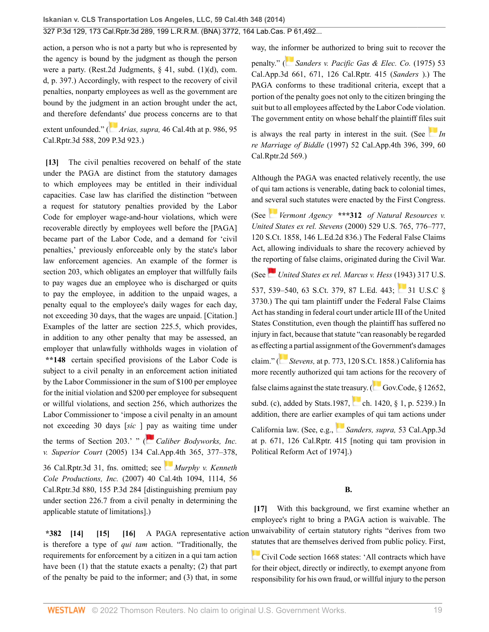action, a person who is not a party but who is represented by the agency is bound by the judgment as though the person were a party. ([Rest.2d Judgments, § 41](http://www.westlaw.com/Link/Document/FullText?findType=Y&serNum=0291285803&pubNum=0101581&originatingDoc=I2ff28000fadb11e39488c8f438320c70&refType=TS&originationContext=document&vr=3.0&rs=cblt1.0&transitionType=DocumentItem&contextData=(sc.Search)), subd. (1)(d), com. d, p. 397.) Accordingly, with respect to the recovery of civil penalties, nonparty employees as well as the government are bound by the judgment in an action brought under the act, and therefore defen[dan](https://1.next.westlaw.com/Link/RelatedInformation/Flag?documentGuid=I59efe75c64bb11deabded03f2b83b8a4&transitionType=InlineKeyCiteFlags&originationContext=docHeaderFlag&Rank=0&ppcid=2af46aeee0b04785be997ff44a01e3a1&contextData=(sc.Search) )ts' due process concerns are to that extent unfounded." ( *Arias, supra,* [46 Cal.4th at p. 986, 95](http://www.westlaw.com/Link/Document/FullText?findType=Y&serNum=2019228329&pubNum=0004645&originatingDoc=I2ff28000fadb11e39488c8f438320c70&refType=RP&originationContext=document&vr=3.0&rs=cblt1.0&transitionType=DocumentItem&contextData=(sc.Search)) [Cal.Rptr.3d 588, 209 P.3d 923.](http://www.westlaw.com/Link/Document/FullText?findType=Y&serNum=2019228329&pubNum=0004645&originatingDoc=I2ff28000fadb11e39488c8f438320c70&refType=RP&originationContext=document&vr=3.0&rs=cblt1.0&transitionType=DocumentItem&contextData=(sc.Search)))

<span id="page-18-0"></span>**[\[13\]](#page-2-4)** The civil penalties recovered on behalf of the state under the PAGA are distinct from the statutory damages to which employees may be entitled in their individual capacities. Case law has clarified the distinction "between a request for statutory penalties provided by the Labor Code for employer wage-and-hour violations, which were recoverable directly by employees well before the [PAGA] became part of the Labor Code, and a demand for 'civil penalties,' previously enforceable only by the state's labor law enforcement agencies. An example of the former is section 203, which obligates an employer that willfully fails to pay wages due an employee who is discharged or quits to pay the employee, in addition to the unpaid wages, a penalty equal to the employee's daily wages for each day, not exceeding 30 days, that the wages are unpaid. [Citation.] Examples of the latter are section 225.5, which provides, in addition to any other penalty that may be assessed, an employer that unlawfully withholds wages in violation of **\*\*148** certain specified provisions of the Labor Code is subject to a civil penalty in an enforcement action initiated by the Labor Commissioner in the sum of \$100 per employee for the initial violation and \$200 per employee for subsequent or willful violations, and section 256, which authorizes the Labor Commissioner to 'impose a civil penalty in an amount not exceeding 30 days [*sic* ] [pay](https://1.next.westlaw.com/Link/RelatedInformation/Flag?documentGuid=I1a41cd325c5011da9cfda9de91273d56&transitionType=InlineKeyCiteFlags&originationContext=docHeaderFlag&Rank=0&ppcid=2af46aeee0b04785be997ff44a01e3a1&contextData=(sc.Search) ) as waiting time under the terms of Section 203.' " ([Caliber Bodyworks, Inc.](http://www.westlaw.com/Link/Document/FullText?findType=Y&serNum=2007726520&pubNum=0007047&originatingDoc=I2ff28000fadb11e39488c8f438320c70&refType=RP&originationContext=document&vr=3.0&rs=cblt1.0&transitionType=DocumentItem&contextData=(sc.Search)) *v. Superior Court* [\(2005\) 134 Cal.App.4th 365, 377–378,](http://www.westlaw.com/Link/Document/FullText?findType=Y&serNum=2007726520&pubNum=0007047&originatingDoc=I2ff28000fadb11e39488c8f438320c70&refType=RP&originationContext=document&vr=3.0&rs=cblt1.0&transitionType=DocumentItem&contextData=(sc.Search)) [36 Cal.Rptr.3d 31,](http://www.westlaw.com/Link/Document/FullText?findType=Y&serNum=2007726520&pubNum=0007047&originatingDoc=I2ff28000fadb11e39488c8f438320c70&refType=RP&originationContext=document&vr=3.0&rs=cblt1.0&transitionType=DocumentItem&contextData=(sc.Search)) fns. omitted; see *[Murphy v. Kenneth](http://www.westlaw.com/Link/Document/FullText?findType=Y&serNum=2011956573&pubNum=0004645&originatingDoc=I2ff28000fadb11e39488c8f438320c70&refType=RP&originationContext=document&vr=3.0&rs=cblt1.0&transitionType=DocumentItem&contextData=(sc.Search)) Cole Productions, Inc.* [\(2007\) 40 Cal.4th 1094, 1114, 56](http://www.westlaw.com/Link/Document/FullText?findType=Y&serNum=2011956573&pubNum=0004645&originatingDoc=I2ff28000fadb11e39488c8f438320c70&refType=RP&originationContext=document&vr=3.0&rs=cblt1.0&transitionType=DocumentItem&contextData=(sc.Search))

[Cal.Rptr.3d 880, 155 P.3d 284](http://www.westlaw.com/Link/Document/FullText?findType=Y&serNum=2011956573&pubNum=0004645&originatingDoc=I2ff28000fadb11e39488c8f438320c70&refType=RP&originationContext=document&vr=3.0&rs=cblt1.0&transitionType=DocumentItem&contextData=(sc.Search)) [distinguishing premium pay under section 226.7 from a civil penalty in determining the applicable statute of limitations].)

<span id="page-18-3"></span><span id="page-18-2"></span><span id="page-18-1"></span>**\*382 [\[14\]](#page-2-5) [\[15](#page-2-6)] [\[16\]](#page-2-7)** A PAGA representative action is therefore a type of *qui tam* action. "Traditionally, the requirements for enforcement by a citizen in a qui tam action have been (1) that the statute exacts a penalty; (2) that part of the penalty be paid to the informer; and (3) that, in some

way, the i[nfor](https://1.next.westlaw.com/Link/RelatedInformation/Flag?documentGuid=I4e379e79fadb11d98ac8f235252e36df&transitionType=InlineKeyCiteFlags&originationContext=docHeaderFlag&Rank=0&ppcid=2af46aeee0b04785be997ff44a01e3a1&contextData=(sc.Search) )mer be authorized to bring suit to recover the

penalty." ( *[Sanders v. Pacific Gas & Elec. Co.](http://www.westlaw.com/Link/Document/FullText?findType=Y&serNum=1975104784&pubNum=0000227&originatingDoc=I2ff28000fadb11e39488c8f438320c70&refType=RP&originationContext=document&vr=3.0&rs=cblt1.0&transitionType=DocumentItem&contextData=(sc.Search))* (1975) 53 [Cal.App.3d 661, 671, 126 Cal.Rptr. 415](http://www.westlaw.com/Link/Document/FullText?findType=Y&serNum=1975104784&pubNum=0000227&originatingDoc=I2ff28000fadb11e39488c8f438320c70&refType=RP&originationContext=document&vr=3.0&rs=cblt1.0&transitionType=DocumentItem&contextData=(sc.Search)) (*Sanders* ).) The PAGA conforms to these traditional criteria, except that a portion of the penalty goes not only to the citizen bringing the suit but to all employees affected by the Labor Code violation. The government entity on whose behalf the plaintiff fil[es su](https://1.next.westlaw.com/Link/RelatedInformation/Flag?documentGuid=I95dfd128fab811d983e7e9deff98dc6f&transitionType=InlineKeyCiteFlags&originationContext=docHeaderFlag&Rank=0&ppcid=2af46aeee0b04785be997ff44a01e3a1&contextData=(sc.Search) )it

is always the real party in interest in the suit. (See  $\overline{I}$  [In](http://www.westlaw.com/Link/Document/FullText?findType=Y&serNum=1997040931&pubNum=0003484&originatingDoc=I2ff28000fadb11e39488c8f438320c70&refType=RP&originationContext=document&vr=3.0&rs=cblt1.0&transitionType=DocumentItem&contextData=(sc.Search)) *re Marriage of Biddle* [\(1997\) 52 Cal.App.4th 396, 399, 60](http://www.westlaw.com/Link/Document/FullText?findType=Y&serNum=1997040931&pubNum=0003484&originatingDoc=I2ff28000fadb11e39488c8f438320c70&refType=RP&originationContext=document&vr=3.0&rs=cblt1.0&transitionType=DocumentItem&contextData=(sc.Search)) [Cal.Rptr.2d 569.](http://www.westlaw.com/Link/Document/FullText?findType=Y&serNum=1997040931&pubNum=0003484&originatingDoc=I2ff28000fadb11e39488c8f438320c70&refType=RP&originationContext=document&vr=3.0&rs=cblt1.0&transitionType=DocumentItem&contextData=(sc.Search)))

Although the PAGA was enacted relatively recently, the use of qui tam actions is venerable, dating back to colonial times, and s[ever](https://1.next.westlaw.com/Link/RelatedInformation/Flag?documentGuid=Icb0c0f38289711eb8151becfa4fb0e63&transitionType=InlineKeyCiteFlags&originationContext=docHeaderFlag&Rank=0&ppcid=2af46aeee0b04785be997ff44a01e3a1&contextData=(sc.Search) )al such statutes were enacted by the First Congress.

(See *Vermont Agency* **\*\*\*312** *[of Natural Resources v.](http://www.westlaw.com/Link/Document/FullText?findType=Y&serNum=2000358280&pubNum=0000708&originatingDoc=I2ff28000fadb11e39488c8f438320c70&refType=RP&originationContext=document&vr=3.0&rs=cblt1.0&transitionType=DocumentItem&contextData=(sc.Search)) United States ex rel. Stevens* [\(2000\) 529 U.S. 765, 776–777,](http://www.westlaw.com/Link/Document/FullText?findType=Y&serNum=2000358280&pubNum=0000708&originatingDoc=I2ff28000fadb11e39488c8f438320c70&refType=RP&originationContext=document&vr=3.0&rs=cblt1.0&transitionType=DocumentItem&contextData=(sc.Search)) [120 S.Ct. 1858, 146 L.Ed.2d 836](http://www.westlaw.com/Link/Document/FullText?findType=Y&serNum=2000358280&pubNum=0000708&originatingDoc=I2ff28000fadb11e39488c8f438320c70&refType=RP&originationContext=document&vr=3.0&rs=cblt1.0&transitionType=DocumentItem&contextData=(sc.Search)).) The Federal False Claims Act, allowing individuals to share the recovery achieved by the r[epor](https://1.next.westlaw.com/Link/RelatedInformation/Flag?documentGuid=Ia6cb70569cbe11d9bdd1cfdd544ca3a4&transitionType=InlineKeyCiteFlags&originationContext=docHeaderFlag&Rank=0&ppcid=2af46aeee0b04785be997ff44a01e3a1&contextData=(sc.Search) )ting of false claims, originated during the Civil War.

(See *[United States ex rel. Marcus v. Hess](http://www.westlaw.com/Link/Document/FullText?findType=Y&serNum=1943120903&pubNum=0000708&originatingDoc=I2ff28000fadb11e39488c8f438320c70&refType=RP&originationContext=document&vr=3.0&rs=cblt1.0&transitionType=DocumentItem&contextData=(sc.Search))* (1943) 317 U.S.

[537, 539–540, 63 S.Ct. 379, 87 L.Ed. 443;](http://www.westlaw.com/Link/Document/FullText?findType=Y&serNum=1943120903&pubNum=0000708&originatingDoc=I2ff28000fadb11e39488c8f438320c70&refType=RP&originationContext=document&vr=3.0&rs=cblt1.0&transitionType=DocumentItem&contextData=(sc.Search)) [31 U.S.C §](http://www.westlaw.com/Link/Document/FullText?findType=L&pubNum=1000546&cite=31USCAS3730&originatingDoc=I2ff28000fadb11e39488c8f438320c70&refType=LQ&originationContext=document&vr=3.0&rs=cblt1.0&transitionType=DocumentItem&contextData=(sc.Search)) [3730](http://www.westlaw.com/Link/Document/FullText?findType=L&pubNum=1000546&cite=31USCAS3730&originatingDoc=I2ff28000fadb11e39488c8f438320c70&refType=LQ&originationContext=document&vr=3.0&rs=cblt1.0&transitionType=DocumentItem&contextData=(sc.Search)).) The qui tam plaintiff under the Federal False Claims Act has standing in federal court under article III of the United States Constitution, even though the plaintiff has suffered no injury in fact, because that statute "can reasonably be regarded as effect[ing a](https://1.next.westlaw.com/Link/RelatedInformation/Flag?documentGuid=Icb0c0f38289711eb8151becfa4fb0e63&transitionType=InlineKeyCiteFlags&originationContext=docHeaderFlag&Rank=0&ppcid=2af46aeee0b04785be997ff44a01e3a1&contextData=(sc.Search) ) partial assignment of the Government's damages

claim." ( *Stevens,* [at p. 773, 120 S.Ct. 1858](http://www.westlaw.com/Link/Document/FullText?findType=Y&serNum=2000358280&pubNum=0000708&originatingDoc=I2ff28000fadb11e39488c8f438320c70&refType=RP&originationContext=document&vr=3.0&rs=cblt1.0&transitionType=DocumentItem&contextData=(sc.Search)).) California has more recently authorized qui tam acti[ons](https://1.next.westlaw.com/Link/RelatedInformation/Flag?documentGuid=N788E69A0169511ECA2A8C919EC14C0DF&transitionType=InlineKeyCiteFlags&originationContext=docHeaderFlag&Rank=0&ppcid=2af46aeee0b04785be997ff44a01e3a1&contextData=(sc.Search) ) for the recovery of

false claims against the state treasury. ( $\Box$  [Gov.Code, § 12652,](http://www.westlaw.com/Link/Document/FullText?findType=L&pubNum=1000211&cite=CAGTS12652&originatingDoc=I2ff28000fadb11e39488c8f438320c70&refType=SP&originationContext=document&vr=3.0&rs=cblt1.0&transitionType=DocumentItem&contextData=(sc.Search)#co_pp_4b24000003ba5)

[subd. \(c\)](http://www.westlaw.com/Link/Document/FullText?findType=L&pubNum=1000211&cite=CAGTS12652&originatingDoc=I2ff28000fadb11e39488c8f438320c70&refType=SP&originationContext=document&vr=3.0&rs=cblt1.0&transitionType=DocumentItem&contextData=(sc.Search)#co_pp_4b24000003ba5),added by Stats.1987, [ch. 1420, § 1](http://www.westlaw.com/Link/Document/FullText?findType=L&pubNum=1000546&cite=9USCAS1&originatingDoc=I2ff28000fadb11e39488c8f438320c70&refType=LQ&originationContext=document&vr=3.0&rs=cblt1.0&transitionType=DocumentItem&contextData=(sc.Search)), p. 5239.) In addition, there are earlier [exam](https://1.next.westlaw.com/Link/RelatedInformation/Flag?documentGuid=I4e379e79fadb11d98ac8f235252e36df&transitionType=InlineKeyCiteFlags&originationContext=docHeaderFlag&Rank=0&ppcid=2af46aeee0b04785be997ff44a01e3a1&contextData=(sc.Search) )ples of qui tam actions under

California law. (See, e.g., *[Sanders, supra,](http://www.westlaw.com/Link/Document/FullText?findType=Y&serNum=1975104784&pubNum=0000227&originatingDoc=I2ff28000fadb11e39488c8f438320c70&refType=RP&originationContext=document&vr=3.0&rs=cblt1.0&transitionType=DocumentItem&contextData=(sc.Search))* 53 Cal.App.3d [at p. 671, 126 Cal.Rptr. 415](http://www.westlaw.com/Link/Document/FullText?findType=Y&serNum=1975104784&pubNum=0000227&originatingDoc=I2ff28000fadb11e39488c8f438320c70&refType=RP&originationContext=document&vr=3.0&rs=cblt1.0&transitionType=DocumentItem&contextData=(sc.Search)) [noting qui tam provision in Political Reform Act of 1974].)

#### **B.**

<span id="page-18-4"></span>**[\[17\]](#page-2-8)** With this background, we first examine whether an employee's right to bring a PAGA action is waivable. The unwaivability of certain statutory rights "derives from two [stat](https://1.next.westlaw.com/Link/RelatedInformation/Flag?documentGuid=NFD7079B08E5911D8A8ACD145B11214D7&transitionType=InlineKeyCiteFlags&originationContext=docHeaderFlag&Rank=0&ppcid=2af46aeee0b04785be997ff44a01e3a1&contextData=(sc.Search) )utes that are themselves derived from public policy. First,

[Civil Code section 1668](http://www.westlaw.com/Link/Document/FullText?findType=L&pubNum=1000200&cite=CACIS1668&originatingDoc=I2ff28000fadb11e39488c8f438320c70&refType=LQ&originationContext=document&vr=3.0&rs=cblt1.0&transitionType=DocumentItem&contextData=(sc.Search)) states: 'All contracts which have for their object, directly or indirectly, to exempt anyone from responsibility for his own fraud, or willful injury to the person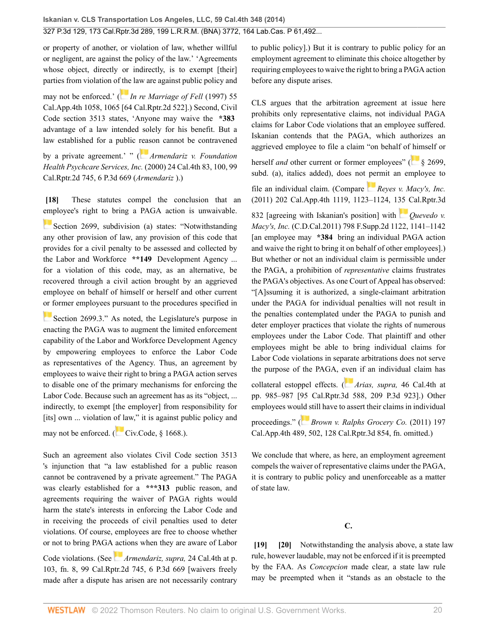or property of another, or violation of law, whether willful or negligent, are against the policy of the law.' 'Agreements whose object, directly or indirectly, is to exempt [their] parties from violation o[f the](https://1.next.westlaw.com/Link/RelatedInformation/Flag?documentGuid=Ic59d581dfab811d99439b076ef9ec4de&transitionType=InlineKeyCiteFlags&originationContext=docHeaderFlag&Rank=0&ppcid=2af46aeee0b04785be997ff44a01e3a1&contextData=(sc.Search) ) law are against public policy and

may not be enforced.' ( *[In re Marriage of Fell](http://www.westlaw.com/Link/Document/FullText?findType=Y&serNum=1997127881&pubNum=0003484&originatingDoc=I2ff28000fadb11e39488c8f438320c70&refType=RP&originationContext=document&vr=3.0&rs=cblt1.0&transitionType=DocumentItem&contextData=(sc.Search))* (1997) 55 [Cal.App.4th 1058, 1065 \[64 Cal.Rptr.2d 522\].](http://www.westlaw.com/Link/Document/FullText?findType=Y&serNum=1997127881&pubNum=0003484&originatingDoc=I2ff28000fadb11e39488c8f438320c70&refType=RP&originationContext=document&vr=3.0&rs=cblt1.0&transitionType=DocumentItem&contextData=(sc.Search))) Second, [Civil](http://www.westlaw.com/Link/Document/FullText?findType=L&pubNum=1000200&cite=CACIS3513&originatingDoc=I2ff28000fadb11e39488c8f438320c70&refType=LQ&originationContext=document&vr=3.0&rs=cblt1.0&transitionType=DocumentItem&contextData=(sc.Search)) [Code section 3513](http://www.westlaw.com/Link/Document/FullText?findType=L&pubNum=1000200&cite=CACIS3513&originatingDoc=I2ff28000fadb11e39488c8f438320c70&refType=LQ&originationContext=document&vr=3.0&rs=cblt1.0&transitionType=DocumentItem&contextData=(sc.Search)) states, 'Anyone may waive the **\*383** advantage of a law intended solely for his benefit. But a law established for a public [reas](https://1.next.westlaw.com/Link/RelatedInformation/Flag?documentGuid=I422dfe92fab711d98ac8f235252e36df&transitionType=InlineKeyCiteFlags&originationContext=docHeaderFlag&Rank=0&ppcid=2af46aeee0b04785be997ff44a01e3a1&contextData=(sc.Search) )on cannot be contravened

by a private agreement.' " ( *[Armendariz v. Foundation](http://www.westlaw.com/Link/Document/FullText?findType=Y&serNum=2000487703&pubNum=0004645&originatingDoc=I2ff28000fadb11e39488c8f438320c70&refType=RP&originationContext=document&vr=3.0&rs=cblt1.0&transitionType=DocumentItem&contextData=(sc.Search)) [Health Psychcare Services, Inc.](http://www.westlaw.com/Link/Document/FullText?findType=Y&serNum=2000487703&pubNum=0004645&originatingDoc=I2ff28000fadb11e39488c8f438320c70&refType=RP&originationContext=document&vr=3.0&rs=cblt1.0&transitionType=DocumentItem&contextData=(sc.Search))* (2000) 24 Cal.4th 83, 100, 99 [Cal.Rptr.2d 745, 6 P.3d 669](http://www.westlaw.com/Link/Document/FullText?findType=Y&serNum=2000487703&pubNum=0004645&originatingDoc=I2ff28000fadb11e39488c8f438320c70&refType=RP&originationContext=document&vr=3.0&rs=cblt1.0&transitionType=DocumentItem&contextData=(sc.Search)) (*Armendariz* ).)

<span id="page-19-0"></span>**[\[18\]](#page-2-0)** These statutes compel the conclusion that an [emp](https://1.next.westlaw.com/Link/RelatedInformation/Flag?documentGuid=N368330A0435411E69D65EC9FC0DD0DC9&transitionType=InlineKeyCiteFlags&originationContext=docHeaderFlag&Rank=0&ppcid=2af46aeee0b04785be997ff44a01e3a1&contextData=(sc.Search) )loyee's right to bring a PAGA action is unwaivable.

[Section 2699, subdivision \(a\)](http://www.westlaw.com/Link/Document/FullText?findType=L&pubNum=1000215&cite=CALBS2699&originatingDoc=I2ff28000fadb11e39488c8f438320c70&refType=SP&originationContext=document&vr=3.0&rs=cblt1.0&transitionType=DocumentItem&contextData=(sc.Search)#co_pp_8b3b0000958a4) states: "Notwithstanding any other provision of law, any provision of this code that provides for a civil penalty to be assessed and collected by the Labor and Workforce **\*\*149** Development Agency ... for a violation of this code, may, as an alternative, be recovered through a civil action brought by an aggrieved employee on behalf of himself or herself and other current [or f](https://1.next.westlaw.com/Link/RelatedInformation/Flag?documentGuid=N35F6CF20435411E69D65EC9FC0DD0DC9&transitionType=InlineKeyCiteFlags&originationContext=docHeaderFlag&Rank=0&ppcid=2af46aeee0b04785be997ff44a01e3a1&contextData=(sc.Search) )ormer employees pursuant to the procedures specified in

[Section 2699.3](http://www.westlaw.com/Link/Document/FullText?findType=L&pubNum=1000215&cite=CALBS2699.3&originatingDoc=I2ff28000fadb11e39488c8f438320c70&refType=LQ&originationContext=document&vr=3.0&rs=cblt1.0&transitionType=DocumentItem&contextData=(sc.Search))." As noted, the Legislature's purpose in enacting the PAGA was to augment the limited enforcement capability of the Labor and Workforce Development Agency by empowering employees to enforce the Labor Code as representatives of the Agency. Thus, an agreement by employees to waive their right to bring a PAGA action serves to disable one of the primary mechanisms for enforcing the Labor Code. Because such an agreement has as its "object, ... indirectly, to exempt [the employer] from responsibility for [its] own ... violation [of la](https://1.next.westlaw.com/Link/RelatedInformation/Flag?documentGuid=NFD7079B08E5911D8A8ACD145B11214D7&transitionType=InlineKeyCiteFlags&originationContext=docHeaderFlag&Rank=0&ppcid=2af46aeee0b04785be997ff44a01e3a1&contextData=(sc.Search) )w," it is against public policy and may not be enforced. ( $\sim$  [Civ.Code, § 1668.](http://www.westlaw.com/Link/Document/FullText?findType=L&pubNum=1000200&cite=CACIS1668&originatingDoc=I2ff28000fadb11e39488c8f438320c70&refType=LQ&originationContext=document&vr=3.0&rs=cblt1.0&transitionType=DocumentItem&contextData=(sc.Search))).

Such an agreement also violates [Civil Code section 3513](http://www.westlaw.com/Link/Document/FullText?findType=L&pubNum=1000200&cite=CACIS3513&originatingDoc=I2ff28000fadb11e39488c8f438320c70&refType=LQ&originationContext=document&vr=3.0&rs=cblt1.0&transitionType=DocumentItem&contextData=(sc.Search)) 's injunction that "a law established for a public reason cannot be contravened by a private agreement." The PAGA was clearly established for a **\*\*\*313** public reason, and agreements requiring the waiver of PAGA rights would harm the state's interests in enforcing the Labor Code and in receiving the proceeds of civil penalties used to deter violations. Of course, employees are free to choose whether or not to bring PAGA [act](https://1.next.westlaw.com/Link/RelatedInformation/Flag?documentGuid=I422dfe92fab711d98ac8f235252e36df&transitionType=InlineKeyCiteFlags&originationContext=docHeaderFlag&Rank=0&ppcid=2af46aeee0b04785be997ff44a01e3a1&contextData=(sc.Search) )ions when they are aware of Labor

Code violations. (See *[Armendariz, supra,](http://www.westlaw.com/Link/Document/FullText?findType=Y&serNum=2000487703&pubNum=0004645&originatingDoc=I2ff28000fadb11e39488c8f438320c70&refType=RP&originationContext=document&vr=3.0&rs=cblt1.0&transitionType=DocumentItem&contextData=(sc.Search))* 24 Cal.4th at p. [103, fn. 8, 99 Cal.Rptr.2d 745, 6 P.3d 669](http://www.westlaw.com/Link/Document/FullText?findType=Y&serNum=2000487703&pubNum=0004645&originatingDoc=I2ff28000fadb11e39488c8f438320c70&refType=RP&originationContext=document&vr=3.0&rs=cblt1.0&transitionType=DocumentItem&contextData=(sc.Search)) [waivers freely made after a dispute has arisen are not necessarily contrary to public policy].) But it is contrary to public policy for an employment agreement to eliminate this choice altogether by requiring employees to waive the right to bring a PAGA action before any dispute arises.

CLS argues that the arbitration agreement at issue here prohibits only representative claims, not individual PAGA claims for Labor Code violations that an employee suffered. Iskanian contends that the PAGA, which authorizes an aggrieved employee to file a claim "on behalf of [him](https://1.next.westlaw.com/Link/RelatedInformation/Flag?documentGuid=N368330A0435411E69D65EC9FC0DD0DC9&transitionType=InlineKeyCiteFlags&originationContext=docHeaderFlag&Rank=0&ppcid=2af46aeee0b04785be997ff44a01e3a1&contextData=(sc.Search) )self or

herself *and* other current or former employees" ( $\frac{8}{18}$  \$ 2699, [subd. \(a\)](http://www.westlaw.com/Link/Document/FullText?findType=L&pubNum=1000215&cite=CALBS2699&originatingDoc=I2ff28000fadb11e39488c8f438320c70&refType=SP&originationContext=document&vr=3.0&rs=cblt1.0&transitionType=DocumentItem&contextData=(sc.Search)#co_pp_8b3b0000958a4), italics added), does not [per](https://1.next.westlaw.com/Link/RelatedInformation/Flag?documentGuid=I931221ff2cd911e18da7c4363d0963b0&transitionType=InlineKeyCiteFlags&originationContext=docHeaderFlag&Rank=0&ppcid=2af46aeee0b04785be997ff44a01e3a1&contextData=(sc.Search) )mit an employee to

file an individual claim. (Compare *[Reyes v. Macy's, Inc.](http://www.westlaw.com/Link/Document/FullText?findType=Y&serNum=2026725195&pubNum=0007047&originatingDoc=I2ff28000fadb11e39488c8f438320c70&refType=RP&originationContext=document&vr=3.0&rs=cblt1.0&transitionType=DocumentItem&contextData=(sc.Search))* [\(2011\) 202 Cal.App.4th 1119, 1123–1124, 135 Cal.Rptr.3d](http://www.westlaw.com/Link/Document/FullText?findType=Y&serNum=2026725195&pubNum=0007047&originatingDoc=I2ff28000fadb11e39488c8f438320c70&refType=RP&originationContext=document&vr=3.0&rs=cblt1.0&transitionType=DocumentItem&contextData=(sc.Search))

[832](http://www.westlaw.com/Link/Document/FullText?findType=Y&serNum=2026725195&pubNum=0007047&originatingDoc=I2ff28000fadb11e39488c8f438320c70&refType=RP&originationContext=document&vr=3.0&rs=cblt1.0&transitionType=DocumentItem&contextData=(sc.Search)) [agreeing with Iskanian's position] with *[Quevedo v.](http://www.westlaw.com/Link/Document/FullText?findType=Y&serNum=2025781583&pubNum=0004637&originatingDoc=I2ff28000fadb11e39488c8f438320c70&refType=RP&fi=co_pp_sp_4637_1141&originationContext=document&vr=3.0&rs=cblt1.0&transitionType=DocumentItem&contextData=(sc.Search)#co_pp_sp_4637_1141) Macy's, Inc.* [\(C.D.Cal.2011\) 798 F.Supp.2d 1122, 1141–1142](http://www.westlaw.com/Link/Document/FullText?findType=Y&serNum=2025781583&pubNum=0004637&originatingDoc=I2ff28000fadb11e39488c8f438320c70&refType=RP&fi=co_pp_sp_4637_1141&originationContext=document&vr=3.0&rs=cblt1.0&transitionType=DocumentItem&contextData=(sc.Search)#co_pp_sp_4637_1141) [an employee may **\*384** bring an individual PAGA action and waive the right to bring it on behalf of other employees].) But whether or not an individual claim is permissible under the PAGA, a prohibition of *representative* claims frustrates the PAGA's objectives. As one Court of Appeal has observed: "[A]ssuming it is authorized, a single-claimant arbitration under the PAGA for individual penalties will not result in the penalties contemplated under the PAGA to punish and deter employer practices that violate the rights of numerous employees under the Labor Code. That plaintiff and other employees might be able to bring individual claims for Labor Code violations in separate arbitrations does not serve the purpose of the PAGA, [even](https://1.next.westlaw.com/Link/RelatedInformation/Flag?documentGuid=I59efe75c64bb11deabded03f2b83b8a4&transitionType=InlineKeyCiteFlags&originationContext=docHeaderFlag&Rank=0&ppcid=2af46aeee0b04785be997ff44a01e3a1&contextData=(sc.Search) ) if an individual claim has

collateral estoppel effects. ( *Arias, supra,* [46 Cal.4th at](http://www.westlaw.com/Link/Document/FullText?findType=Y&serNum=2019228329&pubNum=0004645&originatingDoc=I2ff28000fadb11e39488c8f438320c70&refType=RP&originationContext=document&vr=3.0&rs=cblt1.0&transitionType=DocumentItem&contextData=(sc.Search)) [pp. 985–987 \[95 Cal.Rptr.3d 588, 209 P.3d 923\]](http://www.westlaw.com/Link/Document/FullText?findType=Y&serNum=2019228329&pubNum=0004645&originatingDoc=I2ff28000fadb11e39488c8f438320c70&refType=RP&originationContext=document&vr=3.0&rs=cblt1.0&transitionType=DocumentItem&contextData=(sc.Search)).) Other employees wou[ld s](https://1.next.westlaw.com/Link/RelatedInformation/Flag?documentGuid=I4818833eacbc11e08bbeb4ca0e5b8ed9&transitionType=InlineKeyCiteFlags&originationContext=docHeaderFlag&Rank=0&ppcid=2af46aeee0b04785be997ff44a01e3a1&contextData=(sc.Search) )till have to assert their claims in individual

proceedings." ( *[Brown v. Ralphs Grocery Co.](http://www.westlaw.com/Link/Document/FullText?findType=Y&serNum=2025645754&pubNum=0007047&originatingDoc=I2ff28000fadb11e39488c8f438320c70&refType=RP&originationContext=document&vr=3.0&rs=cblt1.0&transitionType=DocumentItem&contextData=(sc.Search))* (2011) 197 [Cal.App.4th 489, 502, 128 Cal.Rptr.3d 854](http://www.westlaw.com/Link/Document/FullText?findType=Y&serNum=2025645754&pubNum=0007047&originatingDoc=I2ff28000fadb11e39488c8f438320c70&refType=RP&originationContext=document&vr=3.0&rs=cblt1.0&transitionType=DocumentItem&contextData=(sc.Search)), fn. omitted.)

We conclude that where, as here, an employment agreement compels the waiver of representative claims under the PAGA, it is contrary to public policy and unenforceable as a matter of state law.

**C.**

<span id="page-19-2"></span><span id="page-19-1"></span>**[\[19\]](#page-3-2) [\[20\]](#page-3-0)** Notwithstanding the analysis above, a state law rule, however laudable, may not be enforced if it is preempted by the FAA. As *Concepcion* made clear, a state law rule may be preempted when it "stands as an obstacle to the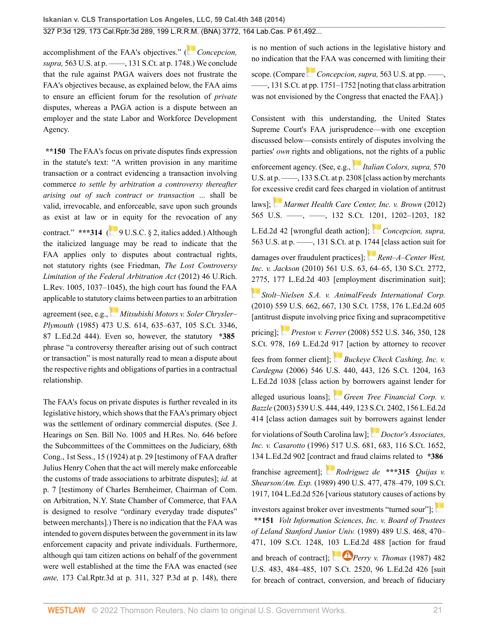accomplishment of the FAA's objectives." ( *[Concepcion,](http://www.westlaw.com/Link/Document/FullText?findType=Y&serNum=2025172541&pubNum=0000708&originatingDoc=I2ff28000fadb11e39488c8f438320c70&refType=RP&fi=co_pp_sp_708_1748&originationContext=document&vr=3.0&rs=cblt1.0&transitionType=DocumentItem&contextData=(sc.Search)#co_pp_sp_708_1748) supra,* [563 U.S. at p. ––––, 131 S.Ct. at p. 1748](http://www.westlaw.com/Link/Document/FullText?findType=Y&serNum=2025172541&pubNum=0000708&originatingDoc=I2ff28000fadb11e39488c8f438320c70&refType=RP&fi=co_pp_sp_708_1748&originationContext=document&vr=3.0&rs=cblt1.0&transitionType=DocumentItem&contextData=(sc.Search)#co_pp_sp_708_1748).) We conclude that the rule against PAGA waivers does not frustrate the FAA's objectives because, as explained below, the FAA aims to ensure an efficient forum for the resolution of *private* disputes, whereas a PAGA action is a dispute between an employer and the state Labor and Workforce Development Agency.

**\*\*150** The FAA's focus on private disputes finds expression in the statute's text: "A written provision in any maritime transaction or a contract evidencing a transaction involving commerce *to settle by arbitration a controversy thereafter arising out of such contract or transaction* ... shall be valid, irrevocable, and enforceable, save upon such grounds as exist at law or [in](https://1.next.westlaw.com/Link/RelatedInformation/Flag?documentGuid=NC02233609E4D11EC8C95F2ECE9E71133&transitionType=InlineKeyCiteFlags&originationContext=docHeaderFlag&Rank=0&ppcid=2af46aeee0b04785be997ff44a01e3a1&contextData=(sc.Search) ) equity for the revocation of any contract." \*\*\* $314$  ( $9 \text{ U.S.C.}$  § 2, italics added.) Although the italicized language may be read to indicate that the FAA applies only to disputes about contractual rights, not statutory rights (see Friedman, *[The Lost Controversy](http://www.westlaw.com/Link/Document/FullText?findType=Y&serNum=0373039533&pubNum=0001271&originatingDoc=I2ff28000fadb11e39488c8f438320c70&refType=LR&fi=co_pp_sp_1271_1037&originationContext=document&vr=3.0&rs=cblt1.0&transitionType=DocumentItem&contextData=(sc.Search)#co_pp_sp_1271_1037) [Limitation of the Federal Arbitration Act](http://www.westlaw.com/Link/Document/FullText?findType=Y&serNum=0373039533&pubNum=0001271&originatingDoc=I2ff28000fadb11e39488c8f438320c70&refType=LR&fi=co_pp_sp_1271_1037&originationContext=document&vr=3.0&rs=cblt1.0&transitionType=DocumentItem&contextData=(sc.Search)#co_pp_sp_1271_1037)* (2012) 46 U.Rich. [L.Rev. 1005, 1037–1045](http://www.westlaw.com/Link/Document/FullText?findType=Y&serNum=0373039533&pubNum=0001271&originatingDoc=I2ff28000fadb11e39488c8f438320c70&refType=LR&fi=co_pp_sp_1271_1037&originationContext=document&vr=3.0&rs=cblt1.0&transitionType=DocumentItem&contextData=(sc.Search)#co_pp_sp_1271_1037)), the high court has found the FAA applicable to statutor[y cl](https://1.next.westlaw.com/Link/RelatedInformation/Flag?documentGuid=Ic1d899969c1e11d991d0cc6b54f12d4d&transitionType=InlineKeyCiteFlags&originationContext=docHeaderFlag&Rank=0&ppcid=2af46aeee0b04785be997ff44a01e3a1&contextData=(sc.Search) )aims between parties to an arbitration

agreement (see, e.g., *[Mitsubishi Motors v. Soler Chrysler–](http://www.westlaw.com/Link/Document/FullText?findType=Y&serNum=1985133734&pubNum=0000708&originatingDoc=I2ff28000fadb11e39488c8f438320c70&refType=RP&originationContext=document&vr=3.0&rs=cblt1.0&transitionType=DocumentItem&contextData=(sc.Search)) Plymouth* [\(1985\) 473 U.S. 614, 635–637, 105 S.Ct. 3346,](http://www.westlaw.com/Link/Document/FullText?findType=Y&serNum=1985133734&pubNum=0000708&originatingDoc=I2ff28000fadb11e39488c8f438320c70&refType=RP&originationContext=document&vr=3.0&rs=cblt1.0&transitionType=DocumentItem&contextData=(sc.Search)) [87 L.Ed.2d 444\)](http://www.westlaw.com/Link/Document/FullText?findType=Y&serNum=1985133734&pubNum=0000708&originatingDoc=I2ff28000fadb11e39488c8f438320c70&refType=RP&originationContext=document&vr=3.0&rs=cblt1.0&transitionType=DocumentItem&contextData=(sc.Search)). Even so, however, the statutory **\*385** phrase "a controversy thereafter arising out of such contract or transaction" is most naturally read to mean a dispute about the respective rights and obligations of parties in a contractual relationship.

The FAA's focus on private disputes is further revealed in its legislative history, which shows that the FAA's primary object was the settlement of ordinary commercial disputes. (See J. Hearings on Sen. Bill No. 1005 and H.Res. No. 646 before the Subcommittees of the Committees on the Judiciary, 68th Cong., 1st Sess., 15 (1924) at p. 29 [testimony of FAA drafter Julius Henry Cohen that the act will merely make enforceable the customs of trade associations to arbitrate disputes]; *id.* at p. 7 [testimony of Charles Bernheimer, Chairman of Com. on Arbitration, N.Y. State Chamber of Commerce, that FAA is designed to resolve "ordinary everyday trade disputes" between merchants].) There is no indication that the FAA was intended to govern disputes between the government in its law enforcement capacity and private individuals. Furthermore, although qui tam citizen actions on behalf of the government were well established at the time the FAA was enacted (see *ante,* 173 Cal.Rptr.3d at p. 311, 327 P.3d at p. 148), there is no mention of such actions in the legislative history and no indication tha[t the](https://1.next.westlaw.com/Link/RelatedInformation/Flag?documentGuid=I2cd0aa5870bc11e0a34df17ea74c323f&transitionType=InlineKeyCiteFlags&originationContext=docHeaderFlag&Rank=0&ppcid=2af46aeee0b04785be997ff44a01e3a1&contextData=(sc.Search) ) FAA was concerned with limiting their

scope. (Compare *Concepcion, supra,* [563 U.S. at pp. ––––,](http://www.westlaw.com/Link/Document/FullText?findType=Y&serNum=2025172541&pubNum=0000708&originatingDoc=I2ff28000fadb11e39488c8f438320c70&refType=RP&fi=co_pp_sp_708_1751&originationContext=document&vr=3.0&rs=cblt1.0&transitionType=DocumentItem&contextData=(sc.Search)#co_pp_sp_708_1751) [––––, 131 S.Ct. at pp. 1751–1752](http://www.westlaw.com/Link/Document/FullText?findType=Y&serNum=2025172541&pubNum=0000708&originatingDoc=I2ff28000fadb11e39488c8f438320c70&refType=RP&fi=co_pp_sp_708_1751&originationContext=document&vr=3.0&rs=cblt1.0&transitionType=DocumentItem&contextData=(sc.Search)#co_pp_sp_708_1751) [noting that class arbitration was not envisioned by the Congress that enacted the FAA].)

Consistent with this understanding, the United States Supreme Court's FAA jurisprudence—with one exception discussed below—consists entirely of disputes involving the parties' *own* rights and obligati[ons,](https://1.next.westlaw.com/Link/RelatedInformation/Flag?documentGuid=I80e6e305d98c11e28502bda794601919&transitionType=InlineKeyCiteFlags&originationContext=docHeaderFlag&Rank=0&ppcid=2af46aeee0b04785be997ff44a01e3a1&contextData=(sc.Search) ) not the rights of a public enforcement agency. (See, e.g., *[Italian Colors, supra,](http://www.westlaw.com/Link/Document/FullText?findType=Y&serNum=2030816550&pubNum=0000708&originatingDoc=I2ff28000fadb11e39488c8f438320c70&refType=RP&fi=co_pp_sp_708_2308&originationContext=document&vr=3.0&rs=cblt1.0&transitionType=DocumentItem&contextData=(sc.Search)#co_pp_sp_708_2308)* 570 U.S. at p. ——, 133 S.Ct. at p. 2308 [class action by merchants] for ex[cess](https://1.next.westlaw.com/Link/RelatedInformation/Flag?documentGuid=I9c78fd7c5c6611e18b1ac573b20fcfb7&transitionType=InlineKeyCiteFlags&originationContext=docHeaderFlag&Rank=0&ppcid=2af46aeee0b04785be997ff44a01e3a1&contextData=(sc.Search) )ive credit card fees charged in violation of antitrust laws]; *[Marmet Health Care Center, Inc. v. Brown](http://www.westlaw.com/Link/Document/FullText?findType=Y&serNum=2027167381&pubNum=0000708&originatingDoc=I2ff28000fadb11e39488c8f438320c70&refType=RP&fi=co_pp_sp_708_1202&originationContext=document&vr=3.0&rs=cblt1.0&transitionType=DocumentItem&contextData=(sc.Search)#co_pp_sp_708_1202)* (2012) [565 U.S. ––––, ––––, 132 S.Ct. 1201, 1202–1203, 182](http://www.westlaw.com/Link/Document/FullText?findType=Y&serNum=2027167381&pubNum=0000708&originatingDoc=I2ff28000fadb11e39488c8f438320c70&refType=RP&fi=co_pp_sp_708_1202&originationContext=document&vr=3.0&rs=cblt1.0&transitionType=DocumentItem&contextData=(sc.Search)#co_pp_sp_708_1202) [L.Ed.2d 42](http://www.westlaw.com/Link/Document/FullText?findType=Y&serNum=2027167381&pubNum=0000708&originatingDoc=I2ff28000fadb11e39488c8f438320c70&refType=RP&fi=co_pp_sp_708_1202&originationContext=document&vr=3.0&rs=cblt1.0&transitionType=DocumentItem&contextData=(sc.Search)#co_pp_sp_708_1202) [wrongful death action]; *[Concepcion, supra,](http://www.westlaw.com/Link/Document/FullText?findType=Y&serNum=2025172541&pubNum=0000708&originatingDoc=I2ff28000fadb11e39488c8f438320c70&refType=RP&fi=co_pp_sp_708_1744&originationContext=document&vr=3.0&rs=cblt1.0&transitionType=DocumentItem&contextData=(sc.Search)#co_pp_sp_708_1744)* [563 U.S. at p. ––––, 131 S.Ct. at p. 1744](http://www.westlaw.com/Link/Document/FullText?findType=Y&serNum=2025172541&pubNum=0000708&originatingDoc=I2ff28000fadb11e39488c8f438320c70&refType=RP&fi=co_pp_sp_708_1744&originationContext=document&vr=3.0&rs=cblt1.0&transitionType=DocumentItem&contextData=(sc.Search)#co_pp_sp_708_1744) [class action suit for damages over fraudulent practices]; *[Rent–A–Center West,](http://www.westlaw.com/Link/Document/FullText?findType=Y&serNum=2022339671&pubNum=0000708&originatingDoc=I2ff28000fadb11e39488c8f438320c70&refType=RP&fi=co_pp_sp_708_2775&originationContext=document&vr=3.0&rs=cblt1.0&transitionType=DocumentItem&contextData=(sc.Search)#co_pp_sp_708_2775) Inc. v. Jackson* [\(2010\) 561 U.S. 63, 64–65, 130 S.Ct. 2772,](http://www.westlaw.com/Link/Document/FullText?findType=Y&serNum=2022339671&pubNum=0000708&originatingDoc=I2ff28000fadb11e39488c8f438320c70&refType=RP&fi=co_pp_sp_708_2775&originationContext=document&vr=3.0&rs=cblt1.0&transitionType=DocumentItem&contextData=(sc.Search)#co_pp_sp_708_2775) [2775, 177 L.Ed.2d 403](http://www.westlaw.com/Link/Document/FullText?findType=Y&serNum=2022339671&pubNum=0000708&originatingDoc=I2ff28000fadb11e39488c8f438320c70&refType=RP&fi=co_pp_sp_708_2775&originationContext=document&vr=3.0&rs=cblt1.0&transitionType=DocumentItem&contextData=(sc.Search)#co_pp_sp_708_2775) [employment discrimination suit]; *[Stolt–Nielsen S.A. v. AnimalFeeds International Corp.](http://www.westlaw.com/Link/Document/FullText?findType=Y&serNum=2021840752&pubNum=0000708&originatingDoc=I2ff28000fadb11e39488c8f438320c70&refType=RP&originationContext=document&vr=3.0&rs=cblt1.0&transitionType=DocumentItem&contextData=(sc.Search))* [\(2010\) 559 U.S. 662, 667, 130 S.Ct. 1758, 176 L.Ed.2d 605](http://www.westlaw.com/Link/Document/FullText?findType=Y&serNum=2021840752&pubNum=0000708&originatingDoc=I2ff28000fadb11e39488c8f438320c70&refType=RP&originationContext=document&vr=3.0&rs=cblt1.0&transitionType=DocumentItem&contextData=(sc.Search)) [antitrust [disp](https://1.next.westlaw.com/Link/RelatedInformation/Flag?documentGuid=I23548273dfc311dca9c2f716e0c816ba&transitionType=InlineKeyCiteFlags&originationContext=docHeaderFlag&Rank=0&ppcid=2af46aeee0b04785be997ff44a01e3a1&contextData=(sc.Search) )ute involving price fixing and supracompetitive pricing]; *Preston v. Ferrer* [\(2008\) 552 U.S. 346, 350, 128](http://www.westlaw.com/Link/Document/FullText?findType=Y&serNum=2015291006&pubNum=0000708&originatingDoc=I2ff28000fadb11e39488c8f438320c70&refType=RP&originationContext=document&vr=3.0&rs=cblt1.0&transitionType=DocumentItem&contextData=(sc.Search)) [S.Ct. 978, 169 L.Ed.2d 917](http://www.westlaw.com/Link/Document/FullText?findType=Y&serNum=2015291006&pubNum=0000708&originatingDoc=I2ff28000fadb11e39488c8f438320c70&refType=RP&originationContext=document&vr=3.0&rs=cblt1.0&transitionType=DocumentItem&contextData=(sc.Search))[action by attorney to recover fees from former client]; *[Buckeye Check Cashing, Inc. v.](http://www.westlaw.com/Link/Document/FullText?findType=Y&serNum=2008492124&pubNum=0000708&originatingDoc=I2ff28000fadb11e39488c8f438320c70&refType=RP&originationContext=document&vr=3.0&rs=cblt1.0&transitionType=DocumentItem&contextData=(sc.Search)) Cardegna* [\(2006\) 546 U.S. 440, 443, 126 S.Ct. 1204, 163](http://www.westlaw.com/Link/Document/FullText?findType=Y&serNum=2008492124&pubNum=0000708&originatingDoc=I2ff28000fadb11e39488c8f438320c70&refType=RP&originationContext=document&vr=3.0&rs=cblt1.0&transitionType=DocumentItem&contextData=(sc.Search)) [L.Ed.2d 1038](http://www.westlaw.com/Link/Document/FullText?findType=Y&serNum=2008492124&pubNum=0000708&originatingDoc=I2ff28000fadb11e39488c8f438320c70&refType=RP&originationContext=document&vr=3.0&rs=cblt1.0&transitionType=DocumentItem&contextData=(sc.Search)) [class acti[on b](https://1.next.westlaw.com/Link/RelatedInformation/Flag?documentGuid=I1d1217a59c9711d993e6d35cc61aab4a&transitionType=InlineKeyCiteFlags&originationContext=docHeaderFlag&Rank=0&ppcid=2af46aeee0b04785be997ff44a01e3a1&contextData=(sc.Search) )y borrowers against lender for alleged usurious loans]; *[Green Tree Financial Corp. v.](http://www.westlaw.com/Link/Document/FullText?findType=Y&serNum=2003444529&pubNum=0000708&originatingDoc=I2ff28000fadb11e39488c8f438320c70&refType=RP&originationContext=document&vr=3.0&rs=cblt1.0&transitionType=DocumentItem&contextData=(sc.Search)) Bazzle* [\(2003\) 539 U.S. 444, 449, 123 S.Ct. 2402, 156 L.Ed.2d](http://www.westlaw.com/Link/Document/FullText?findType=Y&serNum=2003444529&pubNum=0000708&originatingDoc=I2ff28000fadb11e39488c8f438320c70&refType=RP&originationContext=document&vr=3.0&rs=cblt1.0&transitionType=DocumentItem&contextData=(sc.Search)) [414](http://www.westlaw.com/Link/Document/FullText?findType=Y&serNum=2003444529&pubNum=0000708&originatingDoc=I2ff28000fadb11e39488c8f438320c70&refType=RP&originationContext=document&vr=3.0&rs=cblt1.0&transitionType=DocumentItem&contextData=(sc.Search)) [class action damages suit by borrowers against lender for violations of South Carolina law];*[Doctor's Associates,](http://www.westlaw.com/Link/Document/FullText?findType=Y&serNum=1996118397&pubNum=0000708&originatingDoc=I2ff28000fadb11e39488c8f438320c70&refType=RP&originationContext=document&vr=3.0&rs=cblt1.0&transitionType=DocumentItem&contextData=(sc.Search)) Inc. v. Casarotto* [\(1996\) 517 U.S. 681, 683, 116 S.Ct. 1652,](http://www.westlaw.com/Link/Document/FullText?findType=Y&serNum=1996118397&pubNum=0000708&originatingDoc=I2ff28000fadb11e39488c8f438320c70&refType=RP&originationContext=document&vr=3.0&rs=cblt1.0&transitionType=DocumentItem&contextData=(sc.Search)) [134 L.Ed.2d 902](http://www.westlaw.com/Link/Document/FullText?findType=Y&serNum=1996118397&pubNum=0000708&originatingDoc=I2ff28000fadb11e39488c8f438320c70&refType=RP&originationContext=document&vr=3.0&rs=cblt1.0&transitionType=DocumentItem&contextData=(sc.Search)) [cont[ract](https://1.next.westlaw.com/Link/RelatedInformation/Flag?documentGuid=I234c11819c1e11d9bdd1cfdd544ca3a4&transitionType=InlineKeyCiteFlags&originationContext=docHeaderFlag&Rank=0&ppcid=2af46aeee0b04785be997ff44a01e3a1&contextData=(sc.Search) ) and fraud claims related to **\*386** franchise agreement]; *[Rodriguez de](http://www.westlaw.com/Link/Document/FullText?findType=Y&serNum=1989072203&pubNum=0000708&originatingDoc=I2ff28000fadb11e39488c8f438320c70&refType=RP&originationContext=document&vr=3.0&rs=cblt1.0&transitionType=DocumentItem&contextData=(sc.Search))* **\*\*\*315** *Quijas v. Shearson/Am. Exp.* [\(1989\) 490 U.S. 477, 478–479, 109 S.Ct.](http://www.westlaw.com/Link/Document/FullText?findType=Y&serNum=1989072203&pubNum=0000708&originatingDoc=I2ff28000fadb11e39488c8f438320c70&refType=RP&originationContext=document&vr=3.0&rs=cblt1.0&transitionType=DocumentItem&contextData=(sc.Search)) [1917, 104 L.Ed.2d 526](http://www.westlaw.com/Link/Document/FullText?findType=Y&serNum=1989072203&pubNum=0000708&originatingDoc=I2ff28000fadb11e39488c8f438320c70&refType=RP&originationContext=document&vr=3.0&rs=cblt1.0&transitionType=DocumentItem&contextData=(sc.Search)) [various statutory causes of action[s by](https://1.next.westlaw.com/Link/RelatedInformation/Flag?documentGuid=I6b35c7f09c2511d9bc61beebb95be672&transitionType=InlineKeyCiteFlags&originationContext=docHeaderFlag&Rank=0&ppcid=2af46aeee0b04785be997ff44a01e3a1&contextData=(sc.Search) ) investors against broker over investments "turned sour"];

**\*\*151** *[Volt Information Sciences, Inc. v. Board of Trustees](http://www.westlaw.com/Link/Document/FullText?findType=Y&serNum=1989032283&pubNum=0000708&originatingDoc=I2ff28000fadb11e39488c8f438320c70&refType=RP&originationContext=document&vr=3.0&rs=cblt1.0&transitionType=DocumentItem&contextData=(sc.Search)) [of Leland Stanford Junior Univ.](http://www.westlaw.com/Link/Document/FullText?findType=Y&serNum=1989032283&pubNum=0000708&originatingDoc=I2ff28000fadb11e39488c8f438320c70&refType=RP&originationContext=document&vr=3.0&rs=cblt1.0&transitionType=DocumentItem&contextData=(sc.Search))* (1989) 489 U.S. 468, 470– [471, 109 S.Ct. 1248, 103 L.Ed.2d 488](http://www.westlaw.com/Link/Document/FullText?findType=Y&serNum=1989032283&pubNum=0000708&originatingDoc=I2ff28000fadb11e39488c8f438320c70&refType=RP&originationContext=document&vr=3.0&rs=cblt1.0&transitionType=DocumentItem&contextData=(sc.Search)) [action for fraud and breach of contract]; **Perry v.** Thomas (1987) 482 [U.S. 483, 484–485, 107 S.Ct. 2520, 96 L.Ed.2d 426](http://www.westlaw.com/Link/Document/FullText?findType=Y&serNum=1987074413&pubNum=0000708&originatingDoc=I2ff28000fadb11e39488c8f438320c70&refType=RP&originationContext=document&vr=3.0&rs=cblt1.0&transitionType=DocumentItem&contextData=(sc.Search)) [suit for breach of contract, conversion, and breach of fiduciary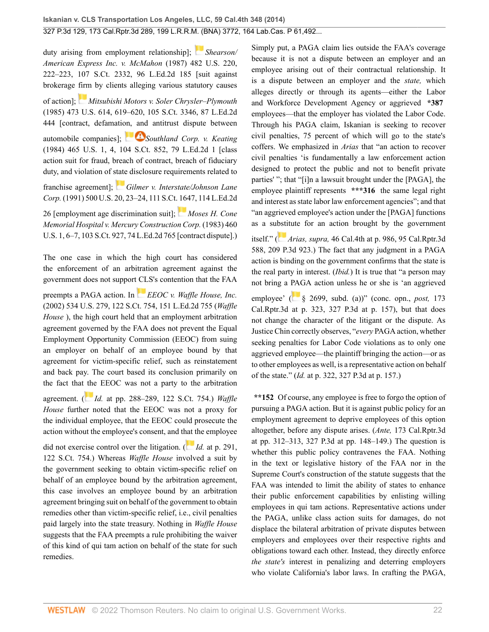duty arising from employment relationship]; *[Shearson/](http://www.westlaw.com/Link/Document/FullText?findType=Y&serNum=1987070825&pubNum=0000708&originatingDoc=I2ff28000fadb11e39488c8f438320c70&refType=RP&originationContext=document&vr=3.0&rs=cblt1.0&transitionType=DocumentItem&contextData=(sc.Search)) [American Express Inc. v. McMahon](http://www.westlaw.com/Link/Document/FullText?findType=Y&serNum=1987070825&pubNum=0000708&originatingDoc=I2ff28000fadb11e39488c8f438320c70&refType=RP&originationContext=document&vr=3.0&rs=cblt1.0&transitionType=DocumentItem&contextData=(sc.Search))* (1987) 482 U.S. 220, [222–223, 107 S.Ct. 2332, 96 L.Ed.2d 185](http://www.westlaw.com/Link/Document/FullText?findType=Y&serNum=1987070825&pubNum=0000708&originatingDoc=I2ff28000fadb11e39488c8f438320c70&refType=RP&originationContext=document&vr=3.0&rs=cblt1.0&transitionType=DocumentItem&contextData=(sc.Search)) [suit against brokerage [firm](https://1.next.westlaw.com/Link/RelatedInformation/Flag?documentGuid=Ic1d899969c1e11d991d0cc6b54f12d4d&transitionType=InlineKeyCiteFlags&originationContext=docHeaderFlag&Rank=0&ppcid=2af46aeee0b04785be997ff44a01e3a1&contextData=(sc.Search) ) by clients alleging various statutory causes of action]; *[Mitsubishi Motors v. Soler Chrysler–Plymouth](http://www.westlaw.com/Link/Document/FullText?findType=Y&serNum=1985133734&pubNum=0000708&originatingDoc=I2ff28000fadb11e39488c8f438320c70&refType=RP&originationContext=document&vr=3.0&rs=cblt1.0&transitionType=DocumentItem&contextData=(sc.Search))* [\(1985\) 473 U.S. 614, 619–620, 105 S.Ct. 3346, 87 L.Ed.2d](http://www.westlaw.com/Link/Document/FullText?findType=Y&serNum=1985133734&pubNum=0000708&originatingDoc=I2ff28000fadb11e39488c8f438320c70&refType=RP&originationContext=document&vr=3.0&rs=cblt1.0&transitionType=DocumentItem&contextData=(sc.Search)) [444](http://www.westlaw.com/Link/Document/FullText?findType=Y&serNum=1985133734&pubNum=0000708&originatingDoc=I2ff28000fadb11e39488c8f438320c70&refType=RP&originationContext=document&vr=3.0&rs=cblt1.0&transitionType=DocumentItem&contextData=(sc.Search)) [contract, defamati[on, and](https://1.next.westlaw.com/Link/RelatedInformation/Flag?documentGuid=I98823df89c1c11d9bc61beebb95be672&transitionType=InlineKeyCiteFlags&originationContext=docHeaderFlag&Rank=0&ppcid=2af46aeee0b04785be997ff44a01e3a1&contextData=(sc.Search) ) antitrust dispute between automobile companies]; **Southland Corp.** v. Keating [\(1984\) 465 U.S. 1, 4, 104 S.Ct. 852, 79 L.Ed.2d 1](http://www.westlaw.com/Link/Document/FullText?findType=Y&serNum=1984104100&pubNum=0000708&originatingDoc=I2ff28000fadb11e39488c8f438320c70&refType=RP&originationContext=document&vr=3.0&rs=cblt1.0&transitionType=DocumentItem&contextData=(sc.Search)) [class action suit for fraud, breach of contract, breach of fiduciary duty, and violation of [state](https://1.next.westlaw.com/Link/RelatedInformation/Flag?documentGuid=I862f49d69c9011d993e6d35cc61aab4a&transitionType=InlineKeyCiteFlags&originationContext=docHeaderFlag&Rank=0&ppcid=2af46aeee0b04785be997ff44a01e3a1&contextData=(sc.Search) ) disclosure requirements related to

franchise agreement]; *[Gilmer v. Interstate/Johnson Lane](http://www.westlaw.com/Link/Document/FullText?findType=Y&serNum=1991089841&pubNum=0000708&originatingDoc=I2ff28000fadb11e39488c8f438320c70&refType=RP&originationContext=document&vr=3.0&rs=cblt1.0&transitionType=DocumentItem&contextData=(sc.Search)) Corp.* [\(1991\) 500 U.S. 20, 23–24, 111 S.Ct. 1647, 114 L.Ed.2d](http://www.westlaw.com/Link/Document/FullText?findType=Y&serNum=1991089841&pubNum=0000708&originatingDoc=I2ff28000fadb11e39488c8f438320c70&refType=RP&originationContext=document&vr=3.0&rs=cblt1.0&transitionType=DocumentItem&contextData=(sc.Search))

[26](http://www.westlaw.com/Link/Document/FullText?findType=Y&serNum=1991089841&pubNum=0000708&originatingDoc=I2ff28000fadb11e39488c8f438320c70&refType=RP&originationContext=document&vr=3.0&rs=cblt1.0&transitionType=DocumentItem&contextData=(sc.Search)) [employment age discrimination suit]; *[Moses H. Cone](http://www.westlaw.com/Link/Document/FullText?findType=Y&serNum=1983109286&pubNum=0000708&originatingDoc=I2ff28000fadb11e39488c8f438320c70&refType=RP&originationContext=document&vr=3.0&rs=cblt1.0&transitionType=DocumentItem&contextData=(sc.Search)) [Memorial Hospital v. Mercury Construction Corp.](http://www.westlaw.com/Link/Document/FullText?findType=Y&serNum=1983109286&pubNum=0000708&originatingDoc=I2ff28000fadb11e39488c8f438320c70&refType=RP&originationContext=document&vr=3.0&rs=cblt1.0&transitionType=DocumentItem&contextData=(sc.Search))* (1983) 460 [U.S. 1, 6–7, 103 S.Ct. 927, 74 L.Ed.2d 765](http://www.westlaw.com/Link/Document/FullText?findType=Y&serNum=1983109286&pubNum=0000708&originatingDoc=I2ff28000fadb11e39488c8f438320c70&refType=RP&originationContext=document&vr=3.0&rs=cblt1.0&transitionType=DocumentItem&contextData=(sc.Search)) [contract dispute].)

The one case in which the high court has considered the enforcement of an arbitration agreement against the government does not support [CL](https://1.next.westlaw.com/Link/RelatedInformation/Flag?documentGuid=I318a71ea9c2511d9bdd1cfdd544ca3a4&transitionType=InlineKeyCiteFlags&originationContext=docHeaderFlag&Rank=0&ppcid=2af46aeee0b04785be997ff44a01e3a1&contextData=(sc.Search) )S's contention that the FAA

preempts a PAGA action. In *[EEOC v. Waffle House, Inc.](http://www.westlaw.com/Link/Document/FullText?findType=Y&serNum=2002067007&pubNum=0000708&originatingDoc=I2ff28000fadb11e39488c8f438320c70&refType=RP&originationContext=document&vr=3.0&rs=cblt1.0&transitionType=DocumentItem&contextData=(sc.Search))* [\(2002\) 534 U.S. 279, 122 S.Ct. 754, 151 L.Ed.2d 755](http://www.westlaw.com/Link/Document/FullText?findType=Y&serNum=2002067007&pubNum=0000708&originatingDoc=I2ff28000fadb11e39488c8f438320c70&refType=RP&originationContext=document&vr=3.0&rs=cblt1.0&transitionType=DocumentItem&contextData=(sc.Search)) (*Waffle House* ), the high court held that an employment arbitration agreement governed by the FAA does not prevent the Equal Employment Opportunity Commission (EEOC) from suing an employer on behalf of an employee bound by that agreement for victim-specific relief, such as reinstatement and back pay. The court based its conclusion primarily on the fact that [the](https://1.next.westlaw.com/Link/RelatedInformation/Flag?documentGuid=I318a71ea9c2511d9bdd1cfdd544ca3a4&transitionType=InlineKeyCiteFlags&originationContext=docHeaderFlag&Rank=0&ppcid=2af46aeee0b04785be997ff44a01e3a1&contextData=(sc.Search) ) EEOC was not a party to the arbitration

agreement. ( *Id.* [at pp. 288–289, 122 S.Ct. 754.](http://www.westlaw.com/Link/Document/FullText?findType=Y&serNum=2002067007&pubNum=0000708&originatingDoc=I2ff28000fadb11e39488c8f438320c70&refType=RP&originationContext=document&vr=3.0&rs=cblt1.0&transitionType=DocumentItem&contextData=(sc.Search))) *Waffle House* further noted that the EEOC was not a proxy for the individual employee, that the EEOC could prosecute the action without the employee's consent, and t[hat t](https://1.next.westlaw.com/Link/RelatedInformation/Flag?documentGuid=I318a71ea9c2511d9bdd1cfdd544ca3a4&transitionType=InlineKeyCiteFlags&originationContext=docHeaderFlag&Rank=0&ppcid=2af46aeee0b04785be997ff44a01e3a1&contextData=(sc.Search) )he employee

did not exercise control over the litigation. ( *Id.* [at p. 291,](http://www.westlaw.com/Link/Document/FullText?findType=Y&serNum=2002067007&pubNum=0000708&originatingDoc=I2ff28000fadb11e39488c8f438320c70&refType=RP&originationContext=document&vr=3.0&rs=cblt1.0&transitionType=DocumentItem&contextData=(sc.Search)) [122 S.Ct. 754](http://www.westlaw.com/Link/Document/FullText?findType=Y&serNum=2002067007&pubNum=0000708&originatingDoc=I2ff28000fadb11e39488c8f438320c70&refType=RP&originationContext=document&vr=3.0&rs=cblt1.0&transitionType=DocumentItem&contextData=(sc.Search)).) Whereas *Waffle House* involved a suit by the government seeking to obtain victim-specific relief on behalf of an employee bound by the arbitration agreement, this case involves an employee bound by an arbitration agreement bringing suit on behalf of the government to obtain remedies other than victim-specific relief, i.e., civil penalties paid largely into the state treasury. Nothing in *Waffle House* suggests that the FAA preempts a rule prohibiting the waiver of this kind of qui tam action on behalf of the state for such remedies.

Simply put, a PAGA claim lies outside the FAA's coverage because it is not a dispute between an employer and an employee arising out of their contractual relationship. It is a dispute between an employer and the *state,* which alleges directly or through its agents—either the Labor and Workforce Development Agency or aggrieved **\*387** employees—that the employer has violated the Labor Code. Through his PAGA claim, Iskanian is seeking to recover civil penalties, 75 percent of which will go to the state's coffers. We emphasized in *Arias* that "an action to recover civil penalties 'is fundamentally a law enforcement action designed to protect the public and not to benefit private parties' "; that "[i]n a lawsuit brought under the [PAGA], the employee plaintiff represents **\*\*\*316** the same legal right and interest as state labor law enforcement agencies"; and that "an aggrieved employee's action under the [PAGA] functions as a su[bsti](https://1.next.westlaw.com/Link/RelatedInformation/Flag?documentGuid=I59efe75c64bb11deabded03f2b83b8a4&transitionType=InlineKeyCiteFlags&originationContext=docHeaderFlag&Rank=0&ppcid=2af46aeee0b04785be997ff44a01e3a1&contextData=(sc.Search) )tute for an action brought by the government itself." ( *Arias, supra,* [46 Cal.4th at p. 986, 95 Cal.Rptr.3d](http://www.westlaw.com/Link/Document/FullText?findType=Y&serNum=2019228329&pubNum=0004645&originatingDoc=I2ff28000fadb11e39488c8f438320c70&refType=RP&originationContext=document&vr=3.0&rs=cblt1.0&transitionType=DocumentItem&contextData=(sc.Search)) [588, 209 P.3d 923](http://www.westlaw.com/Link/Document/FullText?findType=Y&serNum=2019228329&pubNum=0004645&originatingDoc=I2ff28000fadb11e39488c8f438320c70&refType=RP&originationContext=document&vr=3.0&rs=cblt1.0&transitionType=DocumentItem&contextData=(sc.Search)).) The fact that any judgment in a PAGA action is binding on the government confirms that the state is the real party in interest. (*Ibid.*) It is true that "a person may not bring a [PAG](https://1.next.westlaw.com/Link/RelatedInformation/Flag?documentGuid=N368330A0435411E69D65EC9FC0DD0DC9&transitionType=InlineKeyCiteFlags&originationContext=docHeaderFlag&Rank=0&ppcid=2af46aeee0b04785be997ff44a01e3a1&contextData=(sc.Search) )A action unless he or she is 'an aggrieved employee' ( [§ 2699, subd. \(a\)](http://www.westlaw.com/Link/Document/FullText?findType=L&pubNum=1000215&cite=CALBS2699&originatingDoc=I2ff28000fadb11e39488c8f438320c70&refType=SP&originationContext=document&vr=3.0&rs=cblt1.0&transitionType=DocumentItem&contextData=(sc.Search)#co_pp_8b3b0000958a4))" (conc. opn., *post,* 173 Cal.Rptr.3d at p. 323, 327 P.3d at p. 157), but that does not change the character of the litigant or the dispute. As Justice Chin correctly observes, "*every* PAGA action, whether seeking penalties for Labor Code violations as to only one aggrieved employee—the plaintiff bringing the action—or as

to other employees as well, is a representative action on behalf of the state." (*Id.* at p. 322, 327 P.3d at p. 157.)

**\*\*152** Of course, any employee is free to forgo the option of pursuing a PAGA action. But it is against public policy for an employment agreement to deprive employees of this option altogether, before any dispute arises. (*Ante,* 173 Cal.Rptr.3d at pp. 312–313, 327 P.3d at pp. 148–149.) The question is whether this public policy contravenes the FAA. Nothing in the text or legislative history of the FAA nor in the Supreme Court's construction of the statute suggests that the FAA was intended to limit the ability of states to enhance their public enforcement capabilities by enlisting willing employees in qui tam actions. Representative actions under the PAGA, unlike class action suits for damages, do not displace the bilateral arbitration of private disputes between employers and employees over their respective rights and obligations toward each other. Instead, they directly enforce *the state's* interest in penalizing and deterring employers who violate California's labor laws. In crafting the PAGA,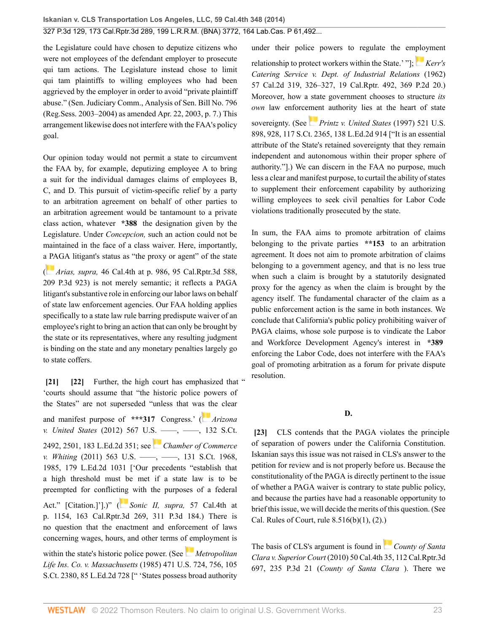the Legislature could have chosen to deputize citizens who were not employees of the defendant employer to prosecute qui tam actions. The Legislature instead chose to limit qui tam plaintiffs to willing employees who had been aggrieved by the employer in order to avoid "private plaintiff abuse." (Sen. Judiciary Comm., Analysis of Sen. Bill No. 796 (Reg.Sess. 2003–2004) as amended Apr. 22, 2003, p. 7.) This arrangement likewise does not interfere with the FAA's policy goal.

Our opinion today would not permit a state to circumvent the FAA by, for example, deputizing employee A to bring a suit for the individual damages claims of employees B, C, and D. This pursuit of victim-specific relief by a party to an arbitration agreement on behalf of other parties to an arbitration agreement would be tantamount to a private class action, whatever **\*388** the designation given by the Legislature. Under *Concepcion,* such an action could not be maintained in the face of a class waiver. Here, importantly, [a PA](https://1.next.westlaw.com/Link/RelatedInformation/Flag?documentGuid=I59efe75c64bb11deabded03f2b83b8a4&transitionType=InlineKeyCiteFlags&originationContext=docHeaderFlag&Rank=0&ppcid=2af46aeee0b04785be997ff44a01e3a1&contextData=(sc.Search) )GA litigant's status as "the proxy or agent" of the state

( *Arias, supra,* [46 Cal.4th at p. 986, 95 Cal.Rptr.3d 588,](http://www.westlaw.com/Link/Document/FullText?findType=Y&serNum=2019228329&pubNum=0004645&originatingDoc=I2ff28000fadb11e39488c8f438320c70&refType=RP&originationContext=document&vr=3.0&rs=cblt1.0&transitionType=DocumentItem&contextData=(sc.Search)) [209 P.3d 923](http://www.westlaw.com/Link/Document/FullText?findType=Y&serNum=2019228329&pubNum=0004645&originatingDoc=I2ff28000fadb11e39488c8f438320c70&refType=RP&originationContext=document&vr=3.0&rs=cblt1.0&transitionType=DocumentItem&contextData=(sc.Search))) is not merely semantic; it reflects a PAGA litigant's substantive role in enforcing our labor laws on behalf of state law enforcement agencies. Our FAA holding applies specifically to a state law rule barring predispute waiver of an employee's right to bring an action that can only be brought by the state or its representatives, where any resulting judgment is binding on the state and any monetary penalties largely go to state coffers.

<span id="page-22-1"></span><span id="page-22-0"></span>**[\[21\]](#page-3-3) [\[22\]](#page-3-4)** Further, the high court has emphasized that " 'courts should assume that "the historic police powers of the States" are not superseded "unless that wa[s th](https://1.next.westlaw.com/Link/RelatedInformation/Flag?documentGuid=I74afa1eebeb911e1b60ab297d3d07bc5&transitionType=InlineKeyCiteFlags&originationContext=docHeaderFlag&Rank=0&ppcid=2af46aeee0b04785be997ff44a01e3a1&contextData=(sc.Search) )e clear and manifest purpose of **\*\*\*317** Congress.' ( *[Arizona](http://www.westlaw.com/Link/Document/FullText?findType=Y&serNum=2027964008&pubNum=0000708&originatingDoc=I2ff28000fadb11e39488c8f438320c70&refType=RP&fi=co_pp_sp_708_2501&originationContext=document&vr=3.0&rs=cblt1.0&transitionType=DocumentItem&contextData=(sc.Search)#co_pp_sp_708_2501) v. United States* [\(2012\) 567 U.S. ––––, ––––, 132 S.Ct.](http://www.westlaw.com/Link/Document/FullText?findType=Y&serNum=2027964008&pubNum=0000708&originatingDoc=I2ff28000fadb11e39488c8f438320c70&refType=RP&fi=co_pp_sp_708_2501&originationContext=document&vr=3.0&rs=cblt1.0&transitionType=DocumentItem&contextData=(sc.Search)#co_pp_sp_708_2501) [2492, 2501, 183 L.Ed.2d 351](http://www.westlaw.com/Link/Document/FullText?findType=Y&serNum=2027964008&pubNum=0000708&originatingDoc=I2ff28000fadb11e39488c8f438320c70&refType=RP&fi=co_pp_sp_708_2501&originationContext=document&vr=3.0&rs=cblt1.0&transitionType=DocumentItem&contextData=(sc.Search)#co_pp_sp_708_2501); see *[Chamber of Commerce](http://www.westlaw.com/Link/Document/FullText?findType=Y&serNum=2025354670&pubNum=0000708&originatingDoc=I2ff28000fadb11e39488c8f438320c70&refType=RP&fi=co_pp_sp_708_1985&originationContext=document&vr=3.0&rs=cblt1.0&transitionType=DocumentItem&contextData=(sc.Search)#co_pp_sp_708_1985) v. Whiting* (2011) 563 U.S. —–, —–, 131 S.Ct. 1968, [1985, 179 L.Ed.2d 1031](http://www.westlaw.com/Link/Document/FullText?findType=Y&serNum=2025354670&pubNum=0000708&originatingDoc=I2ff28000fadb11e39488c8f438320c70&refType=RP&fi=co_pp_sp_708_1985&originationContext=document&vr=3.0&rs=cblt1.0&transitionType=DocumentItem&contextData=(sc.Search)#co_pp_sp_708_1985) ['Our precedents "establish that a high threshold must be met if a state law is to be preempted for conflict[ing](https://1.next.westlaw.com/Link/RelatedInformation/Flag?documentGuid=I4ce23846374211e380938e6f51729d80&transitionType=InlineKeyCiteFlags&originationContext=docHeaderFlag&Rank=0&ppcid=2af46aeee0b04785be997ff44a01e3a1&contextData=(sc.Search) ) with the purposes of a federal Act." [Citation.]'].)" ( *[Sonic II, supra,](http://www.westlaw.com/Link/Document/FullText?findType=Y&serNum=2031787028&pubNum=0004645&originatingDoc=I2ff28000fadb11e39488c8f438320c70&refType=RP&originationContext=document&vr=3.0&rs=cblt1.0&transitionType=DocumentItem&contextData=(sc.Search))* 57 Cal.4th at [p. 1154, 163 Cal.Rptr.3d 269, 311 P.3d 184.](http://www.westlaw.com/Link/Document/FullText?findType=Y&serNum=2031787028&pubNum=0004645&originatingDoc=I2ff28000fadb11e39488c8f438320c70&refType=RP&originationContext=document&vr=3.0&rs=cblt1.0&transitionType=DocumentItem&contextData=(sc.Search))) There is no question that the enactment and enforcement of laws concerning wages, hours, and other terms o[f em](https://1.next.westlaw.com/Link/RelatedInformation/Flag?documentGuid=I1786f4f59c1f11d993e6d35cc61aab4a&transitionType=InlineKeyCiteFlags&originationContext=docHeaderFlag&Rank=0&ppcid=2af46aeee0b04785be997ff44a01e3a1&contextData=(sc.Search) )ployment is within the state's historic police power. (See *[Metropolitan](http://www.westlaw.com/Link/Document/FullText?findType=Y&serNum=1985127857&pubNum=0000708&originatingDoc=I2ff28000fadb11e39488c8f438320c70&refType=RP&originationContext=document&vr=3.0&rs=cblt1.0&transitionType=DocumentItem&contextData=(sc.Search)) Life Ins. Co. v. Massachusetts* [\(1985\) 471 U.S. 724, 756, 105](http://www.westlaw.com/Link/Document/FullText?findType=Y&serNum=1985127857&pubNum=0000708&originatingDoc=I2ff28000fadb11e39488c8f438320c70&refType=RP&originationContext=document&vr=3.0&rs=cblt1.0&transitionType=DocumentItem&contextData=(sc.Search)) [S.Ct. 2380, 85 L.Ed.2d 728](http://www.westlaw.com/Link/Document/FullText?findType=Y&serNum=1985127857&pubNum=0000708&originatingDoc=I2ff28000fadb11e39488c8f438320c70&refType=RP&originationContext=document&vr=3.0&rs=cblt1.0&transitionType=DocumentItem&contextData=(sc.Search)) [" 'States possess broad authority

under their police powers to regulate the e[mplo](https://1.next.westlaw.com/Link/RelatedInformation/Flag?documentGuid=Ie518b83bfad911d9bf60c1d57ebc853e&transitionType=InlineKeyCiteFlags&originationContext=docHeaderFlag&Rank=0&ppcid=2af46aeee0b04785be997ff44a01e3a1&contextData=(sc.Search) )yment relationship to protect workers within the State.' "]; *[Kerr's](http://www.westlaw.com/Link/Document/FullText?findType=Y&serNum=1962125649&pubNum=0000661&originatingDoc=I2ff28000fadb11e39488c8f438320c70&refType=RP&originationContext=document&vr=3.0&rs=cblt1.0&transitionType=DocumentItem&contextData=(sc.Search)) [Catering Service v. Dept. of Industrial Relations](http://www.westlaw.com/Link/Document/FullText?findType=Y&serNum=1962125649&pubNum=0000661&originatingDoc=I2ff28000fadb11e39488c8f438320c70&refType=RP&originationContext=document&vr=3.0&rs=cblt1.0&transitionType=DocumentItem&contextData=(sc.Search))* (1962) [57 Cal.2d 319, 326–327, 19 Cal.Rptr. 492, 369 P.2d 20](http://www.westlaw.com/Link/Document/FullText?findType=Y&serNum=1962125649&pubNum=0000661&originatingDoc=I2ff28000fadb11e39488c8f438320c70&refType=RP&originationContext=document&vr=3.0&rs=cblt1.0&transitionType=DocumentItem&contextData=(sc.Search)).) Moreover, how a state government chooses to structure *its own* law enforce[men](https://1.next.westlaw.com/Link/RelatedInformation/Flag?documentGuid=I6b24d8079c2511d9bc61beebb95be672&transitionType=InlineKeyCiteFlags&originationContext=docHeaderFlag&Rank=0&ppcid=2af46aeee0b04785be997ff44a01e3a1&contextData=(sc.Search) )t authority lies at the heart of state sovereignty. (See *[Printz v. United States](http://www.westlaw.com/Link/Document/FullText?findType=Y&serNum=1997135848&pubNum=0000708&originatingDoc=I2ff28000fadb11e39488c8f438320c70&refType=RP&originationContext=document&vr=3.0&rs=cblt1.0&transitionType=DocumentItem&contextData=(sc.Search))* (1997) 521 U.S. [898, 928, 117 S.Ct. 2365, 138 L.Ed.2d 914](http://www.westlaw.com/Link/Document/FullText?findType=Y&serNum=1997135848&pubNum=0000708&originatingDoc=I2ff28000fadb11e39488c8f438320c70&refType=RP&originationContext=document&vr=3.0&rs=cblt1.0&transitionType=DocumentItem&contextData=(sc.Search)) ["It is an essential attribute of the State's retained sovereignty that they remain independent and autonomous within their proper sphere of authority."].) We can discern in the FAA no purpose, much less a clear and manifest purpose, to curtail the ability of states to supplement their enforcement capability by authorizing willing employees to seek civil penalties for Labor Code violations traditionally prosecuted by the state.

In sum, the FAA aims to promote arbitration of claims belonging to the private parties **\*\*153** to an arbitration agreement. It does not aim to promote arbitration of claims belonging to a government agency, and that is no less true when such a claim is brought by a statutorily designated proxy for the agency as when the claim is brought by the agency itself. The fundamental character of the claim as a public enforcement action is the same in both instances. We conclude that California's public policy prohibiting waiver of PAGA claims, whose sole purpose is to vindicate the Labor and Workforce Development Agency's interest in **\*389** enforcing the Labor Code, does not interfere with the FAA's goal of promoting arbitration as a forum for private dispute resolution.

## **D.**

<span id="page-22-2"></span>**[\[23\]](#page-3-5)** CLS contends that the PAGA violates the principle of separation of powers under the California Constitution. Iskanian says this issue was not raised in CLS's answer to the petition for review and is not properly before us. Because the constitutionality of the PAGA is directly pertinent to the issue of whether a PAGA waiver is contrary to state public policy, and because the parties have had a reasonable opportunity to brief this issue, we will decide the merits of this question. (See [Cal. Rules of Court, rule 8.516\(b\)\(1\), \(2\)](http://www.westlaw.com/Link/Document/FullText?findType=L&pubNum=1085232&cite=CASTAPPLLR8.516&originatingDoc=I2ff28000fadb11e39488c8f438320c70&refType=LQ&originationContext=document&vr=3.0&rs=cblt1.0&transitionType=DocumentItem&contextData=(sc.Search)).)

The basis of CLS's argument is found in*[County of Santa](http://www.westlaw.com/Link/Document/FullText?findType=Y&serNum=2022606134&pubNum=0004645&originatingDoc=I2ff28000fadb11e39488c8f438320c70&refType=RP&originationContext=document&vr=3.0&rs=cblt1.0&transitionType=DocumentItem&contextData=(sc.Search)) Clara v. Superior Court* [\(2010\) 50 Cal.4th 35, 112 Cal.Rptr.3d](http://www.westlaw.com/Link/Document/FullText?findType=Y&serNum=2022606134&pubNum=0004645&originatingDoc=I2ff28000fadb11e39488c8f438320c70&refType=RP&originationContext=document&vr=3.0&rs=cblt1.0&transitionType=DocumentItem&contextData=(sc.Search)) [697, 235 P.3d 21](http://www.westlaw.com/Link/Document/FullText?findType=Y&serNum=2022606134&pubNum=0004645&originatingDoc=I2ff28000fadb11e39488c8f438320c70&refType=RP&originationContext=document&vr=3.0&rs=cblt1.0&transitionType=DocumentItem&contextData=(sc.Search)) (*County of Santa Clara* ). There we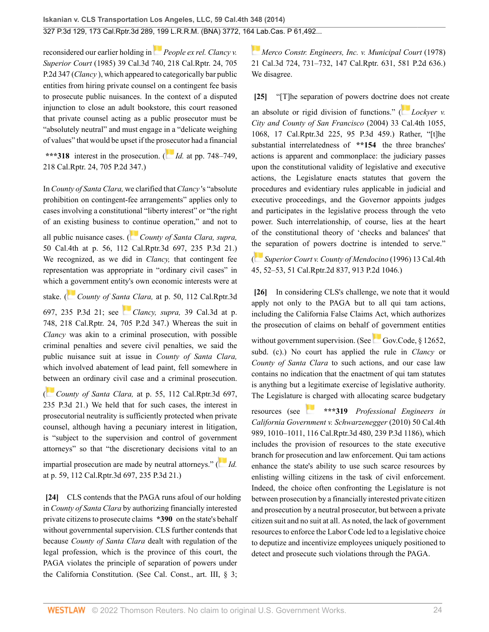reconsidered our earlier holding in*[People ex rel. Clancy v.](http://www.westlaw.com/Link/Document/FullText?findType=Y&serNum=1985146623&pubNum=0000661&originatingDoc=I2ff28000fadb11e39488c8f438320c70&refType=RP&originationContext=document&vr=3.0&rs=cblt1.0&transitionType=DocumentItem&contextData=(sc.Search)) Superior Court* [\(1985\) 39 Cal.3d 740, 218 Cal.Rptr. 24, 705](http://www.westlaw.com/Link/Document/FullText?findType=Y&serNum=1985146623&pubNum=0000661&originatingDoc=I2ff28000fadb11e39488c8f438320c70&refType=RP&originationContext=document&vr=3.0&rs=cblt1.0&transitionType=DocumentItem&contextData=(sc.Search)) [P.2d 347](http://www.westlaw.com/Link/Document/FullText?findType=Y&serNum=1985146623&pubNum=0000661&originatingDoc=I2ff28000fadb11e39488c8f438320c70&refType=RP&originationContext=document&vr=3.0&rs=cblt1.0&transitionType=DocumentItem&contextData=(sc.Search)) (*Clancy* ), which appeared to categorically bar public entities from hiring private counsel on a contingent fee basis to prosecute public nuisances. In the context of a disputed injunction to close an adult bookstore, this court reasoned that private counsel acting as a public prosecutor must be "absolutely neutral" and must engage in a "delicate weighing of values" that would be upset if the pr[osec](https://1.next.westlaw.com/Link/RelatedInformation/Flag?documentGuid=Id1c8b8f7faa911d98ac8f235252e36df&transitionType=InlineKeyCiteFlags&originationContext=docHeaderFlag&Rank=0&ppcid=2af46aeee0b04785be997ff44a01e3a1&contextData=(sc.Search) )utor had a financial

**\*\*\*318** interest in the prosecution. ( *Id.* [at pp. 748–749,](http://www.westlaw.com/Link/Document/FullText?findType=Y&serNum=1985146623&pubNum=0000661&originatingDoc=I2ff28000fadb11e39488c8f438320c70&refType=RP&originationContext=document&vr=3.0&rs=cblt1.0&transitionType=DocumentItem&contextData=(sc.Search)) [218 Cal.Rptr. 24, 705 P.2d 347](http://www.westlaw.com/Link/Document/FullText?findType=Y&serNum=1985146623&pubNum=0000661&originatingDoc=I2ff28000fadb11e39488c8f438320c70&refType=RP&originationContext=document&vr=3.0&rs=cblt1.0&transitionType=DocumentItem&contextData=(sc.Search)).)

In *County of Santa Clara,* we clarified that *Clancy* 's "absolute prohibition on contingent-fee arrangements" applies only to cases involving a constitutional "liberty interest" or "the right of an existing business to [co](https://1.next.westlaw.com/Link/RelatedInformation/Flag?documentGuid=I4697efda98b111dfa765bd122ea7dc89&transitionType=InlineKeyCiteFlags&originationContext=docHeaderFlag&Rank=0&ppcid=2af46aeee0b04785be997ff44a01e3a1&contextData=(sc.Search) )ntinue operation," and not to

all public nuisance cases. ( *[County of Santa Clara, supra,](http://www.westlaw.com/Link/Document/FullText?findType=Y&serNum=2022606134&pubNum=0004645&originatingDoc=I2ff28000fadb11e39488c8f438320c70&refType=RP&originationContext=document&vr=3.0&rs=cblt1.0&transitionType=DocumentItem&contextData=(sc.Search))* [50 Cal.4th at p. 56, 112 Cal.Rptr.3d 697, 235 P.3d 21](http://www.westlaw.com/Link/Document/FullText?findType=Y&serNum=2022606134&pubNum=0004645&originatingDoc=I2ff28000fadb11e39488c8f438320c70&refType=RP&originationContext=document&vr=3.0&rs=cblt1.0&transitionType=DocumentItem&contextData=(sc.Search)).) We recognized, as we did in *Clancy,* that contingent fee representation was appropriate in "ordinary civil cases" in which [a go](https://1.next.westlaw.com/Link/RelatedInformation/Flag?documentGuid=I4697efda98b111dfa765bd122ea7dc89&transitionType=InlineKeyCiteFlags&originationContext=docHeaderFlag&Rank=0&ppcid=2af46aeee0b04785be997ff44a01e3a1&contextData=(sc.Search) )vernment entity's own economic interests were at

stake. ( *County of Sa[nta](https://1.next.westlaw.com/Link/RelatedInformation/Flag?documentGuid=Id1c8b8f7faa911d98ac8f235252e36df&transitionType=InlineKeyCiteFlags&originationContext=docHeaderFlag&Rank=0&ppcid=2af46aeee0b04785be997ff44a01e3a1&contextData=(sc.Search) ) Clara,* [at p. 50, 112 Cal.Rptr.3d](http://www.westlaw.com/Link/Document/FullText?findType=Y&serNum=2022606134&pubNum=0004645&originatingDoc=I2ff28000fadb11e39488c8f438320c70&refType=RP&originationContext=document&vr=3.0&rs=cblt1.0&transitionType=DocumentItem&contextData=(sc.Search))

[697, 235 P.3d 21](http://www.westlaw.com/Link/Document/FullText?findType=Y&serNum=2022606134&pubNum=0004645&originatingDoc=I2ff28000fadb11e39488c8f438320c70&refType=RP&originationContext=document&vr=3.0&rs=cblt1.0&transitionType=DocumentItem&contextData=(sc.Search)); see *Clancy, supra,* [39 Cal.3d at p.](http://www.westlaw.com/Link/Document/FullText?findType=Y&serNum=1985146623&pubNum=0000661&originatingDoc=I2ff28000fadb11e39488c8f438320c70&refType=RP&originationContext=document&vr=3.0&rs=cblt1.0&transitionType=DocumentItem&contextData=(sc.Search)) [748, 218 Cal.Rptr. 24, 705 P.2d 347.](http://www.westlaw.com/Link/Document/FullText?findType=Y&serNum=1985146623&pubNum=0000661&originatingDoc=I2ff28000fadb11e39488c8f438320c70&refType=RP&originationContext=document&vr=3.0&rs=cblt1.0&transitionType=DocumentItem&contextData=(sc.Search))) Whereas the suit in *Clancy* was akin to a criminal prosecution, with possible criminal penalties and severe civil penalties, we said the public nuisance suit at issue in *County of Santa Clara,* which involved abatement of lead paint, fell somewhere in [betw](https://1.next.westlaw.com/Link/RelatedInformation/Flag?documentGuid=I4697efda98b111dfa765bd122ea7dc89&transitionType=InlineKeyCiteFlags&originationContext=docHeaderFlag&Rank=0&ppcid=2af46aeee0b04785be997ff44a01e3a1&contextData=(sc.Search) )een an ordinary civil case and a criminal prosecution.

( *County of Santa Clara,* [at p. 55, 112 Cal.Rptr.3d 697,](http://www.westlaw.com/Link/Document/FullText?findType=Y&serNum=2022606134&pubNum=0004645&originatingDoc=I2ff28000fadb11e39488c8f438320c70&refType=RP&originationContext=document&vr=3.0&rs=cblt1.0&transitionType=DocumentItem&contextData=(sc.Search)) [235 P.3d 21.](http://www.westlaw.com/Link/Document/FullText?findType=Y&serNum=2022606134&pubNum=0004645&originatingDoc=I2ff28000fadb11e39488c8f438320c70&refType=RP&originationContext=document&vr=3.0&rs=cblt1.0&transitionType=DocumentItem&contextData=(sc.Search))) We held that for such cases, the interest in prosecutorial neutrality is sufficiently protected when private counsel, although having a pecuniary interest in litigation, is "subject to the supervision and control of government attorneys" so that "the discretionary decisions vital [to](https://1.next.westlaw.com/Link/RelatedInformation/Flag?documentGuid=I4697efda98b111dfa765bd122ea7dc89&transitionType=InlineKeyCiteFlags&originationContext=docHeaderFlag&Rank=0&ppcid=2af46aeee0b04785be997ff44a01e3a1&contextData=(sc.Search) ) an

impartial prosecution are made by neutral attorneys." ( *[Id.](http://www.westlaw.com/Link/Document/FullText?findType=Y&serNum=2022606134&pubNum=0004645&originatingDoc=I2ff28000fadb11e39488c8f438320c70&refType=RP&originationContext=document&vr=3.0&rs=cblt1.0&transitionType=DocumentItem&contextData=(sc.Search))* [at p. 59, 112 Cal.Rptr.3d 697, 235 P.3d 21](http://www.westlaw.com/Link/Document/FullText?findType=Y&serNum=2022606134&pubNum=0004645&originatingDoc=I2ff28000fadb11e39488c8f438320c70&refType=RP&originationContext=document&vr=3.0&rs=cblt1.0&transitionType=DocumentItem&contextData=(sc.Search)).)

<span id="page-23-0"></span>**[\[24\]](#page-3-1)** CLS contends that the PAGA runs afoul of our holding in *County of Santa Clara* by authorizing financially interested private citizens to prosecute claims **\*390** on the state's behalf without governmental supervision. CLS further contends that because *County of Santa Clara* dealt with regulation of the legal profession, which is the province of this court, the PAGA violates the principle of separation of powers under the California Constitution. (See [Cal. Const., art. III, § 3](http://www.westlaw.com/Link/Document/FullText?findType=L&pubNum=1000203&cite=CACNART3S3&originatingDoc=I2ff28000fadb11e39488c8f438320c70&refType=LQ&originationContext=document&vr=3.0&rs=cblt1.0&transitionType=DocumentItem&contextData=(sc.Search));

*[Merco Constr. Engineers, Inc. v. Municipal Court](http://www.westlaw.com/Link/Document/FullText?findType=Y&serNum=1978129817&pubNum=0000661&originatingDoc=I2ff28000fadb11e39488c8f438320c70&refType=RP&originationContext=document&vr=3.0&rs=cblt1.0&transitionType=DocumentItem&contextData=(sc.Search))* (1978) [21 Cal.3d 724, 731–732, 147 Cal.Rptr. 631, 581 P.2d 636](http://www.westlaw.com/Link/Document/FullText?findType=Y&serNum=1978129817&pubNum=0000661&originatingDoc=I2ff28000fadb11e39488c8f438320c70&refType=RP&originationContext=document&vr=3.0&rs=cblt1.0&transitionType=DocumentItem&contextData=(sc.Search)).) We disagree.

<span id="page-23-1"></span>**[\[25\]](#page-4-0)** "[T]he separation of powers doctrine [doe](https://1.next.westlaw.com/Link/RelatedInformation/Flag?documentGuid=I7cab4a58fa6d11d9b386b232635db992&transitionType=InlineKeyCiteFlags&originationContext=docHeaderFlag&Rank=0&ppcid=2af46aeee0b04785be997ff44a01e3a1&contextData=(sc.Search) )s not create an absolute or rigid division of functions." ( *[Lockyer v.](http://www.westlaw.com/Link/Document/FullText?findType=Y&serNum=2004859449&pubNum=0004645&originatingDoc=I2ff28000fadb11e39488c8f438320c70&refType=RP&originationContext=document&vr=3.0&rs=cblt1.0&transitionType=DocumentItem&contextData=(sc.Search)) [City and County of San Francisco](http://www.westlaw.com/Link/Document/FullText?findType=Y&serNum=2004859449&pubNum=0004645&originatingDoc=I2ff28000fadb11e39488c8f438320c70&refType=RP&originationContext=document&vr=3.0&rs=cblt1.0&transitionType=DocumentItem&contextData=(sc.Search))* (2004) 33 Cal.4th 1055, [1068, 17 Cal.Rptr.3d 225, 95 P.3d 459](http://www.westlaw.com/Link/Document/FullText?findType=Y&serNum=2004859449&pubNum=0004645&originatingDoc=I2ff28000fadb11e39488c8f438320c70&refType=RP&originationContext=document&vr=3.0&rs=cblt1.0&transitionType=DocumentItem&contextData=(sc.Search)).) Rather, "[t]he substantial interrelatedness of **\*\*154** the three branches' actions is apparent and commonplace: the judiciary passes upon the constitutional validity of legislative and executive actions, the Legislature enacts statutes that govern the procedures and evidentiary rules applicable in judicial and executive proceedings, and the Governor appoints judges and participates in the legislative process through the veto power. Such interrelationship, of course, lies at the heart of the constitutional theory of 'checks and balances' that t[he](https://1.next.westlaw.com/Link/RelatedInformation/Flag?documentGuid=I3e7ccb84fab911d9bf60c1d57ebc853e&transitionType=InlineKeyCiteFlags&originationContext=docHeaderFlag&Rank=0&ppcid=2af46aeee0b04785be997ff44a01e3a1&contextData=(sc.Search) ) separation of powers doctrine is intended to serve."

( *[Superior Court v. County of Mendocino](http://www.westlaw.com/Link/Document/FullText?findType=Y&serNum=1996096485&pubNum=0000661&originatingDoc=I2ff28000fadb11e39488c8f438320c70&refType=RP&originationContext=document&vr=3.0&rs=cblt1.0&transitionType=DocumentItem&contextData=(sc.Search))* (1996) 13 Cal.4th [45, 52–53, 51 Cal.Rptr.2d 837, 913 P.2d 1046](http://www.westlaw.com/Link/Document/FullText?findType=Y&serNum=1996096485&pubNum=0000661&originatingDoc=I2ff28000fadb11e39488c8f438320c70&refType=RP&originationContext=document&vr=3.0&rs=cblt1.0&transitionType=DocumentItem&contextData=(sc.Search)).)

<span id="page-23-2"></span>**[\[26\]](#page-4-1)** In considering CLS's challenge, we note that it would apply not only to the PAGA but to all qui tam actions, including the California False Claims Act, which authorizes the prosecution of claims on behalf of government entities

withoutgovernment supervision. (See Gov.Code,  $§$  12652, [subd. \(c\)](http://www.westlaw.com/Link/Document/FullText?findType=L&pubNum=1000211&cite=CAGTS12652&originatingDoc=I2ff28000fadb11e39488c8f438320c70&refType=SP&originationContext=document&vr=3.0&rs=cblt1.0&transitionType=DocumentItem&contextData=(sc.Search)#co_pp_4b24000003ba5).) No court has applied the rule in *Clancy* or *County of Santa Clara* to such actions, and our case law contains no indication that the enactment of qui tam statutes is anything but a legitimate exercise of legislative authority. The Legislature [is c](https://1.next.westlaw.com/Link/RelatedInformation/Flag?documentGuid=Ib5bf0419cfbc11df952c80d2993fba83&transitionType=InlineKeyCiteFlags&originationContext=docHeaderFlag&Rank=0&ppcid=2af46aeee0b04785be997ff44a01e3a1&contextData=(sc.Search) )harged with allocating scarce budgetary

resources (see **\*\*\*319** *[Professional Engineers in](http://www.westlaw.com/Link/Document/FullText?findType=Y&serNum=2023218866&pubNum=0004645&originatingDoc=I2ff28000fadb11e39488c8f438320c70&refType=RP&originationContext=document&vr=3.0&rs=cblt1.0&transitionType=DocumentItem&contextData=(sc.Search)) [California Government v. Schwarzenegger](http://www.westlaw.com/Link/Document/FullText?findType=Y&serNum=2023218866&pubNum=0004645&originatingDoc=I2ff28000fadb11e39488c8f438320c70&refType=RP&originationContext=document&vr=3.0&rs=cblt1.0&transitionType=DocumentItem&contextData=(sc.Search))* (2010) 50 Cal.4th [989, 1010–1011, 116 Cal.Rptr.3d 480, 239 P.3d 1186](http://www.westlaw.com/Link/Document/FullText?findType=Y&serNum=2023218866&pubNum=0004645&originatingDoc=I2ff28000fadb11e39488c8f438320c70&refType=RP&originationContext=document&vr=3.0&rs=cblt1.0&transitionType=DocumentItem&contextData=(sc.Search))), which includes the provision of resources to the state executive branch for prosecution and law enforcement. Qui tam actions enhance the state's ability to use such scarce resources by enlisting willing citizens in the task of civil enforcement. Indeed, the choice often confronting the Legislature is not between prosecution by a financially interested private citizen and prosecution by a neutral prosecutor, but between a private citizen suit and no suit at all. As noted, the lack of government resources to enforce the Labor Code led to a legislative choice to deputize and incentivize employees uniquely positioned to detect and prosecute such violations through the PAGA.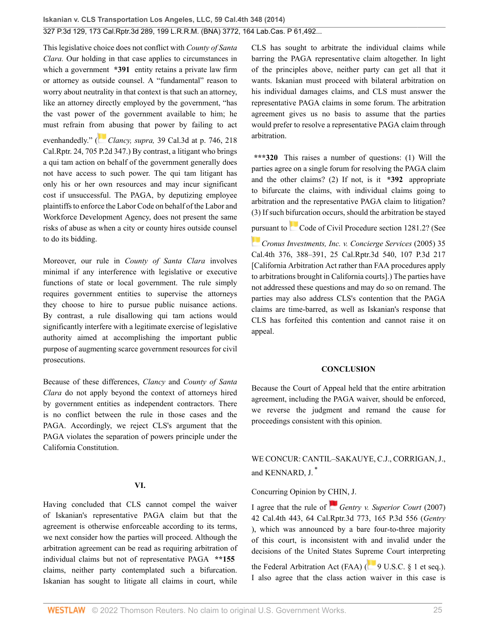This legislative choice does not conflict with *County of Santa Clara.* Our holding in that case applies to circumstances in which a government **\*391** entity retains a private law firm or attorney as outside counsel. A "fundamental" reason to worry about neutrality in that context is that such an attorney, like an attorney directly employed by the government, "has the vast power of the government available to him; he must refrain fr[om](https://1.next.westlaw.com/Link/RelatedInformation/Flag?documentGuid=Id1c8b8f7faa911d98ac8f235252e36df&transitionType=InlineKeyCiteFlags&originationContext=docHeaderFlag&Rank=0&ppcid=2af46aeee0b04785be997ff44a01e3a1&contextData=(sc.Search) ) abusing that power by failing to act evenhandedly." (*Clancy, supra,* [39 Cal.3d at p. 746, 218](http://www.westlaw.com/Link/Document/FullText?findType=Y&serNum=1985146623&pubNum=0000661&originatingDoc=I2ff28000fadb11e39488c8f438320c70&refType=RP&originationContext=document&vr=3.0&rs=cblt1.0&transitionType=DocumentItem&contextData=(sc.Search)) [Cal.Rptr. 24, 705 P.2d 347.](http://www.westlaw.com/Link/Document/FullText?findType=Y&serNum=1985146623&pubNum=0000661&originatingDoc=I2ff28000fadb11e39488c8f438320c70&refType=RP&originationContext=document&vr=3.0&rs=cblt1.0&transitionType=DocumentItem&contextData=(sc.Search))) By contrast, a litigant who brings a qui tam action on behalf of the government generally does not have access to such power. The qui tam litigant has only his or her own resources and may incur significant cost if unsuccessful. The PAGA, by deputizing employee plaintiffs to enforce the Labor Code on behalf of the Labor and Workforce Development Agency, does not present the same risks of abuse as when a city or county hires outside counsel to do its bidding.

Moreover, our rule in *County of Santa Clara* involves minimal if any interference with legislative or executive functions of state or local government. The rule simply requires government entities to supervise the attorneys they choose to hire to pursue public nuisance actions. By contrast, a rule disallowing qui tam actions would significantly interfere with a legitimate exercise of legislative authority aimed at accomplishing the important public purpose of augmenting scarce government resources for civil prosecutions.

Because of these differences, *Clancy* and *County of Santa Clara* do not apply beyond the context of attorneys hired by government entities as independent contractors. There is no conflict between the rule in those cases and the PAGA. Accordingly, we reject CLS's argument that the PAGA violates the separation of powers principle under the California Constitution.

### **VI.**

Having concluded that CLS cannot compel the waiver of Iskanian's representative PAGA claim but that the agreement is otherwise enforceable according to its terms, we next consider how the parties will proceed. Although the arbitration agreement can be read as requiring arbitration of individual claims but not of representative PAGA **\*\*155** claims, neither party contemplated such a bifurcation. Iskanian has sought to litigate all claims in court, while

CLS has sought to arbitrate the individual claims while barring the PAGA representative claim altogether. In light of the principles above, neither party can get all that it wants. Iskanian must proceed with bilateral arbitration on his individual damages claims, and CLS must answer the representative PAGA claims in some forum. The arbitration agreement gives us no basis to assume that the parties would prefer to resolve a representative PAGA claim through arbitration.

**\*\*\*320** This raises a number of questions: (1) Will the parties agree on a single forum for resolving the PAGA claim and the other claims? (2) If not, is it **\*392** appropriate to bifurcate the claims, with individual claims going to arbitration and the representative PAGA claim to litigation? (3) If such bifurcation occurs, should the arbitration be stayed

[pur](https://1.next.westlaw.com/Link/RelatedInformation/Flag?documentGuid=I862e85ecfa6f11d9b386b232635db992&transitionType=InlineKeyCiteFlags&originationContext=docHeaderFlag&Rank=0&ppcid=2af46aeee0b04785be997ff44a01e3a1&contextData=(sc.Search) )suant to[Code of Civil Procedure section 1281.2](http://www.westlaw.com/Link/Document/FullText?findType=L&pubNum=1000201&cite=CACPS1281.2&originatingDoc=I2ff28000fadb11e39488c8f438320c70&refType=LQ&originationContext=document&vr=3.0&rs=cblt1.0&transitionType=DocumentItem&contextData=(sc.Search))? (See

*[Cronus Investments, Inc. v. Concierge Services](http://www.westlaw.com/Link/Document/FullText?findType=Y&serNum=2006331243&pubNum=0004645&originatingDoc=I2ff28000fadb11e39488c8f438320c70&refType=RP&originationContext=document&vr=3.0&rs=cblt1.0&transitionType=DocumentItem&contextData=(sc.Search))* (2005) 35 [Cal.4th 376, 388–391, 25 Cal.Rptr.3d 540, 107 P.3d 217](http://www.westlaw.com/Link/Document/FullText?findType=Y&serNum=2006331243&pubNum=0004645&originatingDoc=I2ff28000fadb11e39488c8f438320c70&refType=RP&originationContext=document&vr=3.0&rs=cblt1.0&transitionType=DocumentItem&contextData=(sc.Search)) [California Arbitration Act rather than FAA procedures apply to arbitrations brought in California courts].) The parties have not addressed these questions and may do so on remand. The parties may also address CLS's contention that the PAGA claims are time-barred, as well as Iskanian's response that CLS has forfeited this contention and cannot raise it on appeal.

#### **CONCLUSION**

Because the Court of Appeal held that the entire arbitration agreement, including the PAGA waiver, should be enforced, we reverse the judgment and remand the cause for proceedings consistent with this opinion.

# <span id="page-24-0"></span>WE CONCUR: [CANTIL–SAKAUYE](http://www.westlaw.com/Link/Document/FullText?findType=h&pubNum=176284&cite=0351011901&originatingDoc=I2ff28000fadb11e39488c8f438320c70&refType=RQ&originationContext=document&vr=3.0&rs=cblt1.0&transitionType=DocumentItem&contextData=(sc.Search)), C.J., [CORRIGAN,](http://www.westlaw.com/Link/Document/FullText?findType=h&pubNum=176284&cite=0152659901&originatingDoc=I2ff28000fadb11e39488c8f438320c70&refType=RQ&originationContext=document&vr=3.0&rs=cblt1.0&transitionType=DocumentItem&contextData=(sc.Search)) J., and [KENNARD,](http://www.westlaw.com/Link/Document/FullText?findType=h&pubNum=176284&cite=0126702401&originatingDoc=I2ff28000fadb11e39488c8f438320c70&refType=RQ&originationContext=document&vr=3.0&rs=cblt1.0&transitionType=DocumentItem&contextData=(sc.Search)) J. [\\*](#page-33-0)

## Concurring Opinion by [CHIN](http://www.westlaw.com/Link/Document/FullText?findType=h&pubNum=176284&cite=0218429701&originatingDoc=I2ff28000fadb11e39488c8f438320c70&refType=RQ&originationContext=document&vr=3.0&rs=cblt1.0&transitionType=DocumentItem&contextData=(sc.Search)), J.

I agree that the rule of *[Gentry v. Superior Court](http://www.westlaw.com/Link/Document/FullText?findType=Y&serNum=2013082678&pubNum=0004645&originatingDoc=I2ff28000fadb11e39488c8f438320c70&refType=RP&originationContext=document&vr=3.0&rs=cblt1.0&transitionType=DocumentItem&contextData=(sc.Search))* (2007) [42 Cal.4th 443, 64 Cal.Rptr.3d 773, 165 P.3d 556](http://www.westlaw.com/Link/Document/FullText?findType=Y&serNum=2013082678&pubNum=0004645&originatingDoc=I2ff28000fadb11e39488c8f438320c70&refType=RP&originationContext=document&vr=3.0&rs=cblt1.0&transitionType=DocumentItem&contextData=(sc.Search)) (*Gentry* ), which was announced by a bare four-to-three majority of this court, is inconsistent with and invalid under the decisions of the United States Su[prem](https://1.next.westlaw.com/Link/RelatedInformation/Flag?documentGuid=N5116E290955611D880E4BAC23B7C08D1&transitionType=InlineKeyCiteFlags&originationContext=docHeaderFlag&Rank=0&ppcid=2af46aeee0b04785be997ff44a01e3a1&contextData=(sc.Search) )e Court interpreting

the Federal Arbitration Act (FAA) ( $\frac{9 \text{ U.S.C. } }{9 \text{ U.S.C. } }$  1 et seq.). I also agree that the class action waiver in this case is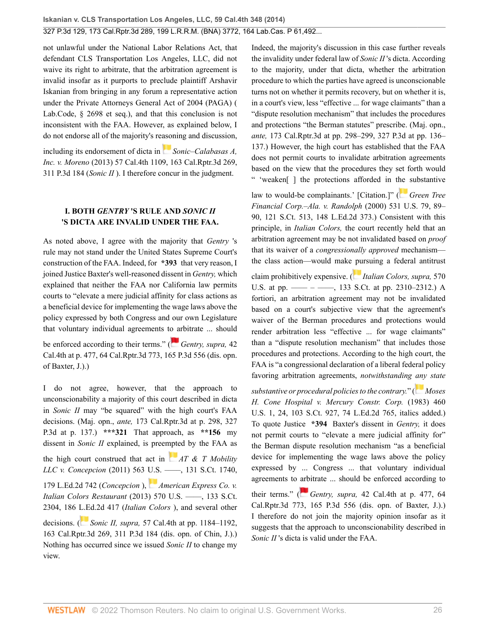not unlawful under the National Labor Relations Act, that defendant CLS Transportation Los Angeles, LLC, did not waive its right to arbitrate, that the arbitration agreement is invalid insofar as it purports to preclude plaintiff Arshavir Iskanian from bringing in any forum a representative action under the Private Attorneys General Act of 2004 (PAGA) ( [Lab.Code, § 2698 et seq.](http://www.westlaw.com/Link/Document/FullText?findType=L&pubNum=1000215&cite=CALBS2698&originatingDoc=I2ff28000fadb11e39488c8f438320c70&refType=LQ&originationContext=document&vr=3.0&rs=cblt1.0&transitionType=DocumentItem&contextData=(sc.Search))), and that this conclusion is not inconsistent with the FAA. However, as explained below, I do not endorse all of the majority's re[ason](https://1.next.westlaw.com/Link/RelatedInformation/Flag?documentGuid=I4ce23846374211e380938e6f51729d80&transitionType=InlineKeyCiteFlags&originationContext=docHeaderFlag&Rank=0&ppcid=2af46aeee0b04785be997ff44a01e3a1&contextData=(sc.Search) )ing and discussion,

including its endorsement of dicta in *[Sonic–Calabasas A,](http://www.westlaw.com/Link/Document/FullText?findType=Y&serNum=2031787028&pubNum=0004645&originatingDoc=I2ff28000fadb11e39488c8f438320c70&refType=RP&originationContext=document&vr=3.0&rs=cblt1.0&transitionType=DocumentItem&contextData=(sc.Search)) Inc. v. Moreno* [\(2013\) 57 Cal.4th 1109, 163 Cal.Rptr.3d 269,](http://www.westlaw.com/Link/Document/FullText?findType=Y&serNum=2031787028&pubNum=0004645&originatingDoc=I2ff28000fadb11e39488c8f438320c70&refType=RP&originationContext=document&vr=3.0&rs=cblt1.0&transitionType=DocumentItem&contextData=(sc.Search)) [311 P.3d 184](http://www.westlaw.com/Link/Document/FullText?findType=Y&serNum=2031787028&pubNum=0004645&originatingDoc=I2ff28000fadb11e39488c8f438320c70&refType=RP&originationContext=document&vr=3.0&rs=cblt1.0&transitionType=DocumentItem&contextData=(sc.Search)) (*Sonic II* ). I therefore concur in the judgment.

## **I. BOTH** *GENTRY* **'S RULE AND** *SONIC II* **'S DICTA ARE INVALID UNDER THE FAA.**

As noted above, I agree with the majority that *Gentry* 's rule may not stand under the United States Supreme Court's construction of the FAA. Indeed, for **\*393** that very reason, I joined Justice Baxter's well-reasoned dissent in *Gentry,* which explained that neither the FAA nor California law permits courts to "elevate a mere judicial affinity for class actions as a beneficial device for implementing the wage laws above the policy expressed by both Congress and our own Legislature that voluntary individual agreements t[o ar](https://1.next.westlaw.com/Link/RelatedInformation/Flag?documentGuid=Ida5f168b570511dc8200d0063168b01f&transitionType=InlineKeyCiteFlags&originationContext=docHeaderFlag&Rank=0&ppcid=2af46aeee0b04785be997ff44a01e3a1&contextData=(sc.Search) )bitrate ... should

be enforced according to their terms." (*[Gentry, supra,](http://www.westlaw.com/Link/Document/FullText?findType=Y&serNum=2013082678&pubNum=0004645&originatingDoc=I2ff28000fadb11e39488c8f438320c70&refType=RP&originationContext=document&vr=3.0&rs=cblt1.0&transitionType=DocumentItem&contextData=(sc.Search))* 42 [Cal.4th at p. 477, 64 Cal.Rptr.3d 773, 165 P.3d 556](http://www.westlaw.com/Link/Document/FullText?findType=Y&serNum=2013082678&pubNum=0004645&originatingDoc=I2ff28000fadb11e39488c8f438320c70&refType=RP&originationContext=document&vr=3.0&rs=cblt1.0&transitionType=DocumentItem&contextData=(sc.Search)) (dis. opn. of Baxter, J.).)

I do not agree, however, that the approach to unconscionability a majority of this court described in dicta in *Sonic II* may "be squared" with the high court's FAA decisions. (Maj. opn., *ante,* 173 Cal.Rptr.3d at p. 298, 327 P.3d at p. 137.) **\*\*\*321** That approach, as **\*\*156** my dissent in *Sonic II* explained, is pree[mpte](https://1.next.westlaw.com/Link/RelatedInformation/Flag?documentGuid=I2cd0aa5870bc11e0a34df17ea74c323f&transitionType=InlineKeyCiteFlags&originationContext=docHeaderFlag&Rank=0&ppcid=2af46aeee0b04785be997ff44a01e3a1&contextData=(sc.Search) )d by the FAA as the high court construed that act in *[AT & T Mobility](http://www.westlaw.com/Link/Document/FullText?findType=Y&serNum=2025172541&pubNum=0000708&originatingDoc=I2ff28000fadb11e39488c8f438320c70&refType=RP&originationContext=document&vr=3.0&rs=cblt1.0&transitionType=DocumentItem&contextData=(sc.Search)) LLC v. Concepcion* [\(2011\) 563 U.S. ––––, 131 S.Ct. 1740,](http://www.westlaw.com/Link/Document/FullText?findType=Y&serNum=2025172541&pubNum=0000708&originatingDoc=I2ff28000fadb11e39488c8f438320c70&refType=RP&originationContext=document&vr=3.0&rs=cblt1.0&transitionType=DocumentItem&contextData=(sc.Search)) [179 L.Ed.2d 742](http://www.westlaw.com/Link/Document/FullText?findType=Y&serNum=2025172541&pubNum=0000708&originatingDoc=I2ff28000fadb11e39488c8f438320c70&refType=RP&originationContext=document&vr=3.0&rs=cblt1.0&transitionType=DocumentItem&contextData=(sc.Search)) (*Concepcion* ), *[American Express Co. v.](http://www.westlaw.com/Link/Document/FullText?findType=Y&serNum=2030816550&pubNum=0000708&originatingDoc=I2ff28000fadb11e39488c8f438320c70&refType=RP&originationContext=document&vr=3.0&rs=cblt1.0&transitionType=DocumentItem&contextData=(sc.Search)) Italian Colors Restaurant* [\(2013\) 570 U.S. ––––, 133 S.Ct.](http://www.westlaw.com/Link/Document/FullText?findType=Y&serNum=2030816550&pubNum=0000708&originatingDoc=I2ff28000fadb11e39488c8f438320c70&refType=RP&originationContext=document&vr=3.0&rs=cblt1.0&transitionType=DocumentItem&contextData=(sc.Search)) [2304, 186 L.Ed.2d 417](http://www.westlaw.com/Link/Document/FullText?findType=Y&serNum=2030816550&pubNum=0000708&originatingDoc=I2ff28000fadb11e39488c8f438320c70&refType=RP&originationContext=document&vr=3.0&rs=cblt1.0&transitionType=DocumentItem&contextData=(sc.Search)) (*Italian Colors* ), and several other decisions. ( *Sonic II, supra,* [57 Cal.4th at pp. 1184–1192,](http://www.westlaw.com/Link/Document/FullText?findType=Y&serNum=2031787028&pubNum=0004645&originatingDoc=I2ff28000fadb11e39488c8f438320c70&refType=RP&originationContext=document&vr=3.0&rs=cblt1.0&transitionType=DocumentItem&contextData=(sc.Search))

[163 Cal.Rptr.3d 269, 311 P.3d 184](http://www.westlaw.com/Link/Document/FullText?findType=Y&serNum=2031787028&pubNum=0004645&originatingDoc=I2ff28000fadb11e39488c8f438320c70&refType=RP&originationContext=document&vr=3.0&rs=cblt1.0&transitionType=DocumentItem&contextData=(sc.Search)) (dis. opn. of Chin, J.).) Nothing has occurred since we issued *Sonic II* to change my view.

Indeed, the majority's discussion in this case further reveals the invalidity under federal law of *Sonic II* 's dicta. According to the majority, under that dicta, whether the arbitration procedure to which the parties have agreed is unconscionable turns not on whether it permits recovery, but on whether it is, in a court's view, less "effective ... for wage claimants" than a "dispute resolution mechanism" that includes the procedures and protections "the Berman statutes" prescribe. (Maj. opn., *ante,* 173 Cal.Rptr.3d at pp. 298–299, 327 P.3d at pp. 136– 137.) However, the high court has established that the FAA does not permit courts to invalidate arbitration agreements based on the view that the procedures they set forth would " 'weaken[ ] the protections afforded in t[he](https://1.next.westlaw.com/Link/RelatedInformation/Flag?documentGuid=I6b2fd4839c2511d9bc61beebb95be672&transitionType=InlineKeyCiteFlags&originationContext=docHeaderFlag&Rank=0&ppcid=2af46aeee0b04785be997ff44a01e3a1&contextData=(sc.Search) ) substantive

law to would-be complainants.' [Citation.]" (**[Green Tree](http://www.westlaw.com/Link/Document/FullText?findType=Y&serNum=2000639653&pubNum=0000708&originatingDoc=I2ff28000fadb11e39488c8f438320c70&refType=RP&originationContext=document&vr=3.0&rs=cblt1.0&transitionType=DocumentItem&contextData=(sc.Search))** *[Financial Corp.–Ala. v. Randolph](http://www.westlaw.com/Link/Document/FullText?findType=Y&serNum=2000639653&pubNum=0000708&originatingDoc=I2ff28000fadb11e39488c8f438320c70&refType=RP&originationContext=document&vr=3.0&rs=cblt1.0&transitionType=DocumentItem&contextData=(sc.Search))* (2000) 531 U.S. 79, 89– [90, 121 S.Ct. 513, 148 L.Ed.2d 373.](http://www.westlaw.com/Link/Document/FullText?findType=Y&serNum=2000639653&pubNum=0000708&originatingDoc=I2ff28000fadb11e39488c8f438320c70&refType=RP&originationContext=document&vr=3.0&rs=cblt1.0&transitionType=DocumentItem&contextData=(sc.Search))) Consistent with this principle, in *Italian Colors,* the court recently held that an arbitration agreement may be not invalidated based on *proof* that its waiver of a *congressionally approved* mechanism the class action—would make [pu](https://1.next.westlaw.com/Link/RelatedInformation/Flag?documentGuid=I80e6e305d98c11e28502bda794601919&transitionType=InlineKeyCiteFlags&originationContext=docHeaderFlag&Rank=0&ppcid=2af46aeee0b04785be997ff44a01e3a1&contextData=(sc.Search) )rsuing a federal antitrust

claim prohibitively expensive. ( *[Italian Colors, supra,](http://www.westlaw.com/Link/Document/FullText?findType=Y&serNum=2030816550&pubNum=0000708&originatingDoc=I2ff28000fadb11e39488c8f438320c70&refType=RP&fi=co_pp_sp_708_2310&originationContext=document&vr=3.0&rs=cblt1.0&transitionType=DocumentItem&contextData=(sc.Search)#co_pp_sp_708_2310)* 570 U.S. at pp. —— – ——, 133 S.Ct. at pp. 2310–2312.) A fortiori, an arbitration agreement may not be invalidated based on a court's subjective view that the agreement's waiver of the Berman procedures and protections would render arbitration less "effective ... for wage claimants" than a "dispute resolution mechanism" that includes those procedures and protections. According to the high court, the FAA is "a congressional declaration of a liberal federal policy favoring arbitration agreements, *notwithstanding [any](https://1.next.westlaw.com/Link/RelatedInformation/Flag?documentGuid=Ice9b1e059c9611d993e6d35cc61aab4a&transitionType=InlineKeyCiteFlags&originationContext=docHeaderFlag&Rank=0&ppcid=2af46aeee0b04785be997ff44a01e3a1&contextData=(sc.Search) ) state*

*substantive or procedural policies to the contrary.*" ( *[Moses](http://www.westlaw.com/Link/Document/FullText?findType=Y&serNum=1983109286&pubNum=0000708&originatingDoc=I2ff28000fadb11e39488c8f438320c70&refType=RP&originationContext=document&vr=3.0&rs=cblt1.0&transitionType=DocumentItem&contextData=(sc.Search)) [H. Cone Hospital v. Mercury Constr. Corp.](http://www.westlaw.com/Link/Document/FullText?findType=Y&serNum=1983109286&pubNum=0000708&originatingDoc=I2ff28000fadb11e39488c8f438320c70&refType=RP&originationContext=document&vr=3.0&rs=cblt1.0&transitionType=DocumentItem&contextData=(sc.Search))* (1983) 460 [U.S. 1, 24, 103 S.Ct. 927, 74 L.Ed.2d 765](http://www.westlaw.com/Link/Document/FullText?findType=Y&serNum=1983109286&pubNum=0000708&originatingDoc=I2ff28000fadb11e39488c8f438320c70&refType=RP&originationContext=document&vr=3.0&rs=cblt1.0&transitionType=DocumentItem&contextData=(sc.Search)), italics added.) To quote Justice **\*394** Baxter's dissent in *Gentry,* it does not permit courts to "elevate a mere judicial affinity for" the Berman dispute resolution mechanism "as a beneficial device for implementing the wage laws above the policy expressed by ... Congress ... that voluntary individual agreements to [arb](https://1.next.westlaw.com/Link/RelatedInformation/Flag?documentGuid=Ida5f168b570511dc8200d0063168b01f&transitionType=InlineKeyCiteFlags&originationContext=docHeaderFlag&Rank=0&ppcid=2af46aeee0b04785be997ff44a01e3a1&contextData=(sc.Search) )itrate ... should be enforced according to

their terms." ( *Gentry, supra,* [42 Cal.4th at p. 477, 64](http://www.westlaw.com/Link/Document/FullText?findType=Y&serNum=2013082678&pubNum=0004645&originatingDoc=I2ff28000fadb11e39488c8f438320c70&refType=RP&originationContext=document&vr=3.0&rs=cblt1.0&transitionType=DocumentItem&contextData=(sc.Search)) [Cal.Rptr.3d 773, 165 P.3d 556](http://www.westlaw.com/Link/Document/FullText?findType=Y&serNum=2013082678&pubNum=0004645&originatingDoc=I2ff28000fadb11e39488c8f438320c70&refType=RP&originationContext=document&vr=3.0&rs=cblt1.0&transitionType=DocumentItem&contextData=(sc.Search)) (dis. opn. of Baxter, J.).) I therefore do not join the majority opinion insofar as it suggests that the approach to unconscionability described in *Sonic II* 's dicta is valid under the FAA.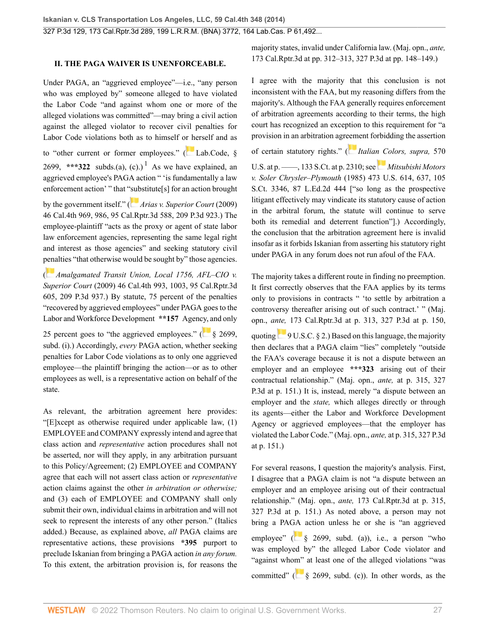### **II. THE PAGA WAIVER IS UNENFORCEABLE.**

Under PAGA, an "aggrieved employee"—i.e., "any person who was employed by" someone alleged to have violated the Labor Code "and against whom one or more of the alleged violations was committed"—may bring a civil action against the alleged violator to recover civil penalties for Labor Code violations both as to himself o[r he](https://1.next.westlaw.com/Link/RelatedInformation/Flag?documentGuid=N368330A0435411E69D65EC9FC0DD0DC9&transitionType=InlineKeyCiteFlags&originationContext=docHeaderFlag&Rank=0&ppcid=2af46aeee0b04785be997ff44a01e3a1&contextData=(sc.Search) )rself and as to "other current or former employees." ([Lab.Code, §](http://www.westlaw.com/Link/Document/FullText?findType=L&pubNum=1000215&cite=CALBS2699&originatingDoc=I2ff28000fadb11e39488c8f438320c70&refType=LQ&originationContext=document&vr=3.0&rs=cblt1.0&transitionType=DocumentItem&contextData=(sc.Search)) [2699](http://www.westlaw.com/Link/Document/FullText?findType=L&pubNum=1000215&cite=CALBS2699&originatingDoc=I2ff28000fadb11e39488c8f438320c70&refType=LQ&originationContext=document&vr=3.0&rs=cblt1.0&transitionType=DocumentItem&contextData=(sc.Search)), \*\*\*322 subds.(a), (c).)<sup>[1](#page-33-1)</sup> As we have explained, an aggrieved employee's PAGA action " 'is fundamentally a law enforcement action' " that ["sub](https://1.next.westlaw.com/Link/RelatedInformation/Flag?documentGuid=I59efe75c64bb11deabded03f2b83b8a4&transitionType=InlineKeyCiteFlags&originationContext=docHeaderFlag&Rank=0&ppcid=2af46aeee0b04785be997ff44a01e3a1&contextData=(sc.Search) )stitute[s] for an action brought

by the government itself." ( *[Arias v. Superior Court](http://www.westlaw.com/Link/Document/FullText?findType=Y&serNum=2019228329&pubNum=0004645&originatingDoc=I2ff28000fadb11e39488c8f438320c70&refType=RP&originationContext=document&vr=3.0&rs=cblt1.0&transitionType=DocumentItem&contextData=(sc.Search))* (2009) [46 Cal.4th 969, 986, 95 Cal.Rptr.3d 588, 209 P.3d 923.](http://www.westlaw.com/Link/Document/FullText?findType=Y&serNum=2019228329&pubNum=0004645&originatingDoc=I2ff28000fadb11e39488c8f438320c70&refType=RP&originationContext=document&vr=3.0&rs=cblt1.0&transitionType=DocumentItem&contextData=(sc.Search))) The employee-plaintiff "acts as the proxy or agent of state labor law enforcement agencies, representing the same legal right and interest as those agencies" and seeking statutory civil [pena](https://1.next.westlaw.com/Link/RelatedInformation/Flag?documentGuid=I59f00e2264bb11deabded03f2b83b8a4&transitionType=InlineKeyCiteFlags&originationContext=docHeaderFlag&Rank=0&ppcid=2af46aeee0b04785be997ff44a01e3a1&contextData=(sc.Search) )lties "that otherwise would be sought by" those agencies.

( *[Amalgamated Transit Union, Local 1756, AFL–CIO v.](http://www.westlaw.com/Link/Document/FullText?findType=Y&serNum=2019228328&pubNum=0004645&originatingDoc=I2ff28000fadb11e39488c8f438320c70&refType=RP&originationContext=document&vr=3.0&rs=cblt1.0&transitionType=DocumentItem&contextData=(sc.Search)) Superior Court* [\(2009\) 46 Cal.4th 993, 1003, 95 Cal.Rptr.3d](http://www.westlaw.com/Link/Document/FullText?findType=Y&serNum=2019228328&pubNum=0004645&originatingDoc=I2ff28000fadb11e39488c8f438320c70&refType=RP&originationContext=document&vr=3.0&rs=cblt1.0&transitionType=DocumentItem&contextData=(sc.Search)) [605, 209 P.3d 937.](http://www.westlaw.com/Link/Document/FullText?findType=Y&serNum=2019228328&pubNum=0004645&originatingDoc=I2ff28000fadb11e39488c8f438320c70&refType=RP&originationContext=document&vr=3.0&rs=cblt1.0&transitionType=DocumentItem&contextData=(sc.Search))) By statute, 75 percent of the penalties "recovered by aggrieved employees" under PAGA goes to the Labor and Workforce Development **\*\*157** Agen[cy, a](https://1.next.westlaw.com/Link/RelatedInformation/Flag?documentGuid=N368330A0435411E69D65EC9FC0DD0DC9&transitionType=InlineKeyCiteFlags&originationContext=docHeaderFlag&Rank=0&ppcid=2af46aeee0b04785be997ff44a01e3a1&contextData=(sc.Search) )nd only

25 percent goes to "the aggrieved employees."  $\left( \frac{8}{2699} \right)$ [subd. \(i\)](http://www.westlaw.com/Link/Document/FullText?findType=L&pubNum=1000215&cite=CALBS2699&originatingDoc=I2ff28000fadb11e39488c8f438320c70&refType=SP&originationContext=document&vr=3.0&rs=cblt1.0&transitionType=DocumentItem&contextData=(sc.Search)#co_pp_17a3000024864).) Accordingly, *every* PAGA action, whether seeking penalties for Labor Code violations as to only one aggrieved employee—the plaintiff bringing the action—or as to other employees as well, is a representative action on behalf of the state.

As relevant, the arbitration agreement here provides: "[E]xcept as otherwise required under applicable law, (1) EMPLOYEE and COMPANY expressly intend and agree that class action and *representative* action procedures shall not be asserted, nor will they apply, in any arbitration pursuant to this Policy/Agreement; (2) EMPLOYEE and COMPANY agree that each will not assert class action or *representative* action claims against the other *in arbitration or otherwise;* and (3) each of EMPLOYEE and COMPANY shall only submit their own, individual claims in arbitration and will not seek to represent the interests of any other person." (Italics added.) Because, as explained above, *all* PAGA claims are representative actions, these provisions **\*395** purport to preclude Iskanian from bringing a PAGA action *in any forum.* To this extent, the arbitration provision is, for reasons the majority states, invalid under California law. (Maj. opn., *ante,* 173 Cal.Rptr.3d at pp. 312–313, 327 P.3d at pp. 148–149.)

I agree with the majority that this conclusion is not inconsistent with the FAA, but my reasoning differs from the majority's. Although the FAA generally requires enforcement of arbitration agreements according to their terms, the high court has recognized an exception to this requirement for "a provision in an arbitration agr[eem](https://1.next.westlaw.com/Link/RelatedInformation/Flag?documentGuid=I80e6e305d98c11e28502bda794601919&transitionType=InlineKeyCiteFlags&originationContext=docHeaderFlag&Rank=0&ppcid=2af46aeee0b04785be997ff44a01e3a1&contextData=(sc.Search) )ent forbidding the assertion

of certain statutory rights." ( *[Italian Colors, supra,](http://www.westlaw.com/Link/Document/FullText?findType=Y&serNum=2030816550&pubNum=0000708&originatingDoc=I2ff28000fadb11e39488c8f438320c70&refType=RP&fi=co_pp_sp_708_2310&originationContext=document&vr=3.0&rs=cblt1.0&transitionType=DocumentItem&contextData=(sc.Search)#co_pp_sp_708_2310)* 570

<span id="page-26-0"></span>U.S. at p. ——, 133 S.Ct. at p. 2310; see *[Mitsubishi Motors](http://www.westlaw.com/Link/Document/FullText?findType=Y&serNum=1985133734&pubNum=0000708&originatingDoc=I2ff28000fadb11e39488c8f438320c70&refType=RP&originationContext=document&vr=3.0&rs=cblt1.0&transitionType=DocumentItem&contextData=(sc.Search)) v. Soler Chrysler–Plymouth* [\(1985\) 473 U.S. 614, 637, 105](http://www.westlaw.com/Link/Document/FullText?findType=Y&serNum=1985133734&pubNum=0000708&originatingDoc=I2ff28000fadb11e39488c8f438320c70&refType=RP&originationContext=document&vr=3.0&rs=cblt1.0&transitionType=DocumentItem&contextData=(sc.Search)) [S.Ct. 3346, 87 L.Ed.2d 444](http://www.westlaw.com/Link/Document/FullText?findType=Y&serNum=1985133734&pubNum=0000708&originatingDoc=I2ff28000fadb11e39488c8f438320c70&refType=RP&originationContext=document&vr=3.0&rs=cblt1.0&transitionType=DocumentItem&contextData=(sc.Search)) ["so long as the prospective litigant effectively may vindicate its statutory cause of action in the arbitral forum, the statute will continue to serve both its remedial and deterrent function"].) Accordingly, the conclusion that the arbitration agreement here is invalid insofar as it forbids Iskanian from asserting his statutory right under PAGA in any forum does not run afoul of the FAA.

The majority takes a different route in finding no preemption. It first correctly observes that the FAA applies by its terms only to provisions in contracts " 'to settle by arbitration a controversy thereafter arising out of such contract.' " (Maj. opn., *ante,* 173 Cal.Rptr.3d at p. 313, 327 P.3d at p. 150, quoting $\frac{9 \text{ U.S.C. } }{9 \text{ U.S.C. } }$  2.) Based on this language, the majority then declares that a PAGA claim "lies" completely "outside the FAA's coverage because it is not a dispute between an employer and an employee **\*\*\*323** arising out of their contractual relationship." (Maj. opn., *ante,* at p. 315, 327 P.3d at p. 151.) It is, instead, merely "a dispute between an employer and the *state,* which alleges directly or through its agents—either the Labor and Workforce Development Agency or aggrieved employees—that the employer has violated the Labor Code." (Maj. opn., *ante,* at p. 315, 327 P.3d at p. 151.)

For several reasons, I question the majority's analysis. First, I disagree that a PAGA claim is not "a dispute between an employer and an employee arising out of their contractual relationship." (Maj. opn., *ante,* 173 Cal.Rptr.3d at p. 315, 327 P.3d at p. 151.) As noted above, a person may not bring a PA[GA](https://1.next.westlaw.com/Link/RelatedInformation/Flag?documentGuid=N368330A0435411E69D65EC9FC0DD0DC9&transitionType=InlineKeyCiteFlags&originationContext=docHeaderFlag&Rank=0&ppcid=2af46aeee0b04785be997ff44a01e3a1&contextData=(sc.Search) ) action unless he or she is "an aggrieved employee" ( $\frac{8}{3}$  2699, subd. (a)), i.e., a person "who was employed by" the alleged Labor Code violator and "against who[m"](https://1.next.westlaw.com/Link/RelatedInformation/Flag?documentGuid=N368330A0435411E69D65EC9FC0DD0DC9&transitionType=InlineKeyCiteFlags&originationContext=docHeaderFlag&Rank=0&ppcid=2af46aeee0b04785be997ff44a01e3a1&contextData=(sc.Search) ) at least one of the alleged violations "was committed" ( $\frac{1}{2}$  [§ 2699, subd. \(c\)\)](http://www.westlaw.com/Link/Document/FullText?findType=L&pubNum=1000215&cite=CALBS2699&originatingDoc=I2ff28000fadb11e39488c8f438320c70&refType=SP&originationContext=document&vr=3.0&rs=cblt1.0&transitionType=DocumentItem&contextData=(sc.Search)#co_pp_4b24000003ba5). In other words, as the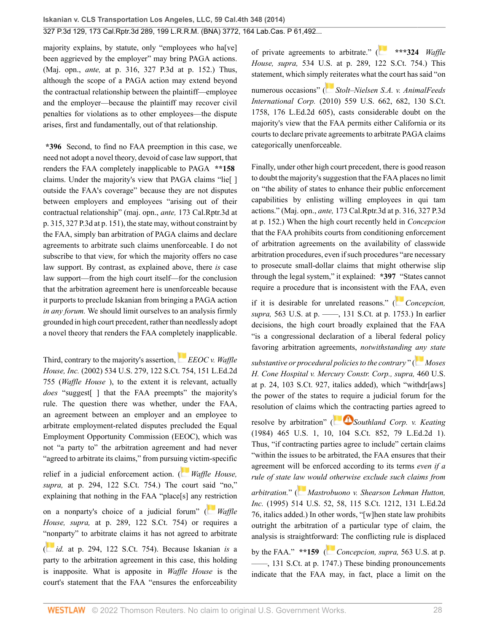majority explains, by statute, only "employees who ha[ve] been aggrieved by the employer" may bring PAGA actions. (Maj. opn., *ante,* at p. 316, 327 P.3d at p. 152.) Thus, although the scope of a PAGA action may extend beyond the contractual relationship between the plaintiff—employee and the employer—because the plaintiff may recover civil penalties for violations as to other employees—the dispute arises, first and fundamentally, out of that relationship.

**\*396** Second, to find no FAA preemption in this case, we need not adopt a novel theory, devoid of case law support, that renders the FAA completely inapplicable to PAGA **\*\*158** claims. Under the majority's view that PAGA claims "lie[ ] outside the FAA's coverage" because they are not disputes between employers and employees "arising out of their contractual relationship" (maj. opn., *ante,* 173 Cal.Rptr.3d at p. 315, 327 P.3d at p. 151), the state may, without constraint by the FAA, simply ban arbitration of PAGA claims and declare agreements to arbitrate such claims unenforceable. I do not subscribe to that view, for which the majority offers no case law support. By contrast, as explained above, there *is* case law support—from the high court itself—for the conclusion that the arbitration agreement here is unenforceable because it purports to preclude Iskanian from bringing a PAGA action *in any forum.* We should limit ourselves to an analysis firmly grounded in high court precedent, rather than needlessly adopt a novel theory that renders the FAA completely inapplicable.

Third, contrary to the majority's assertion,*[EEOC v. Waffle](http://www.westlaw.com/Link/Document/FullText?findType=Y&serNum=2002067007&pubNum=0000708&originatingDoc=I2ff28000fadb11e39488c8f438320c70&refType=RP&originationContext=document&vr=3.0&rs=cblt1.0&transitionType=DocumentItem&contextData=(sc.Search)) House, Inc.* [\(2002\) 534 U.S. 279, 122 S.Ct. 754, 151 L.Ed.2d](http://www.westlaw.com/Link/Document/FullText?findType=Y&serNum=2002067007&pubNum=0000708&originatingDoc=I2ff28000fadb11e39488c8f438320c70&refType=RP&originationContext=document&vr=3.0&rs=cblt1.0&transitionType=DocumentItem&contextData=(sc.Search)) [755](http://www.westlaw.com/Link/Document/FullText?findType=Y&serNum=2002067007&pubNum=0000708&originatingDoc=I2ff28000fadb11e39488c8f438320c70&refType=RP&originationContext=document&vr=3.0&rs=cblt1.0&transitionType=DocumentItem&contextData=(sc.Search)) (*Waffle House* ), to the extent it is relevant, actually *does* "suggest[ ] that the FAA preempts" the majority's rule. The question there was whether, under the FAA, an agreement between an employer and an employee to arbitrate employment-related disputes precluded the Equal Employment Opportunity Commission (EEOC), which was not "a party to" the arbitration agreement and had never "agreed to arbitrate its claims," from pursui[ng v](https://1.next.westlaw.com/Link/RelatedInformation/Flag?documentGuid=I318a71ea9c2511d9bdd1cfdd544ca3a4&transitionType=InlineKeyCiteFlags&originationContext=docHeaderFlag&Rank=0&ppcid=2af46aeee0b04785be997ff44a01e3a1&contextData=(sc.Search) )ictim-specific relief in a judicial enforcement action. ( *[Waffle House,](http://www.westlaw.com/Link/Document/FullText?findType=Y&serNum=2002067007&pubNum=0000708&originatingDoc=I2ff28000fadb11e39488c8f438320c70&refType=RP&originationContext=document&vr=3.0&rs=cblt1.0&transitionType=DocumentItem&contextData=(sc.Search)) supra,* [at p. 294, 122 S.Ct. 754](http://www.westlaw.com/Link/Document/FullText?findType=Y&serNum=2002067007&pubNum=0000708&originatingDoc=I2ff28000fadb11e39488c8f438320c70&refType=RP&originationContext=document&vr=3.0&rs=cblt1.0&transitionType=DocumentItem&contextData=(sc.Search)).) The court said "no," explaining that nothing in the FAA "place[s] any [restr](https://1.next.westlaw.com/Link/RelatedInformation/Flag?documentGuid=I318a71ea9c2511d9bdd1cfdd544ca3a4&transitionType=InlineKeyCiteFlags&originationContext=docHeaderFlag&Rank=0&ppcid=2af46aeee0b04785be997ff44a01e3a1&contextData=(sc.Search) )iction on a nonparty's choice of a judicial forum" ( *[Waffle](http://www.westlaw.com/Link/Document/FullText?findType=Y&serNum=2002067007&pubNum=0000708&originatingDoc=I2ff28000fadb11e39488c8f438320c70&refType=RP&originationContext=document&vr=3.0&rs=cblt1.0&transitionType=DocumentItem&contextData=(sc.Search)) House, supra,* [at p. 289, 122 S.Ct. 754\)](http://www.westlaw.com/Link/Document/FullText?findType=Y&serNum=2002067007&pubNum=0000708&originatingDoc=I2ff28000fadb11e39488c8f438320c70&refType=RP&originationContext=document&vr=3.0&rs=cblt1.0&transitionType=DocumentItem&contextData=(sc.Search)) or requires a ["non](https://1.next.westlaw.com/Link/RelatedInformation/Flag?documentGuid=I318a71ea9c2511d9bdd1cfdd544ca3a4&transitionType=InlineKeyCiteFlags&originationContext=docHeaderFlag&Rank=0&ppcid=2af46aeee0b04785be997ff44a01e3a1&contextData=(sc.Search) )party" to arbitrate claims it has not agreed to arbitrate ( *id.* [at p. 294, 122 S.Ct. 754\)](http://www.westlaw.com/Link/Document/FullText?findType=Y&serNum=2002067007&pubNum=0000708&originatingDoc=I2ff28000fadb11e39488c8f438320c70&refType=RP&originationContext=document&vr=3.0&rs=cblt1.0&transitionType=DocumentItem&contextData=(sc.Search)). Because Iskanian *is* a party to the arbitration agreement in this case, this holding is inapposite. What is apposite in *Waffle House* is the

court's statement that the FAA "ensures the enforceability

of private agreements to arbitrate." ( **\*\*\*324** *[Waffle](http://www.westlaw.com/Link/Document/FullText?findType=Y&serNum=2002067007&pubNum=0000708&originatingDoc=I2ff28000fadb11e39488c8f438320c70&refType=RP&originationContext=document&vr=3.0&rs=cblt1.0&transitionType=DocumentItem&contextData=(sc.Search)) House, supra,* [534 U.S. at p. 289, 122 S.Ct. 754](http://www.westlaw.com/Link/Document/FullText?findType=Y&serNum=2002067007&pubNum=0000708&originatingDoc=I2ff28000fadb11e39488c8f438320c70&refType=RP&originationContext=document&vr=3.0&rs=cblt1.0&transitionType=DocumentItem&contextData=(sc.Search)).) This statement, which simpl[y re](https://1.next.westlaw.com/Link/RelatedInformation/Flag?documentGuid=Ibd65240751ef11df9988d233d23fe599&transitionType=InlineKeyCiteFlags&originationContext=docHeaderFlag&Rank=0&ppcid=2af46aeee0b04785be997ff44a01e3a1&contextData=(sc.Search) )iterates what the court has said "on numerous occasions" ( *[Stolt–Nielsen S.A. v. AnimalFeeds](http://www.westlaw.com/Link/Document/FullText?findType=Y&serNum=2021840752&pubNum=0000708&originatingDoc=I2ff28000fadb11e39488c8f438320c70&refType=RP&originationContext=document&vr=3.0&rs=cblt1.0&transitionType=DocumentItem&contextData=(sc.Search)) International Corp.* [\(2010\) 559 U.S. 662, 682, 130 S.Ct.](http://www.westlaw.com/Link/Document/FullText?findType=Y&serNum=2021840752&pubNum=0000708&originatingDoc=I2ff28000fadb11e39488c8f438320c70&refType=RP&originationContext=document&vr=3.0&rs=cblt1.0&transitionType=DocumentItem&contextData=(sc.Search)) [1758, 176 L.Ed.2d 605\)](http://www.westlaw.com/Link/Document/FullText?findType=Y&serNum=2021840752&pubNum=0000708&originatingDoc=I2ff28000fadb11e39488c8f438320c70&refType=RP&originationContext=document&vr=3.0&rs=cblt1.0&transitionType=DocumentItem&contextData=(sc.Search)), casts considerable doubt on the majority's view that the FAA permits either California or its courts to declare private agreements to arbitrate PAGA claims categorically unenforceable.

Finally, under other high court precedent, there is good reason to doubt the majority's suggestion that the FAA places no limit on "the ability of states to enhance their public enforcement capabilities by enlisting willing employees in qui tam actions." (Maj. opn., *ante,* 173 Cal.Rptr.3d at p. 316, 327 P.3d at p. 152.) When the high court recently held in *Concepcion* that the FAA prohibits courts from conditioning enforcement of arbitration agreements on the availability of classwide arbitration procedures, even if such procedures "are necessary to prosecute small-dollar claims that might otherwise slip through the legal system," it explained: **\*397** "States cannot require a procedure that is inconsistent wit[h the](https://1.next.westlaw.com/Link/RelatedInformation/Flag?documentGuid=I2cd0aa5870bc11e0a34df17ea74c323f&transitionType=InlineKeyCiteFlags&originationContext=docHeaderFlag&Rank=0&ppcid=2af46aeee0b04785be997ff44a01e3a1&contextData=(sc.Search) ) FAA, even

if it is desirable for unrelated reasons." ( *[Concepcion,](http://www.westlaw.com/Link/Document/FullText?findType=Y&serNum=2025172541&pubNum=0000708&originatingDoc=I2ff28000fadb11e39488c8f438320c70&refType=RP&fi=co_pp_sp_708_1753&originationContext=document&vr=3.0&rs=cblt1.0&transitionType=DocumentItem&contextData=(sc.Search)#co_pp_sp_708_1753) supra,* [563 U.S. at p. ––––, 131 S.Ct. at p. 1753.](http://www.westlaw.com/Link/Document/FullText?findType=Y&serNum=2025172541&pubNum=0000708&originatingDoc=I2ff28000fadb11e39488c8f438320c70&refType=RP&fi=co_pp_sp_708_1753&originationContext=document&vr=3.0&rs=cblt1.0&transitionType=DocumentItem&contextData=(sc.Search)#co_pp_sp_708_1753)) In earlier decisions, the high court broadly explained that the FAA "is a congressional declaration of a liberal federal policy favoring arbitration agreements, *notwithstanding [any](https://1.next.westlaw.com/Link/RelatedInformation/Flag?documentGuid=Ice9b1e059c9611d993e6d35cc61aab4a&transitionType=InlineKeyCiteFlags&originationContext=docHeaderFlag&Rank=0&ppcid=2af46aeee0b04785be997ff44a01e3a1&contextData=(sc.Search) ) state*

*substantive or procedural policies to the contrary* " ( *[Moses](http://www.westlaw.com/Link/Document/FullText?findType=Y&serNum=1983109286&pubNum=0000708&originatingDoc=I2ff28000fadb11e39488c8f438320c70&refType=RP&originationContext=document&vr=3.0&rs=cblt1.0&transitionType=DocumentItem&contextData=(sc.Search)) [H. Cone Hospital v. Mercury Constr. Corp., supra,](http://www.westlaw.com/Link/Document/FullText?findType=Y&serNum=1983109286&pubNum=0000708&originatingDoc=I2ff28000fadb11e39488c8f438320c70&refType=RP&originationContext=document&vr=3.0&rs=cblt1.0&transitionType=DocumentItem&contextData=(sc.Search))* 460 U.S. [at p. 24, 103 S.Ct. 927](http://www.westlaw.com/Link/Document/FullText?findType=Y&serNum=1983109286&pubNum=0000708&originatingDoc=I2ff28000fadb11e39488c8f438320c70&refType=RP&originationContext=document&vr=3.0&rs=cblt1.0&transitionType=DocumentItem&contextData=(sc.Search)), italics added), which "withdr[aws] the power of the states to require a judicial forum for the resolution of claims whi[ch the c](https://1.next.westlaw.com/Link/RelatedInformation/Flag?documentGuid=I98823df89c1c11d9bc61beebb95be672&transitionType=InlineKeyCiteFlags&originationContext=docHeaderFlag&Rank=0&ppcid=2af46aeee0b04785be997ff44a01e3a1&contextData=(sc.Search) )ontracting parties agreed to

resolve by arbitration" ( *[Southland Corp. v. Keating](http://www.westlaw.com/Link/Document/FullText?findType=Y&serNum=1984104100&pubNum=0000708&originatingDoc=I2ff28000fadb11e39488c8f438320c70&refType=RP&originationContext=document&vr=3.0&rs=cblt1.0&transitionType=DocumentItem&contextData=(sc.Search))* [\(1984\) 465 U.S. 1, 10, 104 S.Ct. 852, 79 L.Ed.2d 1](http://www.westlaw.com/Link/Document/FullText?findType=Y&serNum=1984104100&pubNum=0000708&originatingDoc=I2ff28000fadb11e39488c8f438320c70&refType=RP&originationContext=document&vr=3.0&rs=cblt1.0&transitionType=DocumentItem&contextData=(sc.Search))). Thus, "if contracting parties agree to include" certain claims "within the issues to be arbitrated, the FAA ensures that their agreement will be enforced according to its terms *even if a rule of state l[aw](https://1.next.westlaw.com/Link/RelatedInformation/Flag?documentGuid=I027c96ba9c4b11d991d0cc6b54f12d4d&transitionType=InlineKeyCiteFlags&originationContext=docHeaderFlag&Rank=0&ppcid=2af46aeee0b04785be997ff44a01e3a1&contextData=(sc.Search) ) would otherwise exclude such claims from*

*arbitration.*" ( *[Mastrobuono v. Shearson Lehman Hutton,](http://www.westlaw.com/Link/Document/FullText?findType=Y&serNum=1995058671&pubNum=0000708&originatingDoc=I2ff28000fadb11e39488c8f438320c70&refType=RP&originationContext=document&vr=3.0&rs=cblt1.0&transitionType=DocumentItem&contextData=(sc.Search)) Inc.* [\(1995\) 514 U.S. 52, 58, 115 S.Ct. 1212, 131 L.Ed.2d](http://www.westlaw.com/Link/Document/FullText?findType=Y&serNum=1995058671&pubNum=0000708&originatingDoc=I2ff28000fadb11e39488c8f438320c70&refType=RP&originationContext=document&vr=3.0&rs=cblt1.0&transitionType=DocumentItem&contextData=(sc.Search)) [76](http://www.westlaw.com/Link/Document/FullText?findType=Y&serNum=1995058671&pubNum=0000708&originatingDoc=I2ff28000fadb11e39488c8f438320c70&refType=RP&originationContext=document&vr=3.0&rs=cblt1.0&transitionType=DocumentItem&contextData=(sc.Search)), italics added.) In other words, "[w]hen state law prohibits outright the arbitration of a particular type of claim, the analysis is straightforw[ard](https://1.next.westlaw.com/Link/RelatedInformation/Flag?documentGuid=I2cd0aa5870bc11e0a34df17ea74c323f&transitionType=InlineKeyCiteFlags&originationContext=docHeaderFlag&Rank=0&ppcid=2af46aeee0b04785be997ff44a01e3a1&contextData=(sc.Search) ): The conflicting rule is displaced

by the FAA." **\*\*159** ( *[Concepcion, supra,](http://www.westlaw.com/Link/Document/FullText?findType=Y&serNum=2025172541&pubNum=0000708&originatingDoc=I2ff28000fadb11e39488c8f438320c70&refType=RP&fi=co_pp_sp_708_1747&originationContext=document&vr=3.0&rs=cblt1.0&transitionType=DocumentItem&contextData=(sc.Search)#co_pp_sp_708_1747)* 563 U.S. at p. [––––, 131 S.Ct. at p. 1747.](http://www.westlaw.com/Link/Document/FullText?findType=Y&serNum=2025172541&pubNum=0000708&originatingDoc=I2ff28000fadb11e39488c8f438320c70&refType=RP&fi=co_pp_sp_708_1747&originationContext=document&vr=3.0&rs=cblt1.0&transitionType=DocumentItem&contextData=(sc.Search)#co_pp_sp_708_1747)) These binding pronouncements indicate that the FAA may, in fact, place a limit on the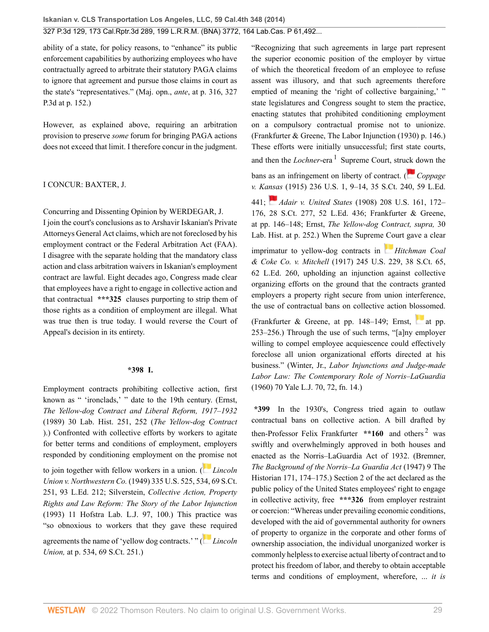ability of a state, for policy reasons, to "enhance" its public enforcement capabilities by authorizing employees who have contractually agreed to arbitrate their statutory PAGA claims to ignore that agreement and pursue those claims in court as the state's "representatives." (Maj. opn., *ante*, at p. 316, 327 P.3d at p. 152.)

However, as explained above, requiring an arbitration provision to preserve *some* forum for bringing PAGA actions does not exceed that limit. I therefore concur in the judgment.

#### I CONCUR: [BAXTER,](http://www.westlaw.com/Link/Document/FullText?findType=h&pubNum=176284&cite=0127904001&originatingDoc=I2ff28000fadb11e39488c8f438320c70&refType=RQ&originationContext=document&vr=3.0&rs=cblt1.0&transitionType=DocumentItem&contextData=(sc.Search)) J.

Concurring and Dissenting Opinion by [WERDEGAR,](http://www.westlaw.com/Link/Document/FullText?findType=h&pubNum=176284&cite=0252859201&originatingDoc=I2ff28000fadb11e39488c8f438320c70&refType=RQ&originationContext=document&vr=3.0&rs=cblt1.0&transitionType=DocumentItem&contextData=(sc.Search)) J.

I join the court's conclusions as to Arshavir Iskanian's Private Attorneys General Act claims, which are not foreclosed by his employment contract or the Federal Arbitration Act (FAA). I disagree with the separate holding that the mandatory class action and class arbitration waivers in Iskanian's employment contract are lawful. Eight decades ago, Congress made clear that employees have a right to engage in collective action and that contractual **\*\*\*325** clauses purporting to strip them of those rights as a condition of employment are illegal. What was true then is true today. I would reverse the Court of Appeal's decision in its entirety.

#### **\*398 I.**

Employment contracts prohibiting collective action, first known as " 'ironclads,' " date to the 19th century. (Ernst, *The Yellow-dog Contract and Liberal Reform, 1917–1932* (1989) 30 Lab. Hist. 251, 252 (*The Yellow-dog Contract* ).) Confronted with collective efforts by workers to agitate for better terms and conditions of employment, employers responded by conditioning employment on the p[rom](https://1.next.westlaw.com/Link/RelatedInformation/Flag?documentGuid=I616442259c1f11d9bc61beebb95be672&transitionType=InlineKeyCiteFlags&originationContext=docHeaderFlag&Rank=0&ppcid=2af46aeee0b04785be997ff44a01e3a1&contextData=(sc.Search) )ise not

to join together with fellow workers in a union. ( *[Lincoln](http://www.westlaw.com/Link/Document/FullText?findType=Y&serNum=1949117651&pubNum=0000708&originatingDoc=I2ff28000fadb11e39488c8f438320c70&refType=RP&originationContext=document&vr=3.0&rs=cblt1.0&transitionType=DocumentItem&contextData=(sc.Search)) Union v. Northwestern Co.* [\(1949\) 335 U.S. 525, 534, 69 S.Ct.](http://www.westlaw.com/Link/Document/FullText?findType=Y&serNum=1949117651&pubNum=0000708&originatingDoc=I2ff28000fadb11e39488c8f438320c70&refType=RP&originationContext=document&vr=3.0&rs=cblt1.0&transitionType=DocumentItem&contextData=(sc.Search)) [251, 93 L.Ed. 212;](http://www.westlaw.com/Link/Document/FullText?findType=Y&serNum=1949117651&pubNum=0000708&originatingDoc=I2ff28000fadb11e39488c8f438320c70&refType=RP&originationContext=document&vr=3.0&rs=cblt1.0&transitionType=DocumentItem&contextData=(sc.Search)) Silverstein, *[Collective Action, Property](http://www.westlaw.com/Link/Document/FullText?findType=Y&serNum=0103519461&pubNum=0100282&originatingDoc=I2ff28000fadb11e39488c8f438320c70&refType=LR&fi=co_pp_sp_100282_100&originationContext=document&vr=3.0&rs=cblt1.0&transitionType=DocumentItem&contextData=(sc.Search)#co_pp_sp_100282_100) [Rights and Law Reform: The Story of the Labor Injunction](http://www.westlaw.com/Link/Document/FullText?findType=Y&serNum=0103519461&pubNum=0100282&originatingDoc=I2ff28000fadb11e39488c8f438320c70&refType=LR&fi=co_pp_sp_100282_100&originationContext=document&vr=3.0&rs=cblt1.0&transitionType=DocumentItem&contextData=(sc.Search)#co_pp_sp_100282_100)* [\(1993\) 11 Hofstra Lab. L.J. 97, 100](http://www.westlaw.com/Link/Document/FullText?findType=Y&serNum=0103519461&pubNum=0100282&originatingDoc=I2ff28000fadb11e39488c8f438320c70&refType=LR&fi=co_pp_sp_100282_100&originationContext=document&vr=3.0&rs=cblt1.0&transitionType=DocumentItem&contextData=(sc.Search)#co_pp_sp_100282_100).) This practice was "so obnoxious to workers that they gave thes[e r](https://1.next.westlaw.com/Link/RelatedInformation/Flag?documentGuid=I616442259c1f11d9bc61beebb95be672&transitionType=InlineKeyCiteFlags&originationContext=docHeaderFlag&Rank=0&ppcid=2af46aeee0b04785be997ff44a01e3a1&contextData=(sc.Search) )equired agreements the name of 'yellow dog contracts.' " ( *[Lincoln](http://www.westlaw.com/Link/Document/FullText?findType=Y&serNum=1949117651&pubNum=0000708&originatingDoc=I2ff28000fadb11e39488c8f438320c70&refType=RP&originationContext=document&vr=3.0&rs=cblt1.0&transitionType=DocumentItem&contextData=(sc.Search)) Union,* [at p. 534, 69 S.Ct. 251.](http://www.westlaw.com/Link/Document/FullText?findType=Y&serNum=1949117651&pubNum=0000708&originatingDoc=I2ff28000fadb11e39488c8f438320c70&refType=RP&originationContext=document&vr=3.0&rs=cblt1.0&transitionType=DocumentItem&contextData=(sc.Search)))

<span id="page-28-0"></span>"Recognizing that such agreements in large part represent the superior economic position of the employer by virtue of which the theoretical freedom of an employee to refuse assent was illusory, and that such agreements therefore emptied of meaning the 'right of collective bargaining,' " state legislatures and Congress sought to stem the practice, enacting statutes that prohibited conditioning employment on a compulsory contractual promise not to unionize. (Frankfurter & Greene, The Labor Injunction (1930) p. 146.) These efforts were initially unsuccessful; first state courts, and then the *Lochner*-era <sup>[1](#page-33-2)</sup> Supreme Court, stru[ck d](https://1.next.westlaw.com/Link/RelatedInformation/Flag?documentGuid=Ib5b8c6449a1011d9bdd1cfdd544ca3a4&transitionType=InlineKeyCiteFlags&originationContext=docHeaderFlag&Rank=0&ppcid=2af46aeee0b04785be997ff44a01e3a1&contextData=(sc.Search) )own the bans as an infringement on liberty of contract. ( *[Coppage](http://www.westlaw.com/Link/Document/FullText?findType=Y&serNum=1915100517&pubNum=0000708&originatingDoc=I2ff28000fadb11e39488c8f438320c70&refType=RP&originationContext=document&vr=3.0&rs=cblt1.0&transitionType=DocumentItem&contextData=(sc.Search)) v. Ka[nsa](https://1.next.westlaw.com/Link/RelatedInformation/Flag?documentGuid=Ib5b914679a1011d9bdd1cfdd544ca3a4&transitionType=InlineKeyCiteFlags&originationContext=docHeaderFlag&Rank=0&ppcid=2af46aeee0b04785be997ff44a01e3a1&contextData=(sc.Search) )s* [\(1915\) 236 U.S. 1, 9–14, 35 S.Ct. 240, 59 L.Ed.](http://www.westlaw.com/Link/Document/FullText?findType=Y&serNum=1915100517&pubNum=0000708&originatingDoc=I2ff28000fadb11e39488c8f438320c70&refType=RP&originationContext=document&vr=3.0&rs=cblt1.0&transitionType=DocumentItem&contextData=(sc.Search)) [441](http://www.westlaw.com/Link/Document/FullText?findType=Y&serNum=1915100517&pubNum=0000708&originatingDoc=I2ff28000fadb11e39488c8f438320c70&refType=RP&originationContext=document&vr=3.0&rs=cblt1.0&transitionType=DocumentItem&contextData=(sc.Search)); *Adair v. United States* [\(1908\) 208 U.S. 161, 172–](http://www.westlaw.com/Link/Document/FullText?findType=Y&serNum=1908100294&pubNum=0000708&originatingDoc=I2ff28000fadb11e39488c8f438320c70&refType=RP&originationContext=document&vr=3.0&rs=cblt1.0&transitionType=DocumentItem&contextData=(sc.Search)) [176, 28 S.Ct. 277, 52 L.Ed. 436](http://www.westlaw.com/Link/Document/FullText?findType=Y&serNum=1908100294&pubNum=0000708&originatingDoc=I2ff28000fadb11e39488c8f438320c70&refType=RP&originationContext=document&vr=3.0&rs=cblt1.0&transitionType=DocumentItem&contextData=(sc.Search)); Frankfurter & Greene, at pp. 146–148; Ernst, *The Yellow-dog Contract, supra,* 30 Lab. Hist. at p. 252.) When the Supreme [Co](https://1.next.westlaw.com/Link/RelatedInformation/Flag?documentGuid=I2e2979ee9ca411d9bdd1cfdd544ca3a4&transitionType=InlineKeyCiteFlags&originationContext=docHeaderFlag&Rank=0&ppcid=2af46aeee0b04785be997ff44a01e3a1&contextData=(sc.Search) )urt gave a clear imprimatur to yellow-dog contracts in *[Hitchman Coal](http://www.westlaw.com/Link/Document/FullText?findType=Y&serNum=1917100524&pubNum=0000708&originatingDoc=I2ff28000fadb11e39488c8f438320c70&refType=RP&originationContext=document&vr=3.0&rs=cblt1.0&transitionType=DocumentItem&contextData=(sc.Search)) & Coke Co. v. Mitchell* [\(1917\) 245 U.S. 229, 38 S.Ct. 65,](http://www.westlaw.com/Link/Document/FullText?findType=Y&serNum=1917100524&pubNum=0000708&originatingDoc=I2ff28000fadb11e39488c8f438320c70&refType=RP&originationContext=document&vr=3.0&rs=cblt1.0&transitionType=DocumentItem&contextData=(sc.Search)) [62 L.Ed. 260](http://www.westlaw.com/Link/Document/FullText?findType=Y&serNum=1917100524&pubNum=0000708&originatingDoc=I2ff28000fadb11e39488c8f438320c70&refType=RP&originationContext=document&vr=3.0&rs=cblt1.0&transitionType=DocumentItem&contextData=(sc.Search)), upholding an injunction against collective organizing efforts on the ground that the contracts granted employers a property right secure from union interference,

(Frankfurter & Greene, [at pp.](http://www.westlaw.com/Link/Document/FullText?findType=Y&serNum=1917100524&pubNum=0000780&originatingDoc=I2ff28000fadb11e39488c8f438320c70&refType=RP&fi=co_pp_sp_780_253&originationContext=document&vr=3.0&rs=cblt1.0&transitionType=DocumentItem&contextData=(sc.Search)#co_pp_sp_780_253) 148–149; Ernst, at pp. [253–256](http://www.westlaw.com/Link/Document/FullText?findType=Y&serNum=1917100524&pubNum=0000780&originatingDoc=I2ff28000fadb11e39488c8f438320c70&refType=RP&fi=co_pp_sp_780_253&originationContext=document&vr=3.0&rs=cblt1.0&transitionType=DocumentItem&contextData=(sc.Search)#co_pp_sp_780_253).) Through the use of such terms, "[a]ny employer willing to compel employee acquiescence could effectively foreclose all union organizational efforts directed at his business." (Winter, Jr., *[Labor Injunctions and Judge-made](http://www.westlaw.com/Link/Document/FullText?findType=Y&serNum=0332847145&pubNum=0001292&originatingDoc=I2ff28000fadb11e39488c8f438320c70&refType=LR&fi=co_pp_sp_1292_72&originationContext=document&vr=3.0&rs=cblt1.0&transitionType=DocumentItem&contextData=(sc.Search)#co_pp_sp_1292_72) [Labor Law: The Contemporary Role of Norris–LaGuardia](http://www.westlaw.com/Link/Document/FullText?findType=Y&serNum=0332847145&pubNum=0001292&originatingDoc=I2ff28000fadb11e39488c8f438320c70&refType=LR&fi=co_pp_sp_1292_72&originationContext=document&vr=3.0&rs=cblt1.0&transitionType=DocumentItem&contextData=(sc.Search)#co_pp_sp_1292_72)* [\(1960\) 70 Yale L.J. 70, 72, fn. 14.](http://www.westlaw.com/Link/Document/FullText?findType=Y&serNum=0332847145&pubNum=0001292&originatingDoc=I2ff28000fadb11e39488c8f438320c70&refType=LR&fi=co_pp_sp_1292_72&originationContext=document&vr=3.0&rs=cblt1.0&transitionType=DocumentItem&contextData=(sc.Search)#co_pp_sp_1292_72))

the use of contractual bans on collective action blossomed.

<span id="page-28-1"></span>**\*399** In the 1930's, Congress tried again to outlaw contractual bans on collective action. A bill drafted by then-Professor Felix Frankfurter \*\*160 and others<sup>[2](#page-33-3)</sup> was swiftly and overwhelmingly approved in both houses and enacted as the Norris–LaGuardia Act of 1932. (Bremner, *The Background of the Norris–La Guardia Act* (1947) 9 The Historian 171, 174–175.) Section 2 of the act declared as the public policy of the United States employees' right to engage in collective activity, free **\*\*\*326** from employer restraint or coercion: "Whereas under prevailing economic conditions, developed with the aid of governmental authority for owners of property to organize in the corporate and other forms of ownership association, the individual unorganized worker is commonly helpless to exercise actual liberty of contract and to protect his freedom of labor, and thereby to obtain acceptable terms and conditions of employment, wherefore, ... *it is*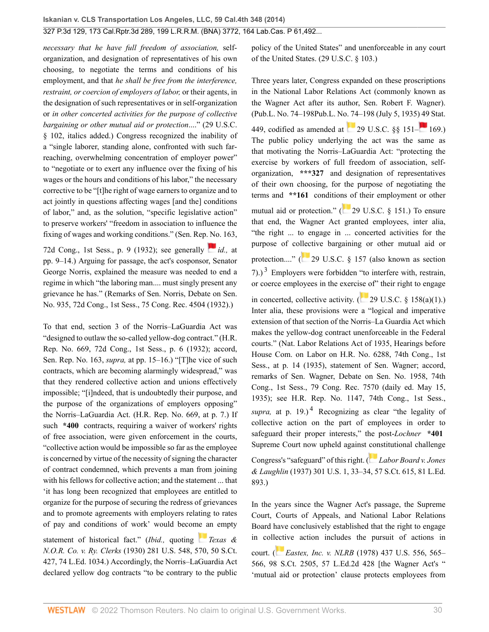*necessary that he have full freedom of association,* selforganization, and designation of representatives of his own choosing, to negotiate the terms and conditions of his employment, and that *he shall be free from the interference, restraint, or coercion of employers of labor,* or their agents, in the designation of such representatives or in self-organization or *in other concerted activities for the purpose of collective bargaining or other mutual aid or protection*...." [\(29 U.S.C.](http://www.westlaw.com/Link/Document/FullText?findType=L&pubNum=1000546&cite=29USCAS102&originatingDoc=I2ff28000fadb11e39488c8f438320c70&refType=LQ&originationContext=document&vr=3.0&rs=cblt1.0&transitionType=DocumentItem&contextData=(sc.Search)) [§ 102](http://www.westlaw.com/Link/Document/FullText?findType=L&pubNum=1000546&cite=29USCAS102&originatingDoc=I2ff28000fadb11e39488c8f438320c70&refType=LQ&originationContext=document&vr=3.0&rs=cblt1.0&transitionType=DocumentItem&contextData=(sc.Search)), italics added.) Congress recognized the inability of a "single laborer, standing alone, confronted with such farreaching, overwhelming concentration of employer power" to "negotiate or to exert any influence over the fixing of his wages or the hours and conditions of his labor," the necessary corrective to be "[t]he right of wage earners to organize and to act jointly in questions affecting wages [and the] conditions of labor," and, as the solution, "specific legislative action" to preserve workers' "freedom in association to influence the fixing of wages and working conditions." (Sen. Rep[. No](https://1.next.westlaw.com/Link/RelatedInformation/Flag?documentGuid=Ib5b8c6449a1011d9bdd1cfdd544ca3a4&transitionType=InlineKeyCiteFlags&originationContext=docHeaderFlag&Rank=0&ppcid=2af46aeee0b04785be997ff44a01e3a1&contextData=(sc.Search) ). 163,

72d Cong., 1st Sess., p. 9 (1932); see generally *[id.,](http://www.westlaw.com/Link/Document/FullText?findType=Y&serNum=1915100517&pubNum=0000780&originatingDoc=I2ff28000fadb11e39488c8f438320c70&refType=RP&fi=co_pp_sp_780_9&originationContext=document&vr=3.0&rs=cblt1.0&transitionType=DocumentItem&contextData=(sc.Search)#co_pp_sp_780_9)* at [pp. 9–14](http://www.westlaw.com/Link/Document/FullText?findType=Y&serNum=1915100517&pubNum=0000780&originatingDoc=I2ff28000fadb11e39488c8f438320c70&refType=RP&fi=co_pp_sp_780_9&originationContext=document&vr=3.0&rs=cblt1.0&transitionType=DocumentItem&contextData=(sc.Search)#co_pp_sp_780_9).) Arguing for passage, the act's cosponsor, Senator George Norris, explained the measure was needed to end a regime in which "the laboring man.... must singly present any grievance he has." (Remarks of Sen. Norris, Debate on Sen. No. 935, 72d Cong., 1st Sess., 75 Cong. Rec. 4504 (1932).)

To that end, section 3 of the Norris–LaGuardia Act was "designed to outlaw the so-called yellow-dog contract." (H.R. Rep. No. 669, 72d Cong., 1st Sess., p. 6 (1932); accord, Sen. Rep. No. 163, *supra,* at pp. 15–16.) "[T]he vice of such contracts, which are becoming alarmingly widespread," was that they rendered collective action and unions effectively impossible; "[i]ndeed, that is undoubtedly their purpose, and the purpose of the organizations of employers opposing" the Norris–LaGuardia Act. (H.R. Rep. No. 669, at p. 7.) If such **\*400** contracts, requiring a waiver of workers' rights of free association, were given enforcement in the courts, "collective action would be impossible so far as the employee is concerned by virtue of the necessity of signing the character of contract condemned, which prevents a man from joining with his fellows for collective action; and the statement ... that 'it has long been recognized that employees are entitled to organize for the purpose of securing the redress of grievances and to promote agreements with employers relating to rates of pay and conditions of work' would beco[me a](https://1.next.westlaw.com/Link/RelatedInformation/Flag?documentGuid=I2e21ffd49ca411d9bdd1cfdd544ca3a4&transitionType=InlineKeyCiteFlags&originationContext=docHeaderFlag&Rank=0&ppcid=2af46aeee0b04785be997ff44a01e3a1&contextData=(sc.Search) )n empty

statement of historical fact." (*Ibid.,* quoting *[Texas &](http://www.westlaw.com/Link/Document/FullText?findType=Y&serNum=1930121996&pubNum=0000708&originatingDoc=I2ff28000fadb11e39488c8f438320c70&refType=RP&originationContext=document&vr=3.0&rs=cblt1.0&transitionType=DocumentItem&contextData=(sc.Search)) N.O.R. Co. v. Ry. Clerks* [\(1930\) 281 U.S. 548, 570, 50 S.Ct.](http://www.westlaw.com/Link/Document/FullText?findType=Y&serNum=1930121996&pubNum=0000708&originatingDoc=I2ff28000fadb11e39488c8f438320c70&refType=RP&originationContext=document&vr=3.0&rs=cblt1.0&transitionType=DocumentItem&contextData=(sc.Search)) [427, 74 L.Ed. 1034](http://www.westlaw.com/Link/Document/FullText?findType=Y&serNum=1930121996&pubNum=0000708&originatingDoc=I2ff28000fadb11e39488c8f438320c70&refType=RP&originationContext=document&vr=3.0&rs=cblt1.0&transitionType=DocumentItem&contextData=(sc.Search)).) Accordingly, the Norris–LaGuardia Act declared yellow dog contracts "to be contrary to the public policy of the United States" and unenforceable in any court of the United States. [\(29 U.S.C. § 103.](http://www.westlaw.com/Link/Document/FullText?findType=L&pubNum=1000546&cite=29USCAS103&originatingDoc=I2ff28000fadb11e39488c8f438320c70&refType=LQ&originationContext=document&vr=3.0&rs=cblt1.0&transitionType=DocumentItem&contextData=(sc.Search)))

Three years later, Congress expanded on these proscriptions in the National Labor Relations Act (commonly known as the Wagner Act after its author, Sen. Robert F. Wagner). (Pub.L. No. 74–198Pub.L. No. 74–198 (July 5, 1935[\) 49](https://1.next.westlaw.com/Link/RelatedInformation/Flag?documentGuid=NB3924480AFF711D8803AE0632FEDDFBF&transitionType=InlineKeyCiteFlags&originationContext=docHeaderFlag&Rank=0&ppcid=2af46aeee0b04785be997ff44a01e3a1&contextData=(sc.Search) ) Stat.

449, codified as amended at  $29 \text{ U.S.C. }$  88 151– $169.$  $169.$ The public policy underlying the act was the same as that motivating the Norris–LaGuardia Act: "protecting the exercise by workers of full freedom of association, selforganization, **\*\*\*327** and designation of representatives of their own choosing, for the purpose of negotiating the terms and **\*\*161** conditio[ns o](https://1.next.westlaw.com/Link/RelatedInformation/Flag?documentGuid=NB85BB370AFF711D8803AE0632FEDDFBF&transitionType=InlineKeyCiteFlags&originationContext=docHeaderFlag&Rank=0&ppcid=2af46aeee0b04785be997ff44a01e3a1&contextData=(sc.Search) )f their employment or other

<span id="page-29-0"></span>mutual aid or protection." ([29 U.S.C. § 151.](http://www.westlaw.com/Link/Document/FullText?findType=L&pubNum=1000546&cite=29USCAS151&originatingDoc=I2ff28000fadb11e39488c8f438320c70&refType=LQ&originationContext=document&vr=3.0&rs=cblt1.0&transitionType=DocumentItem&contextData=(sc.Search))) To ensure that end, the Wagner Act granted employees, inter alia, "the right ... to engage in ... concerted activities for the purpose of co[llect](https://1.next.westlaw.com/Link/RelatedInformation/Flag?documentGuid=NB8DACE80AFF711D8803AE0632FEDDFBF&transitionType=InlineKeyCiteFlags&originationContext=docHeaderFlag&Rank=0&ppcid=2af46aeee0b04785be997ff44a01e3a1&contextData=(sc.Search) )ive bargaining or other mutual aid or protection...." ( [29 U.S.C. § 157](http://www.westlaw.com/Link/Document/FullText?findType=L&pubNum=1000546&cite=29USCAS157&originatingDoc=I2ff28000fadb11e39488c8f438320c70&refType=LQ&originationContext=document&vr=3.0&rs=cblt1.0&transitionType=DocumentItem&contextData=(sc.Search)) (also known as section 7).)<sup>[3](#page-33-4)</sup> Employers were forbidden "to interfere with, restrain, or coerce employees in the exerc[ise o](http://www.westlaw.com/Link/Document/FullText?findType=L&pubNum=1000546&cite=29USCAS158&originatingDoc=I2ff28000fadb11e39488c8f438320c70&refType=RB&originationContext=document&vr=3.0&rs=cblt1.0&transitionType=DocumentItem&contextData=(sc.Search)#co_pp_7b9b000044381)f" their right to engage in concerted, collective activity.  $(29 \text{ U.S.C.} \& 158(a)(1))$ . Inter alia, these provisions were a "logical and imperative extension of that section of the Norris–La Guardia Act which makes the yellow-dog contract unenforceable in the Federal courts." (Nat. Labor Relations Act of 1935, Hearings before House Com. on Labor on H.R. No. 6288, 74th Cong., 1st Sess., at p. 14 (1935), statement of Sen. Wagner; accord, remarks of Sen. Wagner, Debate on Sen. No. 1958, 74th Cong., 1st Sess., 79 Cong. Rec. 7570 (daily ed. May 15, 1935); see H.R. Rep. No. 1147, 74th Cong., 1st Sess., supra, at p.  $19.$ )<sup>[4](#page-33-5)</sup> Recognizing as clear "the legality of collective action on the part of employees in order to safeguard their proper interests," the post-*Lochner* **\*401** Supreme Court now upheld against [con](https://1.next.westlaw.com/Link/RelatedInformation/Flag?documentGuid=I2e2079369ca411d9bdd1cfdd544ca3a4&transitionType=InlineKeyCiteFlags&originationContext=docHeaderFlag&Rank=0&ppcid=2af46aeee0b04785be997ff44a01e3a1&contextData=(sc.Search) )stitutional challenge Congress's "safeguard" of this right. ( *[Labor Board v. Jones](http://www.westlaw.com/Link/Document/FullText?findType=Y&serNum=1937123003&pubNum=0000708&originatingDoc=I2ff28000fadb11e39488c8f438320c70&refType=RP&originationContext=document&vr=3.0&rs=cblt1.0&transitionType=DocumentItem&contextData=(sc.Search)) & Laughlin* [\(1937\) 301 U.S. 1, 33–34, 57 S.Ct. 615, 81 L.Ed.](http://www.westlaw.com/Link/Document/FullText?findType=Y&serNum=1937123003&pubNum=0000708&originatingDoc=I2ff28000fadb11e39488c8f438320c70&refType=RP&originationContext=document&vr=3.0&rs=cblt1.0&transitionType=DocumentItem&contextData=(sc.Search)) [893](http://www.westlaw.com/Link/Document/FullText?findType=Y&serNum=1937123003&pubNum=0000708&originatingDoc=I2ff28000fadb11e39488c8f438320c70&refType=RP&originationContext=document&vr=3.0&rs=cblt1.0&transitionType=DocumentItem&contextData=(sc.Search)).)

<span id="page-29-1"></span>In the years since the Wagner Act's passage, the Supreme Court, Courts of Appeals, and National Labor Relations Board have conclusively established that the right to engage in coll[ecti](https://1.next.westlaw.com/Link/RelatedInformation/Flag?documentGuid=I615bb6a99c1f11d9bc61beebb95be672&transitionType=InlineKeyCiteFlags&originationContext=docHeaderFlag&Rank=0&ppcid=2af46aeee0b04785be997ff44a01e3a1&contextData=(sc.Search) )ve action includes the pursuit of actions in

court. ( *Eastex, Inc. v. NLRB* [\(1978\) 437 U.S. 556, 565–](http://www.westlaw.com/Link/Document/FullText?findType=Y&serNum=1978139494&pubNum=0000708&originatingDoc=I2ff28000fadb11e39488c8f438320c70&refType=RP&originationContext=document&vr=3.0&rs=cblt1.0&transitionType=DocumentItem&contextData=(sc.Search)) [566, 98 S.Ct. 2505, 57 L.Ed.2d 428](http://www.westlaw.com/Link/Document/FullText?findType=Y&serNum=1978139494&pubNum=0000708&originatingDoc=I2ff28000fadb11e39488c8f438320c70&refType=RP&originationContext=document&vr=3.0&rs=cblt1.0&transitionType=DocumentItem&contextData=(sc.Search)) [the Wagner Act's " 'mutual aid or protection' clause protects employees from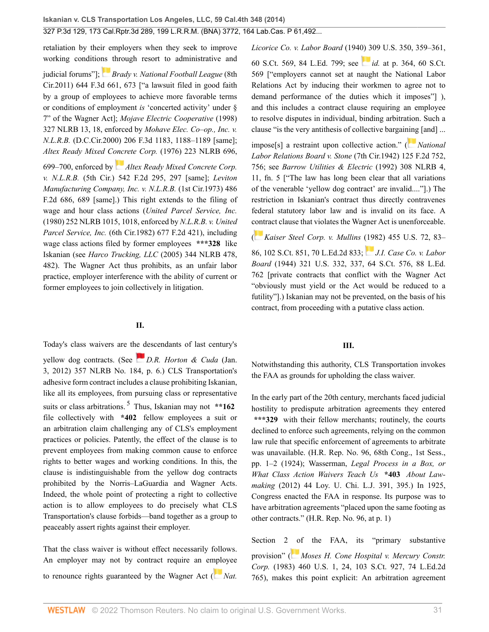retaliation by their employers when they seek to improve working conditio[ns](https://1.next.westlaw.com/Link/RelatedInformation/Flag?documentGuid=I9b05f777a96711e0bff3854fb99771ed&transitionType=InlineKeyCiteFlags&originationContext=docHeaderFlag&Rank=0&ppcid=2af46aeee0b04785be997ff44a01e3a1&contextData=(sc.Search) ) through resort to administrative and

judicial forums"]; *[Brady v. National Football League](http://www.westlaw.com/Link/Document/FullText?findType=Y&serNum=2025629939&pubNum=0000506&originatingDoc=I2ff28000fadb11e39488c8f438320c70&refType=RP&fi=co_pp_sp_506_673&originationContext=document&vr=3.0&rs=cblt1.0&transitionType=DocumentItem&contextData=(sc.Search)#co_pp_sp_506_673)* (8th [Cir.2011\) 644 F.3d 661, 673](http://www.westlaw.com/Link/Document/FullText?findType=Y&serNum=2025629939&pubNum=0000506&originatingDoc=I2ff28000fadb11e39488c8f438320c70&refType=RP&fi=co_pp_sp_506_673&originationContext=document&vr=3.0&rs=cblt1.0&transitionType=DocumentItem&contextData=(sc.Search)#co_pp_sp_506_673) ["a lawsuit filed in good faith by a group of employees to achieve more favorable terms or conditions of employment *is* 'concerted activity' under § 7" of the Wagner Act]; *[Mojave Electric Cooperative](http://www.westlaw.com/Link/Document/FullText?findType=Y&serNum=1998228654&pubNum=0001417&originatingDoc=I2ff28000fadb11e39488c8f438320c70&refType=CA&fi=co_pp_sp_1417_18&originationContext=document&vr=3.0&rs=cblt1.0&transitionType=DocumentItem&contextData=(sc.Search)#co_pp_sp_1417_18)* (1998) [327 NLRB 13, 18,](http://www.westlaw.com/Link/Document/FullText?findType=Y&serNum=1998228654&pubNum=0001417&originatingDoc=I2ff28000fadb11e39488c8f438320c70&refType=CA&fi=co_pp_sp_1417_18&originationContext=document&vr=3.0&rs=cblt1.0&transitionType=DocumentItem&contextData=(sc.Search)#co_pp_sp_1417_18) enforced by *[Mohave Elec. Co–op., Inc. v.](http://www.westlaw.com/Link/Document/FullText?findType=Y&serNum=2000078639&pubNum=0000506&originatingDoc=I2ff28000fadb11e39488c8f438320c70&refType=RP&fi=co_pp_sp_506_1188&originationContext=document&vr=3.0&rs=cblt1.0&transitionType=DocumentItem&contextData=(sc.Search)#co_pp_sp_506_1188) N.L.R.B.* [\(D.C.Cir.2000\) 206 F.3d 1183, 1188–1189](http://www.westlaw.com/Link/Document/FullText?findType=Y&serNum=2000078639&pubNum=0000506&originatingDoc=I2ff28000fadb11e39488c8f438320c70&refType=RP&fi=co_pp_sp_506_1188&originationContext=document&vr=3.0&rs=cblt1.0&transitionType=DocumentItem&contextData=(sc.Search)#co_pp_sp_506_1188) [same]; *[Altex Ready Mixed Concrete Corp.](http://www.westlaw.com/Link/Document/FullText?findType=Y&serNum=1976011648&pubNum=0001417&originatingDoc=I2ff28000fadb11e39488c8f438320c70&refType=CA&fi=co_pp_sp_1417_699&originationContext=document&vr=3.0&rs=cblt1.0&transitionType=DocumentItem&contextData=(sc.Search)#co_pp_sp_1417_699)* (1976) 223 NLRB 696,

[699–700](http://www.westlaw.com/Link/Document/FullText?findType=Y&serNum=1976011648&pubNum=0001417&originatingDoc=I2ff28000fadb11e39488c8f438320c70&refType=CA&fi=co_pp_sp_1417_699&originationContext=document&vr=3.0&rs=cblt1.0&transitionType=DocumentItem&contextData=(sc.Search)#co_pp_sp_1417_699), enforced by *[Altex Ready Mixed Concrete Corp.](http://www.westlaw.com/Link/Document/FullText?findType=Y&serNum=1976124831&pubNum=0000350&originatingDoc=I2ff28000fadb11e39488c8f438320c70&refType=RP&fi=co_pp_sp_350_297&originationContext=document&vr=3.0&rs=cblt1.0&transitionType=DocumentItem&contextData=(sc.Search)#co_pp_sp_350_297) v. N.L.R.B.* [\(5th Cir.\) 542 F.2d 295, 297](http://www.westlaw.com/Link/Document/FullText?findType=Y&serNum=1976124831&pubNum=0000350&originatingDoc=I2ff28000fadb11e39488c8f438320c70&refType=RP&fi=co_pp_sp_350_297&originationContext=document&vr=3.0&rs=cblt1.0&transitionType=DocumentItem&contextData=(sc.Search)#co_pp_sp_350_297) [same]; *[Leviton](http://www.westlaw.com/Link/Document/FullText?findType=Y&serNum=1973112027&pubNum=0000350&originatingDoc=I2ff28000fadb11e39488c8f438320c70&refType=RP&fi=co_pp_sp_350_689&originationContext=document&vr=3.0&rs=cblt1.0&transitionType=DocumentItem&contextData=(sc.Search)#co_pp_sp_350_689) [Manufacturing Company, Inc. v. N.L.R.B.](http://www.westlaw.com/Link/Document/FullText?findType=Y&serNum=1973112027&pubNum=0000350&originatingDoc=I2ff28000fadb11e39488c8f438320c70&refType=RP&fi=co_pp_sp_350_689&originationContext=document&vr=3.0&rs=cblt1.0&transitionType=DocumentItem&contextData=(sc.Search)#co_pp_sp_350_689)* (1st Cir.1973) 486 [F.2d 686, 689](http://www.westlaw.com/Link/Document/FullText?findType=Y&serNum=1973112027&pubNum=0000350&originatingDoc=I2ff28000fadb11e39488c8f438320c70&refType=RP&fi=co_pp_sp_350_689&originationContext=document&vr=3.0&rs=cblt1.0&transitionType=DocumentItem&contextData=(sc.Search)#co_pp_sp_350_689) [same].) This right extends to the filing of wage and hour class actions (*[United Parcel Service, Inc.](http://www.westlaw.com/Link/Document/FullText?findType=Y&serNum=1980014143&pubNum=0001417&originatingDoc=I2ff28000fadb11e39488c8f438320c70&refType=CA&fi=co_pp_sp_1417_1018&originationContext=document&vr=3.0&rs=cblt1.0&transitionType=DocumentItem&contextData=(sc.Search)#co_pp_sp_1417_1018)* [\(1980\) 252 NLRB 1015, 1018](http://www.westlaw.com/Link/Document/FullText?findType=Y&serNum=1980014143&pubNum=0001417&originatingDoc=I2ff28000fadb11e39488c8f438320c70&refType=CA&fi=co_pp_sp_1417_1018&originationContext=document&vr=3.0&rs=cblt1.0&transitionType=DocumentItem&contextData=(sc.Search)#co_pp_sp_1417_1018), enforced by *[N.L.R.B. v. United](http://www.westlaw.com/Link/Document/FullText?findType=Y&serNum=1982121395&pubNum=0000350&originatingDoc=I2ff28000fadb11e39488c8f438320c70&refType=RP&originationContext=document&vr=3.0&rs=cblt1.0&transitionType=DocumentItem&contextData=(sc.Search)) Parcel Service, Inc.* [\(6th Cir.1982\) 677 F.2d 421](http://www.westlaw.com/Link/Document/FullText?findType=Y&serNum=1982121395&pubNum=0000350&originatingDoc=I2ff28000fadb11e39488c8f438320c70&refType=RP&originationContext=document&vr=3.0&rs=cblt1.0&transitionType=DocumentItem&contextData=(sc.Search))), including wage class actions filed by former employees **\*\*\*328** like Iskanian (see *Harco Trucking, LLC* [\(2005\) 344 NLRB 478,](http://www.westlaw.com/Link/Document/FullText?findType=Y&serNum=2006423587&pubNum=0001417&originatingDoc=I2ff28000fadb11e39488c8f438320c70&refType=CA&fi=co_pp_sp_1417_482&originationContext=document&vr=3.0&rs=cblt1.0&transitionType=DocumentItem&contextData=(sc.Search)#co_pp_sp_1417_482) [482](http://www.westlaw.com/Link/Document/FullText?findType=Y&serNum=2006423587&pubNum=0001417&originatingDoc=I2ff28000fadb11e39488c8f438320c70&refType=CA&fi=co_pp_sp_1417_482&originationContext=document&vr=3.0&rs=cblt1.0&transitionType=DocumentItem&contextData=(sc.Search)#co_pp_sp_1417_482)). The Wagner Act thus prohibits, as an unfair labor practice, employer interference with the ability of current or former employees to join collectively in litigation.

#### <span id="page-30-0"></span>**II.**

Today's class waivers are t[he d](https://1.next.westlaw.com/Link/RelatedInformation/Flag?documentGuid=Ifa87d36e3b3011e1bd928e1973ff4e60&transitionType=InlineKeyCiteFlags&originationContext=docHeaderFlag&Rank=0&ppcid=2af46aeee0b04785be997ff44a01e3a1&contextData=(sc.Search) )escendants of last century's yellow dog contracts. (See *[D.R. Horton & Cuda](http://www.westlaw.com/Link/Document/FullText?findType=Y&serNum=2026828569&pubNum=0001033&originatingDoc=I2ff28000fadb11e39488c8f438320c70&refType=CA&originationContext=document&vr=3.0&rs=cblt1.0&transitionType=DocumentItem&contextData=(sc.Search))* (Jan.

[3, 2012\) 357 NLRB No. 184, p. 6](http://www.westlaw.com/Link/Document/FullText?findType=Y&serNum=2026828569&pubNum=0001033&originatingDoc=I2ff28000fadb11e39488c8f438320c70&refType=CA&originationContext=document&vr=3.0&rs=cblt1.0&transitionType=DocumentItem&contextData=(sc.Search)).) CLS Transportation's adhesive form contract includes a clause prohibiting Iskanian, like all its employees, from pursuing class or representative suits or class arbitrations. [5](#page-33-6) Thus, Iskanian may not **\*\*162** file collectively with **\*402** fellow employees a suit or an arbitration claim challenging any of CLS's employment practices or policies. Patently, the effect of the clause is to prevent employees from making common cause to enforce rights to better wages and working conditions. In this, the clause is indistinguishable from the yellow dog contracts prohibited by the Norris–LaGuardia and Wagner Acts. Indeed, the whole point of protecting a right to collective action is to allow employees to do precisely what CLS Transportation's clause forbids—band together as a group to peaceably assert rights against their employer.

That the class waiver is without effect necessarily follows. An employer may not by contract require an e[mplo](https://1.next.westlaw.com/Link/RelatedInformation/Flag?documentGuid=I5e36f5989ca411d993e6d35cc61aab4a&transitionType=InlineKeyCiteFlags&originationContext=docHeaderFlag&Rank=0&ppcid=2af46aeee0b04785be997ff44a01e3a1&contextData=(sc.Search) )yee to renounce rights guaranteed by the Wagner Act ( *[Nat.](http://www.westlaw.com/Link/Document/FullText?findType=Y&serNum=1940125751&pubNum=0000708&originatingDoc=I2ff28000fadb11e39488c8f438320c70&refType=RP&originationContext=document&vr=3.0&rs=cblt1.0&transitionType=DocumentItem&contextData=(sc.Search))* *Licorice Co. v. Labor Board* [\(1940\) 309 U.S. 350, 359–361,](http://www.westlaw.com/Link/Document/FullText?findType=Y&serNum=1940125751&pubNum=0000708&originatingDoc=I2ff28000fadb11e39488c8f438320c70&refType=RP&originationContext=document&vr=3.0&rs=cblt1.0&transitionType=DocumentItem&contextData=(sc.Search))

[60 S.Ct. 569, 84 L.Ed. 799;](http://www.westlaw.com/Link/Document/FullText?findType=Y&serNum=1940125751&pubNum=0000708&originatingDoc=I2ff28000fadb11e39488c8f438320c70&refType=RP&originationContext=document&vr=3.0&rs=cblt1.0&transitionType=DocumentItem&contextData=(sc.Search)) see *id.* [at p. 364, 60 S.Ct.](http://www.westlaw.com/Link/Document/FullText?findType=Y&serNum=1940125751&pubNum=0000708&originatingDoc=I2ff28000fadb11e39488c8f438320c70&refType=RP&originationContext=document&vr=3.0&rs=cblt1.0&transitionType=DocumentItem&contextData=(sc.Search)) [569](http://www.westlaw.com/Link/Document/FullText?findType=Y&serNum=1940125751&pubNum=0000708&originatingDoc=I2ff28000fadb11e39488c8f438320c70&refType=RP&originationContext=document&vr=3.0&rs=cblt1.0&transitionType=DocumentItem&contextData=(sc.Search)) ["employers cannot set at naught the National Labor Relations Act by inducing their workmen to agree not to demand performance of the duties which it imposes"] ), and this includes a contract clause requiring an employee to resolve disputes in individual, binding arbitration. Such a clause "is the very antithesis of collective bargai[ning](https://1.next.westlaw.com/Link/RelatedInformation/Flag?documentGuid=I6d848f73549311d9bf30d7fdf51b6bd4&transitionType=InlineKeyCiteFlags&originationContext=docHeaderFlag&Rank=0&ppcid=2af46aeee0b04785be997ff44a01e3a1&contextData=(sc.Search) ) [and] ...

impose[s] a restraint upon collective action." ( *[National](http://www.westlaw.com/Link/Document/FullText?findType=Y&serNum=1942120136&pubNum=0000350&originatingDoc=I2ff28000fadb11e39488c8f438320c70&refType=RP&fi=co_pp_sp_350_756&originationContext=document&vr=3.0&rs=cblt1.0&transitionType=DocumentItem&contextData=(sc.Search)#co_pp_sp_350_756) [Labor Relations Board v. Stone](http://www.westlaw.com/Link/Document/FullText?findType=Y&serNum=1942120136&pubNum=0000350&originatingDoc=I2ff28000fadb11e39488c8f438320c70&refType=RP&fi=co_pp_sp_350_756&originationContext=document&vr=3.0&rs=cblt1.0&transitionType=DocumentItem&contextData=(sc.Search)#co_pp_sp_350_756)* (7th Cir.1942) 125 F.2d 752, [756](http://www.westlaw.com/Link/Document/FullText?findType=Y&serNum=1942120136&pubNum=0000350&originatingDoc=I2ff28000fadb11e39488c8f438320c70&refType=RP&fi=co_pp_sp_350_756&originationContext=document&vr=3.0&rs=cblt1.0&transitionType=DocumentItem&contextData=(sc.Search)#co_pp_sp_350_756); see *[Barrow Utilities & Electric](http://www.westlaw.com/Link/Document/FullText?findType=Y&serNum=1992227849&pubNum=0001417&originatingDoc=I2ff28000fadb11e39488c8f438320c70&refType=CA&fi=co_pp_sp_1417_11&originationContext=document&vr=3.0&rs=cblt1.0&transitionType=DocumentItem&contextData=(sc.Search)#co_pp_sp_1417_11)* (1992) 308 NLRB 4, [11, fn. 5](http://www.westlaw.com/Link/Document/FullText?findType=Y&serNum=1992227849&pubNum=0001417&originatingDoc=I2ff28000fadb11e39488c8f438320c70&refType=CA&fi=co_pp_sp_1417_11&originationContext=document&vr=3.0&rs=cblt1.0&transitionType=DocumentItem&contextData=(sc.Search)#co_pp_sp_1417_11) ["The law has long been clear that all variations of the venerable 'yellow dog contract' are invalid...."].) The restriction in Iskanian's contract thus directly contravenes federal statutory labor law and is invalid on its face. A [cont](https://1.next.westlaw.com/Link/RelatedInformation/Flag?documentGuid=I17887b809c1f11d993e6d35cc61aab4a&transitionType=InlineKeyCiteFlags&originationContext=docHeaderFlag&Rank=0&ppcid=2af46aeee0b04785be997ff44a01e3a1&contextData=(sc.Search) )ract clause that violates the Wagner Act is unenforceable.

( *[Kaiser Steel Corp. v. Mullins](http://www.westlaw.com/Link/Document/FullText?findType=Y&serNum=1982102026&pubNum=0000708&originatingDoc=I2ff28000fadb11e39488c8f438320c70&refType=RP&originationContext=document&vr=3.0&rs=cblt1.0&transitionType=DocumentItem&contextData=(sc.Search))* [\(198](https://1.next.westlaw.com/Link/RelatedInformation/Flag?documentGuid=I2e1bbe429ca411d9bdd1cfdd544ca3a4&transitionType=InlineKeyCiteFlags&originationContext=docHeaderFlag&Rank=0&ppcid=2af46aeee0b04785be997ff44a01e3a1&contextData=(sc.Search) )2) 455 U.S. 72, 83– [86, 102 S.Ct. 851, 70 L.Ed.2d 833](http://www.westlaw.com/Link/Document/FullText?findType=Y&serNum=1982102026&pubNum=0000708&originatingDoc=I2ff28000fadb11e39488c8f438320c70&refType=RP&originationContext=document&vr=3.0&rs=cblt1.0&transitionType=DocumentItem&contextData=(sc.Search)); *[J.I. Case Co. v. Labor](http://www.westlaw.com/Link/Document/FullText?findType=Y&serNum=1944115754&pubNum=0000708&originatingDoc=I2ff28000fadb11e39488c8f438320c70&refType=RP&originationContext=document&vr=3.0&rs=cblt1.0&transitionType=DocumentItem&contextData=(sc.Search)) Board* [\(1944\) 321 U.S. 332, 337, 64 S.Ct. 576, 88 L.Ed.](http://www.westlaw.com/Link/Document/FullText?findType=Y&serNum=1944115754&pubNum=0000708&originatingDoc=I2ff28000fadb11e39488c8f438320c70&refType=RP&originationContext=document&vr=3.0&rs=cblt1.0&transitionType=DocumentItem&contextData=(sc.Search)) [762](http://www.westlaw.com/Link/Document/FullText?findType=Y&serNum=1944115754&pubNum=0000708&originatingDoc=I2ff28000fadb11e39488c8f438320c70&refType=RP&originationContext=document&vr=3.0&rs=cblt1.0&transitionType=DocumentItem&contextData=(sc.Search)) [private contracts that conflict with the Wagner Act "obviously must yield or the Act would be reduced to a futility"].) Iskanian may not be prevented, on the basis of his contract, from proceeding with a putative class action.

#### **III.**

Notwithstanding this authority, CLS Transportation invokes the FAA as grounds for upholding the class waiver.

In the early part of the 20th century, merchants faced judicial hostility to predispute arbitration agreements they entered **\*\*\*329** with their fellow merchants; routinely, the courts declined to enforce such agreements, relying on the common law rule that specific enforcement of agreements to arbitrate was unavailable. (H.R. Rep. No. 96, 68th Cong., 1st Sess., pp. 1–2 (1924); Wasserman, *[Legal Process in a Box, or](http://www.westlaw.com/Link/Document/FullText?findType=Y&serNum=0379452041&pubNum=0002952&originatingDoc=I2ff28000fadb11e39488c8f438320c70&refType=LR&fi=co_pp_sp_2952_395&originationContext=document&vr=3.0&rs=cblt1.0&transitionType=DocumentItem&contextData=(sc.Search)#co_pp_sp_2952_395) [What Class Action Waivers Teach Us](http://www.westlaw.com/Link/Document/FullText?findType=Y&serNum=0379452041&pubNum=0002952&originatingDoc=I2ff28000fadb11e39488c8f438320c70&refType=LR&fi=co_pp_sp_2952_395&originationContext=document&vr=3.0&rs=cblt1.0&transitionType=DocumentItem&contextData=(sc.Search)#co_pp_sp_2952_395)* **\*403** *About Lawmaking* [\(2012\) 44 Loy. U. Chi. L.J. 391, 395.](http://www.westlaw.com/Link/Document/FullText?findType=Y&serNum=0379452041&pubNum=0002952&originatingDoc=I2ff28000fadb11e39488c8f438320c70&refType=LR&fi=co_pp_sp_2952_395&originationContext=document&vr=3.0&rs=cblt1.0&transitionType=DocumentItem&contextData=(sc.Search)#co_pp_sp_2952_395)) In 1925, Congress enacted the FAA in response. Its purpose was to have arbitration agreements "placed upon the same footing as other contracts." (H.R. Rep. No. 96, at p. 1)

Section 2 [of](https://1.next.westlaw.com/Link/RelatedInformation/Flag?documentGuid=Ice9b1e059c9611d993e6d35cc61aab4a&transitionType=InlineKeyCiteFlags&originationContext=docHeaderFlag&Rank=0&ppcid=2af46aeee0b04785be997ff44a01e3a1&contextData=(sc.Search) ) the FAA, its "primary substantive provision" ( *[Moses H. Cone Hospital v. Mercury Constr.](http://www.westlaw.com/Link/Document/FullText?findType=Y&serNum=1983109286&pubNum=0000708&originatingDoc=I2ff28000fadb11e39488c8f438320c70&refType=RP&originationContext=document&vr=3.0&rs=cblt1.0&transitionType=DocumentItem&contextData=(sc.Search)) Corp.* [\(1983\) 460 U.S. 1, 24, 103 S.Ct. 927, 74 L.Ed.2d](http://www.westlaw.com/Link/Document/FullText?findType=Y&serNum=1983109286&pubNum=0000708&originatingDoc=I2ff28000fadb11e39488c8f438320c70&refType=RP&originationContext=document&vr=3.0&rs=cblt1.0&transitionType=DocumentItem&contextData=(sc.Search)) [765](http://www.westlaw.com/Link/Document/FullText?findType=Y&serNum=1983109286&pubNum=0000708&originatingDoc=I2ff28000fadb11e39488c8f438320c70&refType=RP&originationContext=document&vr=3.0&rs=cblt1.0&transitionType=DocumentItem&contextData=(sc.Search))), makes this point explicit: An arbitration agreement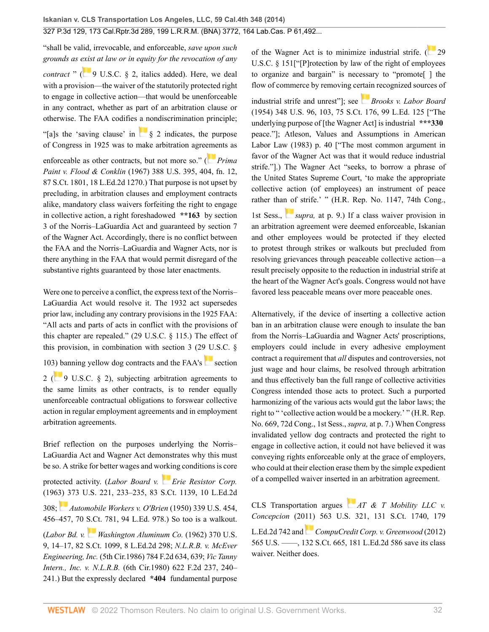"shall be valid, irrevocable, and enforceable, *save upon such grounds as [exis](https://1.next.westlaw.com/Link/RelatedInformation/Flag?documentGuid=NC02233609E4D11EC8C95F2ECE9E71133&transitionType=InlineKeyCiteFlags&originationContext=docHeaderFlag&Rank=0&ppcid=2af46aeee0b04785be997ff44a01e3a1&contextData=(sc.Search) )t at law or in equity for the revocation of any contract*  $\sqrt{9}$  U.S.C. § 2, italics added). Here, we deal with a provision—the waiver of the statutorily protected right

to engage in collective action—that would be unenforceable in any contract, whether as part of an arbitration clause or otherwise. The FAA codifies a nondiscrimination principle;

"[a]s the 'saving clause' in [§ 2](http://www.westlaw.com/Link/Document/FullText?findType=L&pubNum=1000546&cite=9USCAS2&originatingDoc=I2ff28000fadb11e39488c8f438320c70&refType=LQ&originationContext=document&vr=3.0&rs=cblt1.0&transitionType=DocumentItem&contextData=(sc.Search)) indicates, the purpose of Congress in 1925 was to make arbitration agre[eme](https://1.next.westlaw.com/Link/RelatedInformation/Flag?documentGuid=I2361bc6a9c1e11d9bdd1cfdd544ca3a4&transitionType=InlineKeyCiteFlags&originationContext=docHeaderFlag&Rank=0&ppcid=2af46aeee0b04785be997ff44a01e3a1&contextData=(sc.Search) )nts as

enforceable as other contracts, but not more so." ( *[Prima](http://www.westlaw.com/Link/Document/FullText?findType=Y&serNum=1967129541&pubNum=0000708&originatingDoc=I2ff28000fadb11e39488c8f438320c70&refType=RP&originationContext=document&vr=3.0&rs=cblt1.0&transitionType=DocumentItem&contextData=(sc.Search)) Paint v. Flood & Conklin* [\(1967\) 388 U.S. 395, 404, fn. 12,](http://www.westlaw.com/Link/Document/FullText?findType=Y&serNum=1967129541&pubNum=0000708&originatingDoc=I2ff28000fadb11e39488c8f438320c70&refType=RP&originationContext=document&vr=3.0&rs=cblt1.0&transitionType=DocumentItem&contextData=(sc.Search)) [87 S.Ct. 1801, 18 L.Ed.2d 1270.](http://www.westlaw.com/Link/Document/FullText?findType=Y&serNum=1967129541&pubNum=0000708&originatingDoc=I2ff28000fadb11e39488c8f438320c70&refType=RP&originationContext=document&vr=3.0&rs=cblt1.0&transitionType=DocumentItem&contextData=(sc.Search))) That purpose is not upset by precluding, in arbitration clauses and employment contracts alike, mandatory class waivers forfeiting the right to engage in collective action, a right foreshadowed **\*\*163** by section 3 of the Norris–LaGuardia Act and guaranteed by section 7 of the Wagner Act. Accordingly, there is no conflict between the FAA and the Norris–LaGuardia and Wagner Acts, nor is there anything in the FAA that would permit disregard of the substantive rights guaranteed by those later enactments.

Were one to perceive a conflict, the express text of the Norris– LaGuardia Act would resolve it. The 1932 act supersedes prior law, including any contrary provisions in the 1925 FAA: "All acts and parts of acts in conflict with the provisions of this chapter are repealed." ([29 U.S.C. § 115.](http://www.westlaw.com/Link/Document/FullText?findType=L&pubNum=1000546&cite=29USCAS115&originatingDoc=I2ff28000fadb11e39488c8f438320c70&refType=LQ&originationContext=document&vr=3.0&rs=cblt1.0&transitionType=DocumentItem&contextData=(sc.Search))) The effect of this provision, in combination with section 3 [\(29 U.S.C. §](http://www.westlaw.com/Link/Document/FullText?findType=L&pubNum=1000546&cite=29USCAS103&originatingDoc=I2ff28000fadb11e39488c8f438320c70&refType=LQ&originationContext=document&vr=3.0&rs=cblt1.0&transitionType=DocumentItem&contextData=(sc.Search)) [103](http://www.westlaw.com/Link/Document/FullText?findType=L&pubNum=1000546&cite=29USCAS103&originatingDoc=I2ff28000fadb11e39488c8f438320c70&refType=LQ&originationContext=document&vr=3.0&rs=cblt1.0&transitionType=DocumentItem&contextData=(sc.Search))[\) b](https://1.next.westlaw.com/Link/RelatedInformation/Flag?documentGuid=NC02233609E4D11EC8C95F2ECE9E71133&transitionType=InlineKeyCiteFlags&originationContext=docHeaderFlag&Rank=0&ppcid=2af46aeee0b04785be997ff44a01e3a1&contextData=(sc.Search) )anning yellow dog contracts and the  $FAA's$  [section](http://www.westlaw.com/Link/Document/FullText?findType=L&pubNum=1000546&cite=9USCAS2&originatingDoc=I2ff28000fadb11e39488c8f438320c70&refType=LQ&originationContext=document&vr=3.0&rs=cblt1.0&transitionType=DocumentItem&contextData=(sc.Search)) [2](http://www.westlaw.com/Link/Document/FullText?findType=L&pubNum=1000546&cite=9USCAS2&originatingDoc=I2ff28000fadb11e39488c8f438320c70&refType=LQ&originationContext=document&vr=3.0&rs=cblt1.0&transitionType=DocumentItem&contextData=(sc.Search)) ( $\frac{9 \text{ U.S.C. } }{9 \text{ U.S.C. } }$ ), subjecting arbitration agreements to the same limits as other contracts, is to render equally

unenforceable contractual obligations to forswear collective action in regular employment agreements and in employment arbitration agreements.

Brief reflection on the purposes underlying the Norris– LaGuardia Act and Wagner Act demonstrates why this must be so. A strike for better wages and working conditions is core protected activity. (*Labor Board v. [Erie Resistor Corp.](http://www.westlaw.com/Link/Document/FullText?findType=Y&serNum=1963125346&pubNum=0000708&originatingDoc=I2ff28000fadb11e39488c8f438320c70&refType=RP&originationContext=document&vr=3.0&rs=cblt1.0&transitionType=DocumentItem&contextData=(sc.Search))* [\(1963\) 373 U.S. 221, 233–235, 83 S.Ct. 1139, 10 L.Ed.2d](http://www.westlaw.com/Link/Document/FullText?findType=Y&serNum=1963125346&pubNum=0000708&originatingDoc=I2ff28000fadb11e39488c8f438320c70&refType=RP&originationContext=document&vr=3.0&rs=cblt1.0&transitionType=DocumentItem&contextData=(sc.Search)) [308](http://www.westlaw.com/Link/Document/FullText?findType=Y&serNum=1963125346&pubNum=0000708&originatingDoc=I2ff28000fadb11e39488c8f438320c70&refType=RP&originationContext=document&vr=3.0&rs=cblt1.0&transitionType=DocumentItem&contextData=(sc.Search)); *[Automobile Workers v. O'Brien](http://www.westlaw.com/Link/Document/FullText?findType=Y&serNum=1950117612&pubNum=0000708&originatingDoc=I2ff28000fadb11e39488c8f438320c70&refType=RP&originationContext=document&vr=3.0&rs=cblt1.0&transitionType=DocumentItem&contextData=(sc.Search))* (1950) 339 U.S. 454, [456–457, 70 S.Ct. 781, 94 L.Ed. 978.](http://www.westlaw.com/Link/Document/FullText?findType=Y&serNum=1950117612&pubNum=0000708&originatingDoc=I2ff28000fadb11e39488c8f438320c70&refType=RP&originationContext=document&vr=3.0&rs=cblt1.0&transitionType=DocumentItem&contextData=(sc.Search))) So too is a walkout. (*Labor Bd. v. [Washington Aluminum Co.](http://www.westlaw.com/Link/Document/FullText?findType=Y&serNum=1962127622&pubNum=0000708&originatingDoc=I2ff28000fadb11e39488c8f438320c70&refType=RP&originationContext=document&vr=3.0&rs=cblt1.0&transitionType=DocumentItem&contextData=(sc.Search))* (1962) 370 U.S. [9, 14–17, 82 S.Ct. 1099, 8 L.Ed.2d 298;](http://www.westlaw.com/Link/Document/FullText?findType=Y&serNum=1962127622&pubNum=0000708&originatingDoc=I2ff28000fadb11e39488c8f438320c70&refType=RP&originationContext=document&vr=3.0&rs=cblt1.0&transitionType=DocumentItem&contextData=(sc.Search)) *[N.L.R.B. v. McEver](http://www.westlaw.com/Link/Document/FullText?findType=Y&serNum=1986112466&pubNum=0000350&originatingDoc=I2ff28000fadb11e39488c8f438320c70&refType=RP&fi=co_pp_sp_350_639&originationContext=document&vr=3.0&rs=cblt1.0&transitionType=DocumentItem&contextData=(sc.Search)#co_pp_sp_350_639) Engineering, Inc.* [\(5th Cir.1986\) 784 F.2d 634, 639;](http://www.westlaw.com/Link/Document/FullText?findType=Y&serNum=1986112466&pubNum=0000350&originatingDoc=I2ff28000fadb11e39488c8f438320c70&refType=RP&fi=co_pp_sp_350_639&originationContext=document&vr=3.0&rs=cblt1.0&transitionType=DocumentItem&contextData=(sc.Search)#co_pp_sp_350_639) *[Vic Tanny](http://www.westlaw.com/Link/Document/FullText?findType=Y&serNum=1980118221&pubNum=0000350&originatingDoc=I2ff28000fadb11e39488c8f438320c70&refType=RP&fi=co_pp_sp_350_240&originationContext=document&vr=3.0&rs=cblt1.0&transitionType=DocumentItem&contextData=(sc.Search)#co_pp_sp_350_240) Intern., Inc. v. N.L.R.B.* [\(6th Cir.1980\) 622 F.2d 237, 240–](http://www.westlaw.com/Link/Document/FullText?findType=Y&serNum=1980118221&pubNum=0000350&originatingDoc=I2ff28000fadb11e39488c8f438320c70&refType=RP&fi=co_pp_sp_350_240&originationContext=document&vr=3.0&rs=cblt1.0&transitionType=DocumentItem&contextData=(sc.Search)#co_pp_sp_350_240)

[241](http://www.westlaw.com/Link/Document/FullText?findType=Y&serNum=1980118221&pubNum=0000350&originatingDoc=I2ff28000fadb11e39488c8f438320c70&refType=RP&fi=co_pp_sp_350_240&originationContext=document&vr=3.0&rs=cblt1.0&transitionType=DocumentItem&contextData=(sc.Search)#co_pp_sp_350_240).) But the expressly declared **\*404** fundamental purpose

of the Wagner Act is to minimize industrial strife. [\(](https://1.next.westlaw.com/Link/RelatedInformation/Flag?documentGuid=NB85BB370AFF711D8803AE0632FEDDFBF&transitionType=InlineKeyCiteFlags&originationContext=docHeaderFlag&Rank=0&ppcid=2af46aeee0b04785be997ff44a01e3a1&contextData=(sc.Search) ) [29](http://www.westlaw.com/Link/Document/FullText?findType=L&pubNum=1000546&cite=29USCAS151&originatingDoc=I2ff28000fadb11e39488c8f438320c70&refType=LQ&originationContext=document&vr=3.0&rs=cblt1.0&transitionType=DocumentItem&contextData=(sc.Search)) [U.S.C. § 151\[](http://www.westlaw.com/Link/Document/FullText?findType=L&pubNum=1000546&cite=29USCAS151&originatingDoc=I2ff28000fadb11e39488c8f438320c70&refType=LQ&originationContext=document&vr=3.0&rs=cblt1.0&transitionType=DocumentItem&contextData=(sc.Search))"[P]rotection by law of the right of employees to organize and bargain" is necessary to "promote[ ] the flow of commerce by removing ce[rtain](https://1.next.westlaw.com/Link/RelatedInformation/Flag?documentGuid=I61766aa09c1f11d9bc61beebb95be672&transitionType=InlineKeyCiteFlags&originationContext=docHeaderFlag&Rank=0&ppcid=2af46aeee0b04785be997ff44a01e3a1&contextData=(sc.Search) ) recognized sources of

industrial strife and unrest"]; see *[Brooks v. Labor Board](http://www.westlaw.com/Link/Document/FullText?findType=Y&serNum=1954117366&pubNum=0000708&originatingDoc=I2ff28000fadb11e39488c8f438320c70&refType=RP&originationContext=document&vr=3.0&rs=cblt1.0&transitionType=DocumentItem&contextData=(sc.Search))* [\(1954\) 348 U.S. 96, 103, 75 S.Ct. 176, 99 L.Ed. 125](http://www.westlaw.com/Link/Document/FullText?findType=Y&serNum=1954117366&pubNum=0000708&originatingDoc=I2ff28000fadb11e39488c8f438320c70&refType=RP&originationContext=document&vr=3.0&rs=cblt1.0&transitionType=DocumentItem&contextData=(sc.Search)) ["The underlying purpose of [the Wagner Act] is industrial **\*\*\*330** peace."]; Atleson, Values and Assumptions in American Labor Law (1983) p. 40 ["The most common argument in favor of the Wagner Act was that it would reduce industrial strife."].) The Wagner Act "seeks, to borrow a phrase of the United States Supreme Court, 'to make the appropriate collective action (of employees) an instrument of peace rather tha[n of](https://1.next.westlaw.com/Link/RelatedInformation/Flag?documentGuid=I616ad1db9c1f11d9bc61beebb95be672&transitionType=InlineKeyCiteFlags&originationContext=docHeaderFlag&Rank=0&ppcid=2af46aeee0b04785be997ff44a01e3a1&contextData=(sc.Search) ) strife.' " (H.R. Rep. No. 1147, 74th Cong.,

1st Sess., *supra*, [at p. 9](http://www.westlaw.com/Link/Document/FullText?findType=Y&serNum=1962127622&pubNum=0000780&originatingDoc=I2ff28000fadb11e39488c8f438320c70&refType=RP&fi=co_pp_sp_780_9&originationContext=document&vr=3.0&rs=cblt1.0&transitionType=DocumentItem&contextData=(sc.Search)#co_pp_sp_780_9).) If a class waiver provision in an arbitration agreement were deemed enforceable, Iskanian and other employees would be protected if they elected to protest through strikes or walkouts but precluded from resolving grievances through peaceable collective action—a result precisely opposite to the reduction in industrial strife at the heart of the Wagner Act's goals. Congress would not have favored less peaceable means over more peaceable ones.

Alternatively, if the device of inserting a collective action ban in an arbitration clause were enough to insulate the ban from the Norris–LaGuardia and Wagner Acts' proscriptions, employers could include in every adhesive employment contract a requirement that *all* disputes and controversies, not just wage and hour claims, be resolved through arbitration and thus effectively ban the full range of collective activities Congress intended those acts to protect. Such a purported harmonizing of the various acts would gut the labor laws; the right to " 'collective action would be a mockery.' " (H.R. Rep. No. 669, 72d Cong., 1st Sess., *supra,* at p. 7.) When Congress invalidated yellow dog contracts and protected the right to engage in collective action, it could not have believed it was conveying rights enforceable only at the grace of employers, who could at their election erase them by the simple expedient of a compelled waiver inserted in an arbitration agreement.

CLS Transportation argues *[AT & T Mobility LLC v.](http://www.westlaw.com/Link/Document/FullText?findType=Y&serNum=2025172541&pubNum=0000708&originatingDoc=I2ff28000fadb11e39488c8f438320c70&refType=RP&originationContext=document&vr=3.0&rs=cblt1.0&transitionType=DocumentItem&contextData=(sc.Search)) Concepcion* [\(2011\) 563 U.S. 321, 131 S.Ct. 1740, 179](http://www.westlaw.com/Link/Document/FullText?findType=Y&serNum=2025172541&pubNum=0000708&originatingDoc=I2ff28000fadb11e39488c8f438320c70&refType=RP&originationContext=document&vr=3.0&rs=cblt1.0&transitionType=DocumentItem&contextData=(sc.Search)) [L.Ed.2d 742](http://www.westlaw.com/Link/Document/FullText?findType=Y&serNum=2025172541&pubNum=0000708&originatingDoc=I2ff28000fadb11e39488c8f438320c70&refType=RP&originationContext=document&vr=3.0&rs=cblt1.0&transitionType=DocumentItem&contextData=(sc.Search)) and *[CompuCredit Corp. v. Greenwood](http://www.westlaw.com/Link/Document/FullText?findType=Y&serNum=2026831029&pubNum=0000708&originatingDoc=I2ff28000fadb11e39488c8f438320c70&refType=RP&originationContext=document&vr=3.0&rs=cblt1.0&transitionType=DocumentItem&contextData=(sc.Search))* (2012) [565 U.S. ––––, 132 S.Ct. 665, 181 L.Ed.2d 586](http://www.westlaw.com/Link/Document/FullText?findType=Y&serNum=2026831029&pubNum=0000708&originatingDoc=I2ff28000fadb11e39488c8f438320c70&refType=RP&originationContext=document&vr=3.0&rs=cblt1.0&transitionType=DocumentItem&contextData=(sc.Search)) save its class waiver. Neither does.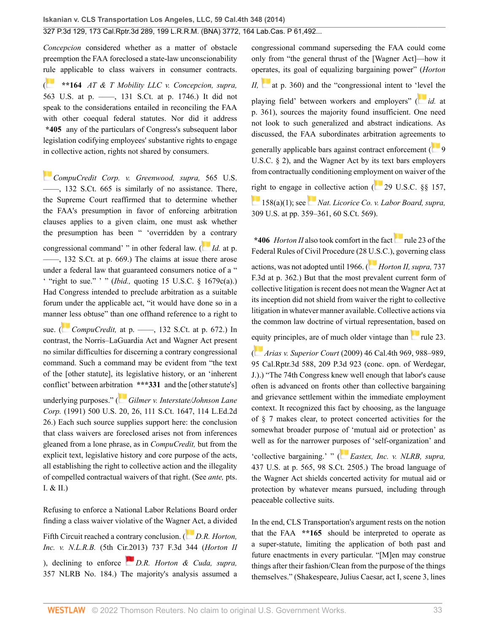*Concepcion* considered whether as a matter of obstacle preemption the FAA foreclosed a state-law unconscionability [rule](https://1.next.westlaw.com/Link/RelatedInformation/Flag?documentGuid=I2cd0aa5870bc11e0a34df17ea74c323f&transitionType=InlineKeyCiteFlags&originationContext=docHeaderFlag&Rank=0&ppcid=2af46aeee0b04785be997ff44a01e3a1&contextData=(sc.Search) ) applicable to class waivers in consumer contracts.

( **\*\*164** *[AT & T Mobility LLC v. Concepcion, supra,](http://www.westlaw.com/Link/Document/FullText?findType=Y&serNum=2025172541&pubNum=0000708&originatingDoc=I2ff28000fadb11e39488c8f438320c70&refType=RP&fi=co_pp_sp_708_1746&originationContext=document&vr=3.0&rs=cblt1.0&transitionType=DocumentItem&contextData=(sc.Search)#co_pp_sp_708_1746)* [563 U.S. at p. ––––, 131 S.Ct. at p. 1746](http://www.westlaw.com/Link/Document/FullText?findType=Y&serNum=2025172541&pubNum=0000708&originatingDoc=I2ff28000fadb11e39488c8f438320c70&refType=RP&fi=co_pp_sp_708_1746&originationContext=document&vr=3.0&rs=cblt1.0&transitionType=DocumentItem&contextData=(sc.Search)#co_pp_sp_708_1746).) It did not speak to the considerations entailed in reconciling the FAA with other coequal federal statutes. Nor did it address **\*405** any of the particulars of Congress's subsequent labor legislation codifying employees' substantive rights to engage in collective action, rights not shared by consumers.

*[CompuCredit Corp. v. Greenwood, supra,](http://www.westlaw.com/Link/Document/FullText?findType=Y&serNum=2026831029&pubNum=0000708&originatingDoc=I2ff28000fadb11e39488c8f438320c70&refType=RP&originationContext=document&vr=3.0&rs=cblt1.0&transitionType=DocumentItem&contextData=(sc.Search))* 565 U.S. [––––, 132 S.Ct. 665](http://www.westlaw.com/Link/Document/FullText?findType=Y&serNum=2026831029&pubNum=0000708&originatingDoc=I2ff28000fadb11e39488c8f438320c70&refType=RP&originationContext=document&vr=3.0&rs=cblt1.0&transitionType=DocumentItem&contextData=(sc.Search)) is similarly of no assistance. There, the Supreme Court reaffirmed that to determine whether the FAA's presumption in favor of enforcing arbitration clauses applies to a given claim, one must ask whether the presumption has been " 'overridden by [a c](https://1.next.westlaw.com/Link/RelatedInformation/Flag?documentGuid=Iecd52c323b8811e1aa95d4e04082c730&transitionType=InlineKeyCiteFlags&originationContext=docHeaderFlag&Rank=0&ppcid=2af46aeee0b04785be997ff44a01e3a1&contextData=(sc.Search) )ontrary congressional command' " in other federal law. ( *Id.* [at p.](http://www.westlaw.com/Link/Document/FullText?findType=Y&serNum=2026831029&pubNum=0000708&originatingDoc=I2ff28000fadb11e39488c8f438320c70&refType=RP&fi=co_pp_sp_708_669&originationContext=document&vr=3.0&rs=cblt1.0&transitionType=DocumentItem&contextData=(sc.Search)#co_pp_sp_708_669) [––––, 132 S.Ct. at p. 669](http://www.westlaw.com/Link/Document/FullText?findType=Y&serNum=2026831029&pubNum=0000708&originatingDoc=I2ff28000fadb11e39488c8f438320c70&refType=RP&fi=co_pp_sp_708_669&originationContext=document&vr=3.0&rs=cblt1.0&transitionType=DocumentItem&contextData=(sc.Search)#co_pp_sp_708_669).) The claims at issue there arose under a federal law that guaranteed consumers notice of a " ' "right to sue." ' " (*Ibid.,* quoting [15 U.S.C. § 1679c\(a\)](http://www.westlaw.com/Link/Document/FullText?findType=L&pubNum=1000546&cite=15USCAS1679C&originatingDoc=I2ff28000fadb11e39488c8f438320c70&refType=RB&originationContext=document&vr=3.0&rs=cblt1.0&transitionType=DocumentItem&contextData=(sc.Search)#co_pp_8b3b0000958a4).) Had Congress intended to preclude arbitration as a suitable forum under the applicable act, "it would have done so in a mann[er le](https://1.next.westlaw.com/Link/RelatedInformation/Flag?documentGuid=Iecd52c323b8811e1aa95d4e04082c730&transitionType=InlineKeyCiteFlags&originationContext=docHeaderFlag&Rank=0&ppcid=2af46aeee0b04785be997ff44a01e3a1&contextData=(sc.Search) )ss obtuse" than one offhand reference to a right to

sue. ( *CompuCredit,* at p. ——, 132 S.Ct. at p. 672.) In contrast, the Norris–LaGuardia Act and Wagner Act present no similar difficulties for discerning a contrary congressional command. Such a command may be evident from "the text of the [other statute], its legislative history, or an 'inherent conflict' between arbitr[atio](https://1.next.westlaw.com/Link/RelatedInformation/Flag?documentGuid=I862f49d69c9011d993e6d35cc61aab4a&transitionType=InlineKeyCiteFlags&originationContext=docHeaderFlag&Rank=0&ppcid=2af46aeee0b04785be997ff44a01e3a1&contextData=(sc.Search) )n **\*\*\*331** and the [other statute's]

underlying purposes." ( *[Gilmer v. Interstate/Johnson Lane](http://www.westlaw.com/Link/Document/FullText?findType=Y&serNum=1991089841&pubNum=0000708&originatingDoc=I2ff28000fadb11e39488c8f438320c70&refType=RP&originationContext=document&vr=3.0&rs=cblt1.0&transitionType=DocumentItem&contextData=(sc.Search)) Corp.* [\(1991\) 500 U.S. 20, 26, 111 S.Ct. 1647, 114 L.Ed.2d](http://www.westlaw.com/Link/Document/FullText?findType=Y&serNum=1991089841&pubNum=0000708&originatingDoc=I2ff28000fadb11e39488c8f438320c70&refType=RP&originationContext=document&vr=3.0&rs=cblt1.0&transitionType=DocumentItem&contextData=(sc.Search)) [26](http://www.westlaw.com/Link/Document/FullText?findType=Y&serNum=1991089841&pubNum=0000708&originatingDoc=I2ff28000fadb11e39488c8f438320c70&refType=RP&originationContext=document&vr=3.0&rs=cblt1.0&transitionType=DocumentItem&contextData=(sc.Search)).) Each such source supplies support here: the conclusion that class waivers are foreclosed arises not from inferences gleaned from a lone phrase, as in *CompuCredit,* but from the explicit text, legislative history and core purpose of the acts, all establishing the right to collective action and the illegality of compelled contractual waivers of that right. (See *ante,* pts. I. & II.)

Refusing to enforce a National Labor Relations Board order finding a class waiver violative of the Wagn[er A](https://1.next.westlaw.com/Link/RelatedInformation/Flag?documentGuid=I6ba9a13d5c4311e38912df21cb42a557&transitionType=InlineKeyCiteFlags&originationContext=docHeaderFlag&Rank=0&ppcid=2af46aeee0b04785be997ff44a01e3a1&contextData=(sc.Search) )ct, a divided Fifth Circuit reached a contrary conclusion. (*[D.R. Horton,](http://www.westlaw.com/Link/Document/FullText?findType=Y&serNum=2032188619&pubNum=0000506&originatingDoc=I2ff28000fadb11e39488c8f438320c70&refType=RP&originationContext=document&vr=3.0&rs=cblt1.0&transitionType=DocumentItem&contextData=(sc.Search)) Inc. v. N.L.R.B.* [\(5th Cir.2013\) 737 F.3d 344](http://www.westlaw.com/Link/Document/FullText?findType=Y&serNum=2032188619&pubNum=0000506&originatingDoc=I2ff28000fadb11e39488c8f438320c70&refType=RP&originationContext=document&vr=3.0&rs=cblt1.0&transitionType=DocumentItem&contextData=(sc.Search)) (*Horton II* ), declining to enforce *[D.R. Horton & Cuda, supra,](http://www.westlaw.com/Link/Document/FullText?findType=Y&serNum=2026828569&pubNum=0001033&originatingDoc=I2ff28000fadb11e39488c8f438320c70&refType=CA&originationContext=document&vr=3.0&rs=cblt1.0&transitionType=DocumentItem&contextData=(sc.Search))* [357 NLRB No. 184](http://www.westlaw.com/Link/Document/FullText?findType=Y&serNum=2026828569&pubNum=0001033&originatingDoc=I2ff28000fadb11e39488c8f438320c70&refType=CA&originationContext=document&vr=3.0&rs=cblt1.0&transitionType=DocumentItem&contextData=(sc.Search)).) The majority's analysis assumed a congressional command superseding the FAA could come only from "the general thrust of the [Wagner Act]—how it op[erate](https://1.next.westlaw.com/Link/RelatedInformation/Flag?documentGuid=I6ba9a13d5c4311e38912df21cb42a557&transitionType=InlineKeyCiteFlags&originationContext=docHeaderFlag&Rank=0&ppcid=2af46aeee0b04785be997ff44a01e3a1&contextData=(sc.Search) )s, its goal of equalizing bargaining power" (*Horton II,* [at p. 360\)](http://www.westlaw.com/Link/Document/FullText?findType=Y&serNum=2032188619&pubNum=0000506&originatingDoc=I2ff28000fadb11e39488c8f438320c70&refType=RP&fi=co_pp_sp_506_360&originationContext=document&vr=3.0&rs=cblt1.0&transitionType=DocumentItem&contextData=(sc.Search)#co_pp_sp_506_360) and the "congressional intent to '[leve](https://1.next.westlaw.com/Link/RelatedInformation/Flag?documentGuid=I6ba9a13d5c4311e38912df21cb42a557&transitionType=InlineKeyCiteFlags&originationContext=docHeaderFlag&Rank=0&ppcid=2af46aeee0b04785be997ff44a01e3a1&contextData=(sc.Search) )l the playing field' between workers and employers" ( *id.* [at](http://www.westlaw.com/Link/Document/FullText?findType=Y&serNum=2032188619&pubNum=0000506&originatingDoc=I2ff28000fadb11e39488c8f438320c70&refType=RP&fi=co_pp_sp_506_361&originationContext=document&vr=3.0&rs=cblt1.0&transitionType=DocumentItem&contextData=(sc.Search)#co_pp_sp_506_361) [p. 361\)](http://www.westlaw.com/Link/Document/FullText?findType=Y&serNum=2032188619&pubNum=0000506&originatingDoc=I2ff28000fadb11e39488c8f438320c70&refType=RP&fi=co_pp_sp_506_361&originationContext=document&vr=3.0&rs=cblt1.0&transitionType=DocumentItem&contextData=(sc.Search)#co_pp_sp_506_361), sources the majority found insufficient. One need not look to such generalized and abstract indications. As discussed, the FAA subordinates arbitration agreemen[ts t](https://1.next.westlaw.com/Link/RelatedInformation/Flag?documentGuid=NC02233609E4D11EC8C95F2ECE9E71133&transitionType=InlineKeyCiteFlags&originationContext=docHeaderFlag&Rank=0&ppcid=2af46aeee0b04785be997ff44a01e3a1&contextData=(sc.Search) )o

generally applicable bars against contract enforcement ( $\begin{bmatrix} 9 \end{bmatrix}$  $\begin{bmatrix} 9 \end{bmatrix}$  $\begin{bmatrix} 9 \end{bmatrix}$ [U.S.C. § 2](http://www.westlaw.com/Link/Document/FullText?findType=L&pubNum=1000546&cite=9USCAS2&originatingDoc=I2ff28000fadb11e39488c8f438320c70&refType=LQ&originationContext=document&vr=3.0&rs=cblt1.0&transitionType=DocumentItem&contextData=(sc.Search))), and the Wagner Act by its text bars employers from contractually conditioning emplo[yme](https://1.next.westlaw.com/Link/RelatedInformation/Flag?documentGuid=NB8DACE80AFF711D8803AE0632FEDDFBF&transitionType=InlineKeyCiteFlags&originationContext=docHeaderFlag&Rank=0&ppcid=2af46aeee0b04785be997ff44a01e3a1&contextData=(sc.Search) )nt on waiver of the

[righ](http://www.westlaw.com/Link/Document/FullText?findType=L&pubNum=1000546&cite=29USCAS158&originatingDoc=I2ff28000fadb11e39488c8f438320c70&refType=RB&originationContext=document&vr=3.0&rs=cblt1.0&transitionType=DocumentItem&contextData=(sc.Search)#co_pp_7b9b000044381)t to engage i[n c](https://1.next.westlaw.com/Link/RelatedInformation/Flag?documentGuid=I5e36f5989ca411d993e6d35cc61aab4a&transitionType=InlineKeyCiteFlags&originationContext=docHeaderFlag&Rank=0&ppcid=2af46aeee0b04785be997ff44a01e3a1&contextData=(sc.Search) )ollective action  $(29 \text{ U.S.C.} \$ §§ 157,

[158\(a\)\(1\);](http://www.westlaw.com/Link/Document/FullText?findType=L&pubNum=1000546&cite=29USCAS158&originatingDoc=I2ff28000fadb11e39488c8f438320c70&refType=RB&originationContext=document&vr=3.0&rs=cblt1.0&transitionType=DocumentItem&contextData=(sc.Search)#co_pp_7b9b000044381) see *[Nat. Licorice Co. v. Labor Board, supra,](http://www.westlaw.com/Link/Document/FullText?findType=Y&serNum=1940125751&pubNum=0000708&originatingDoc=I2ff28000fadb11e39488c8f438320c70&refType=RP&originationContext=document&vr=3.0&rs=cblt1.0&transitionType=DocumentItem&contextData=(sc.Search))* [309 U.S. at pp. 359–361, 60 S.Ct. 569](http://www.westlaw.com/Link/Document/FullText?findType=Y&serNum=1940125751&pubNum=0000708&originatingDoc=I2ff28000fadb11e39488c8f438320c70&refType=RP&originationContext=document&vr=3.0&rs=cblt1.0&transitionType=DocumentItem&contextData=(sc.Search))).

**\*406** *Horton II* also took comfort in the fact [rule 23 of the](http://www.westlaw.com/Link/Document/FullText?findType=L&pubNum=1000600&cite=USFRCPR23&originatingDoc=I2ff28000fadb11e39488c8f438320c70&refType=LQ&originationContext=document&vr=3.0&rs=cblt1.0&transitionType=DocumentItem&contextData=(sc.Search)) [Federal Rules of Civil Procedure](http://www.westlaw.com/Link/Document/FullText?findType=L&pubNum=1000600&cite=USFRCPR23&originatingDoc=I2ff28000fadb11e39488c8f438320c70&refType=LQ&originationContext=document&vr=3.0&rs=cblt1.0&transitionType=DocumentItem&contextData=(sc.Search)) (28 [U.S](https://1.next.westlaw.com/Link/RelatedInformation/Flag?documentGuid=I6ba9a13d5c4311e38912df21cb42a557&transitionType=InlineKeyCiteFlags&originationContext=docHeaderFlag&Rank=0&ppcid=2af46aeee0b04785be997ff44a01e3a1&contextData=(sc.Search) ).C.), governing class actions, was not adopted until 1966. ( *[Horton II, supra,](http://www.westlaw.com/Link/Document/FullText?findType=Y&serNum=2032188619&pubNum=0000506&originatingDoc=I2ff28000fadb11e39488c8f438320c70&refType=RP&fi=co_pp_sp_506_362&originationContext=document&vr=3.0&rs=cblt1.0&transitionType=DocumentItem&contextData=(sc.Search)#co_pp_sp_506_362)* 737 [F.3d at p. 362.](http://www.westlaw.com/Link/Document/FullText?findType=Y&serNum=2032188619&pubNum=0000506&originatingDoc=I2ff28000fadb11e39488c8f438320c70&refType=RP&fi=co_pp_sp_506_362&originationContext=document&vr=3.0&rs=cblt1.0&transitionType=DocumentItem&contextData=(sc.Search)#co_pp_sp_506_362)) But that the most prevalent current form of collective litigation is recent does not mean the Wagner Act at its inception did not shield from waiver the right to collective litigation in whatever manner available. Collective actions via the common law doctrine of virtual representation, based on

[equi](https://1.next.westlaw.com/Link/RelatedInformation/Flag?documentGuid=I59efe75c64bb11deabded03f2b83b8a4&transitionType=InlineKeyCiteFlags&originationContext=docHeaderFlag&Rank=0&ppcid=2af46aeee0b04785be997ff44a01e3a1&contextData=(sc.Search) )ty principles, are of much older vintage than  $\sim$  [rule 23](http://www.westlaw.com/Link/Document/FullText?findType=L&pubNum=1000600&cite=USFRCPR23&originatingDoc=I2ff28000fadb11e39488c8f438320c70&refType=LQ&originationContext=document&vr=3.0&rs=cblt1.0&transitionType=DocumentItem&contextData=(sc.Search)).

( *Arias v. Superior Court* [\(2009\) 46 Cal.4th 969, 988–989,](http://www.westlaw.com/Link/Document/FullText?findType=Y&serNum=2019228329&pubNum=0004645&originatingDoc=I2ff28000fadb11e39488c8f438320c70&refType=RP&originationContext=document&vr=3.0&rs=cblt1.0&transitionType=DocumentItem&contextData=(sc.Search)) [95 Cal.Rptr.3d 588, 209 P.3d 923](http://www.westlaw.com/Link/Document/FullText?findType=Y&serNum=2019228329&pubNum=0004645&originatingDoc=I2ff28000fadb11e39488c8f438320c70&refType=RP&originationContext=document&vr=3.0&rs=cblt1.0&transitionType=DocumentItem&contextData=(sc.Search)) (conc. opn. of Werdegar, J.).) "The 74th Congress knew well enough that labor's cause often is advanced on fronts other than collective bargaining and grievance settlement within the immediate employment context. It recognized this fact by choosing, as the language of § 7 makes clear, to protect concerted activities for the somewhat broader purpose of 'mutual aid or protection' as well as for the narrower p[urpo](https://1.next.westlaw.com/Link/RelatedInformation/Flag?documentGuid=I615bb6a99c1f11d9bc61beebb95be672&transitionType=InlineKeyCiteFlags&originationContext=docHeaderFlag&Rank=0&ppcid=2af46aeee0b04785be997ff44a01e3a1&contextData=(sc.Search) )ses of 'self-organization' and 'collective bargaining.' " ( *[Eastex, Inc. v. NLRB, supra,](http://www.westlaw.com/Link/Document/FullText?findType=Y&serNum=1978139494&pubNum=0000708&originatingDoc=I2ff28000fadb11e39488c8f438320c70&refType=RP&originationContext=document&vr=3.0&rs=cblt1.0&transitionType=DocumentItem&contextData=(sc.Search))* [437 U.S. at p. 565, 98 S.Ct. 2505](http://www.westlaw.com/Link/Document/FullText?findType=Y&serNum=1978139494&pubNum=0000708&originatingDoc=I2ff28000fadb11e39488c8f438320c70&refType=RP&originationContext=document&vr=3.0&rs=cblt1.0&transitionType=DocumentItem&contextData=(sc.Search)).) The broad language of the Wagner Act shields concerted activity for mutual aid or protection by whatever means pursued, including through peaceable collective suits.

In the end, CLS Transportation's argument rests on the notion that the FAA **\*\*165** should be interpreted to operate as a super-statute, limiting the application of both past and future enactments in every particular. "[M]en may construe things after their fashion/Clean from the purpose of the things themselves." (Shakespeare, Julius Caesar, act I, scene 3, lines